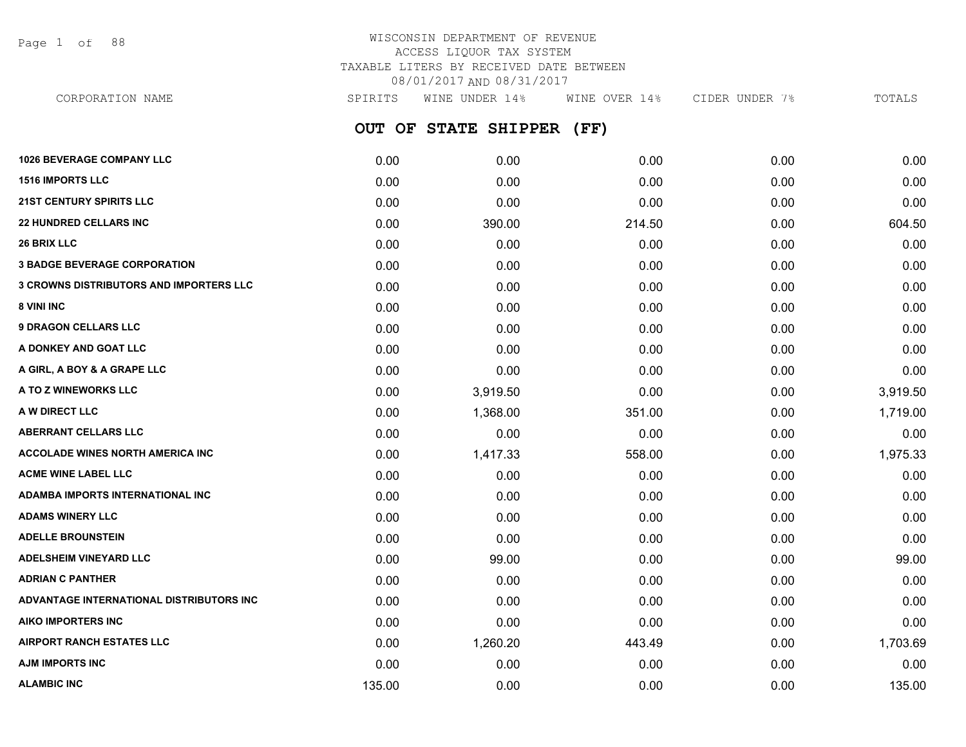Page 1 of 88

## WISCONSIN DEPARTMENT OF REVENUE ACCESS LIQUOR TAX SYSTEM TAXABLE LITERS BY RECEIVED DATE BETWEEN 08/01/2017 AND 08/31/2017

**OUT OF STATE SHIPPER (FF) 1026 BEVERAGE COMPANY LLC** 0.00 0.00 0.00 0.00 0.00 **1516 IMPORTS LLC** 0.00 0.00 0.00 0.00 0.00 **21ST CENTURY SPIRITS LLC** 0.00 0.00 0.00 0.00 0.00 **22 HUNDRED CELLARS INC** 0.00 390.00 214.50 0.00 604.50 **26 BRIX LLC** 0.00 0.00 0.00 0.00 0.00 **3 BADGE BEVERAGE CORPORATION** 0.00 0.00 0.00 0.00 0.00 **3 CROWNS DISTRIBUTORS AND IMPORTERS LLC** 0.00 0.00 0.00 0.00 0.00 **8 VINI INC** 0.00 0.00 0.00 0.00 0.00 **9 DRAGON CELLARS LLC** 0.00 0.00 0.00 0.00 0.00 **A DONKEY AND GOAT LLC** 0.00 0.00 0.00 0.00 0.00 **A GIRL, A BOY & A GRAPE LLC** 0.00 0.00 0.00 0.00 0.00 **A TO Z WINEWORKS LLC** 0.00 3,919.50 0.00 0.00 3,919.50 **A W DIRECT LLC** 0.00 1,368.00 351.00 0.00 1,719.00 **ABERRANT CELLARS LLC** 0.00 0.00 0.00 0.00 0.00 **ACCOLADE WINES NORTH AMERICA INC 1.975.33 1.975.33 1.417.33** 558.00 **1.417.33** 558.00 **1.975.33 ACME WINE LABEL LLC** 0.00 0.00 0.00 0.00 0.00 **ADAMBA IMPORTS INTERNATIONAL INC** 0.00 0.00 0.00 0.00 0.00 **ADAMS WINERY LLC** 0.00 0.00 0.00 0.00 0.00 **ADELLE BROUNSTEIN** 0.00 0.00 0.00 0.00 0.00 CORPORATION NAME SPIRITS WINE UNDER 14% WINE OVER 14% CIDER UNDER 7% TOTALS

**ADELSHEIM VINEYARD LLC** 0.00 99.00 0.00 0.00 99.00 **ADRIAN C PANTHER** 0.00 0.00 0.00 0.00 0.00 **ADVANTAGE INTERNATIONAL DISTRIBUTORS INC** 0.00 0.00 0.00 0.00 0.00 **AIKO IMPORTERS INC** 0.00 0.00 0.00 0.00 0.00 **AIRPORT RANCH ESTATES LLC** 0.00 1,260.20 443.49 0.00 1,703.69 **AJM IMPORTS INC** 0.00 0.00 0.00 0.00 0.00 **ALAMBIC INC** 135.00 0.00 0.00 0.00 135.00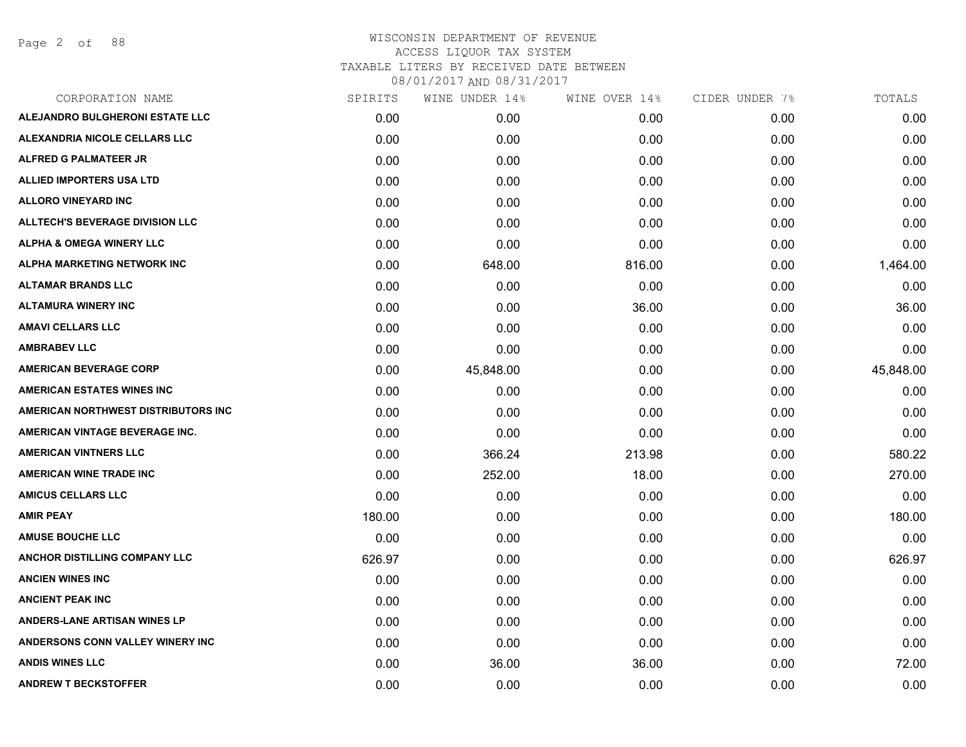Page 2 of 88

| CORPORATION NAME                       | SPIRITS | WINE UNDER 14% | WINE OVER 14% | CIDER UNDER 7% | TOTALS    |
|----------------------------------------|---------|----------------|---------------|----------------|-----------|
| ALEJANDRO BULGHERONI ESTATE LLC        | 0.00    | 0.00           | 0.00          | 0.00           | 0.00      |
| ALEXANDRIA NICOLE CELLARS LLC          | 0.00    | 0.00           | 0.00          | 0.00           | 0.00      |
| ALFRED G PALMATEER JR                  | 0.00    | 0.00           | 0.00          | 0.00           | 0.00      |
| <b>ALLIED IMPORTERS USA LTD</b>        | 0.00    | 0.00           | 0.00          | 0.00           | 0.00      |
| <b>ALLORO VINEYARD INC</b>             | 0.00    | 0.00           | 0.00          | 0.00           | 0.00      |
| <b>ALLTECH'S BEVERAGE DIVISION LLC</b> | 0.00    | 0.00           | 0.00          | 0.00           | 0.00      |
| <b>ALPHA &amp; OMEGA WINERY LLC</b>    | 0.00    | 0.00           | 0.00          | 0.00           | 0.00      |
| <b>ALPHA MARKETING NETWORK INC</b>     | 0.00    | 648.00         | 816.00        | 0.00           | 1,464.00  |
| <b>ALTAMAR BRANDS LLC</b>              | 0.00    | 0.00           | 0.00          | 0.00           | 0.00      |
| <b>ALTAMURA WINERY INC</b>             | 0.00    | 0.00           | 36.00         | 0.00           | 36.00     |
| <b>AMAVI CELLARS LLC</b>               | 0.00    | 0.00           | 0.00          | 0.00           | 0.00      |
| <b>AMBRABEV LLC</b>                    | 0.00    | 0.00           | 0.00          | 0.00           | 0.00      |
| <b>AMERICAN BEVERAGE CORP</b>          | 0.00    | 45,848.00      | 0.00          | 0.00           | 45,848.00 |
| <b>AMERICAN ESTATES WINES INC</b>      | 0.00    | 0.00           | 0.00          | 0.00           | 0.00      |
| AMERICAN NORTHWEST DISTRIBUTORS INC    | 0.00    | 0.00           | 0.00          | 0.00           | 0.00      |
| AMERICAN VINTAGE BEVERAGE INC.         | 0.00    | 0.00           | 0.00          | 0.00           | 0.00      |
| <b>AMERICAN VINTNERS LLC</b>           | 0.00    | 366.24         | 213.98        | 0.00           | 580.22    |
| <b>AMERICAN WINE TRADE INC</b>         | 0.00    | 252.00         | 18.00         | 0.00           | 270.00    |
| <b>AMICUS CELLARS LLC</b>              | 0.00    | 0.00           | 0.00          | 0.00           | 0.00      |
| <b>AMIR PEAY</b>                       | 180.00  | 0.00           | 0.00          | 0.00           | 180.00    |
| <b>AMUSE BOUCHE LLC</b>                | 0.00    | 0.00           | 0.00          | 0.00           | 0.00      |
| ANCHOR DISTILLING COMPANY LLC          | 626.97  | 0.00           | 0.00          | 0.00           | 626.97    |
| <b>ANCIEN WINES INC</b>                | 0.00    | 0.00           | 0.00          | 0.00           | 0.00      |
| <b>ANCIENT PEAK INC</b>                | 0.00    | 0.00           | 0.00          | 0.00           | 0.00      |
| <b>ANDERS-LANE ARTISAN WINES LP</b>    | 0.00    | 0.00           | 0.00          | 0.00           | 0.00      |
| ANDERSONS CONN VALLEY WINERY INC       | 0.00    | 0.00           | 0.00          | 0.00           | 0.00      |
| <b>ANDIS WINES LLC</b>                 | 0.00    | 36.00          | 36.00         | 0.00           | 72.00     |
| <b>ANDREW T BECKSTOFFER</b>            | 0.00    | 0.00           | 0.00          | 0.00           | 0.00      |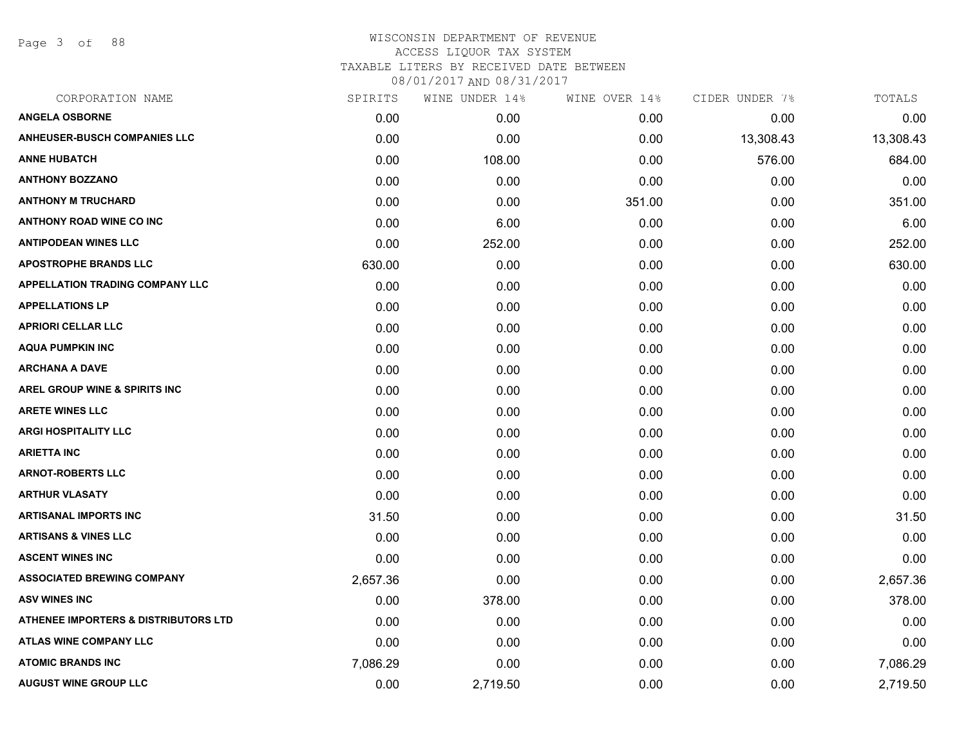Page 3 of 88

| CORPORATION NAME                         | SPIRITS  | WINE UNDER 14% | WINE OVER 14% | CIDER UNDER 7% | TOTALS    |
|------------------------------------------|----------|----------------|---------------|----------------|-----------|
| <b>ANGELA OSBORNE</b>                    | 0.00     | 0.00           | 0.00          | 0.00           | 0.00      |
| <b>ANHEUSER-BUSCH COMPANIES LLC</b>      | 0.00     | 0.00           | 0.00          | 13,308.43      | 13,308.43 |
| <b>ANNE HUBATCH</b>                      | 0.00     | 108.00         | 0.00          | 576.00         | 684.00    |
| <b>ANTHONY BOZZANO</b>                   | 0.00     | 0.00           | 0.00          | 0.00           | 0.00      |
| <b>ANTHONY M TRUCHARD</b>                | 0.00     | 0.00           | 351.00        | 0.00           | 351.00    |
| <b>ANTHONY ROAD WINE CO INC</b>          | 0.00     | 6.00           | 0.00          | 0.00           | 6.00      |
| <b>ANTIPODEAN WINES LLC</b>              | 0.00     | 252.00         | 0.00          | 0.00           | 252.00    |
| <b>APOSTROPHE BRANDS LLC</b>             | 630.00   | 0.00           | 0.00          | 0.00           | 630.00    |
| <b>APPELLATION TRADING COMPANY LLC</b>   | 0.00     | 0.00           | 0.00          | 0.00           | 0.00      |
| <b>APPELLATIONS LP</b>                   | 0.00     | 0.00           | 0.00          | 0.00           | 0.00      |
| <b>APRIORI CELLAR LLC</b>                | 0.00     | 0.00           | 0.00          | 0.00           | 0.00      |
| <b>AQUA PUMPKIN INC</b>                  | 0.00     | 0.00           | 0.00          | 0.00           | 0.00      |
| <b>ARCHANA A DAVE</b>                    | 0.00     | 0.00           | 0.00          | 0.00           | 0.00      |
| <b>AREL GROUP WINE &amp; SPIRITS INC</b> | 0.00     | 0.00           | 0.00          | 0.00           | 0.00      |
| <b>ARETE WINES LLC</b>                   | 0.00     | 0.00           | 0.00          | 0.00           | 0.00      |
| <b>ARGI HOSPITALITY LLC</b>              | 0.00     | 0.00           | 0.00          | 0.00           | 0.00      |
| <b>ARIETTA INC</b>                       | 0.00     | 0.00           | 0.00          | 0.00           | 0.00      |
| <b>ARNOT-ROBERTS LLC</b>                 | 0.00     | 0.00           | 0.00          | 0.00           | 0.00      |
| <b>ARTHUR VLASATY</b>                    | 0.00     | 0.00           | 0.00          | 0.00           | 0.00      |
| <b>ARTISANAL IMPORTS INC</b>             | 31.50    | 0.00           | 0.00          | 0.00           | 31.50     |
| <b>ARTISANS &amp; VINES LLC</b>          | 0.00     | 0.00           | 0.00          | 0.00           | 0.00      |
| <b>ASCENT WINES INC</b>                  | 0.00     | 0.00           | 0.00          | 0.00           | 0.00      |
| <b>ASSOCIATED BREWING COMPANY</b>        | 2,657.36 | 0.00           | 0.00          | 0.00           | 2,657.36  |
| <b>ASV WINES INC</b>                     | 0.00     | 378.00         | 0.00          | 0.00           | 378.00    |
| ATHENEE IMPORTERS & DISTRIBUTORS LTD     | 0.00     | 0.00           | 0.00          | 0.00           | 0.00      |
| <b>ATLAS WINE COMPANY LLC</b>            | 0.00     | 0.00           | 0.00          | 0.00           | 0.00      |
| <b>ATOMIC BRANDS INC</b>                 | 7,086.29 | 0.00           | 0.00          | 0.00           | 7,086.29  |
| <b>AUGUST WINE GROUP LLC</b>             | 0.00     | 2,719.50       | 0.00          | 0.00           | 2,719.50  |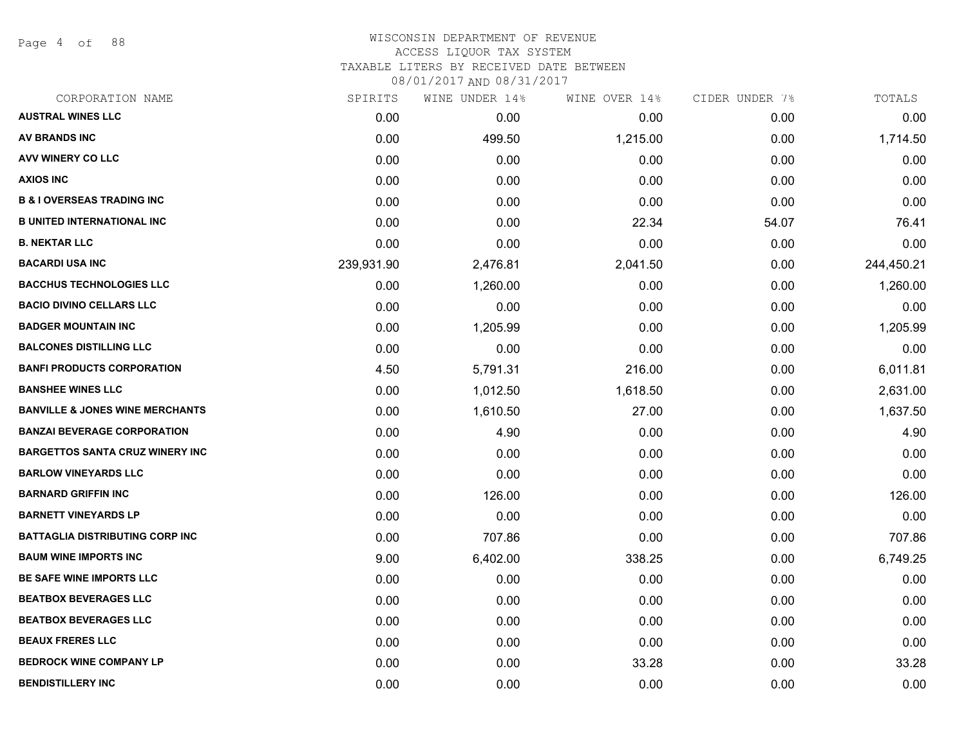Page 4 of 88

#### WISCONSIN DEPARTMENT OF REVENUE ACCESS LIQUOR TAX SYSTEM

TAXABLE LITERS BY RECEIVED DATE BETWEEN

| CORPORATION NAME                           | SPIRITS    | WINE UNDER 14% | WINE OVER 14% | CIDER UNDER 7% | TOTALS     |
|--------------------------------------------|------------|----------------|---------------|----------------|------------|
| <b>AUSTRAL WINES LLC</b>                   | 0.00       | 0.00           | 0.00          | 0.00           | 0.00       |
| <b>AV BRANDS INC</b>                       | 0.00       | 499.50         | 1,215.00      | 0.00           | 1,714.50   |
| AVV WINERY CO LLC                          | 0.00       | 0.00           | 0.00          | 0.00           | 0.00       |
| <b>AXIOS INC</b>                           | 0.00       | 0.00           | 0.00          | 0.00           | 0.00       |
| <b>B &amp; I OVERSEAS TRADING INC</b>      | 0.00       | 0.00           | 0.00          | 0.00           | 0.00       |
| <b>B UNITED INTERNATIONAL INC</b>          | 0.00       | 0.00           | 22.34         | 54.07          | 76.41      |
| <b>B. NEKTAR LLC</b>                       | 0.00       | 0.00           | 0.00          | 0.00           | 0.00       |
| <b>BACARDI USA INC</b>                     | 239,931.90 | 2,476.81       | 2,041.50      | 0.00           | 244,450.21 |
| <b>BACCHUS TECHNOLOGIES LLC</b>            | 0.00       | 1,260.00       | 0.00          | 0.00           | 1,260.00   |
| <b>BACIO DIVINO CELLARS LLC</b>            | 0.00       | 0.00           | 0.00          | 0.00           | 0.00       |
| <b>BADGER MOUNTAIN INC</b>                 | 0.00       | 1,205.99       | 0.00          | 0.00           | 1,205.99   |
| <b>BALCONES DISTILLING LLC</b>             | 0.00       | 0.00           | 0.00          | 0.00           | 0.00       |
| <b>BANFI PRODUCTS CORPORATION</b>          | 4.50       | 5,791.31       | 216.00        | 0.00           | 6,011.81   |
| <b>BANSHEE WINES LLC</b>                   | 0.00       | 1,012.50       | 1,618.50      | 0.00           | 2,631.00   |
| <b>BANVILLE &amp; JONES WINE MERCHANTS</b> | 0.00       | 1,610.50       | 27.00         | 0.00           | 1,637.50   |
| <b>BANZAI BEVERAGE CORPORATION</b>         | 0.00       | 4.90           | 0.00          | 0.00           | 4.90       |
| <b>BARGETTOS SANTA CRUZ WINERY INC</b>     | 0.00       | 0.00           | 0.00          | 0.00           | 0.00       |
| <b>BARLOW VINEYARDS LLC</b>                | 0.00       | 0.00           | 0.00          | 0.00           | 0.00       |
| <b>BARNARD GRIFFIN INC</b>                 | 0.00       | 126.00         | 0.00          | 0.00           | 126.00     |
| <b>BARNETT VINEYARDS LP</b>                | 0.00       | 0.00           | 0.00          | 0.00           | 0.00       |
| <b>BATTAGLIA DISTRIBUTING CORP INC</b>     | 0.00       | 707.86         | 0.00          | 0.00           | 707.86     |
| <b>BAUM WINE IMPORTS INC</b>               | 9.00       | 6,402.00       | 338.25        | 0.00           | 6,749.25   |
| BE SAFE WINE IMPORTS LLC                   | 0.00       | 0.00           | 0.00          | 0.00           | 0.00       |
| <b>BEATBOX BEVERAGES LLC</b>               | 0.00       | 0.00           | 0.00          | 0.00           | 0.00       |
| <b>BEATBOX BEVERAGES LLC</b>               | 0.00       | 0.00           | 0.00          | 0.00           | 0.00       |
| <b>BEAUX FRERES LLC</b>                    | 0.00       | 0.00           | 0.00          | 0.00           | 0.00       |
| <b>BEDROCK WINE COMPANY LP</b>             | 0.00       | 0.00           | 33.28         | 0.00           | 33.28      |
| <b>BENDISTILLERY INC</b>                   | 0.00       | 0.00           | 0.00          | 0.00           | 0.00       |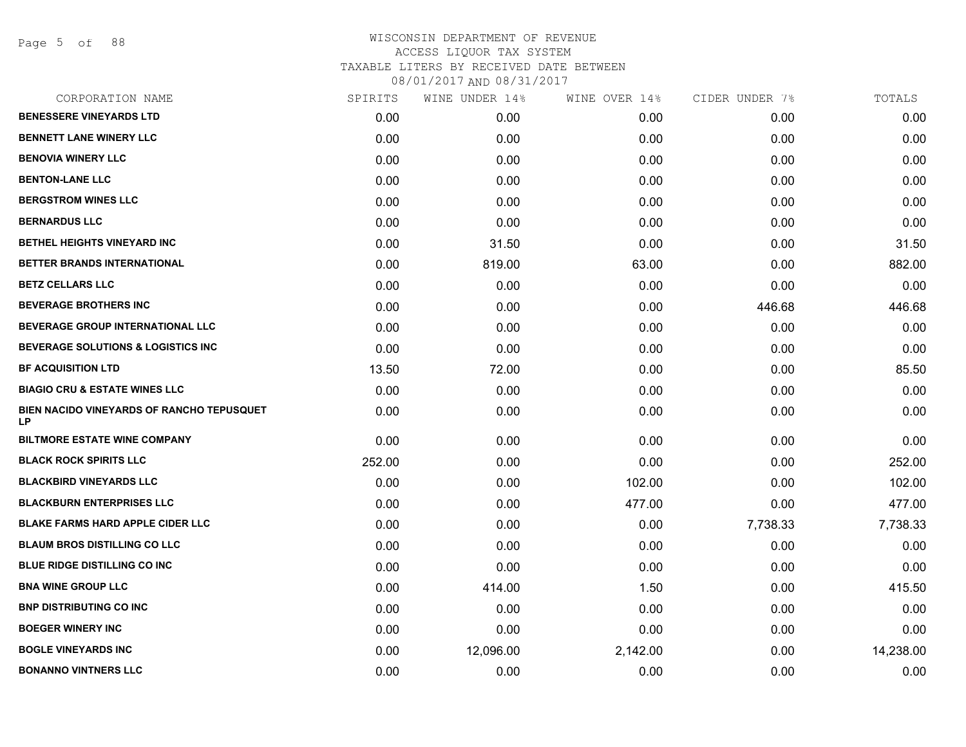Page 5 of 88

| CORPORATION NAME                                       | SPIRITS | WINE UNDER 14% | WINE OVER 14% | CIDER UNDER 7% | TOTALS    |
|--------------------------------------------------------|---------|----------------|---------------|----------------|-----------|
| <b>BENESSERE VINEYARDS LTD</b>                         | 0.00    | 0.00           | 0.00          | 0.00           | 0.00      |
| <b>BENNETT LANE WINERY LLC</b>                         | 0.00    | 0.00           | 0.00          | 0.00           | 0.00      |
| <b>BENOVIA WINERY LLC</b>                              | 0.00    | 0.00           | 0.00          | 0.00           | 0.00      |
| <b>BENTON-LANE LLC</b>                                 | 0.00    | 0.00           | 0.00          | 0.00           | 0.00      |
| <b>BERGSTROM WINES LLC</b>                             | 0.00    | 0.00           | 0.00          | 0.00           | 0.00      |
| <b>BERNARDUS LLC</b>                                   | 0.00    | 0.00           | 0.00          | 0.00           | 0.00      |
| <b>BETHEL HEIGHTS VINEYARD INC</b>                     | 0.00    | 31.50          | 0.00          | 0.00           | 31.50     |
| BETTER BRANDS INTERNATIONAL                            | 0.00    | 819.00         | 63.00         | 0.00           | 882.00    |
| <b>BETZ CELLARS LLC</b>                                | 0.00    | 0.00           | 0.00          | 0.00           | 0.00      |
| <b>BEVERAGE BROTHERS INC</b>                           | 0.00    | 0.00           | 0.00          | 446.68         | 446.68    |
| BEVERAGE GROUP INTERNATIONAL LLC                       | 0.00    | 0.00           | 0.00          | 0.00           | 0.00      |
| <b>BEVERAGE SOLUTIONS &amp; LOGISTICS INC</b>          | 0.00    | 0.00           | 0.00          | 0.00           | 0.00      |
| <b>BF ACQUISITION LTD</b>                              | 13.50   | 72.00          | 0.00          | 0.00           | 85.50     |
| <b>BIAGIO CRU &amp; ESTATE WINES LLC</b>               | 0.00    | 0.00           | 0.00          | 0.00           | 0.00      |
| <b>BIEN NACIDO VINEYARDS OF RANCHO TEPUSQUET</b><br>LP | 0.00    | 0.00           | 0.00          | 0.00           | 0.00      |
| <b>BILTMORE ESTATE WINE COMPANY</b>                    | 0.00    | 0.00           | 0.00          | 0.00           | 0.00      |
| <b>BLACK ROCK SPIRITS LLC</b>                          | 252.00  | 0.00           | 0.00          | 0.00           | 252.00    |
| <b>BLACKBIRD VINEYARDS LLC</b>                         | 0.00    | 0.00           | 102.00        | 0.00           | 102.00    |
| <b>BLACKBURN ENTERPRISES LLC</b>                       | 0.00    | 0.00           | 477.00        | 0.00           | 477.00    |
| <b>BLAKE FARMS HARD APPLE CIDER LLC</b>                | 0.00    | 0.00           | 0.00          | 7,738.33       | 7,738.33  |
| <b>BLAUM BROS DISTILLING CO LLC</b>                    | 0.00    | 0.00           | 0.00          | 0.00           | 0.00      |
| <b>BLUE RIDGE DISTILLING CO INC</b>                    | 0.00    | 0.00           | 0.00          | 0.00           | 0.00      |
| <b>BNA WINE GROUP LLC</b>                              | 0.00    | 414.00         | 1.50          | 0.00           | 415.50    |
| <b>BNP DISTRIBUTING CO INC.</b>                        | 0.00    | 0.00           | 0.00          | 0.00           | 0.00      |
| <b>BOEGER WINERY INC</b>                               | 0.00    | 0.00           | 0.00          | 0.00           | 0.00      |
| <b>BOGLE VINEYARDS INC</b>                             | 0.00    | 12,096.00      | 2,142.00      | 0.00           | 14,238.00 |
| <b>BONANNO VINTNERS LLC</b>                            | 0.00    | 0.00           | 0.00          | 0.00           | 0.00      |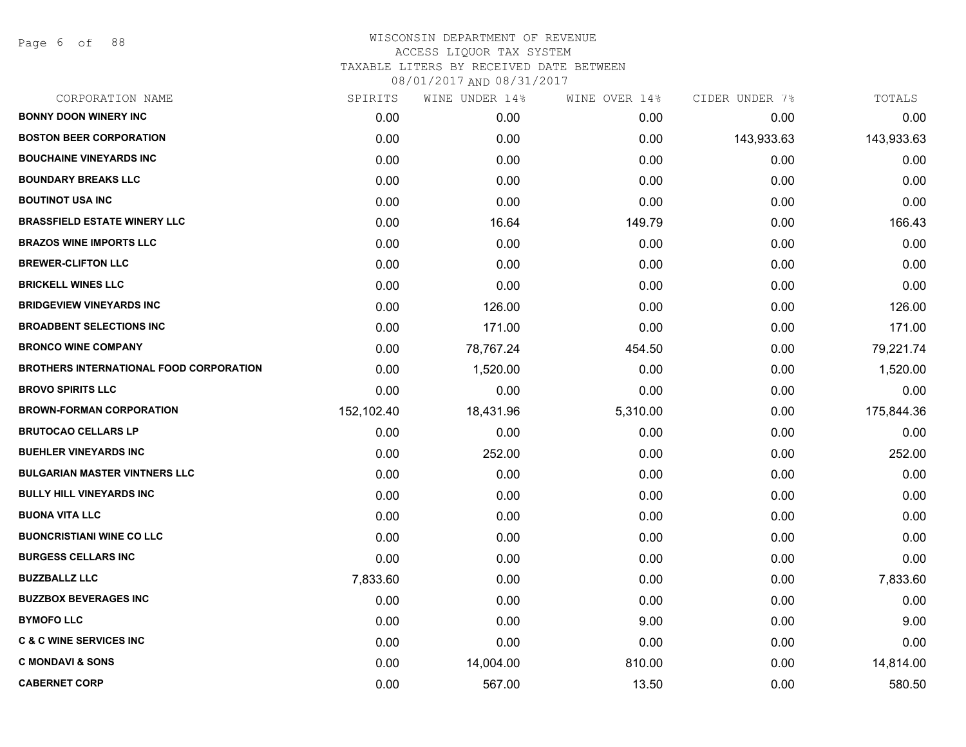Page 6 of 88

| CORPORATION NAME                               | SPIRITS    | WINE UNDER 14% | WINE OVER 14% | CIDER UNDER 7% | TOTALS     |
|------------------------------------------------|------------|----------------|---------------|----------------|------------|
| <b>BONNY DOON WINERY INC</b>                   | 0.00       | 0.00           | 0.00          | 0.00           | 0.00       |
| <b>BOSTON BEER CORPORATION</b>                 | 0.00       | 0.00           | 0.00          | 143,933.63     | 143,933.63 |
| <b>BOUCHAINE VINEYARDS INC</b>                 | 0.00       | 0.00           | 0.00          | 0.00           | 0.00       |
| <b>BOUNDARY BREAKS LLC</b>                     | 0.00       | 0.00           | 0.00          | 0.00           | 0.00       |
| <b>BOUTINOT USA INC</b>                        | 0.00       | 0.00           | 0.00          | 0.00           | 0.00       |
| <b>BRASSFIELD ESTATE WINERY LLC</b>            | 0.00       | 16.64          | 149.79        | 0.00           | 166.43     |
| <b>BRAZOS WINE IMPORTS LLC</b>                 | 0.00       | 0.00           | 0.00          | 0.00           | 0.00       |
| <b>BREWER-CLIFTON LLC</b>                      | 0.00       | 0.00           | 0.00          | 0.00           | 0.00       |
| <b>BRICKELL WINES LLC</b>                      | 0.00       | 0.00           | 0.00          | 0.00           | 0.00       |
| <b>BRIDGEVIEW VINEYARDS INC</b>                | 0.00       | 126.00         | 0.00          | 0.00           | 126.00     |
| <b>BROADBENT SELECTIONS INC</b>                | 0.00       | 171.00         | 0.00          | 0.00           | 171.00     |
| <b>BRONCO WINE COMPANY</b>                     | 0.00       | 78,767.24      | 454.50        | 0.00           | 79,221.74  |
| <b>BROTHERS INTERNATIONAL FOOD CORPORATION</b> | 0.00       | 1,520.00       | 0.00          | 0.00           | 1,520.00   |
| <b>BROVO SPIRITS LLC</b>                       | 0.00       | 0.00           | 0.00          | 0.00           | 0.00       |
| <b>BROWN-FORMAN CORPORATION</b>                | 152,102.40 | 18,431.96      | 5,310.00      | 0.00           | 175,844.36 |
| <b>BRUTOCAO CELLARS LP</b>                     | 0.00       | 0.00           | 0.00          | 0.00           | 0.00       |
| <b>BUEHLER VINEYARDS INC</b>                   | 0.00       | 252.00         | 0.00          | 0.00           | 252.00     |
| <b>BULGARIAN MASTER VINTNERS LLC</b>           | 0.00       | 0.00           | 0.00          | 0.00           | 0.00       |
| <b>BULLY HILL VINEYARDS INC</b>                | 0.00       | 0.00           | 0.00          | 0.00           | 0.00       |
| <b>BUONA VITA LLC</b>                          | 0.00       | 0.00           | 0.00          | 0.00           | 0.00       |
| <b>BUONCRISTIANI WINE CO LLC</b>               | 0.00       | 0.00           | 0.00          | 0.00           | 0.00       |
| <b>BURGESS CELLARS INC</b>                     | 0.00       | 0.00           | 0.00          | 0.00           | 0.00       |
| <b>BUZZBALLZ LLC</b>                           | 7,833.60   | 0.00           | 0.00          | 0.00           | 7,833.60   |
| <b>BUZZBOX BEVERAGES INC</b>                   | 0.00       | 0.00           | 0.00          | 0.00           | 0.00       |
| <b>BYMOFO LLC</b>                              | 0.00       | 0.00           | 9.00          | 0.00           | 9.00       |
| <b>C &amp; C WINE SERVICES INC</b>             | 0.00       | 0.00           | 0.00          | 0.00           | 0.00       |
| <b>C MONDAVI &amp; SONS</b>                    | 0.00       | 14,004.00      | 810.00        | 0.00           | 14,814.00  |
| <b>CABERNET CORP</b>                           | 0.00       | 567.00         | 13.50         | 0.00           | 580.50     |
|                                                |            |                |               |                |            |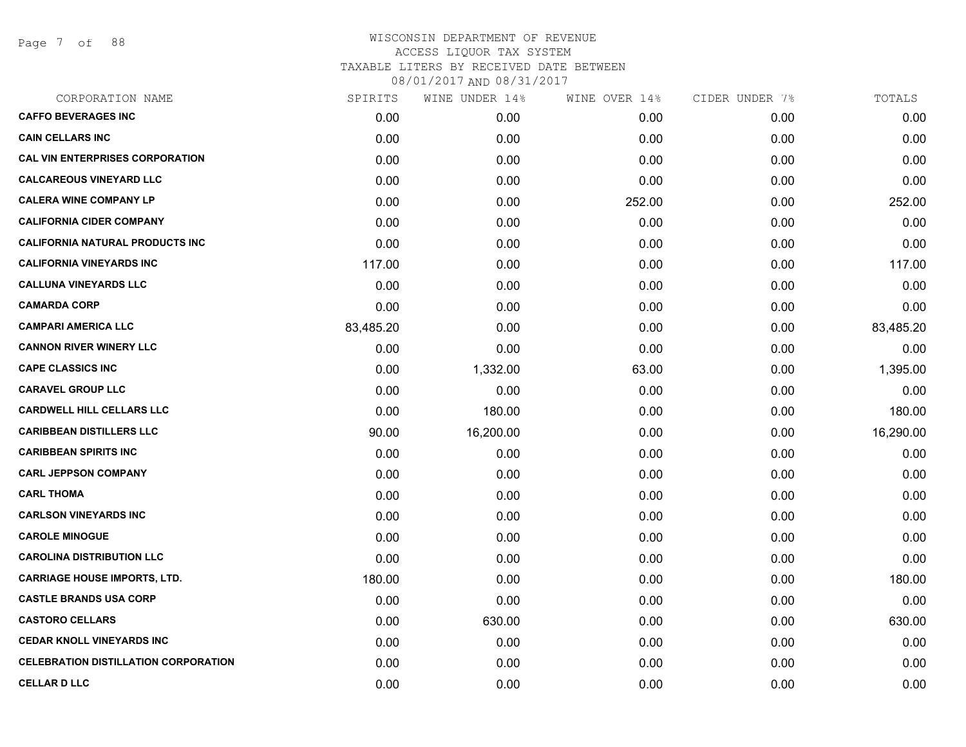Page 7 of 88

| CORPORATION NAME                            | SPIRITS   | WINE UNDER 14% | WINE OVER 14% | CIDER UNDER 7% | TOTALS    |
|---------------------------------------------|-----------|----------------|---------------|----------------|-----------|
| <b>CAFFO BEVERAGES INC</b>                  | 0.00      | 0.00           | 0.00          | 0.00           | 0.00      |
| <b>CAIN CELLARS INC</b>                     | 0.00      | 0.00           | 0.00          | 0.00           | 0.00      |
| <b>CAL VIN ENTERPRISES CORPORATION</b>      | 0.00      | 0.00           | 0.00          | 0.00           | 0.00      |
| <b>CALCAREOUS VINEYARD LLC</b>              | 0.00      | 0.00           | 0.00          | 0.00           | 0.00      |
| <b>CALERA WINE COMPANY LP</b>               | 0.00      | 0.00           | 252.00        | 0.00           | 252.00    |
| <b>CALIFORNIA CIDER COMPANY</b>             | 0.00      | 0.00           | 0.00          | 0.00           | 0.00      |
| <b>CALIFORNIA NATURAL PRODUCTS INC</b>      | 0.00      | 0.00           | 0.00          | 0.00           | 0.00      |
| <b>CALIFORNIA VINEYARDS INC</b>             | 117.00    | 0.00           | 0.00          | 0.00           | 117.00    |
| <b>CALLUNA VINEYARDS LLC</b>                | 0.00      | 0.00           | 0.00          | 0.00           | 0.00      |
| <b>CAMARDA CORP</b>                         | 0.00      | 0.00           | 0.00          | 0.00           | 0.00      |
| <b>CAMPARI AMERICA LLC</b>                  | 83,485.20 | 0.00           | 0.00          | 0.00           | 83,485.20 |
| <b>CANNON RIVER WINERY LLC</b>              | 0.00      | 0.00           | 0.00          | 0.00           | 0.00      |
| <b>CAPE CLASSICS INC</b>                    | 0.00      | 1,332.00       | 63.00         | 0.00           | 1,395.00  |
| <b>CARAVEL GROUP LLC</b>                    | 0.00      | 0.00           | 0.00          | 0.00           | 0.00      |
| <b>CARDWELL HILL CELLARS LLC</b>            | 0.00      | 180.00         | 0.00          | 0.00           | 180.00    |
| <b>CARIBBEAN DISTILLERS LLC</b>             | 90.00     | 16,200.00      | 0.00          | 0.00           | 16,290.00 |
| <b>CARIBBEAN SPIRITS INC</b>                | 0.00      | 0.00           | 0.00          | 0.00           | 0.00      |
| <b>CARL JEPPSON COMPANY</b>                 | 0.00      | 0.00           | 0.00          | 0.00           | 0.00      |
| <b>CARL THOMA</b>                           | 0.00      | 0.00           | 0.00          | 0.00           | 0.00      |
| <b>CARLSON VINEYARDS INC</b>                | 0.00      | 0.00           | 0.00          | 0.00           | 0.00      |
| <b>CAROLE MINOGUE</b>                       | 0.00      | 0.00           | 0.00          | 0.00           | 0.00      |
| <b>CAROLINA DISTRIBUTION LLC</b>            | 0.00      | 0.00           | 0.00          | 0.00           | 0.00      |
| <b>CARRIAGE HOUSE IMPORTS, LTD.</b>         | 180.00    | 0.00           | 0.00          | 0.00           | 180.00    |
| <b>CASTLE BRANDS USA CORP</b>               | 0.00      | 0.00           | 0.00          | 0.00           | 0.00      |
| <b>CASTORO CELLARS</b>                      | 0.00      | 630.00         | 0.00          | 0.00           | 630.00    |
| <b>CEDAR KNOLL VINEYARDS INC</b>            | 0.00      | 0.00           | 0.00          | 0.00           | 0.00      |
| <b>CELEBRATION DISTILLATION CORPORATION</b> | 0.00      | 0.00           | 0.00          | 0.00           | 0.00      |
| <b>CELLAR D LLC</b>                         | 0.00      | 0.00           | 0.00          | 0.00           | 0.00      |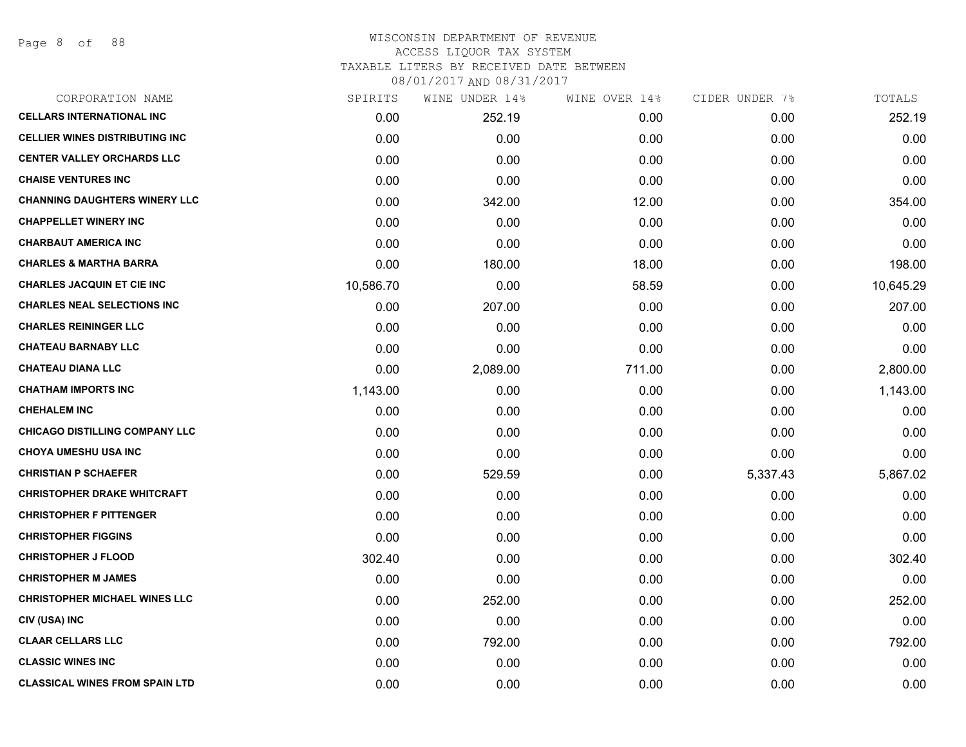## WISCONSIN DEPARTMENT OF REVENUE ACCESS LIQUOR TAX SYSTEM TAXABLE LITERS BY RECEIVED DATE BETWEEN

| CORPORATION NAME                       | SPIRITS   | WINE UNDER 14% | WINE OVER 14% | CIDER UNDER 7% | TOTALS    |
|----------------------------------------|-----------|----------------|---------------|----------------|-----------|
| <b>CELLARS INTERNATIONAL INC</b>       | 0.00      | 252.19         | 0.00          | 0.00           | 252.19    |
| <b>CELLIER WINES DISTRIBUTING INC.</b> | 0.00      | 0.00           | 0.00          | 0.00           | 0.00      |
| <b>CENTER VALLEY ORCHARDS LLC</b>      | 0.00      | 0.00           | 0.00          | 0.00           | 0.00      |
| <b>CHAISE VENTURES INC</b>             | 0.00      | 0.00           | 0.00          | 0.00           | 0.00      |
| <b>CHANNING DAUGHTERS WINERY LLC</b>   | 0.00      | 342.00         | 12.00         | 0.00           | 354.00    |
| <b>CHAPPELLET WINERY INC</b>           | 0.00      | 0.00           | 0.00          | 0.00           | 0.00      |
| <b>CHARBAUT AMERICA INC</b>            | 0.00      | 0.00           | 0.00          | 0.00           | 0.00      |
| <b>CHARLES &amp; MARTHA BARRA</b>      | 0.00      | 180.00         | 18.00         | 0.00           | 198.00    |
| <b>CHARLES JACQUIN ET CIE INC</b>      | 10,586.70 | 0.00           | 58.59         | 0.00           | 10,645.29 |
| <b>CHARLES NEAL SELECTIONS INC</b>     | 0.00      | 207.00         | 0.00          | 0.00           | 207.00    |
| <b>CHARLES REININGER LLC</b>           | 0.00      | 0.00           | 0.00          | 0.00           | 0.00      |
| <b>CHATEAU BARNABY LLC</b>             | 0.00      | 0.00           | 0.00          | 0.00           | 0.00      |
| <b>CHATEAU DIANA LLC</b>               | 0.00      | 2,089.00       | 711.00        | 0.00           | 2,800.00  |
| <b>CHATHAM IMPORTS INC</b>             | 1,143.00  | 0.00           | 0.00          | 0.00           | 1,143.00  |
| <b>CHEHALEM INC</b>                    | 0.00      | 0.00           | 0.00          | 0.00           | 0.00      |
| <b>CHICAGO DISTILLING COMPANY LLC</b>  | 0.00      | 0.00           | 0.00          | 0.00           | 0.00      |
| CHOYA UMESHU USA INC                   | 0.00      | 0.00           | 0.00          | 0.00           | 0.00      |
| <b>CHRISTIAN P SCHAEFER</b>            | 0.00      | 529.59         | 0.00          | 5,337.43       | 5,867.02  |
| <b>CHRISTOPHER DRAKE WHITCRAFT</b>     | 0.00      | 0.00           | 0.00          | 0.00           | 0.00      |
| <b>CHRISTOPHER F PITTENGER</b>         | 0.00      | 0.00           | 0.00          | 0.00           | 0.00      |
| <b>CHRISTOPHER FIGGINS</b>             | 0.00      | 0.00           | 0.00          | 0.00           | 0.00      |
| <b>CHRISTOPHER J FLOOD</b>             | 302.40    | 0.00           | 0.00          | 0.00           | 302.40    |
| <b>CHRISTOPHER M JAMES</b>             | 0.00      | 0.00           | 0.00          | 0.00           | 0.00      |
| <b>CHRISTOPHER MICHAEL WINES LLC</b>   | 0.00      | 252.00         | 0.00          | 0.00           | 252.00    |
| CIV (USA) INC                          | 0.00      | 0.00           | 0.00          | 0.00           | 0.00      |
| <b>CLAAR CELLARS LLC</b>               | 0.00      | 792.00         | 0.00          | 0.00           | 792.00    |
| <b>CLASSIC WINES INC</b>               | 0.00      | 0.00           | 0.00          | 0.00           | 0.00      |
| <b>CLASSICAL WINES FROM SPAIN LTD</b>  | 0.00      | 0.00           | 0.00          | 0.00           | 0.00      |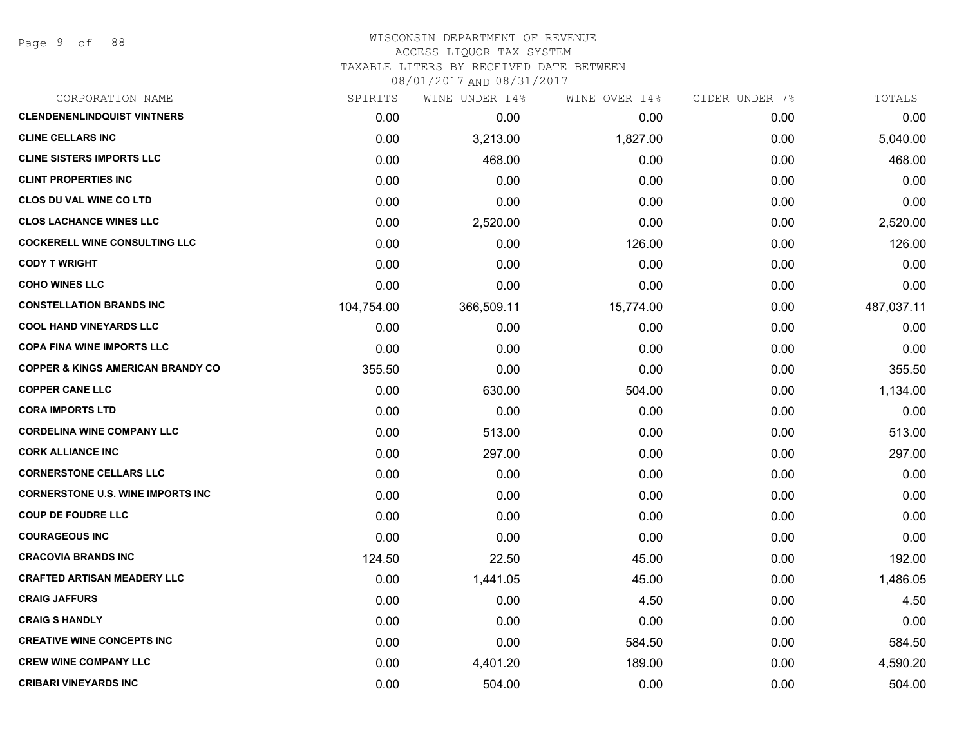Page 9 of 88

## WISCONSIN DEPARTMENT OF REVENUE ACCESS LIQUOR TAX SYSTEM

TAXABLE LITERS BY RECEIVED DATE BETWEEN

| CORPORATION NAME                             | SPIRITS    | WINE UNDER 14% | WINE OVER 14% | CIDER UNDER 7% | TOTALS     |
|----------------------------------------------|------------|----------------|---------------|----------------|------------|
| <b>CLENDENENLINDQUIST VINTNERS</b>           | 0.00       | 0.00           | 0.00          | 0.00           | 0.00       |
| <b>CLINE CELLARS INC</b>                     | 0.00       | 3,213.00       | 1,827.00      | 0.00           | 5,040.00   |
| <b>CLINE SISTERS IMPORTS LLC</b>             | 0.00       | 468.00         | 0.00          | 0.00           | 468.00     |
| <b>CLINT PROPERTIES INC</b>                  | 0.00       | 0.00           | 0.00          | 0.00           | 0.00       |
| <b>CLOS DU VAL WINE CO LTD</b>               | 0.00       | 0.00           | 0.00          | 0.00           | 0.00       |
| <b>CLOS LACHANCE WINES LLC</b>               | 0.00       | 2,520.00       | 0.00          | 0.00           | 2,520.00   |
| <b>COCKERELL WINE CONSULTING LLC</b>         | 0.00       | 0.00           | 126.00        | 0.00           | 126.00     |
| <b>CODY T WRIGHT</b>                         | 0.00       | 0.00           | 0.00          | 0.00           | 0.00       |
| <b>COHO WINES LLC</b>                        | 0.00       | 0.00           | 0.00          | 0.00           | 0.00       |
| <b>CONSTELLATION BRANDS INC</b>              | 104,754.00 | 366,509.11     | 15,774.00     | 0.00           | 487,037.11 |
| <b>COOL HAND VINEYARDS LLC</b>               | 0.00       | 0.00           | 0.00          | 0.00           | 0.00       |
| <b>COPA FINA WINE IMPORTS LLC</b>            | 0.00       | 0.00           | 0.00          | 0.00           | 0.00       |
| <b>COPPER &amp; KINGS AMERICAN BRANDY CO</b> | 355.50     | 0.00           | 0.00          | 0.00           | 355.50     |
| <b>COPPER CANE LLC</b>                       | 0.00       | 630.00         | 504.00        | 0.00           | 1,134.00   |
| <b>CORA IMPORTS LTD</b>                      | 0.00       | 0.00           | 0.00          | 0.00           | 0.00       |
| <b>CORDELINA WINE COMPANY LLC</b>            | 0.00       | 513.00         | 0.00          | 0.00           | 513.00     |
| <b>CORK ALLIANCE INC</b>                     | 0.00       | 297.00         | 0.00          | 0.00           | 297.00     |
| <b>CORNERSTONE CELLARS LLC</b>               | 0.00       | 0.00           | 0.00          | 0.00           | 0.00       |
| <b>CORNERSTONE U.S. WINE IMPORTS INC</b>     | 0.00       | 0.00           | 0.00          | 0.00           | 0.00       |
| <b>COUP DE FOUDRE LLC</b>                    | 0.00       | 0.00           | 0.00          | 0.00           | 0.00       |
| <b>COURAGEOUS INC</b>                        | 0.00       | 0.00           | 0.00          | 0.00           | 0.00       |
| <b>CRACOVIA BRANDS INC</b>                   | 124.50     | 22.50          | 45.00         | 0.00           | 192.00     |
| <b>CRAFTED ARTISAN MEADERY LLC</b>           | 0.00       | 1,441.05       | 45.00         | 0.00           | 1,486.05   |
| <b>CRAIG JAFFURS</b>                         | 0.00       | 0.00           | 4.50          | 0.00           | 4.50       |
| <b>CRAIG S HANDLY</b>                        | 0.00       | 0.00           | 0.00          | 0.00           | 0.00       |
| <b>CREATIVE WINE CONCEPTS INC</b>            | 0.00       | 0.00           | 584.50        | 0.00           | 584.50     |
| <b>CREW WINE COMPANY LLC</b>                 | 0.00       | 4,401.20       | 189.00        | 0.00           | 4,590.20   |
| <b>CRIBARI VINEYARDS INC</b>                 | 0.00       | 504.00         | 0.00          | 0.00           | 504.00     |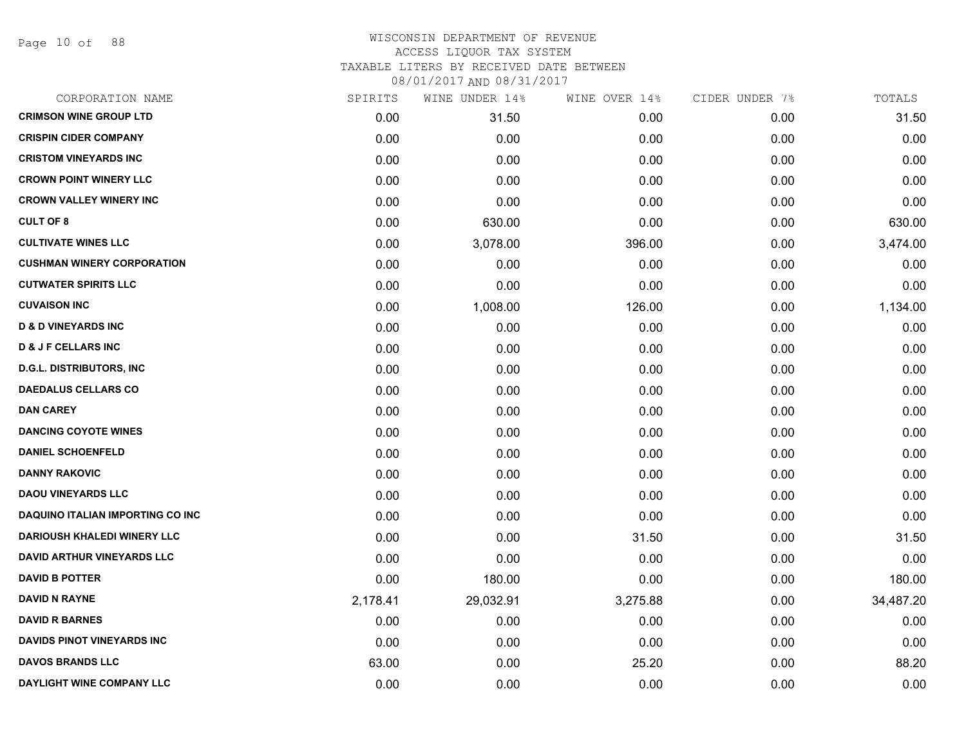Page 10 of 88

## WISCONSIN DEPARTMENT OF REVENUE ACCESS LIQUOR TAX SYSTEM TAXABLE LITERS BY RECEIVED DATE BETWEEN

| CORPORATION NAME                        | SPIRITS  | WINE UNDER 14% | WINE OVER 14% | CIDER UNDER 7% | TOTALS    |
|-----------------------------------------|----------|----------------|---------------|----------------|-----------|
| <b>CRIMSON WINE GROUP LTD</b>           | 0.00     | 31.50          | 0.00          | 0.00           | 31.50     |
| <b>CRISPIN CIDER COMPANY</b>            | 0.00     | 0.00           | 0.00          | 0.00           | 0.00      |
| <b>CRISTOM VINEYARDS INC</b>            | 0.00     | 0.00           | 0.00          | 0.00           | 0.00      |
| <b>CROWN POINT WINERY LLC</b>           | 0.00     | 0.00           | 0.00          | 0.00           | 0.00      |
| <b>CROWN VALLEY WINERY INC</b>          | 0.00     | 0.00           | 0.00          | 0.00           | 0.00      |
| <b>CULT OF 8</b>                        | 0.00     | 630.00         | 0.00          | 0.00           | 630.00    |
| <b>CULTIVATE WINES LLC</b>              | 0.00     | 3,078.00       | 396.00        | 0.00           | 3,474.00  |
| <b>CUSHMAN WINERY CORPORATION</b>       | 0.00     | 0.00           | 0.00          | 0.00           | 0.00      |
| <b>CUTWATER SPIRITS LLC</b>             | 0.00     | 0.00           | 0.00          | 0.00           | 0.00      |
| <b>CUVAISON INC</b>                     | 0.00     | 1,008.00       | 126.00        | 0.00           | 1,134.00  |
| <b>D &amp; D VINEYARDS INC</b>          | 0.00     | 0.00           | 0.00          | 0.00           | 0.00      |
| <b>D &amp; J F CELLARS INC</b>          | 0.00     | 0.00           | 0.00          | 0.00           | 0.00      |
| <b>D.G.L. DISTRIBUTORS, INC</b>         | 0.00     | 0.00           | 0.00          | 0.00           | 0.00      |
| <b>DAEDALUS CELLARS CO</b>              | 0.00     | 0.00           | 0.00          | 0.00           | 0.00      |
| <b>DAN CAREY</b>                        | 0.00     | 0.00           | 0.00          | 0.00           | 0.00      |
| <b>DANCING COYOTE WINES</b>             | 0.00     | 0.00           | 0.00          | 0.00           | 0.00      |
| <b>DANIEL SCHOENFELD</b>                | 0.00     | 0.00           | 0.00          | 0.00           | 0.00      |
| <b>DANNY RAKOVIC</b>                    | 0.00     | 0.00           | 0.00          | 0.00           | 0.00      |
| <b>DAOU VINEYARDS LLC</b>               | 0.00     | 0.00           | 0.00          | 0.00           | 0.00      |
| <b>DAQUINO ITALIAN IMPORTING CO INC</b> | 0.00     | 0.00           | 0.00          | 0.00           | 0.00      |
| <b>DARIOUSH KHALEDI WINERY LLC</b>      | 0.00     | 0.00           | 31.50         | 0.00           | 31.50     |
| <b>DAVID ARTHUR VINEYARDS LLC</b>       | 0.00     | 0.00           | 0.00          | 0.00           | 0.00      |
| <b>DAVID B POTTER</b>                   | 0.00     | 180.00         | 0.00          | 0.00           | 180.00    |
| <b>DAVID N RAYNE</b>                    | 2,178.41 | 29,032.91      | 3,275.88      | 0.00           | 34,487.20 |
| <b>DAVID R BARNES</b>                   | 0.00     | 0.00           | 0.00          | 0.00           | 0.00      |
| <b>DAVIDS PINOT VINEYARDS INC</b>       | 0.00     | 0.00           | 0.00          | 0.00           | 0.00      |
| <b>DAVOS BRANDS LLC</b>                 | 63.00    | 0.00           | 25.20         | 0.00           | 88.20     |
| DAYLIGHT WINE COMPANY LLC               | 0.00     | 0.00           | 0.00          | 0.00           | 0.00      |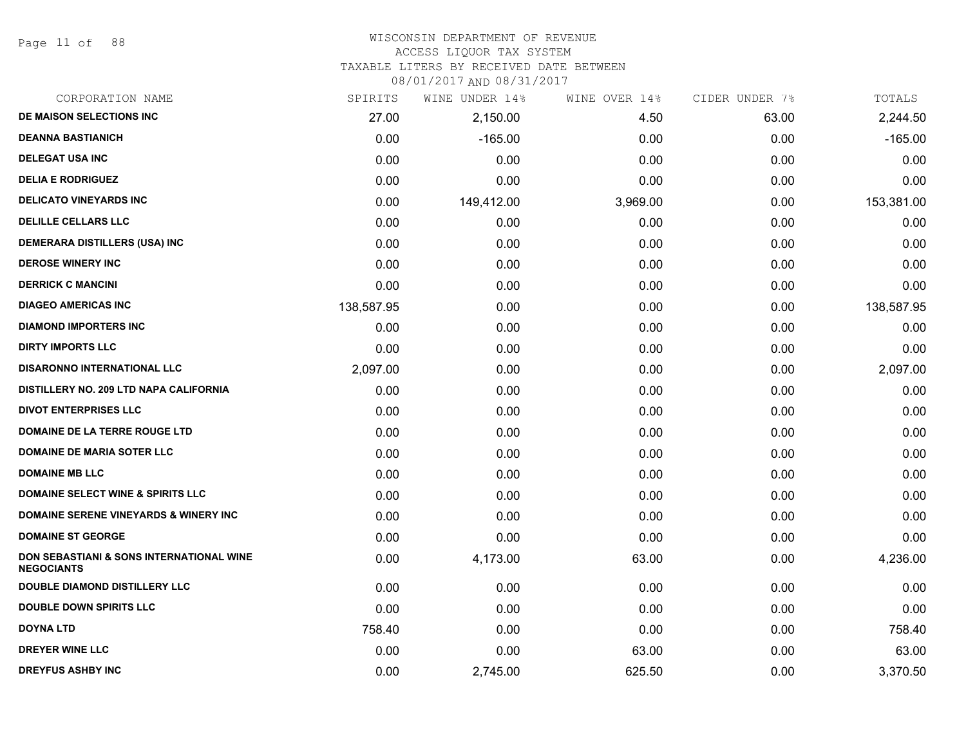Page 11 of 88

## WISCONSIN DEPARTMENT OF REVENUE

#### ACCESS LIQUOR TAX SYSTEM

TAXABLE LITERS BY RECEIVED DATE BETWEEN

| CORPORATION NAME                                                         | SPIRITS    | WINE UNDER 14% | WINE OVER 14% | CIDER UNDER 7% | TOTALS     |
|--------------------------------------------------------------------------|------------|----------------|---------------|----------------|------------|
| DE MAISON SELECTIONS INC                                                 | 27.00      | 2,150.00       | 4.50          | 63.00          | 2,244.50   |
| <b>DEANNA BASTIANICH</b>                                                 | 0.00       | $-165.00$      | 0.00          | 0.00           | $-165.00$  |
| <b>DELEGAT USA INC</b>                                                   | 0.00       | 0.00           | 0.00          | 0.00           | 0.00       |
| <b>DELIA E RODRIGUEZ</b>                                                 | 0.00       | 0.00           | 0.00          | 0.00           | 0.00       |
| <b>DELICATO VINEYARDS INC</b>                                            | 0.00       | 149,412.00     | 3,969.00      | 0.00           | 153,381.00 |
| <b>DELILLE CELLARS LLC</b>                                               | 0.00       | 0.00           | 0.00          | 0.00           | 0.00       |
| DEMERARA DISTILLERS (USA) INC                                            | 0.00       | 0.00           | 0.00          | 0.00           | 0.00       |
| <b>DEROSE WINERY INC</b>                                                 | 0.00       | 0.00           | 0.00          | 0.00           | 0.00       |
| <b>DERRICK C MANCINI</b>                                                 | 0.00       | 0.00           | 0.00          | 0.00           | 0.00       |
| <b>DIAGEO AMERICAS INC</b>                                               | 138,587.95 | 0.00           | 0.00          | 0.00           | 138,587.95 |
| <b>DIAMOND IMPORTERS INC</b>                                             | 0.00       | 0.00           | 0.00          | 0.00           | 0.00       |
| <b>DIRTY IMPORTS LLC</b>                                                 | 0.00       | 0.00           | 0.00          | 0.00           | 0.00       |
| <b>DISARONNO INTERNATIONAL LLC</b>                                       | 2,097.00   | 0.00           | 0.00          | 0.00           | 2,097.00   |
| DISTILLERY NO. 209 LTD NAPA CALIFORNIA                                   | 0.00       | 0.00           | 0.00          | 0.00           | 0.00       |
| <b>DIVOT ENTERPRISES LLC</b>                                             | 0.00       | 0.00           | 0.00          | 0.00           | 0.00       |
| DOMAINE DE LA TERRE ROUGE LTD                                            | 0.00       | 0.00           | 0.00          | 0.00           | 0.00       |
| <b>DOMAINE DE MARIA SOTER LLC</b>                                        | 0.00       | 0.00           | 0.00          | 0.00           | 0.00       |
| <b>DOMAINE MB LLC</b>                                                    | 0.00       | 0.00           | 0.00          | 0.00           | 0.00       |
| <b>DOMAINE SELECT WINE &amp; SPIRITS LLC</b>                             | 0.00       | 0.00           | 0.00          | 0.00           | 0.00       |
| <b>DOMAINE SERENE VINEYARDS &amp; WINERY INC</b>                         | 0.00       | 0.00           | 0.00          | 0.00           | 0.00       |
| <b>DOMAINE ST GEORGE</b>                                                 | 0.00       | 0.00           | 0.00          | 0.00           | 0.00       |
| <b>DON SEBASTIANI &amp; SONS INTERNATIONAL WINE</b><br><b>NEGOCIANTS</b> | 0.00       | 4,173.00       | 63.00         | 0.00           | 4,236.00   |
| DOUBLE DIAMOND DISTILLERY LLC                                            | 0.00       | 0.00           | 0.00          | 0.00           | 0.00       |
| <b>DOUBLE DOWN SPIRITS LLC</b>                                           | 0.00       | 0.00           | 0.00          | 0.00           | 0.00       |
| <b>DOYNA LTD</b>                                                         | 758.40     | 0.00           | 0.00          | 0.00           | 758.40     |
| <b>DREYER WINE LLC</b>                                                   | 0.00       | 0.00           | 63.00         | 0.00           | 63.00      |
| <b>DREYFUS ASHBY INC</b>                                                 | 0.00       | 2,745.00       | 625.50        | 0.00           | 3,370.50   |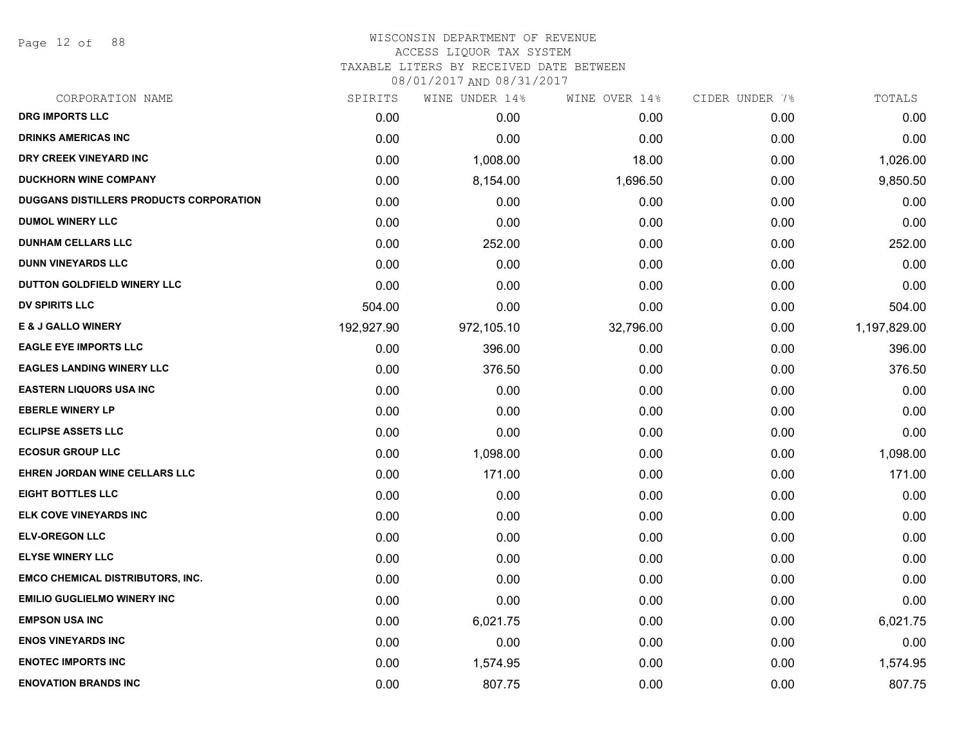Page 12 of 88

#### WISCONSIN DEPARTMENT OF REVENUE ACCESS LIQUOR TAX SYSTEM

TAXABLE LITERS BY RECEIVED DATE BETWEEN

| CORPORATION NAME                        | SPIRITS    | WINE UNDER 14% | WINE OVER 14% | CIDER UNDER 7% | TOTALS       |
|-----------------------------------------|------------|----------------|---------------|----------------|--------------|
| <b>DRG IMPORTS LLC</b>                  | 0.00       | 0.00           | 0.00          | 0.00           | 0.00         |
| <b>DRINKS AMERICAS INC</b>              | 0.00       | 0.00           | 0.00          | 0.00           | 0.00         |
| DRY CREEK VINEYARD INC                  | 0.00       | 1,008.00       | 18.00         | 0.00           | 1,026.00     |
| <b>DUCKHORN WINE COMPANY</b>            | 0.00       | 8,154.00       | 1,696.50      | 0.00           | 9,850.50     |
| DUGGANS DISTILLERS PRODUCTS CORPORATION | 0.00       | 0.00           | 0.00          | 0.00           | 0.00         |
| <b>DUMOL WINERY LLC</b>                 | 0.00       | 0.00           | 0.00          | 0.00           | 0.00         |
| <b>DUNHAM CELLARS LLC</b>               | 0.00       | 252.00         | 0.00          | 0.00           | 252.00       |
| <b>DUNN VINEYARDS LLC</b>               | 0.00       | 0.00           | 0.00          | 0.00           | 0.00         |
| DUTTON GOLDFIELD WINERY LLC             | 0.00       | 0.00           | 0.00          | 0.00           | 0.00         |
| <b>DV SPIRITS LLC</b>                   | 504.00     | 0.00           | 0.00          | 0.00           | 504.00       |
| <b>E &amp; J GALLO WINERY</b>           | 192,927.90 | 972,105.10     | 32,796.00     | 0.00           | 1,197,829.00 |
| <b>EAGLE EYE IMPORTS LLC</b>            | 0.00       | 396.00         | 0.00          | 0.00           | 396.00       |
| <b>EAGLES LANDING WINERY LLC</b>        | 0.00       | 376.50         | 0.00          | 0.00           | 376.50       |
| <b>EASTERN LIQUORS USA INC</b>          | 0.00       | 0.00           | 0.00          | 0.00           | 0.00         |
| <b>EBERLE WINERY LP</b>                 | 0.00       | 0.00           | 0.00          | 0.00           | 0.00         |
| <b>ECLIPSE ASSETS LLC</b>               | 0.00       | 0.00           | 0.00          | 0.00           | 0.00         |
| <b>ECOSUR GROUP LLC</b>                 | 0.00       | 1,098.00       | 0.00          | 0.00           | 1,098.00     |
| <b>EHREN JORDAN WINE CELLARS LLC</b>    | 0.00       | 171.00         | 0.00          | 0.00           | 171.00       |
| <b>EIGHT BOTTLES LLC</b>                | 0.00       | 0.00           | 0.00          | 0.00           | 0.00         |
| ELK COVE VINEYARDS INC                  | 0.00       | 0.00           | 0.00          | 0.00           | 0.00         |
| <b>ELV-OREGON LLC</b>                   | 0.00       | 0.00           | 0.00          | 0.00           | 0.00         |
| <b>ELYSE WINERY LLC</b>                 | 0.00       | 0.00           | 0.00          | 0.00           | 0.00         |
| <b>EMCO CHEMICAL DISTRIBUTORS, INC.</b> | 0.00       | 0.00           | 0.00          | 0.00           | 0.00         |
| <b>EMILIO GUGLIELMO WINERY INC</b>      | 0.00       | 0.00           | 0.00          | 0.00           | 0.00         |
| <b>EMPSON USA INC</b>                   | 0.00       | 6,021.75       | 0.00          | 0.00           | 6,021.75     |
| <b>ENOS VINEYARDS INC</b>               | 0.00       | 0.00           | 0.00          | 0.00           | 0.00         |
| <b>ENOTEC IMPORTS INC</b>               | 0.00       | 1,574.95       | 0.00          | 0.00           | 1,574.95     |
| <b>ENOVATION BRANDS INC</b>             | 0.00       | 807.75         | 0.00          | 0.00           | 807.75       |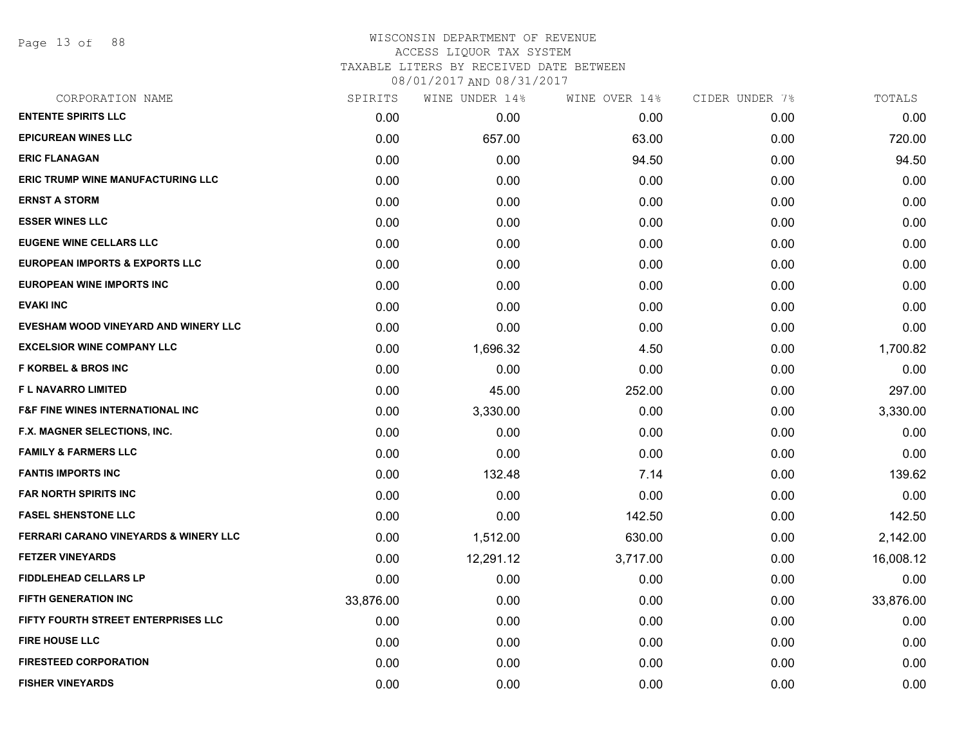Page 13 of 88

# WISCONSIN DEPARTMENT OF REVENUE ACCESS LIQUOR TAX SYSTEM

TAXABLE LITERS BY RECEIVED DATE BETWEEN

| CORPORATION NAME                                 | SPIRITS   | WINE UNDER 14% | WINE OVER 14% | CIDER UNDER 7% | TOTALS    |
|--------------------------------------------------|-----------|----------------|---------------|----------------|-----------|
| <b>ENTENTE SPIRITS LLC</b>                       | 0.00      | 0.00           | 0.00          | 0.00           | 0.00      |
| <b>EPICUREAN WINES LLC</b>                       | 0.00      | 657.00         | 63.00         | 0.00           | 720.00    |
| <b>ERIC FLANAGAN</b>                             | 0.00      | 0.00           | 94.50         | 0.00           | 94.50     |
| <b>ERIC TRUMP WINE MANUFACTURING LLC</b>         | 0.00      | 0.00           | 0.00          | 0.00           | 0.00      |
| <b>ERNST A STORM</b>                             | 0.00      | 0.00           | 0.00          | 0.00           | 0.00      |
| <b>ESSER WINES LLC</b>                           | 0.00      | 0.00           | 0.00          | 0.00           | 0.00      |
| <b>EUGENE WINE CELLARS LLC</b>                   | 0.00      | 0.00           | 0.00          | 0.00           | 0.00      |
| <b>EUROPEAN IMPORTS &amp; EXPORTS LLC</b>        | 0.00      | 0.00           | 0.00          | 0.00           | 0.00      |
| <b>EUROPEAN WINE IMPORTS INC</b>                 | 0.00      | 0.00           | 0.00          | 0.00           | 0.00      |
| <b>EVAKI INC</b>                                 | 0.00      | 0.00           | 0.00          | 0.00           | 0.00      |
| EVESHAM WOOD VINEYARD AND WINERY LLC             | 0.00      | 0.00           | 0.00          | 0.00           | 0.00      |
| <b>EXCELSIOR WINE COMPANY LLC</b>                | 0.00      | 1,696.32       | 4.50          | 0.00           | 1,700.82  |
| <b>F KORBEL &amp; BROS INC</b>                   | 0.00      | 0.00           | 0.00          | 0.00           | 0.00      |
| <b>FL NAVARRO LIMITED</b>                        | 0.00      | 45.00          | 252.00        | 0.00           | 297.00    |
| <b>F&amp;F FINE WINES INTERNATIONAL INC</b>      | 0.00      | 3,330.00       | 0.00          | 0.00           | 3,330.00  |
| F.X. MAGNER SELECTIONS, INC.                     | 0.00      | 0.00           | 0.00          | 0.00           | 0.00      |
| <b>FAMILY &amp; FARMERS LLC</b>                  | 0.00      | 0.00           | 0.00          | 0.00           | 0.00      |
| <b>FANTIS IMPORTS INC</b>                        | 0.00      | 132.48         | 7.14          | 0.00           | 139.62    |
| <b>FAR NORTH SPIRITS INC</b>                     | 0.00      | 0.00           | 0.00          | 0.00           | 0.00      |
| <b>FASEL SHENSTONE LLC</b>                       | 0.00      | 0.00           | 142.50        | 0.00           | 142.50    |
| <b>FERRARI CARANO VINEYARDS &amp; WINERY LLC</b> | 0.00      | 1,512.00       | 630.00        | 0.00           | 2,142.00  |
| <b>FETZER VINEYARDS</b>                          | 0.00      | 12,291.12      | 3,717.00      | 0.00           | 16,008.12 |
| <b>FIDDLEHEAD CELLARS LP</b>                     | 0.00      | 0.00           | 0.00          | 0.00           | 0.00      |
| <b>FIFTH GENERATION INC</b>                      | 33,876.00 | 0.00           | 0.00          | 0.00           | 33,876.00 |
| <b>FIFTY FOURTH STREET ENTERPRISES LLC</b>       | 0.00      | 0.00           | 0.00          | 0.00           | 0.00      |
| <b>FIRE HOUSE LLC</b>                            | 0.00      | 0.00           | 0.00          | 0.00           | 0.00      |
| <b>FIRESTEED CORPORATION</b>                     | 0.00      | 0.00           | 0.00          | 0.00           | 0.00      |
| <b>FISHER VINEYARDS</b>                          | 0.00      | 0.00           | 0.00          | 0.00           | 0.00      |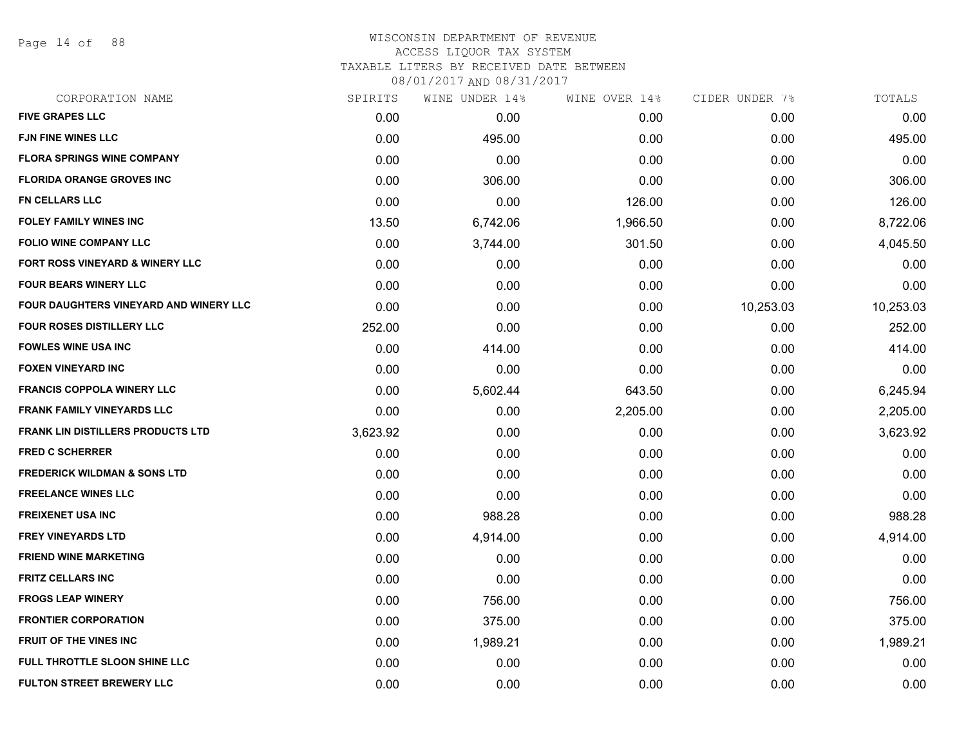Page 14 of 88

# WISCONSIN DEPARTMENT OF REVENUE ACCESS LIQUOR TAX SYSTEM

TAXABLE LITERS BY RECEIVED DATE BETWEEN

| CORPORATION NAME                         | SPIRITS  | WINE UNDER 14% | WINE OVER 14% | CIDER UNDER 7% | TOTALS    |
|------------------------------------------|----------|----------------|---------------|----------------|-----------|
| <b>FIVE GRAPES LLC</b>                   | 0.00     | 0.00           | 0.00          | 0.00           | 0.00      |
| <b>FJN FINE WINES LLC</b>                | 0.00     | 495.00         | 0.00          | 0.00           | 495.00    |
| <b>FLORA SPRINGS WINE COMPANY</b>        | 0.00     | 0.00           | 0.00          | 0.00           | 0.00      |
| <b>FLORIDA ORANGE GROVES INC</b>         | 0.00     | 306.00         | 0.00          | 0.00           | 306.00    |
| FN CELLARS LLC                           | 0.00     | 0.00           | 126.00        | 0.00           | 126.00    |
| <b>FOLEY FAMILY WINES INC</b>            | 13.50    | 6,742.06       | 1,966.50      | 0.00           | 8,722.06  |
| <b>FOLIO WINE COMPANY LLC</b>            | 0.00     | 3,744.00       | 301.50        | 0.00           | 4,045.50  |
| FORT ROSS VINEYARD & WINERY LLC          | 0.00     | 0.00           | 0.00          | 0.00           | 0.00      |
| <b>FOUR BEARS WINERY LLC</b>             | 0.00     | 0.00           | 0.00          | 0.00           | 0.00      |
| FOUR DAUGHTERS VINEYARD AND WINERY LLC   | 0.00     | 0.00           | 0.00          | 10,253.03      | 10,253.03 |
| <b>FOUR ROSES DISTILLERY LLC</b>         | 252.00   | 0.00           | 0.00          | 0.00           | 252.00    |
| <b>FOWLES WINE USA INC</b>               | 0.00     | 414.00         | 0.00          | 0.00           | 414.00    |
| <b>FOXEN VINEYARD INC</b>                | 0.00     | 0.00           | 0.00          | 0.00           | 0.00      |
| <b>FRANCIS COPPOLA WINERY LLC</b>        | 0.00     | 5,602.44       | 643.50        | 0.00           | 6,245.94  |
| <b>FRANK FAMILY VINEYARDS LLC</b>        | 0.00     | 0.00           | 2,205.00      | 0.00           | 2,205.00  |
| <b>FRANK LIN DISTILLERS PRODUCTS LTD</b> | 3,623.92 | 0.00           | 0.00          | 0.00           | 3,623.92  |
| <b>FRED C SCHERRER</b>                   | 0.00     | 0.00           | 0.00          | 0.00           | 0.00      |
| <b>FREDERICK WILDMAN &amp; SONS LTD</b>  | 0.00     | 0.00           | 0.00          | 0.00           | 0.00      |
| <b>FREELANCE WINES LLC</b>               | 0.00     | 0.00           | 0.00          | 0.00           | 0.00      |
| <b>FREIXENET USA INC</b>                 | 0.00     | 988.28         | 0.00          | 0.00           | 988.28    |
| <b>FREY VINEYARDS LTD</b>                | 0.00     | 4,914.00       | 0.00          | 0.00           | 4,914.00  |
| <b>FRIEND WINE MARKETING</b>             | 0.00     | 0.00           | 0.00          | 0.00           | 0.00      |
| <b>FRITZ CELLARS INC</b>                 | 0.00     | 0.00           | 0.00          | 0.00           | 0.00      |
| <b>FROGS LEAP WINERY</b>                 | 0.00     | 756.00         | 0.00          | 0.00           | 756.00    |
| <b>FRONTIER CORPORATION</b>              | 0.00     | 375.00         | 0.00          | 0.00           | 375.00    |
| <b>FRUIT OF THE VINES INC</b>            | 0.00     | 1,989.21       | 0.00          | 0.00           | 1,989.21  |
| FULL THROTTLE SLOON SHINE LLC            | 0.00     | 0.00           | 0.00          | 0.00           | 0.00      |
| <b>FULTON STREET BREWERY LLC</b>         | 0.00     | 0.00           | 0.00          | 0.00           | 0.00      |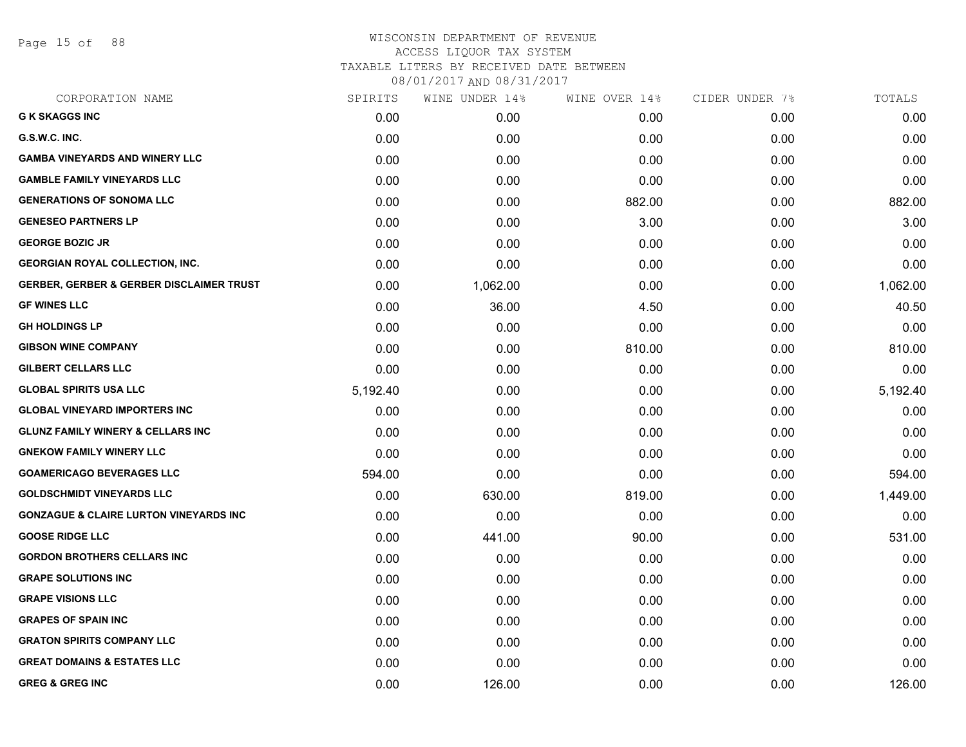Page 15 of 88

| CORPORATION NAME                                    | SPIRITS  | WINE UNDER 14% | WINE OVER 14% | CIDER UNDER 7% | TOTALS   |
|-----------------------------------------------------|----------|----------------|---------------|----------------|----------|
| <b>G K SKAGGS INC</b>                               | 0.00     | 0.00           | 0.00          | 0.00           | 0.00     |
| G.S.W.C. INC.                                       | 0.00     | 0.00           | 0.00          | 0.00           | 0.00     |
| <b>GAMBA VINEYARDS AND WINERY LLC</b>               | 0.00     | 0.00           | 0.00          | 0.00           | 0.00     |
| <b>GAMBLE FAMILY VINEYARDS LLC</b>                  | 0.00     | 0.00           | 0.00          | 0.00           | 0.00     |
| <b>GENERATIONS OF SONOMA LLC</b>                    | 0.00     | 0.00           | 882.00        | 0.00           | 882.00   |
| <b>GENESEO PARTNERS LP</b>                          | 0.00     | 0.00           | 3.00          | 0.00           | 3.00     |
| <b>GEORGE BOZIC JR</b>                              | 0.00     | 0.00           | 0.00          | 0.00           | 0.00     |
| <b>GEORGIAN ROYAL COLLECTION, INC.</b>              | 0.00     | 0.00           | 0.00          | 0.00           | 0.00     |
| <b>GERBER, GERBER &amp; GERBER DISCLAIMER TRUST</b> | 0.00     | 1,062.00       | 0.00          | 0.00           | 1,062.00 |
| <b>GF WINES LLC</b>                                 | 0.00     | 36.00          | 4.50          | 0.00           | 40.50    |
| <b>GH HOLDINGS LP</b>                               | 0.00     | 0.00           | 0.00          | 0.00           | 0.00     |
| <b>GIBSON WINE COMPANY</b>                          | 0.00     | 0.00           | 810.00        | 0.00           | 810.00   |
| <b>GILBERT CELLARS LLC</b>                          | 0.00     | 0.00           | 0.00          | 0.00           | 0.00     |
| <b>GLOBAL SPIRITS USA LLC</b>                       | 5,192.40 | 0.00           | 0.00          | 0.00           | 5,192.40 |
| <b>GLOBAL VINEYARD IMPORTERS INC</b>                | 0.00     | 0.00           | 0.00          | 0.00           | 0.00     |
| <b>GLUNZ FAMILY WINERY &amp; CELLARS INC</b>        | 0.00     | 0.00           | 0.00          | 0.00           | 0.00     |
| <b>GNEKOW FAMILY WINERY LLC</b>                     | 0.00     | 0.00           | 0.00          | 0.00           | 0.00     |
| <b>GOAMERICAGO BEVERAGES LLC</b>                    | 594.00   | 0.00           | 0.00          | 0.00           | 594.00   |
| <b>GOLDSCHMIDT VINEYARDS LLC</b>                    | 0.00     | 630.00         | 819.00        | 0.00           | 1,449.00 |
| <b>GONZAGUE &amp; CLAIRE LURTON VINEYARDS INC</b>   | 0.00     | 0.00           | 0.00          | 0.00           | 0.00     |
| <b>GOOSE RIDGE LLC</b>                              | 0.00     | 441.00         | 90.00         | 0.00           | 531.00   |
| <b>GORDON BROTHERS CELLARS INC</b>                  | 0.00     | 0.00           | 0.00          | 0.00           | 0.00     |
| <b>GRAPE SOLUTIONS INC</b>                          | 0.00     | 0.00           | 0.00          | 0.00           | 0.00     |
| <b>GRAPE VISIONS LLC</b>                            | 0.00     | 0.00           | 0.00          | 0.00           | 0.00     |
| <b>GRAPES OF SPAIN INC</b>                          | 0.00     | 0.00           | 0.00          | 0.00           | 0.00     |
| <b>GRATON SPIRITS COMPANY LLC</b>                   | 0.00     | 0.00           | 0.00          | 0.00           | 0.00     |
| <b>GREAT DOMAINS &amp; ESTATES LLC</b>              | 0.00     | 0.00           | 0.00          | 0.00           | 0.00     |
| <b>GREG &amp; GREG INC</b>                          | 0.00     | 126.00         | 0.00          | 0.00           | 126.00   |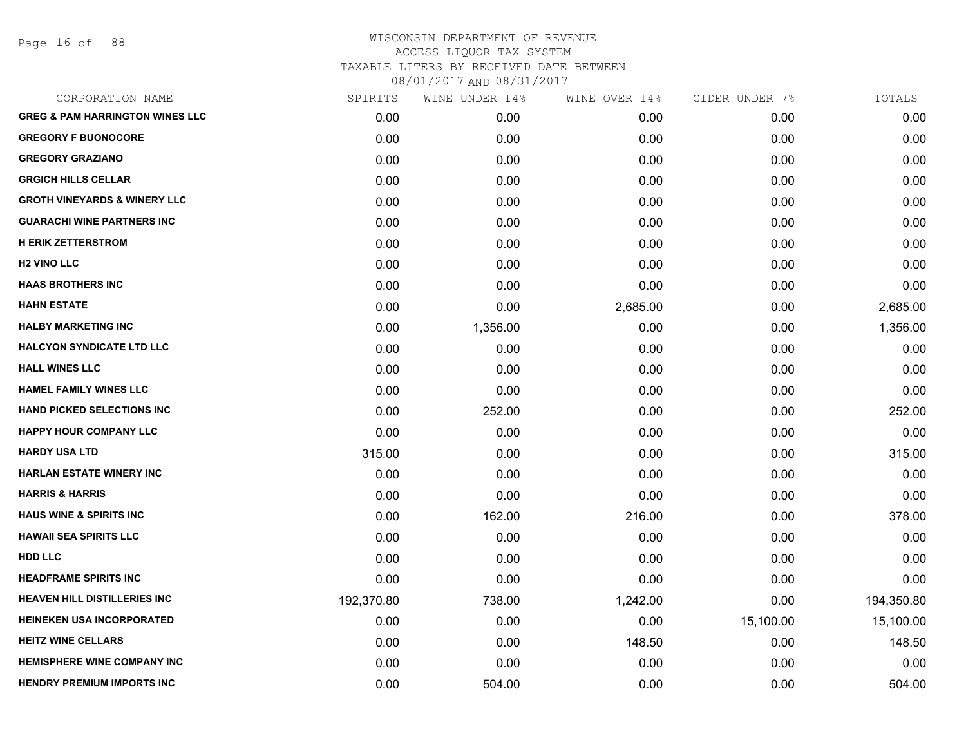Page 16 of 88

| CORPORATION NAME                           | SPIRITS    | WINE UNDER 14% | WINE OVER 14% | CIDER UNDER 7% | TOTALS     |
|--------------------------------------------|------------|----------------|---------------|----------------|------------|
| <b>GREG &amp; PAM HARRINGTON WINES LLC</b> | 0.00       | 0.00           | 0.00          | 0.00           | 0.00       |
| <b>GREGORY F BUONOCORE</b>                 | 0.00       | 0.00           | 0.00          | 0.00           | 0.00       |
| <b>GREGORY GRAZIANO</b>                    | 0.00       | 0.00           | 0.00          | 0.00           | 0.00       |
| <b>GRGICH HILLS CELLAR</b>                 | 0.00       | 0.00           | 0.00          | 0.00           | 0.00       |
| <b>GROTH VINEYARDS &amp; WINERY LLC</b>    | 0.00       | 0.00           | 0.00          | 0.00           | 0.00       |
| <b>GUARACHI WINE PARTNERS INC</b>          | 0.00       | 0.00           | 0.00          | 0.00           | 0.00       |
| <b>H ERIK ZETTERSTROM</b>                  | 0.00       | 0.00           | 0.00          | 0.00           | 0.00       |
| <b>H2 VINO LLC</b>                         | 0.00       | 0.00           | 0.00          | 0.00           | 0.00       |
| <b>HAAS BROTHERS INC</b>                   | 0.00       | 0.00           | 0.00          | 0.00           | 0.00       |
| <b>HAHN ESTATE</b>                         | 0.00       | 0.00           | 2,685.00      | 0.00           | 2,685.00   |
| <b>HALBY MARKETING INC</b>                 | 0.00       | 1,356.00       | 0.00          | 0.00           | 1,356.00   |
| <b>HALCYON SYNDICATE LTD LLC</b>           | 0.00       | 0.00           | 0.00          | 0.00           | 0.00       |
| <b>HALL WINES LLC</b>                      | 0.00       | 0.00           | 0.00          | 0.00           | 0.00       |
| <b>HAMEL FAMILY WINES LLC</b>              | 0.00       | 0.00           | 0.00          | 0.00           | 0.00       |
| <b>HAND PICKED SELECTIONS INC.</b>         | 0.00       | 252.00         | 0.00          | 0.00           | 252.00     |
| HAPPY HOUR COMPANY LLC                     | 0.00       | 0.00           | 0.00          | 0.00           | 0.00       |
| <b>HARDY USA LTD</b>                       | 315.00     | 0.00           | 0.00          | 0.00           | 315.00     |
| <b>HARLAN ESTATE WINERY INC</b>            | 0.00       | 0.00           | 0.00          | 0.00           | 0.00       |
| <b>HARRIS &amp; HARRIS</b>                 | 0.00       | 0.00           | 0.00          | 0.00           | 0.00       |
| <b>HAUS WINE &amp; SPIRITS INC</b>         | 0.00       | 162.00         | 216.00        | 0.00           | 378.00     |
| <b>HAWAII SEA SPIRITS LLC</b>              | 0.00       | 0.00           | 0.00          | 0.00           | 0.00       |
| HDD LLC                                    | 0.00       | 0.00           | 0.00          | 0.00           | 0.00       |
| <b>HEADFRAME SPIRITS INC</b>               | 0.00       | 0.00           | 0.00          | 0.00           | 0.00       |
| <b>HEAVEN HILL DISTILLERIES INC</b>        | 192,370.80 | 738.00         | 1,242.00      | 0.00           | 194,350.80 |
| <b>HEINEKEN USA INCORPORATED</b>           | 0.00       | 0.00           | 0.00          | 15,100.00      | 15,100.00  |
| <b>HEITZ WINE CELLARS</b>                  | 0.00       | 0.00           | 148.50        | 0.00           | 148.50     |
| <b>HEMISPHERE WINE COMPANY INC</b>         | 0.00       | 0.00           | 0.00          | 0.00           | 0.00       |
| <b>HENDRY PREMIUM IMPORTS INC</b>          | 0.00       | 504.00         | 0.00          | 0.00           | 504.00     |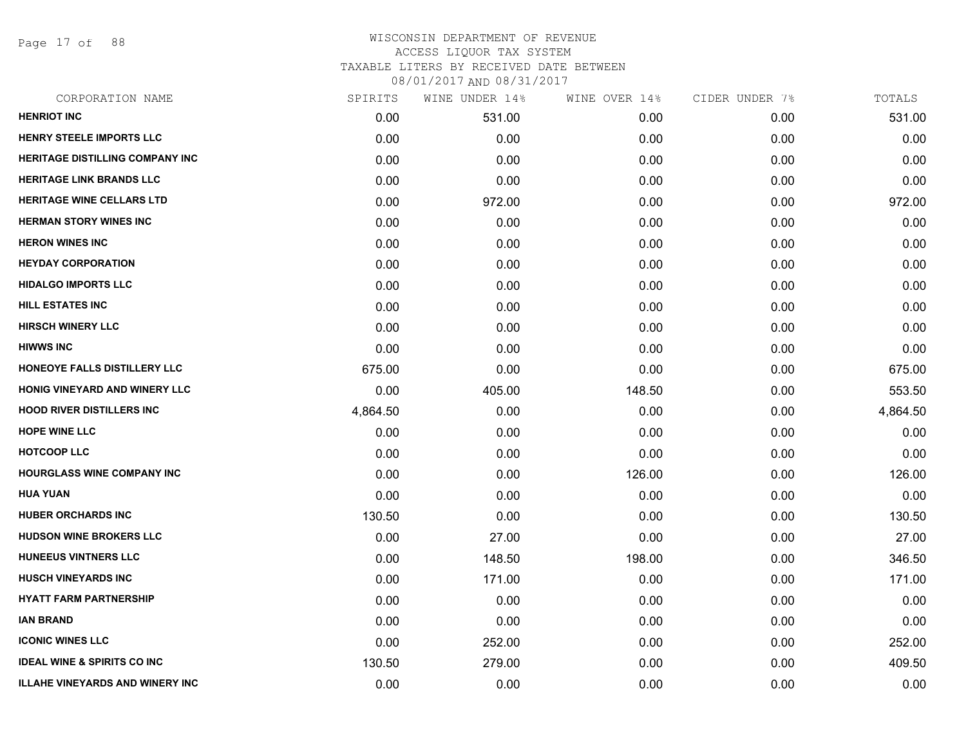Page 17 of 88

## WISCONSIN DEPARTMENT OF REVENUE ACCESS LIQUOR TAX SYSTEM TAXABLE LITERS BY RECEIVED DATE BETWEEN

| CORPORATION NAME                       | SPIRITS  | WINE UNDER 14% | WINE OVER 14% | CIDER UNDER 7% | TOTALS   |
|----------------------------------------|----------|----------------|---------------|----------------|----------|
| <b>HENRIOT INC</b>                     | 0.00     | 531.00         | 0.00          | 0.00           | 531.00   |
| <b>HENRY STEELE IMPORTS LLC</b>        | 0.00     | 0.00           | 0.00          | 0.00           | 0.00     |
| <b>HERITAGE DISTILLING COMPANY INC</b> | 0.00     | 0.00           | 0.00          | 0.00           | 0.00     |
| <b>HERITAGE LINK BRANDS LLC</b>        | 0.00     | 0.00           | 0.00          | 0.00           | 0.00     |
| HERITAGE WINE CELLARS LTD              | 0.00     | 972.00         | 0.00          | 0.00           | 972.00   |
| <b>HERMAN STORY WINES INC</b>          | 0.00     | 0.00           | 0.00          | 0.00           | 0.00     |
| <b>HERON WINES INC</b>                 | 0.00     | 0.00           | 0.00          | 0.00           | 0.00     |
| <b>HEYDAY CORPORATION</b>              | 0.00     | 0.00           | 0.00          | 0.00           | 0.00     |
| <b>HIDALGO IMPORTS LLC</b>             | 0.00     | 0.00           | 0.00          | 0.00           | 0.00     |
| <b>HILL ESTATES INC</b>                | 0.00     | 0.00           | 0.00          | 0.00           | 0.00     |
| <b>HIRSCH WINERY LLC</b>               | 0.00     | 0.00           | 0.00          | 0.00           | 0.00     |
| <b>HIWWS INC</b>                       | 0.00     | 0.00           | 0.00          | 0.00           | 0.00     |
| HONEOYE FALLS DISTILLERY LLC           | 675.00   | 0.00           | 0.00          | 0.00           | 675.00   |
| HONIG VINEYARD AND WINERY LLC          | 0.00     | 405.00         | 148.50        | 0.00           | 553.50   |
| <b>HOOD RIVER DISTILLERS INC</b>       | 4,864.50 | 0.00           | 0.00          | 0.00           | 4,864.50 |
| <b>HOPE WINE LLC</b>                   | 0.00     | 0.00           | 0.00          | 0.00           | 0.00     |
| <b>HOTCOOP LLC</b>                     | 0.00     | 0.00           | 0.00          | 0.00           | 0.00     |
| <b>HOURGLASS WINE COMPANY INC</b>      | 0.00     | 0.00           | 126.00        | 0.00           | 126.00   |
| <b>HUA YUAN</b>                        | 0.00     | 0.00           | 0.00          | 0.00           | 0.00     |
| <b>HUBER ORCHARDS INC</b>              | 130.50   | 0.00           | 0.00          | 0.00           | 130.50   |
| <b>HUDSON WINE BROKERS LLC</b>         | 0.00     | 27.00          | 0.00          | 0.00           | 27.00    |
| <b>HUNEEUS VINTNERS LLC</b>            | 0.00     | 148.50         | 198.00        | 0.00           | 346.50   |
| <b>HUSCH VINEYARDS INC</b>             | 0.00     | 171.00         | 0.00          | 0.00           | 171.00   |
| <b>HYATT FARM PARTNERSHIP</b>          | 0.00     | 0.00           | 0.00          | 0.00           | 0.00     |
| <b>IAN BRAND</b>                       | 0.00     | 0.00           | 0.00          | 0.00           | 0.00     |
| <b>ICONIC WINES LLC</b>                | 0.00     | 252.00         | 0.00          | 0.00           | 252.00   |
| <b>IDEAL WINE &amp; SPIRITS CO INC</b> | 130.50   | 279.00         | 0.00          | 0.00           | 409.50   |
| <b>ILLAHE VINEYARDS AND WINERY INC</b> | 0.00     | 0.00           | 0.00          | 0.00           | 0.00     |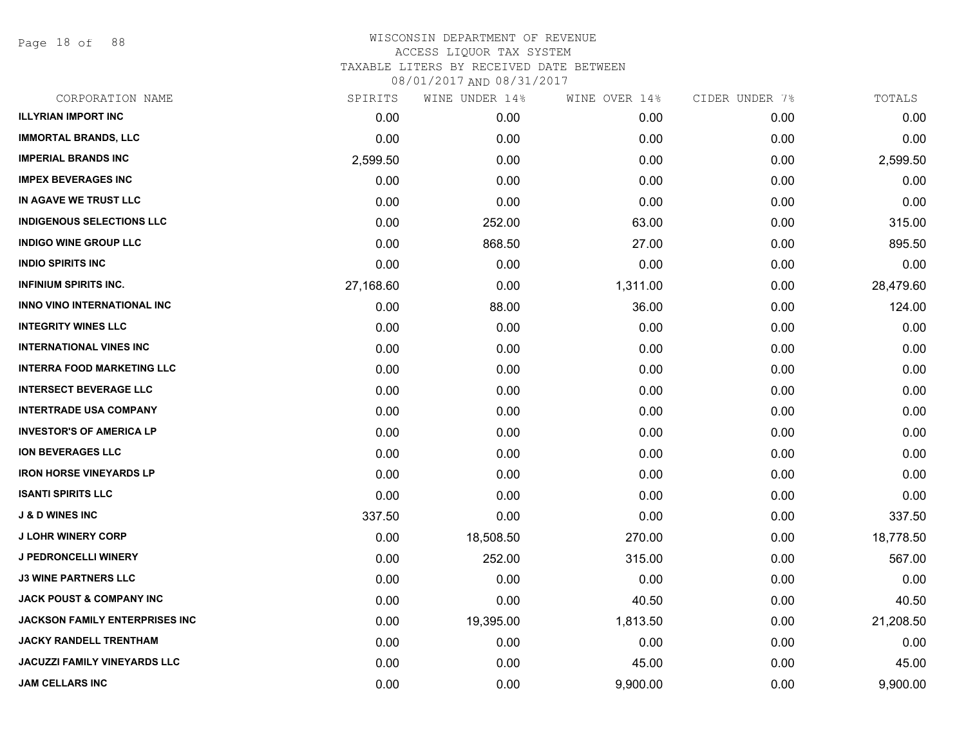Page 18 of 88

| CORPORATION NAME                    | SPIRITS   | WINE UNDER 14% | WINE OVER 14% | CIDER UNDER 7% | TOTALS    |
|-------------------------------------|-----------|----------------|---------------|----------------|-----------|
| <b>ILLYRIAN IMPORT INC</b>          | 0.00      | 0.00           | 0.00          | 0.00           | 0.00      |
| <b>IMMORTAL BRANDS, LLC</b>         | 0.00      | 0.00           | 0.00          | 0.00           | 0.00      |
| <b>IMPERIAL BRANDS INC</b>          | 2,599.50  | 0.00           | 0.00          | 0.00           | 2,599.50  |
| <b>IMPEX BEVERAGES INC</b>          | 0.00      | 0.00           | 0.00          | 0.00           | 0.00      |
| IN AGAVE WE TRUST LLC               | 0.00      | 0.00           | 0.00          | 0.00           | 0.00      |
| <b>INDIGENOUS SELECTIONS LLC</b>    | 0.00      | 252.00         | 63.00         | 0.00           | 315.00    |
| <b>INDIGO WINE GROUP LLC</b>        | 0.00      | 868.50         | 27.00         | 0.00           | 895.50    |
| <b>INDIO SPIRITS INC</b>            | 0.00      | 0.00           | 0.00          | 0.00           | 0.00      |
| <b>INFINIUM SPIRITS INC.</b>        | 27,168.60 | 0.00           | 1,311.00      | 0.00           | 28,479.60 |
| INNO VINO INTERNATIONAL INC         | 0.00      | 88.00          | 36.00         | 0.00           | 124.00    |
| <b>INTEGRITY WINES LLC</b>          | 0.00      | 0.00           | 0.00          | 0.00           | 0.00      |
| <b>INTERNATIONAL VINES INC</b>      | 0.00      | 0.00           | 0.00          | 0.00           | 0.00      |
| <b>INTERRA FOOD MARKETING LLC</b>   | 0.00      | 0.00           | 0.00          | 0.00           | 0.00      |
| <b>INTERSECT BEVERAGE LLC</b>       | 0.00      | 0.00           | 0.00          | 0.00           | 0.00      |
| <b>INTERTRADE USA COMPANY</b>       | 0.00      | 0.00           | 0.00          | 0.00           | 0.00      |
| <b>INVESTOR'S OF AMERICA LP</b>     | 0.00      | 0.00           | 0.00          | 0.00           | 0.00      |
| <b>ION BEVERAGES LLC</b>            | 0.00      | 0.00           | 0.00          | 0.00           | 0.00      |
| <b>IRON HORSE VINEYARDS LP</b>      | 0.00      | 0.00           | 0.00          | 0.00           | 0.00      |
| <b>ISANTI SPIRITS LLC</b>           | 0.00      | 0.00           | 0.00          | 0.00           | 0.00      |
| <b>J &amp; D WINES INC</b>          | 337.50    | 0.00           | 0.00          | 0.00           | 337.50    |
| <b>J LOHR WINERY CORP</b>           | 0.00      | 18,508.50      | 270.00        | 0.00           | 18,778.50 |
| <b>J PEDRONCELLI WINERY</b>         | 0.00      | 252.00         | 315.00        | 0.00           | 567.00    |
| <b>J3 WINE PARTNERS LLC</b>         | 0.00      | 0.00           | 0.00          | 0.00           | 0.00      |
| <b>JACK POUST &amp; COMPANY INC</b> | 0.00      | 0.00           | 40.50         | 0.00           | 40.50     |
| JACKSON FAMILY ENTERPRISES INC      | 0.00      | 19,395.00      | 1,813.50      | 0.00           | 21,208.50 |
| <b>JACKY RANDELL TRENTHAM</b>       | 0.00      | 0.00           | 0.00          | 0.00           | 0.00      |
| <b>JACUZZI FAMILY VINEYARDS LLC</b> | 0.00      | 0.00           | 45.00         | 0.00           | 45.00     |
| <b>JAM CELLARS INC</b>              | 0.00      | 0.00           | 9,900.00      | 0.00           | 9,900.00  |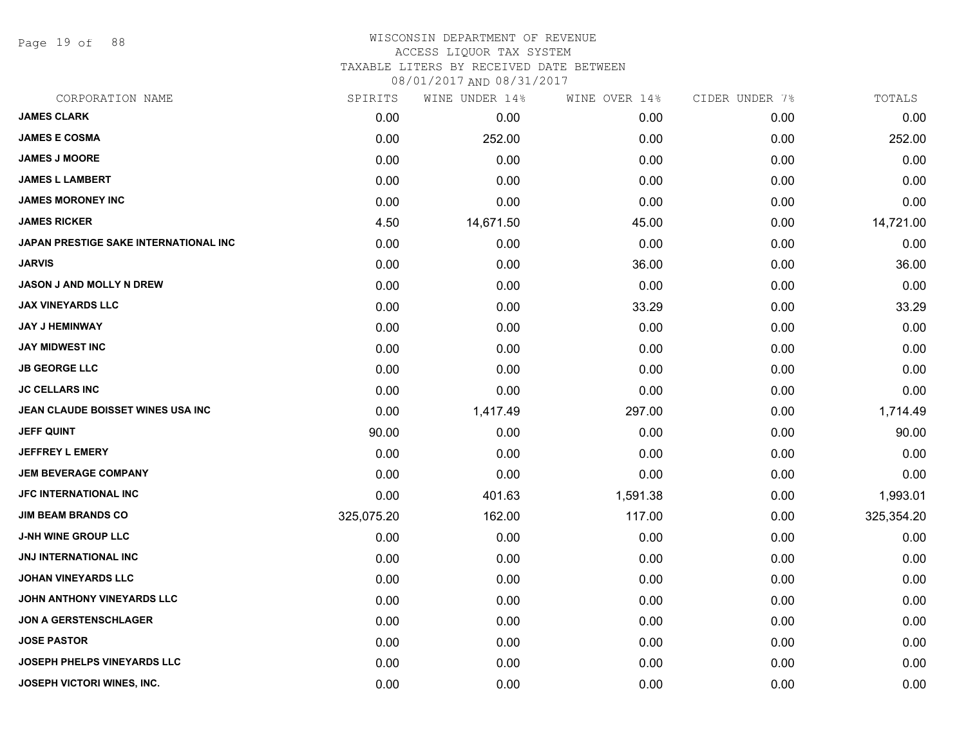Page 19 of 88

# WISCONSIN DEPARTMENT OF REVENUE

## ACCESS LIQUOR TAX SYSTEM

TAXABLE LITERS BY RECEIVED DATE BETWEEN

| CORPORATION NAME                         | SPIRITS    | WINE UNDER 14% | WINE OVER 14% | CIDER UNDER 7% | TOTALS     |
|------------------------------------------|------------|----------------|---------------|----------------|------------|
| <b>JAMES CLARK</b>                       | 0.00       | 0.00           | 0.00          | 0.00           | 0.00       |
| <b>JAMES E COSMA</b>                     | 0.00       | 252.00         | 0.00          | 0.00           | 252.00     |
| <b>JAMES J MOORE</b>                     | 0.00       | 0.00           | 0.00          | 0.00           | 0.00       |
| <b>JAMES L LAMBERT</b>                   | 0.00       | 0.00           | 0.00          | 0.00           | 0.00       |
| <b>JAMES MORONEY INC</b>                 | 0.00       | 0.00           | 0.00          | 0.00           | 0.00       |
| <b>JAMES RICKER</b>                      | 4.50       | 14,671.50      | 45.00         | 0.00           | 14,721.00  |
| JAPAN PRESTIGE SAKE INTERNATIONAL INC    | 0.00       | 0.00           | 0.00          | 0.00           | 0.00       |
| <b>JARVIS</b>                            | 0.00       | 0.00           | 36.00         | 0.00           | 36.00      |
| <b>JASON J AND MOLLY N DREW</b>          | 0.00       | 0.00           | 0.00          | 0.00           | 0.00       |
| <b>JAX VINEYARDS LLC</b>                 | 0.00       | 0.00           | 33.29         | 0.00           | 33.29      |
| <b>JAY J HEMINWAY</b>                    | 0.00       | 0.00           | 0.00          | 0.00           | 0.00       |
| <b>JAY MIDWEST INC</b>                   | 0.00       | 0.00           | 0.00          | 0.00           | 0.00       |
| <b>JB GEORGE LLC</b>                     | 0.00       | 0.00           | 0.00          | 0.00           | 0.00       |
| <b>JC CELLARS INC</b>                    | 0.00       | 0.00           | 0.00          | 0.00           | 0.00       |
| <b>JEAN CLAUDE BOISSET WINES USA INC</b> | 0.00       | 1,417.49       | 297.00        | 0.00           | 1,714.49   |
| <b>JEFF QUINT</b>                        | 90.00      | 0.00           | 0.00          | 0.00           | 90.00      |
| <b>JEFFREY L EMERY</b>                   | 0.00       | 0.00           | 0.00          | 0.00           | 0.00       |
| <b>JEM BEVERAGE COMPANY</b>              | 0.00       | 0.00           | 0.00          | 0.00           | 0.00       |
| <b>JFC INTERNATIONAL INC</b>             | 0.00       | 401.63         | 1,591.38      | 0.00           | 1,993.01   |
| <b>JIM BEAM BRANDS CO</b>                | 325,075.20 | 162.00         | 117.00        | 0.00           | 325,354.20 |
| <b>J-NH WINE GROUP LLC</b>               | 0.00       | 0.00           | 0.00          | 0.00           | 0.00       |
| JNJ INTERNATIONAL INC                    | 0.00       | 0.00           | 0.00          | 0.00           | 0.00       |
| <b>JOHAN VINEYARDS LLC</b>               | 0.00       | 0.00           | 0.00          | 0.00           | 0.00       |
| JOHN ANTHONY VINEYARDS LLC               | 0.00       | 0.00           | 0.00          | 0.00           | 0.00       |
| <b>JON A GERSTENSCHLAGER</b>             | 0.00       | 0.00           | 0.00          | 0.00           | 0.00       |
| <b>JOSE PASTOR</b>                       | 0.00       | 0.00           | 0.00          | 0.00           | 0.00       |
| JOSEPH PHELPS VINEYARDS LLC              | 0.00       | 0.00           | 0.00          | 0.00           | 0.00       |
| JOSEPH VICTORI WINES, INC.               | 0.00       | 0.00           | 0.00          | 0.00           | 0.00       |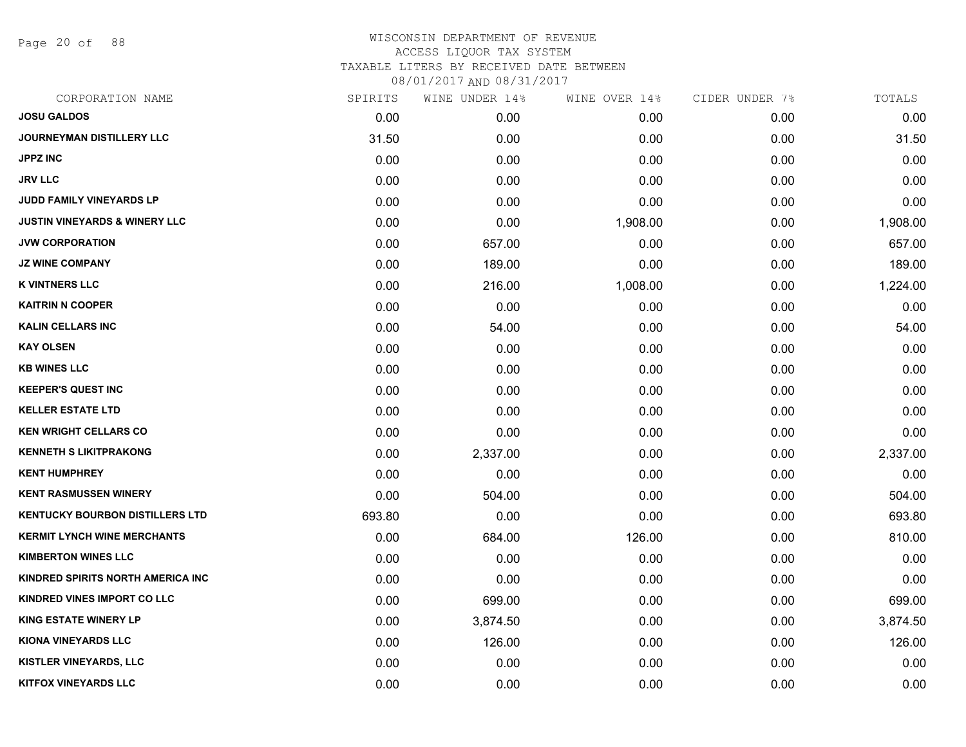Page 20 of 88

### WISCONSIN DEPARTMENT OF REVENUE ACCESS LIQUOR TAX SYSTEM TAXABLE LITERS BY RECEIVED DATE BETWEEN

| CORPORATION NAME                         | SPIRITS | WINE UNDER 14% | WINE OVER 14% | CIDER UNDER 7% | TOTALS   |
|------------------------------------------|---------|----------------|---------------|----------------|----------|
| <b>JOSU GALDOS</b>                       | 0.00    | 0.00           | 0.00          | 0.00           | 0.00     |
| <b>JOURNEYMAN DISTILLERY LLC</b>         | 31.50   | 0.00           | 0.00          | 0.00           | 31.50    |
| <b>JPPZ INC</b>                          | 0.00    | 0.00           | 0.00          | 0.00           | 0.00     |
| <b>JRV LLC</b>                           | 0.00    | 0.00           | 0.00          | 0.00           | 0.00     |
| <b>JUDD FAMILY VINEYARDS LP</b>          | 0.00    | 0.00           | 0.00          | 0.00           | 0.00     |
| <b>JUSTIN VINEYARDS &amp; WINERY LLC</b> | 0.00    | 0.00           | 1,908.00      | 0.00           | 1,908.00 |
| <b>JVW CORPORATION</b>                   | 0.00    | 657.00         | 0.00          | 0.00           | 657.00   |
| <b>JZ WINE COMPANY</b>                   | 0.00    | 189.00         | 0.00          | 0.00           | 189.00   |
| <b>K VINTNERS LLC</b>                    | 0.00    | 216.00         | 1,008.00      | 0.00           | 1,224.00 |
| <b>KAITRIN N COOPER</b>                  | 0.00    | 0.00           | 0.00          | 0.00           | 0.00     |
| <b>KALIN CELLARS INC</b>                 | 0.00    | 54.00          | 0.00          | 0.00           | 54.00    |
| <b>KAY OLSEN</b>                         | 0.00    | 0.00           | 0.00          | 0.00           | 0.00     |
| <b>KB WINES LLC</b>                      | 0.00    | 0.00           | 0.00          | 0.00           | 0.00     |
| <b>KEEPER'S QUEST INC</b>                | 0.00    | 0.00           | 0.00          | 0.00           | 0.00     |
| <b>KELLER ESTATE LTD</b>                 | 0.00    | 0.00           | 0.00          | 0.00           | 0.00     |
| <b>KEN WRIGHT CELLARS CO</b>             | 0.00    | 0.00           | 0.00          | 0.00           | 0.00     |
| <b>KENNETH S LIKITPRAKONG</b>            | 0.00    | 2,337.00       | 0.00          | 0.00           | 2,337.00 |
| <b>KENT HUMPHREY</b>                     | 0.00    | 0.00           | 0.00          | 0.00           | 0.00     |
| <b>KENT RASMUSSEN WINERY</b>             | 0.00    | 504.00         | 0.00          | 0.00           | 504.00   |
| <b>KENTUCKY BOURBON DISTILLERS LTD</b>   | 693.80  | 0.00           | 0.00          | 0.00           | 693.80   |
| <b>KERMIT LYNCH WINE MERCHANTS</b>       | 0.00    | 684.00         | 126.00        | 0.00           | 810.00   |
| <b>KIMBERTON WINES LLC</b>               | 0.00    | 0.00           | 0.00          | 0.00           | 0.00     |
| KINDRED SPIRITS NORTH AMERICA INC        | 0.00    | 0.00           | 0.00          | 0.00           | 0.00     |
| KINDRED VINES IMPORT CO LLC              | 0.00    | 699.00         | 0.00          | 0.00           | 699.00   |
| <b>KING ESTATE WINERY LP</b>             | 0.00    | 3,874.50       | 0.00          | 0.00           | 3,874.50 |
| <b>KIONA VINEYARDS LLC</b>               | 0.00    | 126.00         | 0.00          | 0.00           | 126.00   |
| <b>KISTLER VINEYARDS, LLC</b>            | 0.00    | 0.00           | 0.00          | 0.00           | 0.00     |
| <b>KITFOX VINEYARDS LLC</b>              | 0.00    | 0.00           | 0.00          | 0.00           | 0.00     |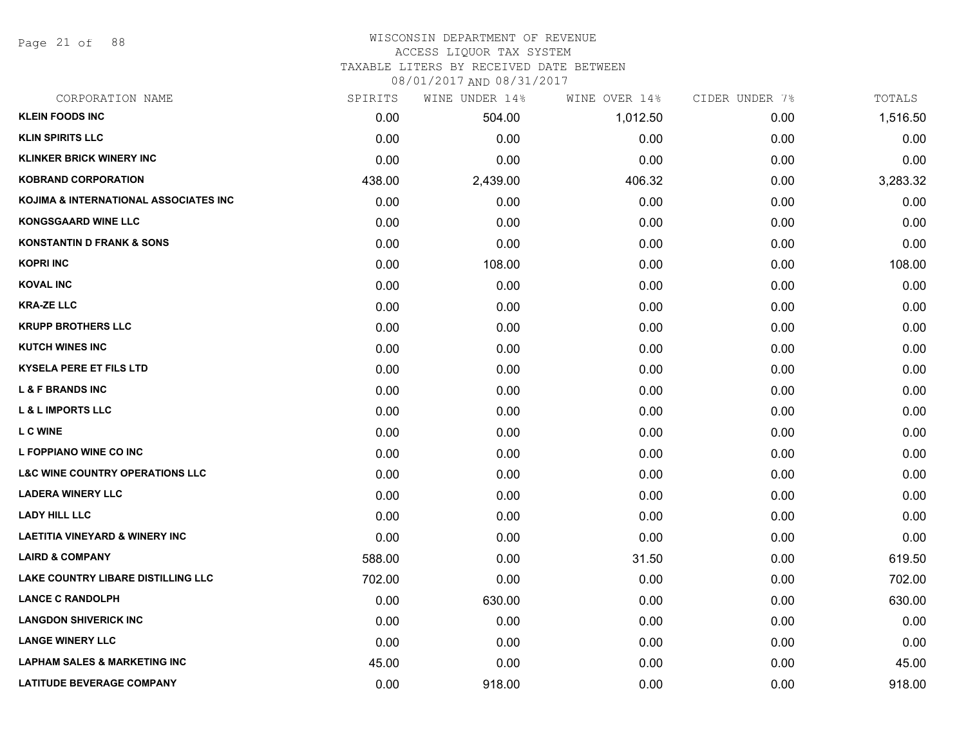Page 21 of 88

#### WISCONSIN DEPARTMENT OF REVENUE ACCESS LIQUOR TAX SYSTEM

TAXABLE LITERS BY RECEIVED DATE BETWEEN

| CORPORATION NAME                           | SPIRITS | WINE UNDER 14% | WINE OVER 14% | CIDER UNDER 7% | TOTALS   |
|--------------------------------------------|---------|----------------|---------------|----------------|----------|
| <b>KLEIN FOODS INC</b>                     | 0.00    | 504.00         | 1,012.50      | 0.00           | 1,516.50 |
| <b>KLIN SPIRITS LLC</b>                    | 0.00    | 0.00           | 0.00          | 0.00           | 0.00     |
| <b>KLINKER BRICK WINERY INC</b>            | 0.00    | 0.00           | 0.00          | 0.00           | 0.00     |
| <b>KOBRAND CORPORATION</b>                 | 438.00  | 2,439.00       | 406.32        | 0.00           | 3,283.32 |
| KOJIMA & INTERNATIONAL ASSOCIATES INC      | 0.00    | 0.00           | 0.00          | 0.00           | 0.00     |
| <b>KONGSGAARD WINE LLC</b>                 | 0.00    | 0.00           | 0.00          | 0.00           | 0.00     |
| <b>KONSTANTIN D FRANK &amp; SONS</b>       | 0.00    | 0.00           | 0.00          | 0.00           | 0.00     |
| <b>KOPRI INC</b>                           | 0.00    | 108.00         | 0.00          | 0.00           | 108.00   |
| <b>KOVAL INC</b>                           | 0.00    | 0.00           | 0.00          | 0.00           | 0.00     |
| <b>KRA-ZE LLC</b>                          | 0.00    | 0.00           | 0.00          | 0.00           | 0.00     |
| <b>KRUPP BROTHERS LLC</b>                  | 0.00    | 0.00           | 0.00          | 0.00           | 0.00     |
| <b>KUTCH WINES INC</b>                     | 0.00    | 0.00           | 0.00          | 0.00           | 0.00     |
| <b>KYSELA PERE ET FILS LTD</b>             | 0.00    | 0.00           | 0.00          | 0.00           | 0.00     |
| <b>L &amp; F BRANDS INC</b>                | 0.00    | 0.00           | 0.00          | 0.00           | 0.00     |
| <b>L &amp; L IMPORTS LLC</b>               | 0.00    | 0.00           | 0.00          | 0.00           | 0.00     |
| <b>L C WINE</b>                            | 0.00    | 0.00           | 0.00          | 0.00           | 0.00     |
| L FOPPIANO WINE CO INC                     | 0.00    | 0.00           | 0.00          | 0.00           | 0.00     |
| <b>L&amp;C WINE COUNTRY OPERATIONS LLC</b> | 0.00    | 0.00           | 0.00          | 0.00           | 0.00     |
| <b>LADERA WINERY LLC</b>                   | 0.00    | 0.00           | 0.00          | 0.00           | 0.00     |
| <b>LADY HILL LLC</b>                       | 0.00    | 0.00           | 0.00          | 0.00           | 0.00     |
| <b>LAETITIA VINEYARD &amp; WINERY INC</b>  | 0.00    | 0.00           | 0.00          | 0.00           | 0.00     |
| <b>LAIRD &amp; COMPANY</b>                 | 588.00  | 0.00           | 31.50         | 0.00           | 619.50   |
| LAKE COUNTRY LIBARE DISTILLING LLC         | 702.00  | 0.00           | 0.00          | 0.00           | 702.00   |
| <b>LANCE C RANDOLPH</b>                    | 0.00    | 630.00         | 0.00          | 0.00           | 630.00   |
| <b>LANGDON SHIVERICK INC</b>               | 0.00    | 0.00           | 0.00          | 0.00           | 0.00     |
| <b>LANGE WINERY LLC</b>                    | 0.00    | 0.00           | 0.00          | 0.00           | 0.00     |
| <b>LAPHAM SALES &amp; MARKETING INC</b>    | 45.00   | 0.00           | 0.00          | 0.00           | 45.00    |
| <b>LATITUDE BEVERAGE COMPANY</b>           | 0.00    | 918.00         | 0.00          | 0.00           | 918.00   |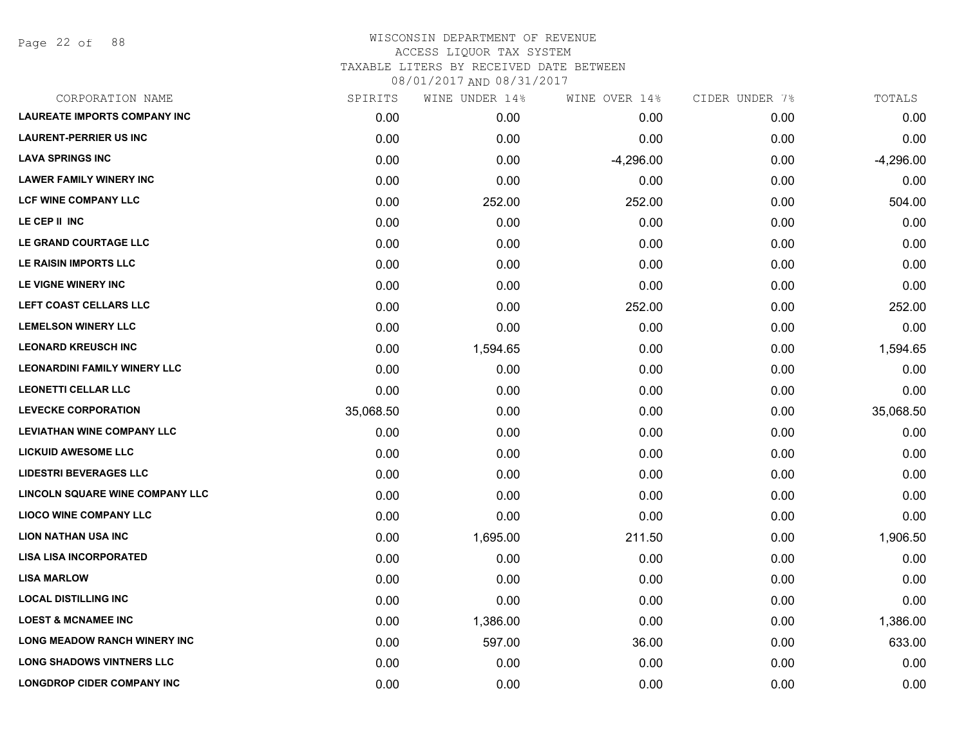Page 22 of 88

| CORPORATION NAME                    | SPIRITS   | WINE UNDER 14% | WINE OVER 14% | CIDER UNDER 7% | TOTALS      |
|-------------------------------------|-----------|----------------|---------------|----------------|-------------|
| <b>LAUREATE IMPORTS COMPANY INC</b> | 0.00      | 0.00           | 0.00          | 0.00           | 0.00        |
| <b>LAURENT-PERRIER US INC</b>       | 0.00      | 0.00           | 0.00          | 0.00           | 0.00        |
| <b>LAVA SPRINGS INC</b>             | 0.00      | 0.00           | $-4,296.00$   | 0.00           | $-4,296.00$ |
| <b>LAWER FAMILY WINERY INC</b>      | 0.00      | 0.00           | 0.00          | 0.00           | 0.00        |
| <b>LCF WINE COMPANY LLC</b>         | 0.00      | 252.00         | 252.00        | 0.00           | 504.00      |
| LE CEP II INC                       | 0.00      | 0.00           | 0.00          | 0.00           | 0.00        |
| LE GRAND COURTAGE LLC               | 0.00      | 0.00           | 0.00          | 0.00           | 0.00        |
| LE RAISIN IMPORTS LLC               | 0.00      | 0.00           | 0.00          | 0.00           | 0.00        |
| LE VIGNE WINERY INC                 | 0.00      | 0.00           | 0.00          | 0.00           | 0.00        |
| LEFT COAST CELLARS LLC              | 0.00      | 0.00           | 252.00        | 0.00           | 252.00      |
| <b>LEMELSON WINERY LLC</b>          | 0.00      | 0.00           | 0.00          | 0.00           | 0.00        |
| <b>LEONARD KREUSCH INC</b>          | 0.00      | 1,594.65       | 0.00          | 0.00           | 1,594.65    |
| <b>LEONARDINI FAMILY WINERY LLC</b> | 0.00      | 0.00           | 0.00          | 0.00           | 0.00        |
| <b>LEONETTI CELLAR LLC</b>          | 0.00      | 0.00           | 0.00          | 0.00           | 0.00        |
| <b>LEVECKE CORPORATION</b>          | 35,068.50 | 0.00           | 0.00          | 0.00           | 35,068.50   |
| <b>LEVIATHAN WINE COMPANY LLC</b>   | 0.00      | 0.00           | 0.00          | 0.00           | 0.00        |
| <b>LICKUID AWESOME LLC</b>          | 0.00      | 0.00           | 0.00          | 0.00           | 0.00        |
| <b>LIDESTRI BEVERAGES LLC</b>       | 0.00      | 0.00           | 0.00          | 0.00           | 0.00        |
| LINCOLN SQUARE WINE COMPANY LLC     | 0.00      | 0.00           | 0.00          | 0.00           | 0.00        |
| <b>LIOCO WINE COMPANY LLC</b>       | 0.00      | 0.00           | 0.00          | 0.00           | 0.00        |
| <b>LION NATHAN USA INC</b>          | 0.00      | 1,695.00       | 211.50        | 0.00           | 1,906.50    |
| <b>LISA LISA INCORPORATED</b>       | 0.00      | 0.00           | 0.00          | 0.00           | 0.00        |
| <b>LISA MARLOW</b>                  | 0.00      | 0.00           | 0.00          | 0.00           | 0.00        |
| <b>LOCAL DISTILLING INC</b>         | 0.00      | 0.00           | 0.00          | 0.00           | 0.00        |
| <b>LOEST &amp; MCNAMEE INC</b>      | 0.00      | 1,386.00       | 0.00          | 0.00           | 1,386.00    |
| <b>LONG MEADOW RANCH WINERY INC</b> | 0.00      | 597.00         | 36.00         | 0.00           | 633.00      |
| <b>LONG SHADOWS VINTNERS LLC</b>    | 0.00      | 0.00           | 0.00          | 0.00           | 0.00        |
| <b>LONGDROP CIDER COMPANY INC</b>   | 0.00      | 0.00           | 0.00          | 0.00           | 0.00        |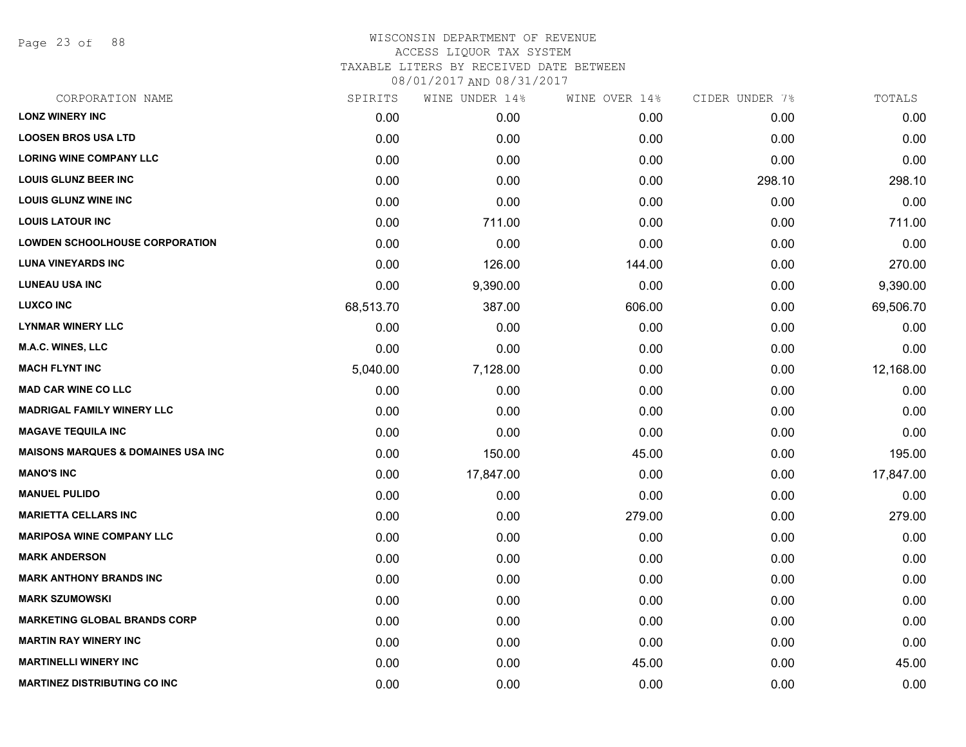Page 23 of 88

#### WISCONSIN DEPARTMENT OF REVENUE ACCESS LIQUOR TAX SYSTEM TAXABLE LITERS BY RECEIVED DATE BETWEEN

| CORPORATION NAME                              | SPIRITS   | WINE UNDER 14% | WINE OVER 14% | CIDER UNDER 7% | TOTALS    |
|-----------------------------------------------|-----------|----------------|---------------|----------------|-----------|
| <b>LONZ WINERY INC</b>                        | 0.00      | 0.00           | 0.00          | 0.00           | 0.00      |
| <b>LOOSEN BROS USA LTD</b>                    | 0.00      | 0.00           | 0.00          | 0.00           | 0.00      |
| <b>LORING WINE COMPANY LLC</b>                | 0.00      | 0.00           | 0.00          | 0.00           | 0.00      |
| <b>LOUIS GLUNZ BEER INC</b>                   | 0.00      | 0.00           | 0.00          | 298.10         | 298.10    |
| <b>LOUIS GLUNZ WINE INC</b>                   | 0.00      | 0.00           | 0.00          | 0.00           | 0.00      |
| <b>LOUIS LATOUR INC</b>                       | 0.00      | 711.00         | 0.00          | 0.00           | 711.00    |
| <b>LOWDEN SCHOOLHOUSE CORPORATION</b>         | 0.00      | 0.00           | 0.00          | 0.00           | 0.00      |
| <b>LUNA VINEYARDS INC</b>                     | 0.00      | 126.00         | 144.00        | 0.00           | 270.00    |
| <b>LUNEAU USA INC</b>                         | 0.00      | 9,390.00       | 0.00          | 0.00           | 9,390.00  |
| <b>LUXCO INC</b>                              | 68,513.70 | 387.00         | 606.00        | 0.00           | 69,506.70 |
| <b>LYNMAR WINERY LLC</b>                      | 0.00      | 0.00           | 0.00          | 0.00           | 0.00      |
| M.A.C. WINES, LLC                             | 0.00      | 0.00           | 0.00          | 0.00           | 0.00      |
| <b>MACH FLYNT INC</b>                         | 5,040.00  | 7,128.00       | 0.00          | 0.00           | 12,168.00 |
| <b>MAD CAR WINE CO LLC</b>                    | 0.00      | 0.00           | 0.00          | 0.00           | 0.00      |
| <b>MADRIGAL FAMILY WINERY LLC</b>             | 0.00      | 0.00           | 0.00          | 0.00           | 0.00      |
| <b>MAGAVE TEQUILA INC</b>                     | 0.00      | 0.00           | 0.00          | 0.00           | 0.00      |
| <b>MAISONS MARQUES &amp; DOMAINES USA INC</b> | 0.00      | 150.00         | 45.00         | 0.00           | 195.00    |
| <b>MANO'S INC</b>                             | 0.00      | 17,847.00      | 0.00          | 0.00           | 17,847.00 |
| <b>MANUEL PULIDO</b>                          | 0.00      | 0.00           | 0.00          | 0.00           | 0.00      |
| <b>MARIETTA CELLARS INC</b>                   | 0.00      | 0.00           | 279.00        | 0.00           | 279.00    |
| <b>MARIPOSA WINE COMPANY LLC</b>              | 0.00      | 0.00           | 0.00          | 0.00           | 0.00      |
| <b>MARK ANDERSON</b>                          | 0.00      | 0.00           | 0.00          | 0.00           | 0.00      |
| <b>MARK ANTHONY BRANDS INC</b>                | 0.00      | 0.00           | 0.00          | 0.00           | 0.00      |
| <b>MARK SZUMOWSKI</b>                         | 0.00      | 0.00           | 0.00          | 0.00           | 0.00      |
| <b>MARKETING GLOBAL BRANDS CORP</b>           | 0.00      | 0.00           | 0.00          | 0.00           | 0.00      |
| <b>MARTIN RAY WINERY INC</b>                  | 0.00      | 0.00           | 0.00          | 0.00           | 0.00      |
| <b>MARTINELLI WINERY INC</b>                  | 0.00      | 0.00           | 45.00         | 0.00           | 45.00     |
| <b>MARTINEZ DISTRIBUTING CO INC</b>           | 0.00      | 0.00           | 0.00          | 0.00           | 0.00      |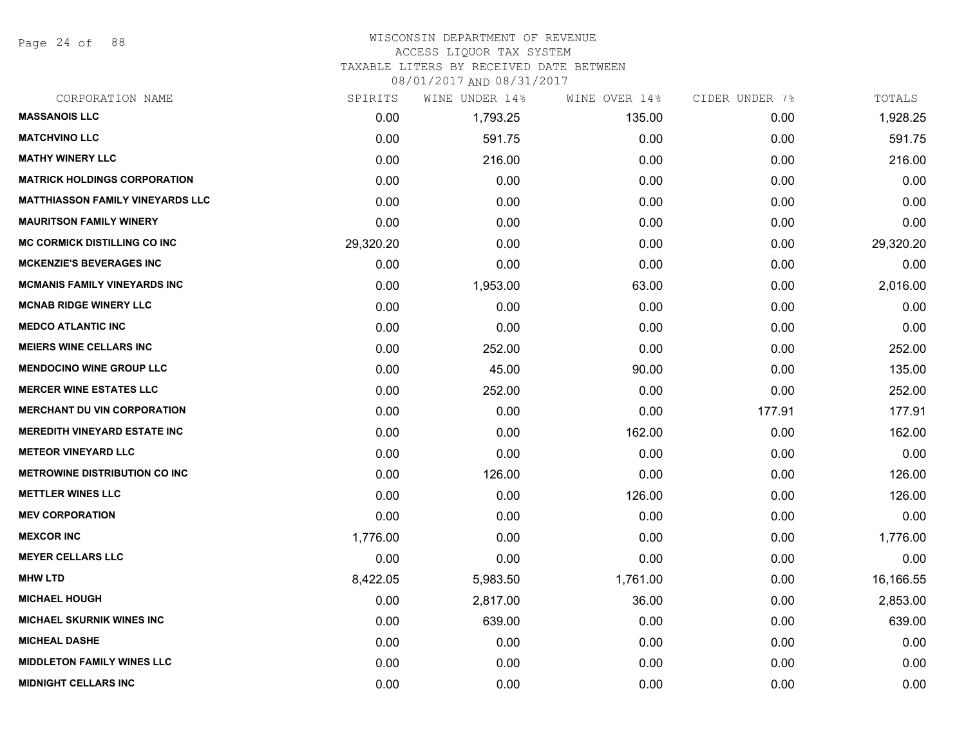Page 24 of 88

## WISCONSIN DEPARTMENT OF REVENUE

## ACCESS LIQUOR TAX SYSTEM

TAXABLE LITERS BY RECEIVED DATE BETWEEN

| CORPORATION NAME                        | SPIRITS   | WINE UNDER 14% | WINE OVER 14% | CIDER UNDER 7% | TOTALS    |
|-----------------------------------------|-----------|----------------|---------------|----------------|-----------|
| <b>MASSANOIS LLC</b>                    | 0.00      | 1,793.25       | 135.00        | 0.00           | 1,928.25  |
| <b>MATCHVINO LLC</b>                    | 0.00      | 591.75         | 0.00          | 0.00           | 591.75    |
| <b>MATHY WINERY LLC</b>                 | 0.00      | 216.00         | 0.00          | 0.00           | 216.00    |
| <b>MATRICK HOLDINGS CORPORATION</b>     | 0.00      | 0.00           | 0.00          | 0.00           | 0.00      |
| <b>MATTHIASSON FAMILY VINEYARDS LLC</b> | 0.00      | 0.00           | 0.00          | 0.00           | 0.00      |
| <b>MAURITSON FAMILY WINERY</b>          | 0.00      | 0.00           | 0.00          | 0.00           | 0.00      |
| MC CORMICK DISTILLING CO INC            | 29,320.20 | 0.00           | 0.00          | 0.00           | 29,320.20 |
| <b>MCKENZIE'S BEVERAGES INC</b>         | 0.00      | 0.00           | 0.00          | 0.00           | 0.00      |
| <b>MCMANIS FAMILY VINEYARDS INC</b>     | 0.00      | 1,953.00       | 63.00         | 0.00           | 2,016.00  |
| <b>MCNAB RIDGE WINERY LLC</b>           | 0.00      | 0.00           | 0.00          | 0.00           | 0.00      |
| <b>MEDCO ATLANTIC INC</b>               | 0.00      | 0.00           | 0.00          | 0.00           | 0.00      |
| <b>MEIERS WINE CELLARS INC</b>          | 0.00      | 252.00         | 0.00          | 0.00           | 252.00    |
| <b>MENDOCINO WINE GROUP LLC</b>         | 0.00      | 45.00          | 90.00         | 0.00           | 135.00    |
| <b>MERCER WINE ESTATES LLC</b>          | 0.00      | 252.00         | 0.00          | 0.00           | 252.00    |
| <b>MERCHANT DU VIN CORPORATION</b>      | 0.00      | 0.00           | 0.00          | 177.91         | 177.91    |
| <b>MEREDITH VINEYARD ESTATE INC</b>     | 0.00      | 0.00           | 162.00        | 0.00           | 162.00    |
| <b>METEOR VINEYARD LLC</b>              | 0.00      | 0.00           | 0.00          | 0.00           | 0.00      |
| <b>METROWINE DISTRIBUTION CO INC.</b>   | 0.00      | 126.00         | 0.00          | 0.00           | 126.00    |
| <b>METTLER WINES LLC</b>                | 0.00      | 0.00           | 126.00        | 0.00           | 126.00    |
| <b>MEV CORPORATION</b>                  | 0.00      | 0.00           | 0.00          | 0.00           | 0.00      |
| <b>MEXCOR INC</b>                       | 1,776.00  | 0.00           | 0.00          | 0.00           | 1,776.00  |
| <b>MEYER CELLARS LLC</b>                | 0.00      | 0.00           | 0.00          | 0.00           | 0.00      |
| <b>MHW LTD</b>                          | 8,422.05  | 5,983.50       | 1,761.00      | 0.00           | 16,166.55 |
| <b>MICHAEL HOUGH</b>                    | 0.00      | 2,817.00       | 36.00         | 0.00           | 2,853.00  |
| <b>MICHAEL SKURNIK WINES INC</b>        | 0.00      | 639.00         | 0.00          | 0.00           | 639.00    |
| <b>MICHEAL DASHE</b>                    | 0.00      | 0.00           | 0.00          | 0.00           | 0.00      |
| <b>MIDDLETON FAMILY WINES LLC</b>       | 0.00      | 0.00           | 0.00          | 0.00           | 0.00      |
| <b>MIDNIGHT CELLARS INC</b>             | 0.00      | 0.00           | 0.00          | 0.00           | 0.00      |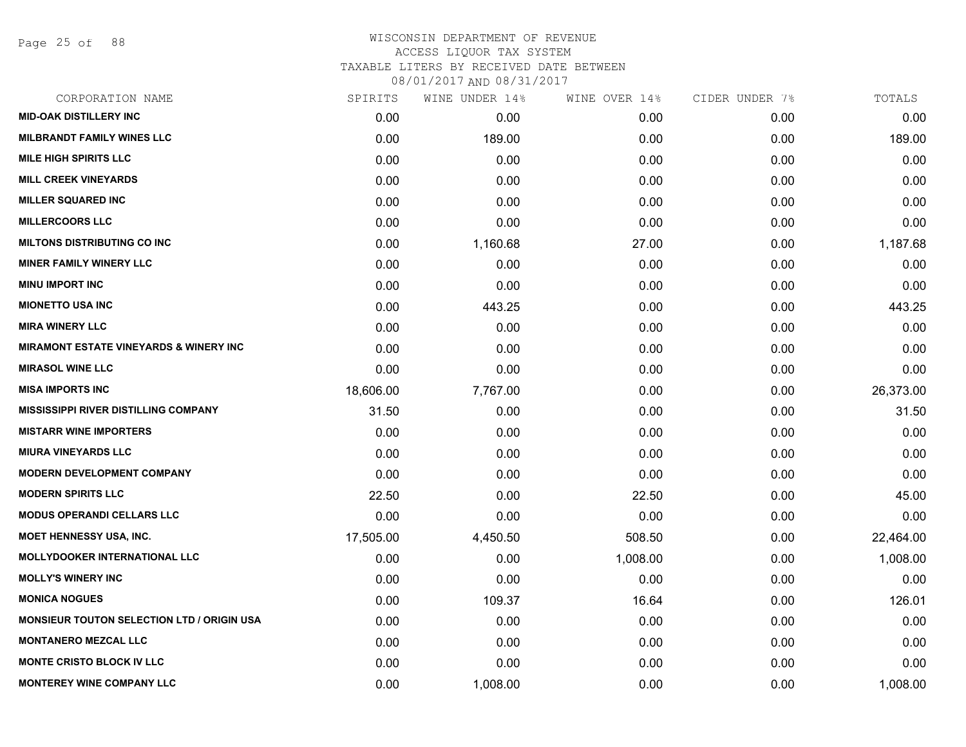Page 25 of 88

# WISCONSIN DEPARTMENT OF REVENUE ACCESS LIQUOR TAX SYSTEM

TAXABLE LITERS BY RECEIVED DATE BETWEEN

| CORPORATION NAME                                  | SPIRITS   | WINE UNDER 14% | WINE OVER 14% | CIDER UNDER 7% | TOTALS    |
|---------------------------------------------------|-----------|----------------|---------------|----------------|-----------|
| <b>MID-OAK DISTILLERY INC</b>                     | 0.00      | 0.00           | 0.00          | 0.00           | 0.00      |
| <b>MILBRANDT FAMILY WINES LLC</b>                 | 0.00      | 189.00         | 0.00          | 0.00           | 189.00    |
| <b>MILE HIGH SPIRITS LLC</b>                      | 0.00      | 0.00           | 0.00          | 0.00           | 0.00      |
| <b>MILL CREEK VINEYARDS</b>                       | 0.00      | 0.00           | 0.00          | 0.00           | 0.00      |
| <b>MILLER SQUARED INC</b>                         | 0.00      | 0.00           | 0.00          | 0.00           | 0.00      |
| <b>MILLERCOORS LLC</b>                            | 0.00      | 0.00           | 0.00          | 0.00           | 0.00      |
| <b>MILTONS DISTRIBUTING CO INC</b>                | 0.00      | 1,160.68       | 27.00         | 0.00           | 1,187.68  |
| <b>MINER FAMILY WINERY LLC</b>                    | 0.00      | 0.00           | 0.00          | 0.00           | 0.00      |
| <b>MINU IMPORT INC</b>                            | 0.00      | 0.00           | 0.00          | 0.00           | 0.00      |
| <b>MIONETTO USA INC</b>                           | 0.00      | 443.25         | 0.00          | 0.00           | 443.25    |
| <b>MIRA WINERY LLC</b>                            | 0.00      | 0.00           | 0.00          | 0.00           | 0.00      |
| MIRAMONT ESTATE VINEYARDS & WINERY INC            | 0.00      | 0.00           | 0.00          | 0.00           | 0.00      |
| <b>MIRASOL WINE LLC</b>                           | 0.00      | 0.00           | 0.00          | 0.00           | 0.00      |
| <b>MISA IMPORTS INC</b>                           | 18,606.00 | 7,767.00       | 0.00          | 0.00           | 26,373.00 |
| <b>MISSISSIPPI RIVER DISTILLING COMPANY</b>       | 31.50     | 0.00           | 0.00          | 0.00           | 31.50     |
| <b>MISTARR WINE IMPORTERS</b>                     | 0.00      | 0.00           | 0.00          | 0.00           | 0.00      |
| <b>MIURA VINEYARDS LLC</b>                        | 0.00      | 0.00           | 0.00          | 0.00           | 0.00      |
| <b>MODERN DEVELOPMENT COMPANY</b>                 | 0.00      | 0.00           | 0.00          | 0.00           | 0.00      |
| <b>MODERN SPIRITS LLC</b>                         | 22.50     | 0.00           | 22.50         | 0.00           | 45.00     |
| <b>MODUS OPERANDI CELLARS LLC</b>                 | 0.00      | 0.00           | 0.00          | 0.00           | 0.00      |
| MOET HENNESSY USA, INC.                           | 17,505.00 | 4,450.50       | 508.50        | 0.00           | 22,464.00 |
| <b>MOLLYDOOKER INTERNATIONAL LLC</b>              | 0.00      | 0.00           | 1,008.00      | 0.00           | 1,008.00  |
| <b>MOLLY'S WINERY INC</b>                         | 0.00      | 0.00           | 0.00          | 0.00           | 0.00      |
| <b>MONICA NOGUES</b>                              | 0.00      | 109.37         | 16.64         | 0.00           | 126.01    |
| <b>MONSIEUR TOUTON SELECTION LTD / ORIGIN USA</b> | 0.00      | 0.00           | 0.00          | 0.00           | 0.00      |
| <b>MONTANERO MEZCAL LLC</b>                       | 0.00      | 0.00           | 0.00          | 0.00           | 0.00      |
| <b>MONTE CRISTO BLOCK IV LLC</b>                  | 0.00      | 0.00           | 0.00          | 0.00           | 0.00      |
| <b>MONTEREY WINE COMPANY LLC</b>                  | 0.00      | 1,008.00       | 0.00          | 0.00           | 1,008.00  |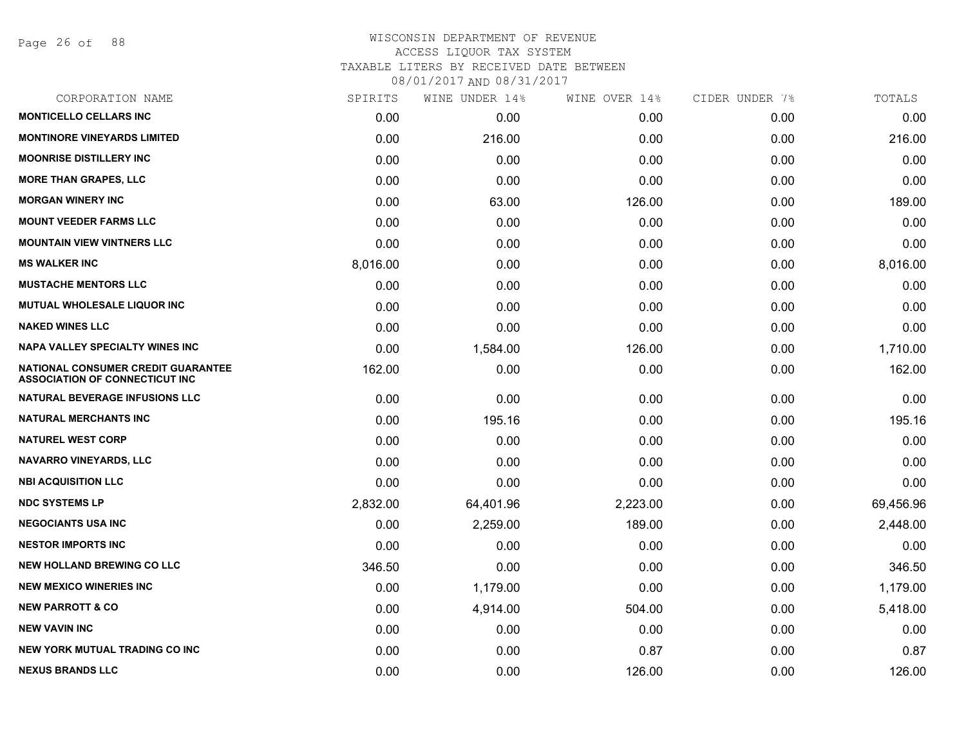Page 26 of 88

### WISCONSIN DEPARTMENT OF REVENUE ACCESS LIQUOR TAX SYSTEM TAXABLE LITERS BY RECEIVED DATE BETWEEN

| CORPORATION NAME                                                                   | SPIRITS  | WINE UNDER 14% | WINE OVER 14% | CIDER UNDER 7% | TOTALS    |
|------------------------------------------------------------------------------------|----------|----------------|---------------|----------------|-----------|
| <b>MONTICELLO CELLARS INC</b>                                                      | 0.00     | 0.00           | 0.00          | 0.00           | 0.00      |
| <b>MONTINORE VINEYARDS LIMITED</b>                                                 | 0.00     | 216.00         | 0.00          | 0.00           | 216.00    |
| <b>MOONRISE DISTILLERY INC</b>                                                     | 0.00     | 0.00           | 0.00          | 0.00           | 0.00      |
| <b>MORE THAN GRAPES, LLC</b>                                                       | 0.00     | 0.00           | 0.00          | 0.00           | 0.00      |
| <b>MORGAN WINERY INC</b>                                                           | 0.00     | 63.00          | 126.00        | 0.00           | 189.00    |
| <b>MOUNT VEEDER FARMS LLC</b>                                                      | 0.00     | 0.00           | 0.00          | 0.00           | 0.00      |
| <b>MOUNTAIN VIEW VINTNERS LLC</b>                                                  | 0.00     | 0.00           | 0.00          | 0.00           | 0.00      |
| <b>MS WALKER INC</b>                                                               | 8,016.00 | 0.00           | 0.00          | 0.00           | 8,016.00  |
| <b>MUSTACHE MENTORS LLC</b>                                                        | 0.00     | 0.00           | 0.00          | 0.00           | 0.00      |
| MUTUAL WHOLESALE LIQUOR INC                                                        | 0.00     | 0.00           | 0.00          | 0.00           | 0.00      |
| <b>NAKED WINES LLC</b>                                                             | 0.00     | 0.00           | 0.00          | 0.00           | 0.00      |
| <b>NAPA VALLEY SPECIALTY WINES INC</b>                                             | 0.00     | 1,584.00       | 126.00        | 0.00           | 1,710.00  |
| <b>NATIONAL CONSUMER CREDIT GUARANTEE</b><br><b>ASSOCIATION OF CONNECTICUT INC</b> | 162.00   | 0.00           | 0.00          | 0.00           | 162.00    |
| <b>NATURAL BEVERAGE INFUSIONS LLC</b>                                              | 0.00     | 0.00           | 0.00          | 0.00           | 0.00      |
| <b>NATURAL MERCHANTS INC</b>                                                       | 0.00     | 195.16         | 0.00          | 0.00           | 195.16    |
| <b>NATUREL WEST CORP</b>                                                           | 0.00     | 0.00           | 0.00          | 0.00           | 0.00      |
| <b>NAVARRO VINEYARDS, LLC</b>                                                      | 0.00     | 0.00           | 0.00          | 0.00           | 0.00      |
| <b>NBI ACQUISITION LLC</b>                                                         | 0.00     | 0.00           | 0.00          | 0.00           | 0.00      |
| <b>NDC SYSTEMS LP</b>                                                              | 2,832.00 | 64,401.96      | 2,223.00      | 0.00           | 69,456.96 |
| <b>NEGOCIANTS USA INC</b>                                                          | 0.00     | 2,259.00       | 189.00        | 0.00           | 2,448.00  |
| <b>NESTOR IMPORTS INC</b>                                                          | 0.00     | 0.00           | 0.00          | 0.00           | 0.00      |
| <b>NEW HOLLAND BREWING CO LLC</b>                                                  | 346.50   | 0.00           | 0.00          | 0.00           | 346.50    |
| <b>NEW MEXICO WINERIES INC.</b>                                                    | 0.00     | 1,179.00       | 0.00          | 0.00           | 1,179.00  |
| <b>NEW PARROTT &amp; CO</b>                                                        | 0.00     | 4,914.00       | 504.00        | 0.00           | 5,418.00  |
| <b>NEW VAVIN INC</b>                                                               | 0.00     | 0.00           | 0.00          | 0.00           | 0.00      |
| NEW YORK MUTUAL TRADING CO INC                                                     | 0.00     | 0.00           | 0.87          | 0.00           | 0.87      |
| <b>NEXUS BRANDS LLC</b>                                                            | 0.00     | 0.00           | 126.00        | 0.00           | 126.00    |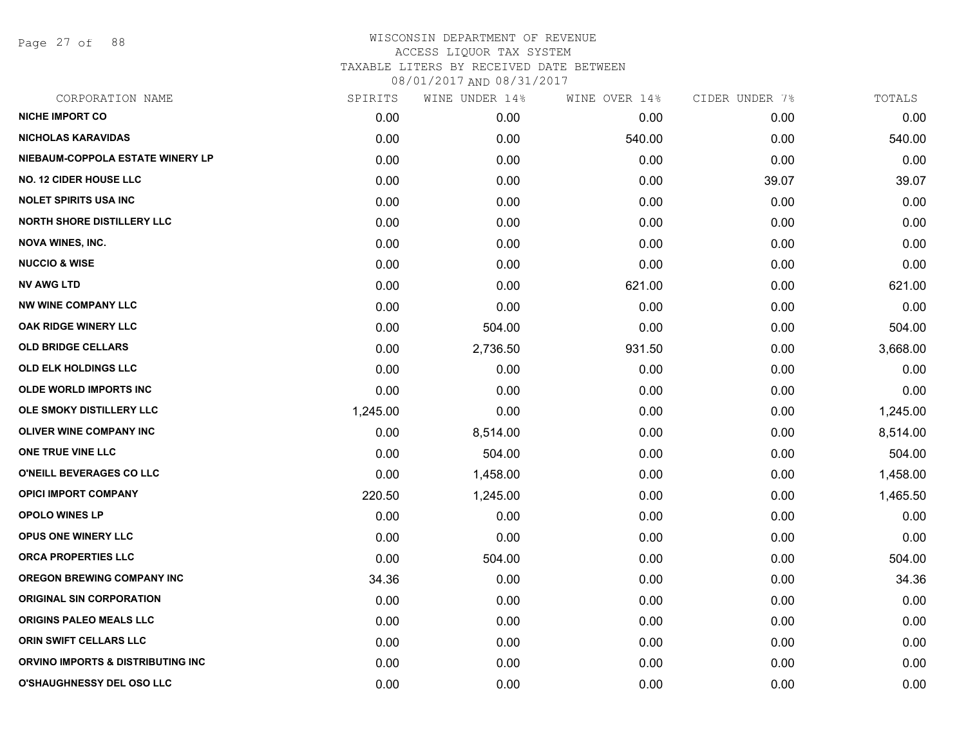Page 27 of 88

| CORPORATION NAME                  | SPIRITS  | WINE UNDER 14% | WINE OVER 14% | CIDER UNDER 7% | TOTALS   |
|-----------------------------------|----------|----------------|---------------|----------------|----------|
| <b>NICHE IMPORT CO</b>            | 0.00     | 0.00           | 0.00          | 0.00           | 0.00     |
| <b>NICHOLAS KARAVIDAS</b>         | 0.00     | 0.00           | 540.00        | 0.00           | 540.00   |
| NIEBAUM-COPPOLA ESTATE WINERY LP  | 0.00     | 0.00           | 0.00          | 0.00           | 0.00     |
| <b>NO. 12 CIDER HOUSE LLC</b>     | 0.00     | 0.00           | 0.00          | 39.07          | 39.07    |
| <b>NOLET SPIRITS USA INC</b>      | 0.00     | 0.00           | 0.00          | 0.00           | 0.00     |
| <b>NORTH SHORE DISTILLERY LLC</b> | 0.00     | 0.00           | 0.00          | 0.00           | 0.00     |
| <b>NOVA WINES, INC.</b>           | 0.00     | 0.00           | 0.00          | 0.00           | 0.00     |
| <b>NUCCIO &amp; WISE</b>          | 0.00     | 0.00           | 0.00          | 0.00           | 0.00     |
| <b>NV AWG LTD</b>                 | 0.00     | 0.00           | 621.00        | 0.00           | 621.00   |
| <b>NW WINE COMPANY LLC</b>        | 0.00     | 0.00           | 0.00          | 0.00           | 0.00     |
| <b>OAK RIDGE WINERY LLC</b>       | 0.00     | 504.00         | 0.00          | 0.00           | 504.00   |
| <b>OLD BRIDGE CELLARS</b>         | 0.00     | 2,736.50       | 931.50        | 0.00           | 3,668.00 |
| <b>OLD ELK HOLDINGS LLC</b>       | 0.00     | 0.00           | 0.00          | 0.00           | 0.00     |
| <b>OLDE WORLD IMPORTS INC</b>     | 0.00     | 0.00           | 0.00          | 0.00           | 0.00     |
| OLE SMOKY DISTILLERY LLC          | 1,245.00 | 0.00           | 0.00          | 0.00           | 1,245.00 |
| <b>OLIVER WINE COMPANY INC</b>    | 0.00     | 8,514.00       | 0.00          | 0.00           | 8,514.00 |
| ONE TRUE VINE LLC                 | 0.00     | 504.00         | 0.00          | 0.00           | 504.00   |
| O'NEILL BEVERAGES CO LLC          | 0.00     | 1,458.00       | 0.00          | 0.00           | 1,458.00 |
| <b>OPICI IMPORT COMPANY</b>       | 220.50   | 1,245.00       | 0.00          | 0.00           | 1,465.50 |
| <b>OPOLO WINES LP</b>             | 0.00     | 0.00           | 0.00          | 0.00           | 0.00     |
| <b>OPUS ONE WINERY LLC</b>        | 0.00     | 0.00           | 0.00          | 0.00           | 0.00     |
| ORCA PROPERTIES LLC               | 0.00     | 504.00         | 0.00          | 0.00           | 504.00   |
| <b>OREGON BREWING COMPANY INC</b> | 34.36    | 0.00           | 0.00          | 0.00           | 34.36    |
| <b>ORIGINAL SIN CORPORATION</b>   | 0.00     | 0.00           | 0.00          | 0.00           | 0.00     |
| ORIGINS PALEO MEALS LLC           | 0.00     | 0.00           | 0.00          | 0.00           | 0.00     |
| ORIN SWIFT CELLARS LLC            | 0.00     | 0.00           | 0.00          | 0.00           | 0.00     |
| ORVINO IMPORTS & DISTRIBUTING INC | 0.00     | 0.00           | 0.00          | 0.00           | 0.00     |
| <b>O'SHAUGHNESSY DEL OSO LLC</b>  | 0.00     | 0.00           | 0.00          | 0.00           | 0.00     |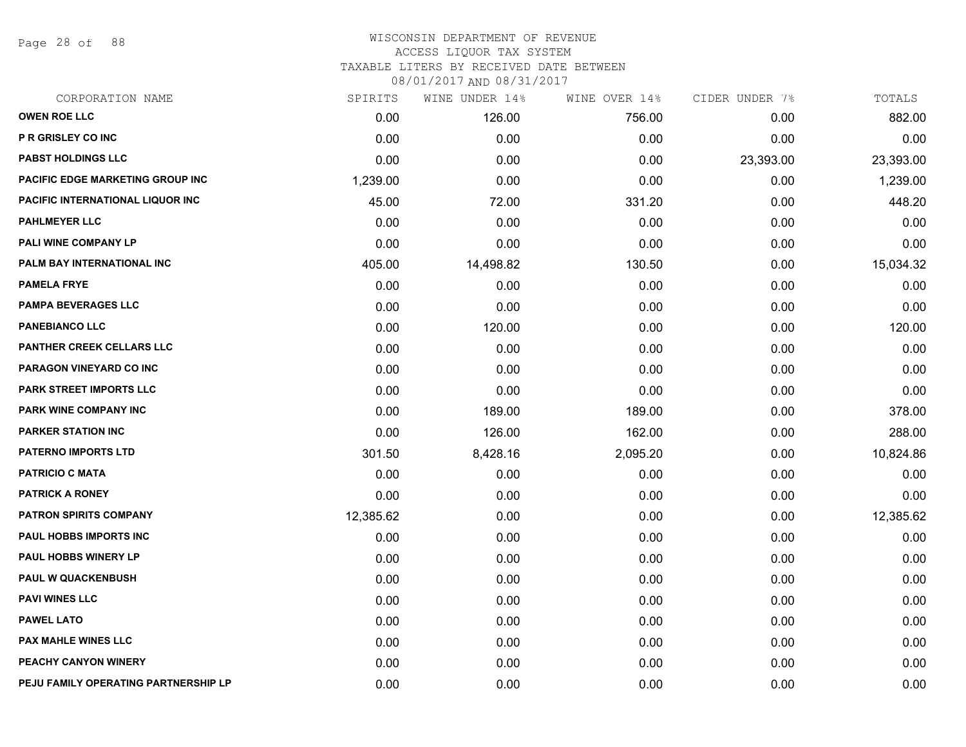Page 28 of 88

#### WISCONSIN DEPARTMENT OF REVENUE ACCESS LIQUOR TAX SYSTEM

TAXABLE LITERS BY RECEIVED DATE BETWEEN

| CORPORATION NAME                        | SPIRITS   | WINE UNDER 14% | WINE OVER 14% | CIDER UNDER 7% | TOTALS    |
|-----------------------------------------|-----------|----------------|---------------|----------------|-----------|
| <b>OWEN ROE LLC</b>                     | 0.00      | 126.00         | 756.00        | 0.00           | 882.00    |
| P R GRISLEY CO INC                      | 0.00      | 0.00           | 0.00          | 0.00           | 0.00      |
| PABST HOLDINGS LLC                      | 0.00      | 0.00           | 0.00          | 23,393.00      | 23,393.00 |
| <b>PACIFIC EDGE MARKETING GROUP INC</b> | 1,239.00  | 0.00           | 0.00          | 0.00           | 1,239.00  |
| PACIFIC INTERNATIONAL LIQUOR INC        | 45.00     | 72.00          | 331.20        | 0.00           | 448.20    |
| <b>PAHLMEYER LLC</b>                    | 0.00      | 0.00           | 0.00          | 0.00           | 0.00      |
| PALI WINE COMPANY LP                    | 0.00      | 0.00           | 0.00          | 0.00           | 0.00      |
| PALM BAY INTERNATIONAL INC              | 405.00    | 14,498.82      | 130.50        | 0.00           | 15,034.32 |
| <b>PAMELA FRYE</b>                      | 0.00      | 0.00           | 0.00          | 0.00           | 0.00      |
| <b>PAMPA BEVERAGES LLC</b>              | 0.00      | 0.00           | 0.00          | 0.00           | 0.00      |
| <b>PANEBIANCO LLC</b>                   | 0.00      | 120.00         | 0.00          | 0.00           | 120.00    |
| PANTHER CREEK CELLARS LLC               | 0.00      | 0.00           | 0.00          | 0.00           | 0.00      |
| PARAGON VINEYARD CO INC                 | 0.00      | 0.00           | 0.00          | 0.00           | 0.00      |
| <b>PARK STREET IMPORTS LLC</b>          | 0.00      | 0.00           | 0.00          | 0.00           | 0.00      |
| <b>PARK WINE COMPANY INC</b>            | 0.00      | 189.00         | 189.00        | 0.00           | 378.00    |
| <b>PARKER STATION INC</b>               | 0.00      | 126.00         | 162.00        | 0.00           | 288.00    |
| <b>PATERNO IMPORTS LTD</b>              | 301.50    | 8,428.16       | 2,095.20      | 0.00           | 10,824.86 |
| <b>PATRICIO C MATA</b>                  | 0.00      | 0.00           | 0.00          | 0.00           | 0.00      |
| <b>PATRICK A RONEY</b>                  | 0.00      | 0.00           | 0.00          | 0.00           | 0.00      |
| <b>PATRON SPIRITS COMPANY</b>           | 12,385.62 | 0.00           | 0.00          | 0.00           | 12,385.62 |
| <b>PAUL HOBBS IMPORTS INC</b>           | 0.00      | 0.00           | 0.00          | 0.00           | 0.00      |
| PAUL HOBBS WINERY LP                    | 0.00      | 0.00           | 0.00          | 0.00           | 0.00      |
| <b>PAUL W QUACKENBUSH</b>               | 0.00      | 0.00           | 0.00          | 0.00           | 0.00      |
| <b>PAVI WINES LLC</b>                   | 0.00      | 0.00           | 0.00          | 0.00           | 0.00      |
| <b>PAWEL LATO</b>                       | 0.00      | 0.00           | 0.00          | 0.00           | 0.00      |
| <b>PAX MAHLE WINES LLC</b>              | 0.00      | 0.00           | 0.00          | 0.00           | 0.00      |
| PEACHY CANYON WINERY                    | 0.00      | 0.00           | 0.00          | 0.00           | 0.00      |
| PEJU FAMILY OPERATING PARTNERSHIP LP    | 0.00      | 0.00           | 0.00          | 0.00           | 0.00      |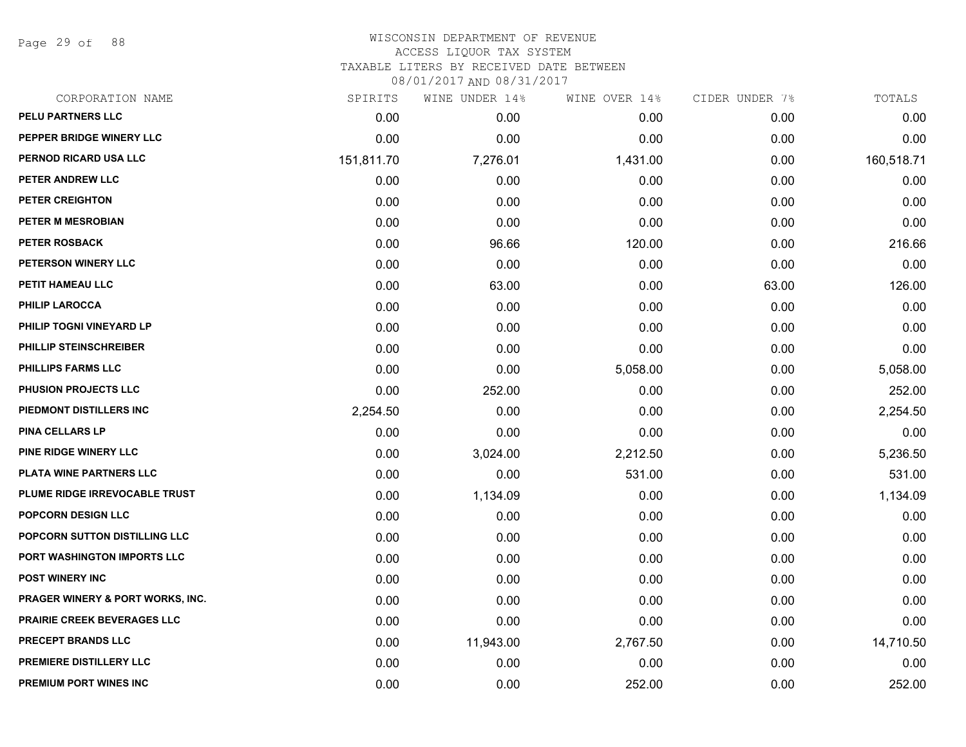Page 29 of 88

#### WISCONSIN DEPARTMENT OF REVENUE ACCESS LIQUOR TAX SYSTEM TAXABLE LITERS BY RECEIVED DATE BETWEEN

| CORPORATION NAME                            | SPIRITS    | WINE UNDER 14% | WINE OVER 14% | CIDER UNDER 7% | TOTALS     |
|---------------------------------------------|------------|----------------|---------------|----------------|------------|
| PELU PARTNERS LLC                           | 0.00       | 0.00           | 0.00          | 0.00           | 0.00       |
| PEPPER BRIDGE WINERY LLC                    | 0.00       | 0.00           | 0.00          | 0.00           | 0.00       |
| PERNOD RICARD USA LLC                       | 151,811.70 | 7,276.01       | 1,431.00      | 0.00           | 160,518.71 |
| PETER ANDREW LLC                            | 0.00       | 0.00           | 0.00          | 0.00           | 0.00       |
| <b>PETER CREIGHTON</b>                      | 0.00       | 0.00           | 0.00          | 0.00           | 0.00       |
| PETER M MESROBIAN                           | 0.00       | 0.00           | 0.00          | 0.00           | 0.00       |
| <b>PETER ROSBACK</b>                        | 0.00       | 96.66          | 120.00        | 0.00           | 216.66     |
| PETERSON WINERY LLC                         | 0.00       | 0.00           | 0.00          | 0.00           | 0.00       |
| PETIT HAMEAU LLC                            | 0.00       | 63.00          | 0.00          | 63.00          | 126.00     |
| <b>PHILIP LAROCCA</b>                       | 0.00       | 0.00           | 0.00          | 0.00           | 0.00       |
| PHILIP TOGNI VINEYARD LP                    | 0.00       | 0.00           | 0.00          | 0.00           | 0.00       |
| PHILLIP STEINSCHREIBER                      | 0.00       | 0.00           | 0.00          | 0.00           | 0.00       |
| PHILLIPS FARMS LLC                          | 0.00       | 0.00           | 5,058.00      | 0.00           | 5,058.00   |
| <b>PHUSION PROJECTS LLC</b>                 | 0.00       | 252.00         | 0.00          | 0.00           | 252.00     |
| PIEDMONT DISTILLERS INC                     | 2,254.50   | 0.00           | 0.00          | 0.00           | 2,254.50   |
| <b>PINA CELLARS LP</b>                      | 0.00       | 0.00           | 0.00          | 0.00           | 0.00       |
| <b>PINE RIDGE WINERY LLC</b>                | 0.00       | 3,024.00       | 2,212.50      | 0.00           | 5,236.50   |
| PLATA WINE PARTNERS LLC                     | 0.00       | 0.00           | 531.00        | 0.00           | 531.00     |
| PLUME RIDGE IRREVOCABLE TRUST               | 0.00       | 1,134.09       | 0.00          | 0.00           | 1,134.09   |
| <b>POPCORN DESIGN LLC</b>                   | 0.00       | 0.00           | 0.00          | 0.00           | 0.00       |
| POPCORN SUTTON DISTILLING LLC               | 0.00       | 0.00           | 0.00          | 0.00           | 0.00       |
| PORT WASHINGTON IMPORTS LLC                 | 0.00       | 0.00           | 0.00          | 0.00           | 0.00       |
| <b>POST WINERY INC</b>                      | 0.00       | 0.00           | 0.00          | 0.00           | 0.00       |
| <b>PRAGER WINERY &amp; PORT WORKS, INC.</b> | 0.00       | 0.00           | 0.00          | 0.00           | 0.00       |
| PRAIRIE CREEK BEVERAGES LLC                 | 0.00       | 0.00           | 0.00          | 0.00           | 0.00       |
| PRECEPT BRANDS LLC                          | 0.00       | 11,943.00      | 2,767.50      | 0.00           | 14,710.50  |
| PREMIERE DISTILLERY LLC                     | 0.00       | 0.00           | 0.00          | 0.00           | 0.00       |
| PREMIUM PORT WINES INC                      | 0.00       | 0.00           | 252.00        | 0.00           | 252.00     |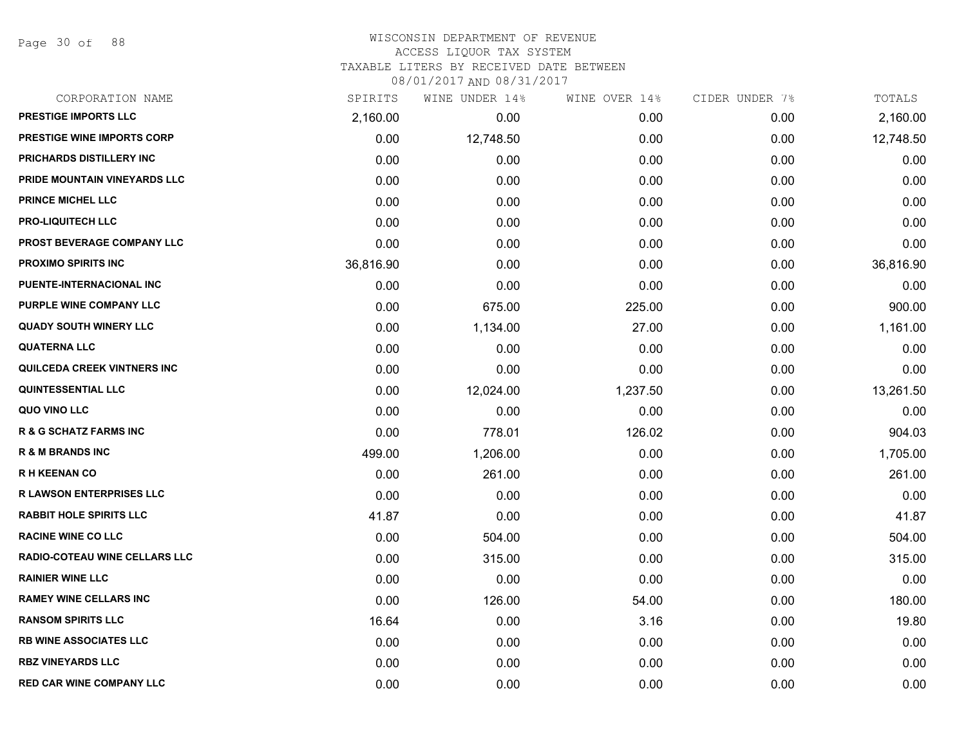Page 30 of 88

#### WISCONSIN DEPARTMENT OF REVENUE ACCESS LIQUOR TAX SYSTEM

TAXABLE LITERS BY RECEIVED DATE BETWEEN

| CORPORATION NAME                  | SPIRITS   | WINE UNDER 14% | WINE OVER 14% | CIDER UNDER 7% | TOTALS    |
|-----------------------------------|-----------|----------------|---------------|----------------|-----------|
| <b>PRESTIGE IMPORTS LLC</b>       | 2,160.00  | 0.00           | 0.00          | 0.00           | 2,160.00  |
| <b>PRESTIGE WINE IMPORTS CORP</b> | 0.00      | 12,748.50      | 0.00          | 0.00           | 12,748.50 |
| PRICHARDS DISTILLERY INC          | 0.00      | 0.00           | 0.00          | 0.00           | 0.00      |
| PRIDE MOUNTAIN VINEYARDS LLC      | 0.00      | 0.00           | 0.00          | 0.00           | 0.00      |
| <b>PRINCE MICHEL LLC</b>          | 0.00      | 0.00           | 0.00          | 0.00           | 0.00      |
| <b>PRO-LIQUITECH LLC</b>          | 0.00      | 0.00           | 0.00          | 0.00           | 0.00      |
| <b>PROST BEVERAGE COMPANY LLC</b> | 0.00      | 0.00           | 0.00          | 0.00           | 0.00      |
| <b>PROXIMO SPIRITS INC</b>        | 36,816.90 | 0.00           | 0.00          | 0.00           | 36,816.90 |
| PUENTE-INTERNACIONAL INC          | 0.00      | 0.00           | 0.00          | 0.00           | 0.00      |
| PURPLE WINE COMPANY LLC           | 0.00      | 675.00         | 225.00        | 0.00           | 900.00    |
| <b>QUADY SOUTH WINERY LLC</b>     | 0.00      | 1,134.00       | 27.00         | 0.00           | 1,161.00  |
| <b>QUATERNA LLC</b>               | 0.00      | 0.00           | 0.00          | 0.00           | 0.00      |
| QUILCEDA CREEK VINTNERS INC       | 0.00      | 0.00           | 0.00          | 0.00           | 0.00      |
| <b>QUINTESSENTIAL LLC</b>         | 0.00      | 12,024.00      | 1,237.50      | 0.00           | 13,261.50 |
| QUO VINO LLC                      | 0.00      | 0.00           | 0.00          | 0.00           | 0.00      |
| <b>R &amp; G SCHATZ FARMS INC</b> | 0.00      | 778.01         | 126.02        | 0.00           | 904.03    |
| <b>R &amp; M BRANDS INC</b>       | 499.00    | 1,206.00       | 0.00          | 0.00           | 1,705.00  |
| <b>RH KEENAN CO</b>               | 0.00      | 261.00         | 0.00          | 0.00           | 261.00    |
| <b>R LAWSON ENTERPRISES LLC</b>   | 0.00      | 0.00           | 0.00          | 0.00           | 0.00      |
| <b>RABBIT HOLE SPIRITS LLC</b>    | 41.87     | 0.00           | 0.00          | 0.00           | 41.87     |
| <b>RACINE WINE CO LLC</b>         | 0.00      | 504.00         | 0.00          | 0.00           | 504.00    |
| RADIO-COTEAU WINE CELLARS LLC     | 0.00      | 315.00         | 0.00          | 0.00           | 315.00    |
| <b>RAINIER WINE LLC</b>           | 0.00      | 0.00           | 0.00          | 0.00           | 0.00      |
| <b>RAMEY WINE CELLARS INC</b>     | 0.00      | 126.00         | 54.00         | 0.00           | 180.00    |
| <b>RANSOM SPIRITS LLC</b>         | 16.64     | 0.00           | 3.16          | 0.00           | 19.80     |
| <b>RB WINE ASSOCIATES LLC</b>     | 0.00      | 0.00           | 0.00          | 0.00           | 0.00      |
| <b>RBZ VINEYARDS LLC</b>          | 0.00      | 0.00           | 0.00          | 0.00           | 0.00      |
| <b>RED CAR WINE COMPANY LLC</b>   | 0.00      | 0.00           | 0.00          | 0.00           | 0.00      |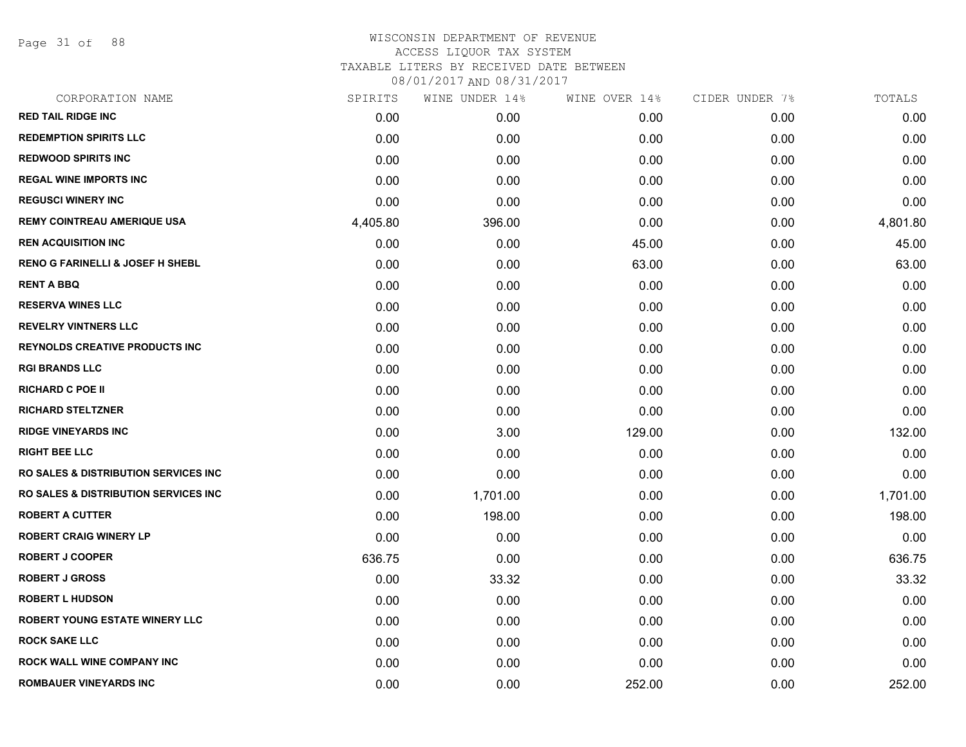Page 31 of 88

# WISCONSIN DEPARTMENT OF REVENUE ACCESS LIQUOR TAX SYSTEM TAXABLE LITERS BY RECEIVED DATE BETWEEN

| CORPORATION NAME                                 | SPIRITS  | WINE UNDER 14% | WINE OVER 14% | CIDER UNDER 7% | TOTALS   |
|--------------------------------------------------|----------|----------------|---------------|----------------|----------|
| <b>RED TAIL RIDGE INC</b>                        | 0.00     | 0.00           | 0.00          | 0.00           | 0.00     |
| <b>REDEMPTION SPIRITS LLC</b>                    | 0.00     | 0.00           | 0.00          | 0.00           | 0.00     |
| <b>REDWOOD SPIRITS INC</b>                       | 0.00     | 0.00           | 0.00          | 0.00           | 0.00     |
| <b>REGAL WINE IMPORTS INC</b>                    | 0.00     | 0.00           | 0.00          | 0.00           | 0.00     |
| <b>REGUSCI WINERY INC</b>                        | 0.00     | 0.00           | 0.00          | 0.00           | 0.00     |
| <b>REMY COINTREAU AMERIQUE USA</b>               | 4,405.80 | 396.00         | 0.00          | 0.00           | 4,801.80 |
| <b>REN ACQUISITION INC</b>                       | 0.00     | 0.00           | 45.00         | 0.00           | 45.00    |
| <b>RENO G FARINELLI &amp; JOSEF H SHEBL</b>      | 0.00     | 0.00           | 63.00         | 0.00           | 63.00    |
| <b>RENT A BBQ</b>                                | 0.00     | 0.00           | 0.00          | 0.00           | 0.00     |
| <b>RESERVA WINES LLC</b>                         | 0.00     | 0.00           | 0.00          | 0.00           | 0.00     |
| <b>REVELRY VINTNERS LLC</b>                      | 0.00     | 0.00           | 0.00          | 0.00           | 0.00     |
| <b>REYNOLDS CREATIVE PRODUCTS INC</b>            | 0.00     | 0.00           | 0.00          | 0.00           | 0.00     |
| <b>RGI BRANDS LLC</b>                            | 0.00     | 0.00           | 0.00          | 0.00           | 0.00     |
| <b>RICHARD C POE II</b>                          | 0.00     | 0.00           | 0.00          | 0.00           | 0.00     |
| <b>RICHARD STELTZNER</b>                         | 0.00     | 0.00           | 0.00          | 0.00           | 0.00     |
| <b>RIDGE VINEYARDS INC</b>                       | 0.00     | 3.00           | 129.00        | 0.00           | 132.00   |
| <b>RIGHT BEE LLC</b>                             | 0.00     | 0.00           | 0.00          | 0.00           | 0.00     |
| <b>RO SALES &amp; DISTRIBUTION SERVICES INC.</b> | 0.00     | 0.00           | 0.00          | 0.00           | 0.00     |
| <b>RO SALES &amp; DISTRIBUTION SERVICES INC.</b> | 0.00     | 1,701.00       | 0.00          | 0.00           | 1,701.00 |
| <b>ROBERT A CUTTER</b>                           | 0.00     | 198.00         | 0.00          | 0.00           | 198.00   |
| <b>ROBERT CRAIG WINERY LP</b>                    | 0.00     | 0.00           | 0.00          | 0.00           | 0.00     |
| <b>ROBERT J COOPER</b>                           | 636.75   | 0.00           | 0.00          | 0.00           | 636.75   |
| <b>ROBERT J GROSS</b>                            | 0.00     | 33.32          | 0.00          | 0.00           | 33.32    |
| <b>ROBERT L HUDSON</b>                           | 0.00     | 0.00           | 0.00          | 0.00           | 0.00     |
| <b>ROBERT YOUNG ESTATE WINERY LLC</b>            | 0.00     | 0.00           | 0.00          | 0.00           | 0.00     |
| <b>ROCK SAKE LLC</b>                             | 0.00     | 0.00           | 0.00          | 0.00           | 0.00     |
| <b>ROCK WALL WINE COMPANY INC</b>                | 0.00     | 0.00           | 0.00          | 0.00           | 0.00     |
| <b>ROMBAUER VINEYARDS INC</b>                    | 0.00     | 0.00           | 252.00        | 0.00           | 252.00   |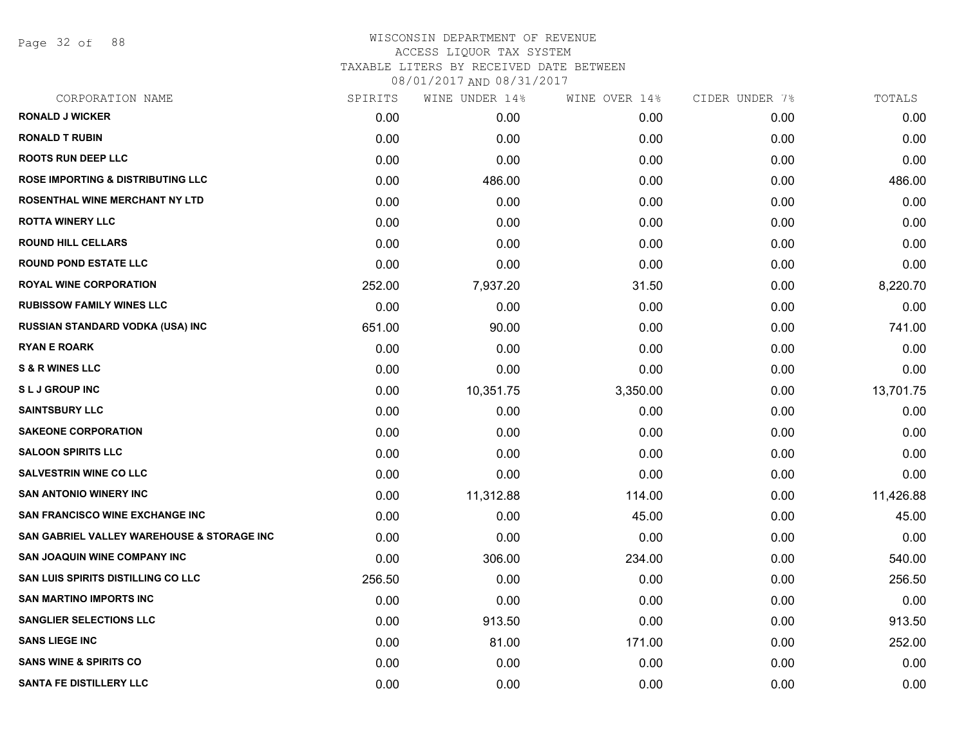Page 32 of 88

## WISCONSIN DEPARTMENT OF REVENUE ACCESS LIQUOR TAX SYSTEM TAXABLE LITERS BY RECEIVED DATE BETWEEN

| CORPORATION NAME                             | SPIRITS | WINE UNDER 14% | WINE OVER 14% | CIDER UNDER 7% | TOTALS    |
|----------------------------------------------|---------|----------------|---------------|----------------|-----------|
| <b>RONALD J WICKER</b>                       | 0.00    | 0.00           | 0.00          | 0.00           | 0.00      |
| <b>RONALD T RUBIN</b>                        | 0.00    | 0.00           | 0.00          | 0.00           | 0.00      |
| <b>ROOTS RUN DEEP LLC</b>                    | 0.00    | 0.00           | 0.00          | 0.00           | 0.00      |
| <b>ROSE IMPORTING &amp; DISTRIBUTING LLC</b> | 0.00    | 486.00         | 0.00          | 0.00           | 486.00    |
| <b>ROSENTHAL WINE MERCHANT NY LTD</b>        | 0.00    | 0.00           | 0.00          | 0.00           | 0.00      |
| <b>ROTTA WINERY LLC</b>                      | 0.00    | 0.00           | 0.00          | 0.00           | 0.00      |
| <b>ROUND HILL CELLARS</b>                    | 0.00    | 0.00           | 0.00          | 0.00           | 0.00      |
| <b>ROUND POND ESTATE LLC</b>                 | 0.00    | 0.00           | 0.00          | 0.00           | 0.00      |
| <b>ROYAL WINE CORPORATION</b>                | 252.00  | 7,937.20       | 31.50         | 0.00           | 8,220.70  |
| <b>RUBISSOW FAMILY WINES LLC</b>             | 0.00    | 0.00           | 0.00          | 0.00           | 0.00      |
| <b>RUSSIAN STANDARD VODKA (USA) INC</b>      | 651.00  | 90.00          | 0.00          | 0.00           | 741.00    |
| <b>RYAN E ROARK</b>                          | 0.00    | 0.00           | 0.00          | 0.00           | 0.00      |
| <b>S &amp; R WINES LLC</b>                   | 0.00    | 0.00           | 0.00          | 0.00           | 0.00      |
| <b>SLJ GROUP INC</b>                         | 0.00    | 10,351.75      | 3,350.00      | 0.00           | 13,701.75 |
| <b>SAINTSBURY LLC</b>                        | 0.00    | 0.00           | 0.00          | 0.00           | 0.00      |
| <b>SAKEONE CORPORATION</b>                   | 0.00    | 0.00           | 0.00          | 0.00           | 0.00      |
| <b>SALOON SPIRITS LLC</b>                    | 0.00    | 0.00           | 0.00          | 0.00           | 0.00      |
| <b>SALVESTRIN WINE CO LLC</b>                | 0.00    | 0.00           | 0.00          | 0.00           | 0.00      |
| <b>SAN ANTONIO WINERY INC</b>                | 0.00    | 11,312.88      | 114.00        | 0.00           | 11,426.88 |
| <b>SAN FRANCISCO WINE EXCHANGE INC.</b>      | 0.00    | 0.00           | 45.00         | 0.00           | 45.00     |
| SAN GABRIEL VALLEY WAREHOUSE & STORAGE INC   | 0.00    | 0.00           | 0.00          | 0.00           | 0.00      |
| <b>SAN JOAQUIN WINE COMPANY INC</b>          | 0.00    | 306.00         | 234.00        | 0.00           | 540.00    |
| SAN LUIS SPIRITS DISTILLING CO LLC           | 256.50  | 0.00           | 0.00          | 0.00           | 256.50    |
| <b>SAN MARTINO IMPORTS INC</b>               | 0.00    | 0.00           | 0.00          | 0.00           | 0.00      |
| <b>SANGLIER SELECTIONS LLC</b>               | 0.00    | 913.50         | 0.00          | 0.00           | 913.50    |
| <b>SANS LIEGE INC</b>                        | 0.00    | 81.00          | 171.00        | 0.00           | 252.00    |
| <b>SANS WINE &amp; SPIRITS CO</b>            | 0.00    | 0.00           | 0.00          | 0.00           | 0.00      |
| SANTA FE DISTILLERY LLC                      | 0.00    | 0.00           | 0.00          | 0.00           | 0.00      |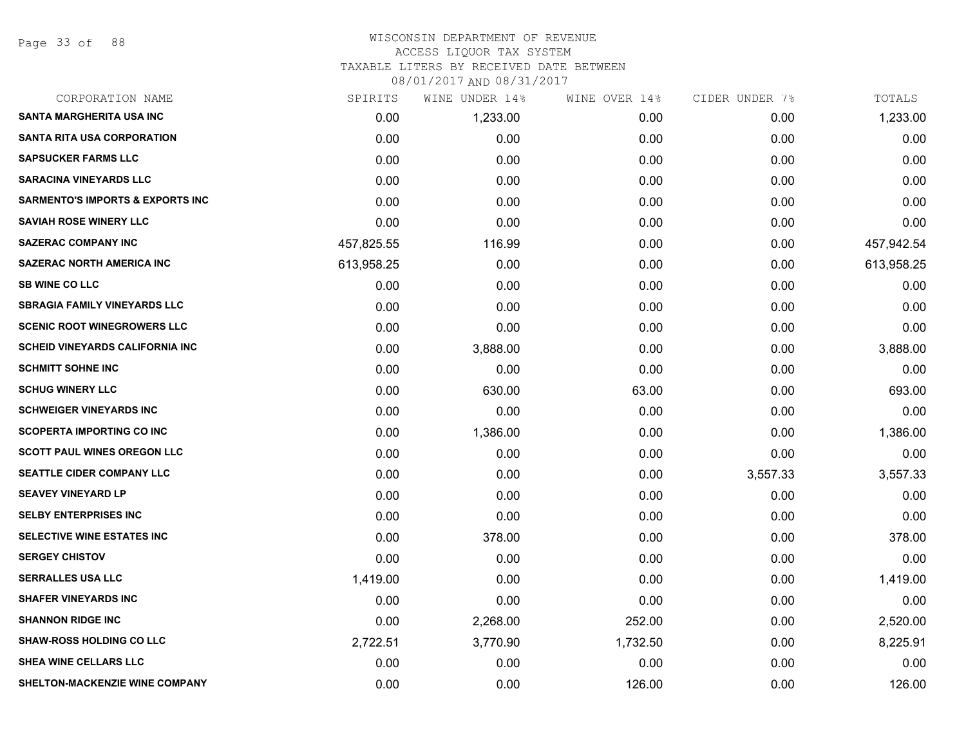Page 33 of 88

# WISCONSIN DEPARTMENT OF REVENUE

## ACCESS LIQUOR TAX SYSTEM

TAXABLE LITERS BY RECEIVED DATE BETWEEN

| CORPORATION NAME                            | SPIRITS    | WINE UNDER 14% | WINE OVER 14% | CIDER UNDER 7% | TOTALS     |
|---------------------------------------------|------------|----------------|---------------|----------------|------------|
| <b>SANTA MARGHERITA USA INC</b>             | 0.00       | 1,233.00       | 0.00          | 0.00           | 1,233.00   |
| <b>SANTA RITA USA CORPORATION</b>           | 0.00       | 0.00           | 0.00          | 0.00           | 0.00       |
| <b>SAPSUCKER FARMS LLC</b>                  | 0.00       | 0.00           | 0.00          | 0.00           | 0.00       |
| <b>SARACINA VINEYARDS LLC</b>               | 0.00       | 0.00           | 0.00          | 0.00           | 0.00       |
| <b>SARMENTO'S IMPORTS &amp; EXPORTS INC</b> | 0.00       | 0.00           | 0.00          | 0.00           | 0.00       |
| <b>SAVIAH ROSE WINERY LLC</b>               | 0.00       | 0.00           | 0.00          | 0.00           | 0.00       |
| <b>SAZERAC COMPANY INC</b>                  | 457,825.55 | 116.99         | 0.00          | 0.00           | 457,942.54 |
| <b>SAZERAC NORTH AMERICA INC</b>            | 613,958.25 | 0.00           | 0.00          | 0.00           | 613,958.25 |
| <b>SB WINE CO LLC</b>                       | 0.00       | 0.00           | 0.00          | 0.00           | 0.00       |
| <b>SBRAGIA FAMILY VINEYARDS LLC</b>         | 0.00       | 0.00           | 0.00          | 0.00           | 0.00       |
| <b>SCENIC ROOT WINEGROWERS LLC</b>          | 0.00       | 0.00           | 0.00          | 0.00           | 0.00       |
| <b>SCHEID VINEYARDS CALIFORNIA INC</b>      | 0.00       | 3,888.00       | 0.00          | 0.00           | 3,888.00   |
| <b>SCHMITT SOHNE INC</b>                    | 0.00       | 0.00           | 0.00          | 0.00           | 0.00       |
| <b>SCHUG WINERY LLC</b>                     | 0.00       | 630.00         | 63.00         | 0.00           | 693.00     |
| <b>SCHWEIGER VINEYARDS INC</b>              | 0.00       | 0.00           | 0.00          | 0.00           | 0.00       |
| <b>SCOPERTA IMPORTING CO INC</b>            | 0.00       | 1,386.00       | 0.00          | 0.00           | 1,386.00   |
| <b>SCOTT PAUL WINES OREGON LLC</b>          | 0.00       | 0.00           | 0.00          | 0.00           | 0.00       |
| <b>SEATTLE CIDER COMPANY LLC</b>            | 0.00       | 0.00           | 0.00          | 3,557.33       | 3,557.33   |
| <b>SEAVEY VINEYARD LP</b>                   | 0.00       | 0.00           | 0.00          | 0.00           | 0.00       |
| <b>SELBY ENTERPRISES INC</b>                | 0.00       | 0.00           | 0.00          | 0.00           | 0.00       |
| SELECTIVE WINE ESTATES INC                  | 0.00       | 378.00         | 0.00          | 0.00           | 378.00     |
| <b>SERGEY CHISTOV</b>                       | 0.00       | 0.00           | 0.00          | 0.00           | 0.00       |
| <b>SERRALLES USA LLC</b>                    | 1,419.00   | 0.00           | 0.00          | 0.00           | 1,419.00   |
| <b>SHAFER VINEYARDS INC</b>                 | 0.00       | 0.00           | 0.00          | 0.00           | 0.00       |
| <b>SHANNON RIDGE INC</b>                    | 0.00       | 2,268.00       | 252.00        | 0.00           | 2,520.00   |
| <b>SHAW-ROSS HOLDING CO LLC</b>             | 2,722.51   | 3,770.90       | 1,732.50      | 0.00           | 8,225.91   |
| SHEA WINE CELLARS LLC                       | 0.00       | 0.00           | 0.00          | 0.00           | 0.00       |
| SHELTON-MACKENZIE WINE COMPANY              | 0.00       | 0.00           | 126.00        | 0.00           | 126.00     |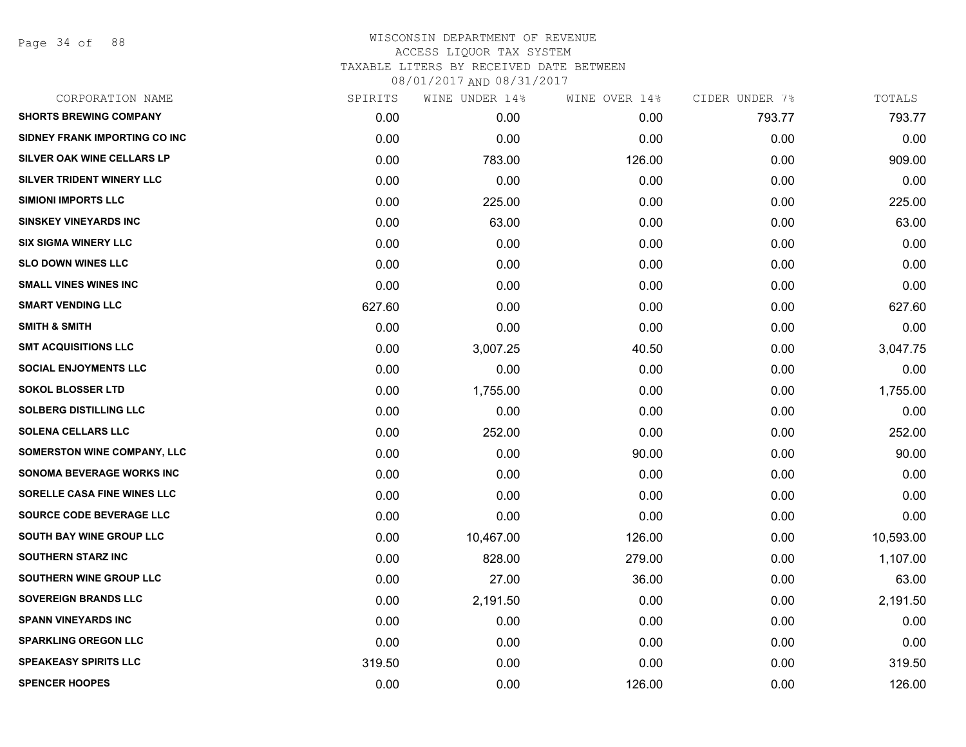Page 34 of 88

| CORPORATION NAME              | SPIRITS | WINE UNDER 14% | WINE OVER 14% | CIDER UNDER 7% | TOTALS    |
|-------------------------------|---------|----------------|---------------|----------------|-----------|
| <b>SHORTS BREWING COMPANY</b> | 0.00    | 0.00           | 0.00          | 793.77         | 793.77    |
| SIDNEY FRANK IMPORTING CO INC | 0.00    | 0.00           | 0.00          | 0.00           | 0.00      |
| SILVER OAK WINE CELLARS LP    | 0.00    | 783.00         | 126.00        | 0.00           | 909.00    |
| SILVER TRIDENT WINERY LLC     | 0.00    | 0.00           | 0.00          | 0.00           | 0.00      |
| <b>SIMIONI IMPORTS LLC</b>    | 0.00    | 225.00         | 0.00          | 0.00           | 225.00    |
| <b>SINSKEY VINEYARDS INC</b>  | 0.00    | 63.00          | 0.00          | 0.00           | 63.00     |
| <b>SIX SIGMA WINERY LLC</b>   | 0.00    | 0.00           | 0.00          | 0.00           | 0.00      |
| <b>SLO DOWN WINES LLC</b>     | 0.00    | 0.00           | 0.00          | 0.00           | 0.00      |
| <b>SMALL VINES WINES INC</b>  | 0.00    | 0.00           | 0.00          | 0.00           | 0.00      |
| <b>SMART VENDING LLC</b>      | 627.60  | 0.00           | 0.00          | 0.00           | 627.60    |
| <b>SMITH &amp; SMITH</b>      | 0.00    | 0.00           | 0.00          | 0.00           | 0.00      |
| <b>SMT ACQUISITIONS LLC</b>   | 0.00    | 3,007.25       | 40.50         | 0.00           | 3,047.75  |
| <b>SOCIAL ENJOYMENTS LLC</b>  | 0.00    | 0.00           | 0.00          | 0.00           | 0.00      |
| <b>SOKOL BLOSSER LTD</b>      | 0.00    | 1,755.00       | 0.00          | 0.00           | 1,755.00  |
| <b>SOLBERG DISTILLING LLC</b> | 0.00    | 0.00           | 0.00          | 0.00           | 0.00      |
| <b>SOLENA CELLARS LLC</b>     | 0.00    | 252.00         | 0.00          | 0.00           | 252.00    |
| SOMERSTON WINE COMPANY, LLC   | 0.00    | 0.00           | 90.00         | 0.00           | 90.00     |
| SONOMA BEVERAGE WORKS INC     | 0.00    | 0.00           | 0.00          | 0.00           | 0.00      |
| SORELLE CASA FINE WINES LLC   | 0.00    | 0.00           | 0.00          | 0.00           | 0.00      |
| SOURCE CODE BEVERAGE LLC      | 0.00    | 0.00           | 0.00          | 0.00           | 0.00      |
| SOUTH BAY WINE GROUP LLC      | 0.00    | 10,467.00      | 126.00        | 0.00           | 10,593.00 |
| <b>SOUTHERN STARZ INC</b>     | 0.00    | 828.00         | 279.00        | 0.00           | 1,107.00  |
| SOUTHERN WINE GROUP LLC       | 0.00    | 27.00          | 36.00         | 0.00           | 63.00     |
| <b>SOVEREIGN BRANDS LLC</b>   | 0.00    | 2,191.50       | 0.00          | 0.00           | 2,191.50  |
| <b>SPANN VINEYARDS INC</b>    | 0.00    | 0.00           | 0.00          | 0.00           | 0.00      |
| <b>SPARKLING OREGON LLC</b>   | 0.00    | 0.00           | 0.00          | 0.00           | 0.00      |
| <b>SPEAKEASY SPIRITS LLC</b>  | 319.50  | 0.00           | 0.00          | 0.00           | 319.50    |
| <b>SPENCER HOOPES</b>         | 0.00    | 0.00           | 126.00        | 0.00           | 126.00    |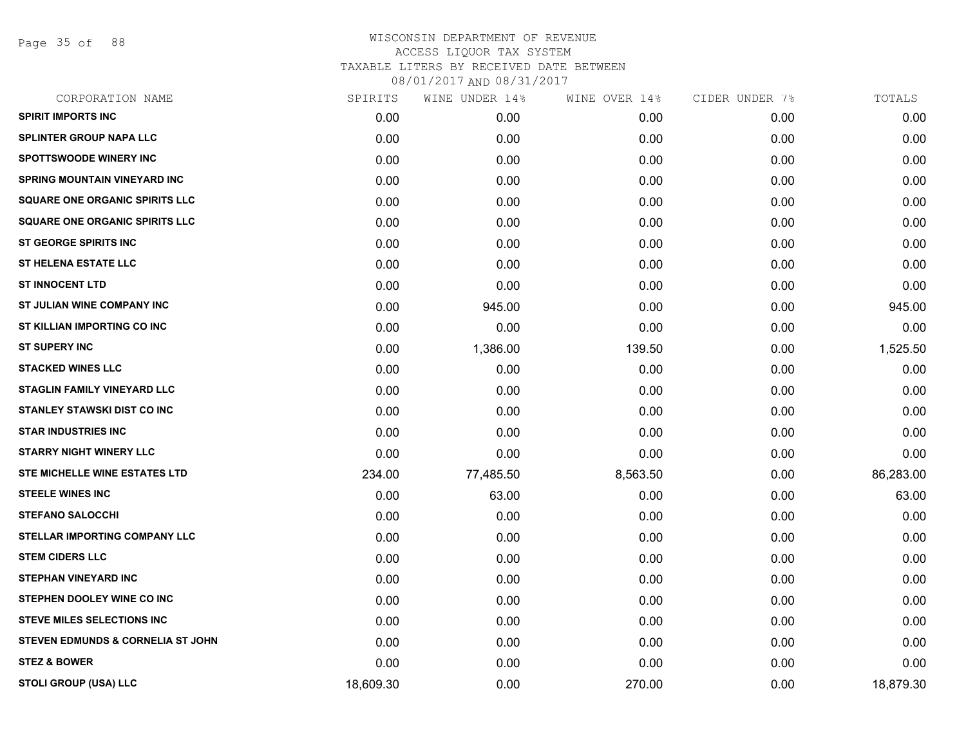Page 35 of 88

| CORPORATION NAME                             | SPIRITS   | WINE UNDER 14% | WINE OVER 14% | CIDER UNDER 7% | TOTALS    |
|----------------------------------------------|-----------|----------------|---------------|----------------|-----------|
| <b>SPIRIT IMPORTS INC</b>                    | 0.00      | 0.00           | 0.00          | 0.00           | 0.00      |
| <b>SPLINTER GROUP NAPA LLC</b>               | 0.00      | 0.00           | 0.00          | 0.00           | 0.00      |
| <b>SPOTTSWOODE WINERY INC</b>                | 0.00      | 0.00           | 0.00          | 0.00           | 0.00      |
| <b>SPRING MOUNTAIN VINEYARD INC</b>          | 0.00      | 0.00           | 0.00          | 0.00           | 0.00      |
| <b>SQUARE ONE ORGANIC SPIRITS LLC</b>        | 0.00      | 0.00           | 0.00          | 0.00           | 0.00      |
| <b>SQUARE ONE ORGANIC SPIRITS LLC</b>        | 0.00      | 0.00           | 0.00          | 0.00           | 0.00      |
| ST GEORGE SPIRITS INC                        | 0.00      | 0.00           | 0.00          | 0.00           | 0.00      |
| <b>ST HELENA ESTATE LLC</b>                  | 0.00      | 0.00           | 0.00          | 0.00           | 0.00      |
| <b>ST INNOCENT LTD</b>                       | 0.00      | 0.00           | 0.00          | 0.00           | 0.00      |
| ST JULIAN WINE COMPANY INC                   | 0.00      | 945.00         | 0.00          | 0.00           | 945.00    |
| ST KILLIAN IMPORTING CO INC                  | 0.00      | 0.00           | 0.00          | 0.00           | 0.00      |
| <b>ST SUPERY INC</b>                         | 0.00      | 1,386.00       | 139.50        | 0.00           | 1,525.50  |
| <b>STACKED WINES LLC</b>                     | 0.00      | 0.00           | 0.00          | 0.00           | 0.00      |
| <b>STAGLIN FAMILY VINEYARD LLC</b>           | 0.00      | 0.00           | 0.00          | 0.00           | 0.00      |
| <b>STANLEY STAWSKI DIST CO INC</b>           | 0.00      | 0.00           | 0.00          | 0.00           | 0.00      |
| <b>STAR INDUSTRIES INC</b>                   | 0.00      | 0.00           | 0.00          | 0.00           | 0.00      |
| <b>STARRY NIGHT WINERY LLC</b>               | 0.00      | 0.00           | 0.00          | 0.00           | 0.00      |
| <b>STE MICHELLE WINE ESTATES LTD</b>         | 234.00    | 77,485.50      | 8,563.50      | 0.00           | 86,283.00 |
| <b>STEELE WINES INC</b>                      | 0.00      | 63.00          | 0.00          | 0.00           | 63.00     |
| <b>STEFANO SALOCCHI</b>                      | 0.00      | 0.00           | 0.00          | 0.00           | 0.00      |
| STELLAR IMPORTING COMPANY LLC                | 0.00      | 0.00           | 0.00          | 0.00           | 0.00      |
| <b>STEM CIDERS LLC</b>                       | 0.00      | 0.00           | 0.00          | 0.00           | 0.00      |
| <b>STEPHAN VINEYARD INC</b>                  | 0.00      | 0.00           | 0.00          | 0.00           | 0.00      |
| STEPHEN DOOLEY WINE CO INC                   | 0.00      | 0.00           | 0.00          | 0.00           | 0.00      |
| <b>STEVE MILES SELECTIONS INC</b>            | 0.00      | 0.00           | 0.00          | 0.00           | 0.00      |
| <b>STEVEN EDMUNDS &amp; CORNELIA ST JOHN</b> | 0.00      | 0.00           | 0.00          | 0.00           | 0.00      |
| <b>STEZ &amp; BOWER</b>                      | 0.00      | 0.00           | 0.00          | 0.00           | 0.00      |
| STOLI GROUP (USA) LLC                        | 18,609.30 | 0.00           | 270.00        | 0.00           | 18,879.30 |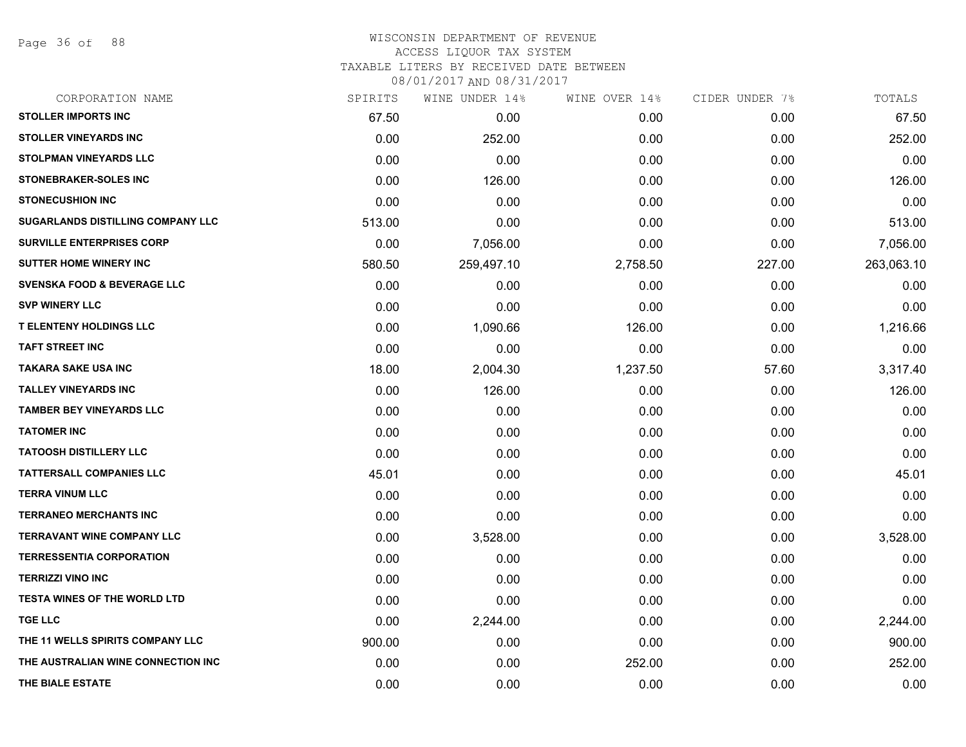Page 36 of 88

# WISCONSIN DEPARTMENT OF REVENUE ACCESS LIQUOR TAX SYSTEM

TAXABLE LITERS BY RECEIVED DATE BETWEEN

| CORPORATION NAME                         | SPIRITS | WINE UNDER 14% | WINE OVER 14% | CIDER UNDER 7% | TOTALS     |
|------------------------------------------|---------|----------------|---------------|----------------|------------|
| <b>STOLLER IMPORTS INC</b>               | 67.50   | 0.00           | 0.00          | 0.00           | 67.50      |
| <b>STOLLER VINEYARDS INC</b>             | 0.00    | 252.00         | 0.00          | 0.00           | 252.00     |
| <b>STOLPMAN VINEYARDS LLC</b>            | 0.00    | 0.00           | 0.00          | 0.00           | 0.00       |
| STONEBRAKER-SOLES INC                    | 0.00    | 126.00         | 0.00          | 0.00           | 126.00     |
| <b>STONECUSHION INC</b>                  | 0.00    | 0.00           | 0.00          | 0.00           | 0.00       |
| <b>SUGARLANDS DISTILLING COMPANY LLC</b> | 513.00  | 0.00           | 0.00          | 0.00           | 513.00     |
| <b>SURVILLE ENTERPRISES CORP</b>         | 0.00    | 7,056.00       | 0.00          | 0.00           | 7,056.00   |
| <b>SUTTER HOME WINERY INC</b>            | 580.50  | 259,497.10     | 2,758.50      | 227.00         | 263,063.10 |
| <b>SVENSKA FOOD &amp; BEVERAGE LLC</b>   | 0.00    | 0.00           | 0.00          | 0.00           | 0.00       |
| <b>SVP WINERY LLC</b>                    | 0.00    | 0.00           | 0.00          | 0.00           | 0.00       |
| <b>T ELENTENY HOLDINGS LLC</b>           | 0.00    | 1,090.66       | 126.00        | 0.00           | 1,216.66   |
| <b>TAFT STREET INC</b>                   | 0.00    | 0.00           | 0.00          | 0.00           | 0.00       |
| <b>TAKARA SAKE USA INC</b>               | 18.00   | 2,004.30       | 1,237.50      | 57.60          | 3,317.40   |
| <b>TALLEY VINEYARDS INC</b>              | 0.00    | 126.00         | 0.00          | 0.00           | 126.00     |
| <b>TAMBER BEY VINEYARDS LLC</b>          | 0.00    | 0.00           | 0.00          | 0.00           | 0.00       |
| <b>TATOMER INC</b>                       | 0.00    | 0.00           | 0.00          | 0.00           | 0.00       |
| <b>TATOOSH DISTILLERY LLC</b>            | 0.00    | 0.00           | 0.00          | 0.00           | 0.00       |
| <b>TATTERSALL COMPANIES LLC</b>          | 45.01   | 0.00           | 0.00          | 0.00           | 45.01      |
| <b>TERRA VINUM LLC</b>                   | 0.00    | 0.00           | 0.00          | 0.00           | 0.00       |
| <b>TERRANEO MERCHANTS INC</b>            | 0.00    | 0.00           | 0.00          | 0.00           | 0.00       |
| <b>TERRAVANT WINE COMPANY LLC</b>        | 0.00    | 3,528.00       | 0.00          | 0.00           | 3,528.00   |
| <b>TERRESSENTIA CORPORATION</b>          | 0.00    | 0.00           | 0.00          | 0.00           | 0.00       |
| <b>TERRIZZI VINO INC</b>                 | 0.00    | 0.00           | 0.00          | 0.00           | 0.00       |
| <b>TESTA WINES OF THE WORLD LTD</b>      | 0.00    | 0.00           | 0.00          | 0.00           | 0.00       |
| <b>TGE LLC</b>                           | 0.00    | 2,244.00       | 0.00          | 0.00           | 2,244.00   |
| THE 11 WELLS SPIRITS COMPANY LLC         | 900.00  | 0.00           | 0.00          | 0.00           | 900.00     |
| THE AUSTRALIAN WINE CONNECTION INC       | 0.00    | 0.00           | 252.00        | 0.00           | 252.00     |
| THE BIALE ESTATE                         | 0.00    | 0.00           | 0.00          | 0.00           | 0.00       |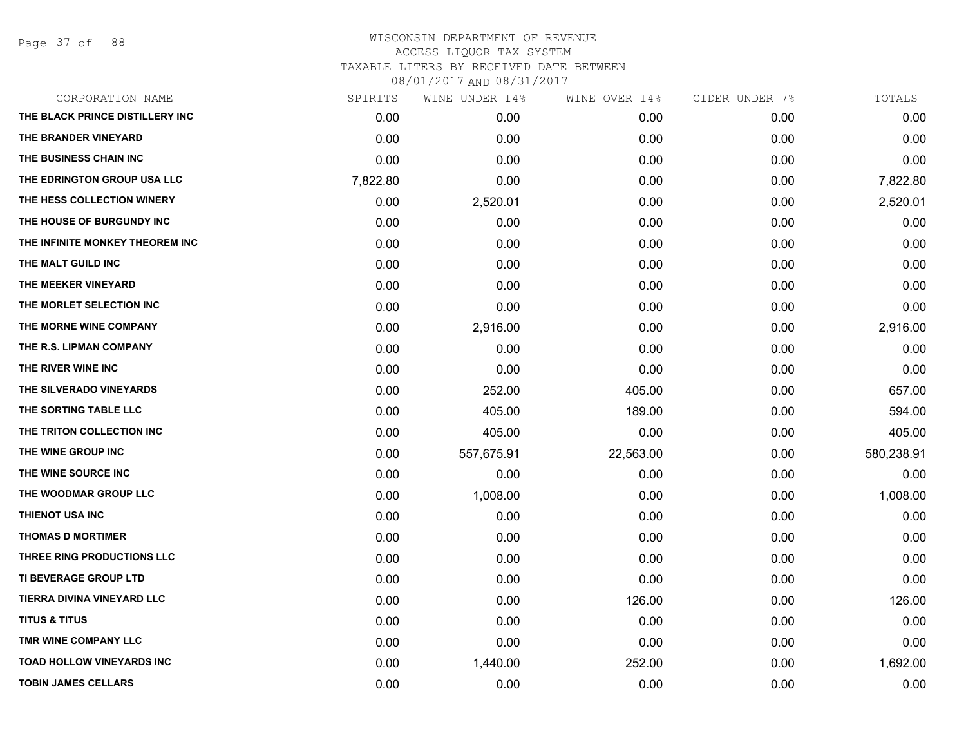Page 37 of 88

| CORPORATION NAME                 | SPIRITS  | WINE UNDER 14% | WINE OVER 14% | CIDER UNDER 7% | TOTALS     |
|----------------------------------|----------|----------------|---------------|----------------|------------|
| THE BLACK PRINCE DISTILLERY INC  | 0.00     | 0.00           | 0.00          | 0.00           | 0.00       |
| THE BRANDER VINEYARD             | 0.00     | 0.00           | 0.00          | 0.00           | 0.00       |
| THE BUSINESS CHAIN INC           | 0.00     | 0.00           | 0.00          | 0.00           | 0.00       |
| THE EDRINGTON GROUP USA LLC      | 7,822.80 | 0.00           | 0.00          | 0.00           | 7,822.80   |
| THE HESS COLLECTION WINERY       | 0.00     | 2,520.01       | 0.00          | 0.00           | 2,520.01   |
| THE HOUSE OF BURGUNDY INC        | 0.00     | 0.00           | 0.00          | 0.00           | 0.00       |
| THE INFINITE MONKEY THEOREM INC  | 0.00     | 0.00           | 0.00          | 0.00           | 0.00       |
| THE MALT GUILD INC               | 0.00     | 0.00           | 0.00          | 0.00           | 0.00       |
| THE MEEKER VINEYARD              | 0.00     | 0.00           | 0.00          | 0.00           | 0.00       |
| THE MORLET SELECTION INC         | 0.00     | 0.00           | 0.00          | 0.00           | 0.00       |
| THE MORNE WINE COMPANY           | 0.00     | 2,916.00       | 0.00          | 0.00           | 2,916.00   |
| THE R.S. LIPMAN COMPANY          | 0.00     | 0.00           | 0.00          | 0.00           | 0.00       |
| THE RIVER WINE INC               | 0.00     | 0.00           | 0.00          | 0.00           | 0.00       |
| THE SILVERADO VINEYARDS          | 0.00     | 252.00         | 405.00        | 0.00           | 657.00     |
| THE SORTING TABLE LLC            | 0.00     | 405.00         | 189.00        | 0.00           | 594.00     |
| THE TRITON COLLECTION INC        | 0.00     | 405.00         | 0.00          | 0.00           | 405.00     |
| THE WINE GROUP INC               | 0.00     | 557,675.91     | 22,563.00     | 0.00           | 580,238.91 |
| THE WINE SOURCE INC              | 0.00     | 0.00           | 0.00          | 0.00           | 0.00       |
| THE WOODMAR GROUP LLC            | 0.00     | 1,008.00       | 0.00          | 0.00           | 1,008.00   |
| THIENOT USA INC                  | 0.00     | 0.00           | 0.00          | 0.00           | 0.00       |
| <b>THOMAS D MORTIMER</b>         | 0.00     | 0.00           | 0.00          | 0.00           | 0.00       |
| THREE RING PRODUCTIONS LLC       | 0.00     | 0.00           | 0.00          | 0.00           | 0.00       |
| TI BEVERAGE GROUP LTD            | 0.00     | 0.00           | 0.00          | 0.00           | 0.00       |
| TIERRA DIVINA VINEYARD LLC       | 0.00     | 0.00           | 126.00        | 0.00           | 126.00     |
| <b>TITUS &amp; TITUS</b>         | 0.00     | 0.00           | 0.00          | 0.00           | 0.00       |
| TMR WINE COMPANY LLC             | 0.00     | 0.00           | 0.00          | 0.00           | 0.00       |
| <b>TOAD HOLLOW VINEYARDS INC</b> | 0.00     | 1,440.00       | 252.00        | 0.00           | 1,692.00   |
| <b>TOBIN JAMES CELLARS</b>       | 0.00     | 0.00           | 0.00          | 0.00           | 0.00       |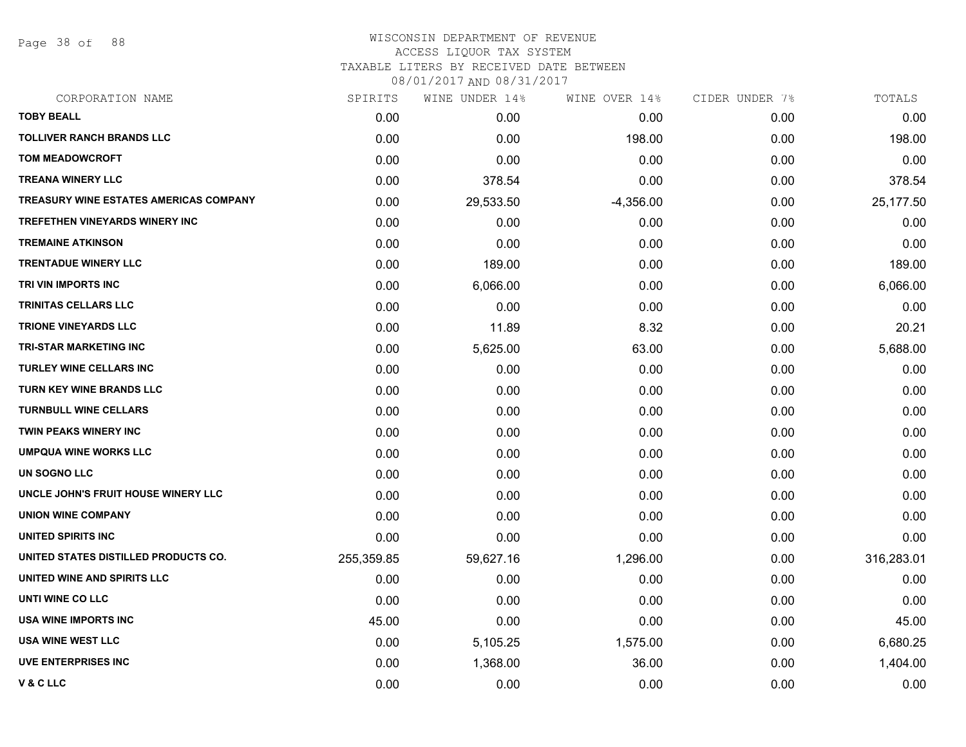Page 38 of 88

### WISCONSIN DEPARTMENT OF REVENUE ACCESS LIQUOR TAX SYSTEM

TAXABLE LITERS BY RECEIVED DATE BETWEEN

| CORPORATION NAME                              | SPIRITS    | WINE UNDER 14% | WINE OVER 14% | CIDER UNDER 7% | TOTALS     |
|-----------------------------------------------|------------|----------------|---------------|----------------|------------|
| <b>TOBY BEALL</b>                             | 0.00       | 0.00           | 0.00          | 0.00           | 0.00       |
| <b>TOLLIVER RANCH BRANDS LLC</b>              | 0.00       | 0.00           | 198.00        | 0.00           | 198.00     |
| TOM MEADOWCROFT                               | 0.00       | 0.00           | 0.00          | 0.00           | 0.00       |
| <b>TREANA WINERY LLC</b>                      | 0.00       | 378.54         | 0.00          | 0.00           | 378.54     |
| <b>TREASURY WINE ESTATES AMERICAS COMPANY</b> | 0.00       | 29,533.50      | $-4,356.00$   | 0.00           | 25,177.50  |
| TREFETHEN VINEYARDS WINERY INC                | 0.00       | 0.00           | 0.00          | 0.00           | 0.00       |
| <b>TREMAINE ATKINSON</b>                      | 0.00       | 0.00           | 0.00          | 0.00           | 0.00       |
| <b>TRENTADUE WINERY LLC</b>                   | 0.00       | 189.00         | 0.00          | 0.00           | 189.00     |
| TRI VIN IMPORTS INC                           | 0.00       | 6,066.00       | 0.00          | 0.00           | 6,066.00   |
| TRINITAS CELLARS LLC                          | 0.00       | 0.00           | 0.00          | 0.00           | 0.00       |
| <b>TRIONE VINEYARDS LLC</b>                   | 0.00       | 11.89          | 8.32          | 0.00           | 20.21      |
| <b>TRI-STAR MARKETING INC</b>                 | 0.00       | 5,625.00       | 63.00         | 0.00           | 5,688.00   |
| <b>TURLEY WINE CELLARS INC</b>                | 0.00       | 0.00           | 0.00          | 0.00           | 0.00       |
| <b>TURN KEY WINE BRANDS LLC</b>               | 0.00       | 0.00           | 0.00          | 0.00           | 0.00       |
| <b>TURNBULL WINE CELLARS</b>                  | 0.00       | 0.00           | 0.00          | 0.00           | 0.00       |
| <b>TWIN PEAKS WINERY INC</b>                  | 0.00       | 0.00           | 0.00          | 0.00           | 0.00       |
| <b>UMPQUA WINE WORKS LLC</b>                  | 0.00       | 0.00           | 0.00          | 0.00           | 0.00       |
| UN SOGNO LLC                                  | 0.00       | 0.00           | 0.00          | 0.00           | 0.00       |
| UNCLE JOHN'S FRUIT HOUSE WINERY LLC           | 0.00       | 0.00           | 0.00          | 0.00           | 0.00       |
| <b>UNION WINE COMPANY</b>                     | 0.00       | 0.00           | 0.00          | 0.00           | 0.00       |
| UNITED SPIRITS INC                            | 0.00       | 0.00           | 0.00          | 0.00           | 0.00       |
| UNITED STATES DISTILLED PRODUCTS CO.          | 255,359.85 | 59,627.16      | 1,296.00      | 0.00           | 316,283.01 |
| UNITED WINE AND SPIRITS LLC                   | 0.00       | 0.00           | 0.00          | 0.00           | 0.00       |
| UNTI WINE CO LLC                              | 0.00       | 0.00           | 0.00          | 0.00           | 0.00       |
| <b>USA WINE IMPORTS INC</b>                   | 45.00      | 0.00           | 0.00          | 0.00           | 45.00      |
| <b>USA WINE WEST LLC</b>                      | 0.00       | 5,105.25       | 1,575.00      | 0.00           | 6,680.25   |
| UVE ENTERPRISES INC                           | 0.00       | 1,368.00       | 36.00         | 0.00           | 1,404.00   |
| V & C LLC                                     | 0.00       | 0.00           | 0.00          | 0.00           | 0.00       |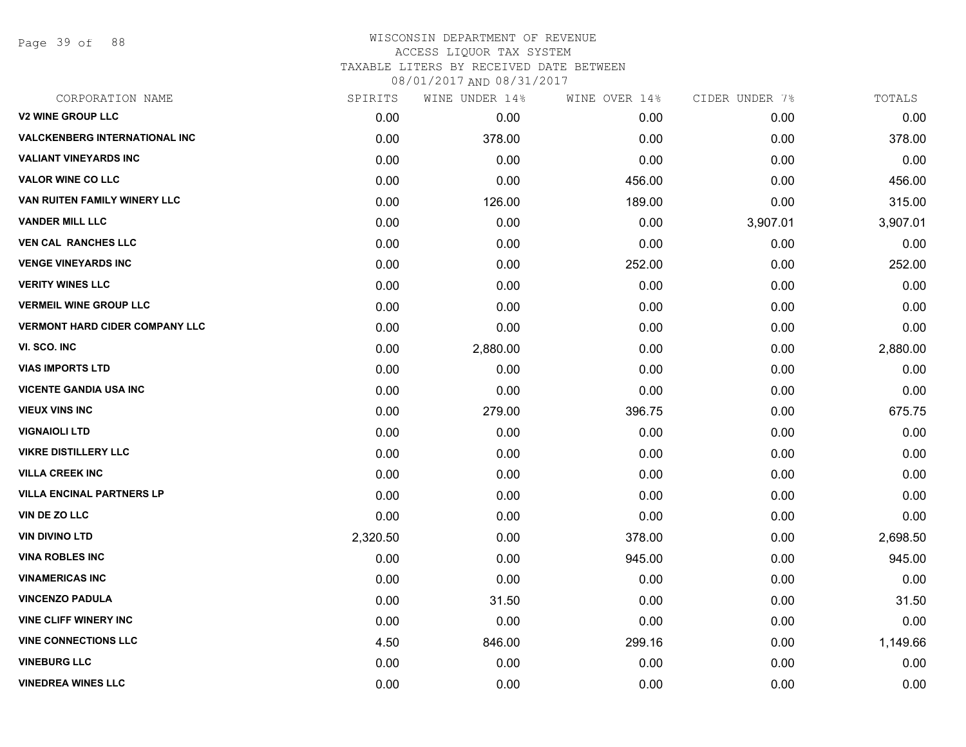Page 39 of 88

# WISCONSIN DEPARTMENT OF REVENUE ACCESS LIQUOR TAX SYSTEM TAXABLE LITERS BY RECEIVED DATE BETWEEN

| CORPORATION NAME                      | SPIRITS  | WINE UNDER 14% | WINE OVER 14% | CIDER UNDER 7% | TOTALS   |
|---------------------------------------|----------|----------------|---------------|----------------|----------|
| <b>V2 WINE GROUP LLC</b>              | 0.00     | 0.00           | 0.00          | 0.00           | 0.00     |
| <b>VALCKENBERG INTERNATIONAL INC</b>  | 0.00     | 378.00         | 0.00          | 0.00           | 378.00   |
| <b>VALIANT VINEYARDS INC</b>          | 0.00     | 0.00           | 0.00          | 0.00           | 0.00     |
| <b>VALOR WINE CO LLC</b>              | 0.00     | 0.00           | 456.00        | 0.00           | 456.00   |
| VAN RUITEN FAMILY WINERY LLC          | 0.00     | 126.00         | 189.00        | 0.00           | 315.00   |
| <b>VANDER MILL LLC</b>                | 0.00     | 0.00           | 0.00          | 3,907.01       | 3,907.01 |
| <b>VEN CAL RANCHES LLC</b>            | 0.00     | 0.00           | 0.00          | 0.00           | 0.00     |
| <b>VENGE VINEYARDS INC</b>            | 0.00     | 0.00           | 252.00        | 0.00           | 252.00   |
| <b>VERITY WINES LLC</b>               | 0.00     | 0.00           | 0.00          | 0.00           | 0.00     |
| <b>VERMEIL WINE GROUP LLC</b>         | 0.00     | 0.00           | 0.00          | 0.00           | 0.00     |
| <b>VERMONT HARD CIDER COMPANY LLC</b> | 0.00     | 0.00           | 0.00          | 0.00           | 0.00     |
| VI. SCO. INC                          | 0.00     | 2,880.00       | 0.00          | 0.00           | 2,880.00 |
| <b>VIAS IMPORTS LTD</b>               | 0.00     | 0.00           | 0.00          | 0.00           | 0.00     |
| <b>VICENTE GANDIA USA INC</b>         | 0.00     | 0.00           | 0.00          | 0.00           | 0.00     |
| <b>VIEUX VINS INC</b>                 | 0.00     | 279.00         | 396.75        | 0.00           | 675.75   |
| <b>VIGNAIOLI LTD</b>                  | 0.00     | 0.00           | 0.00          | 0.00           | 0.00     |
| <b>VIKRE DISTILLERY LLC</b>           | 0.00     | 0.00           | 0.00          | 0.00           | 0.00     |
| <b>VILLA CREEK INC</b>                | 0.00     | 0.00           | 0.00          | 0.00           | 0.00     |
| <b>VILLA ENCINAL PARTNERS LP</b>      | 0.00     | 0.00           | 0.00          | 0.00           | 0.00     |
| <b>VIN DE ZO LLC</b>                  | 0.00     | 0.00           | 0.00          | 0.00           | 0.00     |
| <b>VIN DIVINO LTD</b>                 | 2,320.50 | 0.00           | 378.00        | 0.00           | 2,698.50 |
| <b>VINA ROBLES INC</b>                | 0.00     | 0.00           | 945.00        | 0.00           | 945.00   |
| <b>VINAMERICAS INC</b>                | 0.00     | 0.00           | 0.00          | 0.00           | 0.00     |
| <b>VINCENZO PADULA</b>                | 0.00     | 31.50          | 0.00          | 0.00           | 31.50    |
| <b>VINE CLIFF WINERY INC</b>          | 0.00     | 0.00           | 0.00          | 0.00           | 0.00     |
| <b>VINE CONNECTIONS LLC</b>           | 4.50     | 846.00         | 299.16        | 0.00           | 1,149.66 |
| <b>VINEBURG LLC</b>                   | 0.00     | 0.00           | 0.00          | 0.00           | 0.00     |
| <b>VINEDREA WINES LLC</b>             | 0.00     | 0.00           | 0.00          | 0.00           | 0.00     |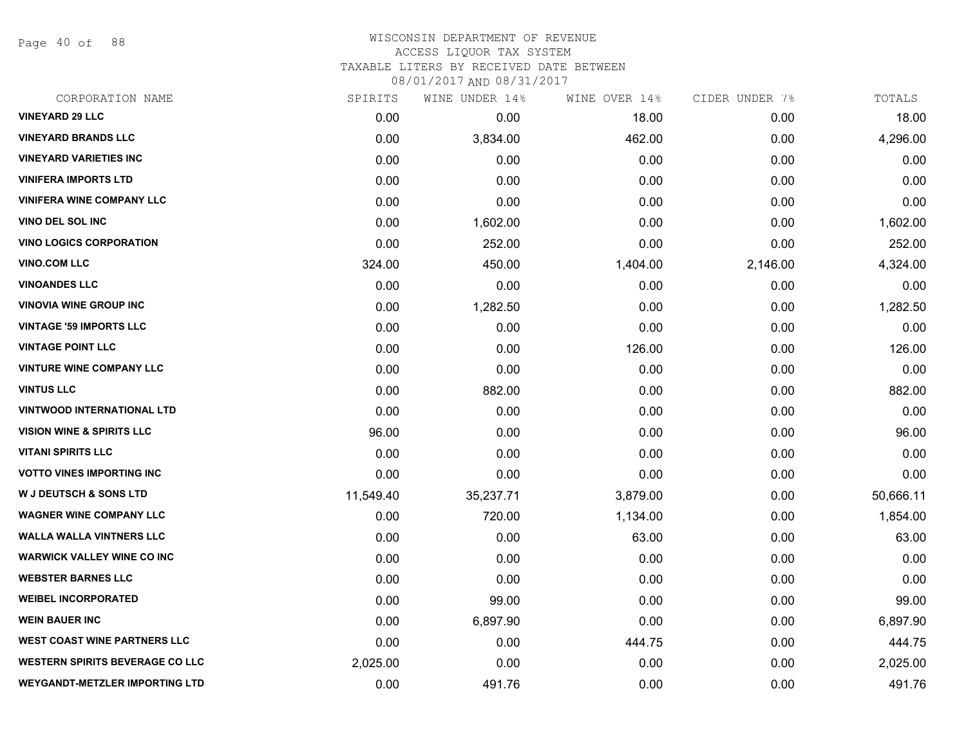Page 40 of 88

### WISCONSIN DEPARTMENT OF REVENUE ACCESS LIQUOR TAX SYSTEM

TAXABLE LITERS BY RECEIVED DATE BETWEEN

| CORPORATION NAME                       | SPIRITS   | WINE UNDER 14% | WINE OVER 14% | CIDER UNDER 7% | TOTALS    |
|----------------------------------------|-----------|----------------|---------------|----------------|-----------|
| <b>VINEYARD 29 LLC</b>                 | 0.00      | 0.00           | 18.00         | 0.00           | 18.00     |
| <b>VINEYARD BRANDS LLC</b>             | 0.00      | 3,834.00       | 462.00        | 0.00           | 4,296.00  |
| <b>VINEYARD VARIETIES INC</b>          | 0.00      | 0.00           | 0.00          | 0.00           | 0.00      |
| <b>VINIFERA IMPORTS LTD</b>            | 0.00      | 0.00           | 0.00          | 0.00           | 0.00      |
| <b>VINIFERA WINE COMPANY LLC</b>       | 0.00      | 0.00           | 0.00          | 0.00           | 0.00      |
| <b>VINO DEL SOL INC</b>                | 0.00      | 1,602.00       | 0.00          | 0.00           | 1,602.00  |
| <b>VINO LOGICS CORPORATION</b>         | 0.00      | 252.00         | 0.00          | 0.00           | 252.00    |
| <b>VINO.COM LLC</b>                    | 324.00    | 450.00         | 1,404.00      | 2,146.00       | 4,324.00  |
| <b>VINOANDES LLC</b>                   | 0.00      | 0.00           | 0.00          | 0.00           | 0.00      |
| <b>VINOVIA WINE GROUP INC</b>          | 0.00      | 1,282.50       | 0.00          | 0.00           | 1,282.50  |
| <b>VINTAGE '59 IMPORTS LLC</b>         | 0.00      | 0.00           | 0.00          | 0.00           | 0.00      |
| <b>VINTAGE POINT LLC</b>               | 0.00      | 0.00           | 126.00        | 0.00           | 126.00    |
| <b>VINTURE WINE COMPANY LLC</b>        | 0.00      | 0.00           | 0.00          | 0.00           | 0.00      |
| <b>VINTUS LLC</b>                      | 0.00      | 882.00         | 0.00          | 0.00           | 882.00    |
| <b>VINTWOOD INTERNATIONAL LTD</b>      | 0.00      | 0.00           | 0.00          | 0.00           | 0.00      |
| <b>VISION WINE &amp; SPIRITS LLC</b>   | 96.00     | 0.00           | 0.00          | 0.00           | 96.00     |
| <b>VITANI SPIRITS LLC</b>              | 0.00      | 0.00           | 0.00          | 0.00           | 0.00      |
| <b>VOTTO VINES IMPORTING INC</b>       | 0.00      | 0.00           | 0.00          | 0.00           | 0.00      |
| <b>W J DEUTSCH &amp; SONS LTD</b>      | 11,549.40 | 35,237.71      | 3,879.00      | 0.00           | 50,666.11 |
| <b>WAGNER WINE COMPANY LLC</b>         | 0.00      | 720.00         | 1,134.00      | 0.00           | 1,854.00  |
| <b>WALLA WALLA VINTNERS LLC</b>        | 0.00      | 0.00           | 63.00         | 0.00           | 63.00     |
| <b>WARWICK VALLEY WINE CO INC</b>      | 0.00      | 0.00           | 0.00          | 0.00           | 0.00      |
| <b>WEBSTER BARNES LLC</b>              | 0.00      | 0.00           | 0.00          | 0.00           | 0.00      |
| <b>WEIBEL INCORPORATED</b>             | 0.00      | 99.00          | 0.00          | 0.00           | 99.00     |
| <b>WEIN BAUER INC</b>                  | 0.00      | 6,897.90       | 0.00          | 0.00           | 6,897.90  |
| <b>WEST COAST WINE PARTNERS LLC</b>    | 0.00      | 0.00           | 444.75        | 0.00           | 444.75    |
| <b>WESTERN SPIRITS BEVERAGE CO LLC</b> | 2,025.00  | 0.00           | 0.00          | 0.00           | 2,025.00  |
| <b>WEYGANDT-METZLER IMPORTING LTD</b>  | 0.00      | 491.76         | 0.00          | 0.00           | 491.76    |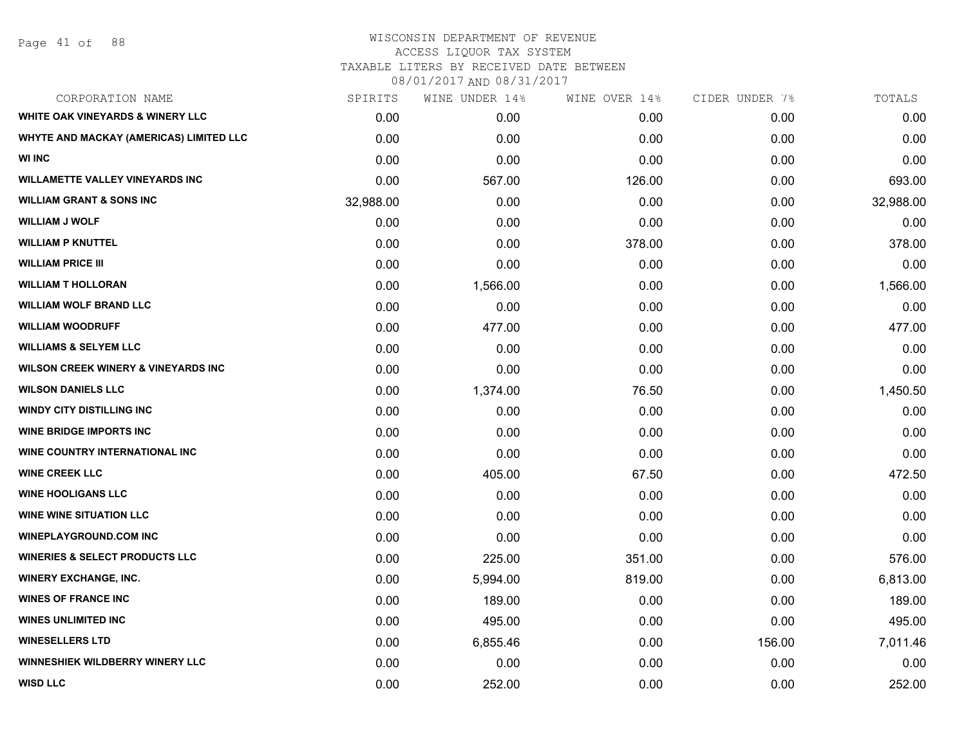### WISCONSIN DEPARTMENT OF REVENUE ACCESS LIQUOR TAX SYSTEM

TAXABLE LITERS BY RECEIVED DATE BETWEEN

| CORPORATION NAME                               | SPIRITS   | WINE UNDER 14% | WINE OVER 14% | CIDER UNDER 7% | TOTALS    |
|------------------------------------------------|-----------|----------------|---------------|----------------|-----------|
| WHITE OAK VINEYARDS & WINERY LLC               | 0.00      | 0.00           | 0.00          | 0.00           | 0.00      |
| WHYTE AND MACKAY (AMERICAS) LIMITED LLC        | 0.00      | 0.00           | 0.00          | 0.00           | 0.00      |
| <b>WI INC</b>                                  | 0.00      | 0.00           | 0.00          | 0.00           | 0.00      |
| <b>WILLAMETTE VALLEY VINEYARDS INC</b>         | 0.00      | 567.00         | 126.00        | 0.00           | 693.00    |
| <b>WILLIAM GRANT &amp; SONS INC</b>            | 32,988.00 | 0.00           | 0.00          | 0.00           | 32,988.00 |
| <b>WILLIAM J WOLF</b>                          | 0.00      | 0.00           | 0.00          | 0.00           | 0.00      |
| <b>WILLIAM P KNUTTEL</b>                       | 0.00      | 0.00           | 378.00        | 0.00           | 378.00    |
| <b>WILLIAM PRICE III</b>                       | 0.00      | 0.00           | 0.00          | 0.00           | 0.00      |
| <b>WILLIAM T HOLLORAN</b>                      | 0.00      | 1,566.00       | 0.00          | 0.00           | 1,566.00  |
| <b>WILLIAM WOLF BRAND LLC</b>                  | 0.00      | 0.00           | 0.00          | 0.00           | 0.00      |
| <b>WILLIAM WOODRUFF</b>                        | 0.00      | 477.00         | 0.00          | 0.00           | 477.00    |
| <b>WILLIAMS &amp; SELYEM LLC</b>               | 0.00      | 0.00           | 0.00          | 0.00           | 0.00      |
| <b>WILSON CREEK WINERY &amp; VINEYARDS INC</b> | 0.00      | 0.00           | 0.00          | 0.00           | 0.00      |
| <b>WILSON DANIELS LLC</b>                      | 0.00      | 1,374.00       | 76.50         | 0.00           | 1,450.50  |
| <b>WINDY CITY DISTILLING INC</b>               | 0.00      | 0.00           | 0.00          | 0.00           | 0.00      |
| <b>WINE BRIDGE IMPORTS INC</b>                 | 0.00      | 0.00           | 0.00          | 0.00           | 0.00      |
| WINE COUNTRY INTERNATIONAL INC                 | 0.00      | 0.00           | 0.00          | 0.00           | 0.00      |
| <b>WINE CREEK LLC</b>                          | 0.00      | 405.00         | 67.50         | 0.00           | 472.50    |
| <b>WINE HOOLIGANS LLC</b>                      | 0.00      | 0.00           | 0.00          | 0.00           | 0.00      |
| <b>WINE WINE SITUATION LLC</b>                 | 0.00      | 0.00           | 0.00          | 0.00           | 0.00      |
| <b>WINEPLAYGROUND.COM INC</b>                  | 0.00      | 0.00           | 0.00          | 0.00           | 0.00      |
| <b>WINERIES &amp; SELECT PRODUCTS LLC</b>      | 0.00      | 225.00         | 351.00        | 0.00           | 576.00    |
| <b>WINERY EXCHANGE, INC.</b>                   | 0.00      | 5,994.00       | 819.00        | 0.00           | 6,813.00  |
| <b>WINES OF FRANCE INC.</b>                    | 0.00      | 189.00         | 0.00          | 0.00           | 189.00    |
| <b>WINES UNLIMITED INC</b>                     | 0.00      | 495.00         | 0.00          | 0.00           | 495.00    |
| <b>WINESELLERS LTD</b>                         | 0.00      | 6,855.46       | 0.00          | 156.00         | 7,011.46  |
| WINNESHIEK WILDBERRY WINERY LLC                | 0.00      | 0.00           | 0.00          | 0.00           | 0.00      |
| <b>WISD LLC</b>                                | 0.00      | 252.00         | 0.00          | 0.00           | 252.00    |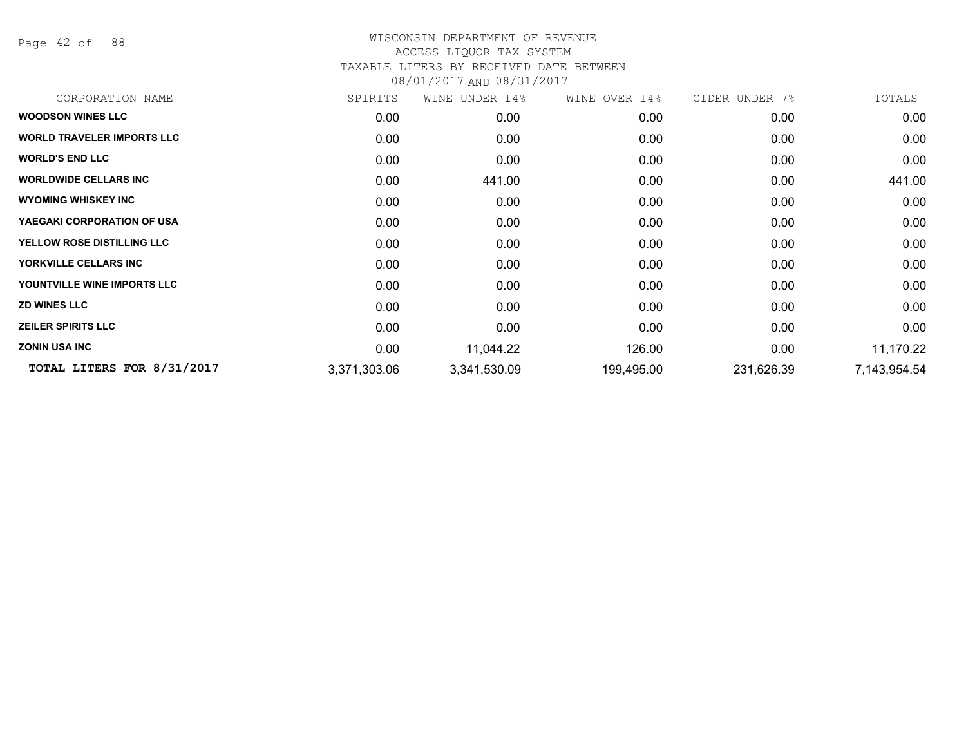Page 42 of 88

# WISCONSIN DEPARTMENT OF REVENUE ACCESS LIQUOR TAX SYSTEM

# TAXABLE LITERS BY RECEIVED DATE BETWEEN

| CORPORATION NAME                  | SPIRITS      | WINE UNDER 14% | WINE OVER 14% | CIDER UNDER 7% | TOTALS       |
|-----------------------------------|--------------|----------------|---------------|----------------|--------------|
| <b>WOODSON WINES LLC</b>          | 0.00         | 0.00           | 0.00          | 0.00           | 0.00         |
| <b>WORLD TRAVELER IMPORTS LLC</b> | 0.00         | 0.00           | 0.00          | 0.00           | 0.00         |
| <b>WORLD'S END LLC</b>            | 0.00         | 0.00           | 0.00          | 0.00           | 0.00         |
| <b>WORLDWIDE CELLARS INC</b>      | 0.00         | 441.00         | 0.00          | 0.00           | 441.00       |
| <b>WYOMING WHISKEY INC</b>        | 0.00         | 0.00           | 0.00          | 0.00           | 0.00         |
| YAEGAKI CORPORATION OF USA        | 0.00         | 0.00           | 0.00          | 0.00           | 0.00         |
| YELLOW ROSE DISTILLING LLC        | 0.00         | 0.00           | 0.00          | 0.00           | 0.00         |
| YORKVILLE CELLARS INC             | 0.00         | 0.00           | 0.00          | 0.00           | 0.00         |
| YOUNTVILLE WINE IMPORTS LLC       | 0.00         | 0.00           | 0.00          | 0.00           | 0.00         |
| <b>ZD WINES LLC</b>               | 0.00         | 0.00           | 0.00          | 0.00           | 0.00         |
| <b>ZEILER SPIRITS LLC</b>         | 0.00         | 0.00           | 0.00          | 0.00           | 0.00         |
| <b>ZONIN USA INC</b>              | 0.00         | 11,044.22      | 126.00        | 0.00           | 11,170.22    |
| TOTAL LITERS FOR 8/31/2017        | 3,371,303.06 | 3,341,530.09   | 199,495.00    | 231,626.39     | 7,143,954.54 |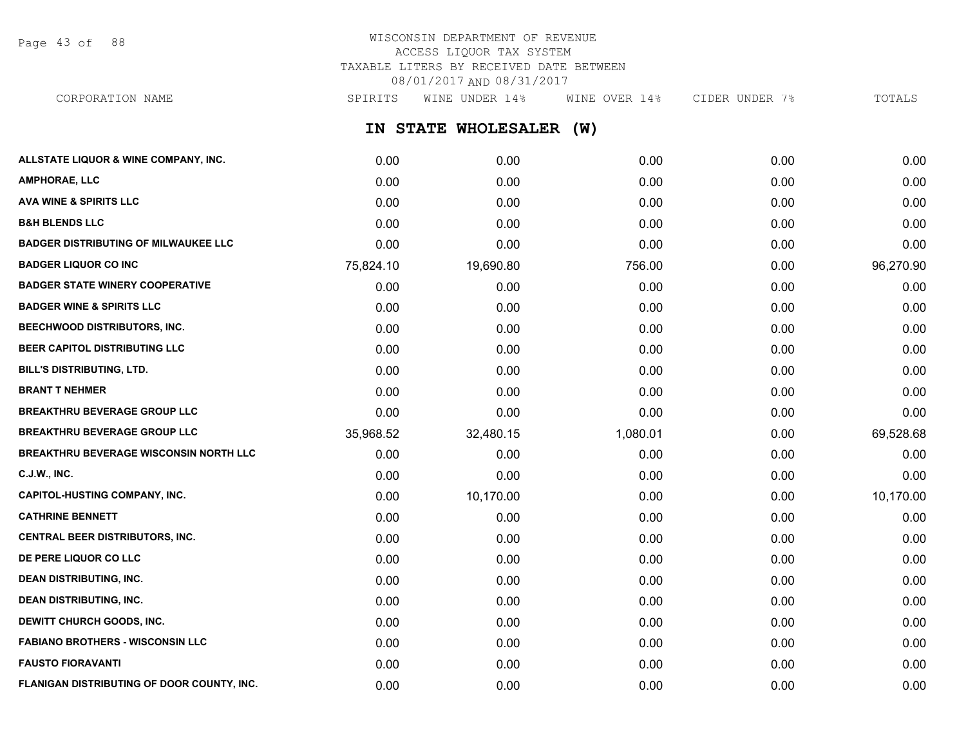Page 43 of 88

# WISCONSIN DEPARTMENT OF REVENUE ACCESS LIQUOR TAX SYSTEM TAXABLE LITERS BY RECEIVED DATE BETWEEN 08/01/2017 AND 08/31/2017 CORPORATION NAME SPIRITS WINE UNDER 14% WINE OVER 14% CIDER UNDER 7% TOTALS

**IN STATE WHOLESALER (W) ALLSTATE LIQUOR & WINE COMPANY, INC.** 0.00 0.00 0.00 0.00 0.00 **AMPHORAE, LLC** 0.00 0.00 0.00 0.00 0.00 **AVA WINE & SPIRITS LLC** 0.00 0.00 0.00 0.00 0.00 **B&H BLENDS LLC** 0.00 0.00 0.00 0.00 0.00 **BADGER DISTRIBUTING OF MILWAUKEE LLC** 0.00 0.00 0.00 0.00 0.00 **BADGER LIQUOR CO INC** 75,824.10 19,690.80 756.00 0.00 96,270.90 **BADGER STATE WINERY COOPERATIVE** 0.00 0.00 0.00 0.00 0.00 **BADGER WINE & SPIRITS LLC** 0.00 0.00 0.00 0.00 0.00 **BEECHWOOD DISTRIBUTORS, INC.** 0.00 0.00 0.00 0.00 0.00 **BEER CAPITOL DISTRIBUTING LLC** 0.00 0.00 0.00 0.00 0.00 **BILL'S DISTRIBUTING, LTD.** 0.00 0.00 0.00 0.00 0.00 **BRANT T NEHMER** 0.00 0.00 0.00 0.00 0.00 **BREAKTHRU BEVERAGE GROUP LLC**  $0.00$   $0.00$   $0.00$   $0.00$   $0.00$   $0.00$   $0.00$   $0.00$   $0.00$   $0.00$   $0.00$   $0.00$   $0.00$   $0.00$   $0.00$   $0.00$   $0.00$   $0.00$   $0.00$   $0.00$   $0.00$   $0.00$   $0.00$   $0.00$   $0.00$   $0.00$   $0.00$   $0$ **BREAKTHRU BEVERAGE GROUP LLC** 35,968.52 32,480.15 1,080.01 0.00 69,528.68 **BREAKTHRU BEVERAGE WISCONSIN NORTH LLC** 0.00 0.00 0.00 0.00 0.00 **C.J.W., INC.** 6.00 **0.00 0.00 0.00 0.00 0.00 0.00 0.00 0.00 0.00 0.00 0.00 0.00 0.00 CAPITOL-HUSTING COMPANY, INC.** 0.00 10,170.00 0.00 0.00 10,170.00 **CATHRINE BENNETT** 0.00 0.00 0.00 0.00 0.00 **CENTRAL BEER DISTRIBUTORS, INC.** 0.00 0.00 0.00 0.00 0.00 **DE PERE LIQUOR CO LLC** 0.00 0.00 0.00 0.00 0.00 **DEAN DISTRIBUTING, INC.** 0.00 0.00 0.00 0.00 0.00 **DEAN DISTRIBUTING, INC.** 0.00 0.00 0.00 0.00 0.00 **DEWITT CHURCH GOODS, INC.** 0.00 0.00 0.00 0.00 0.00 **FABIANO BROTHERS - WISCONSIN LLC** 0.00 0.00 0.00 0.00 0.00

**FAUSTO FIORAVANTI** 0.00 0.00 0.00 0.00 0.00

**FLANIGAN DISTRIBUTING OF DOOR COUNTY, INC.** 0.00 0.00 0.00 0.00 0.00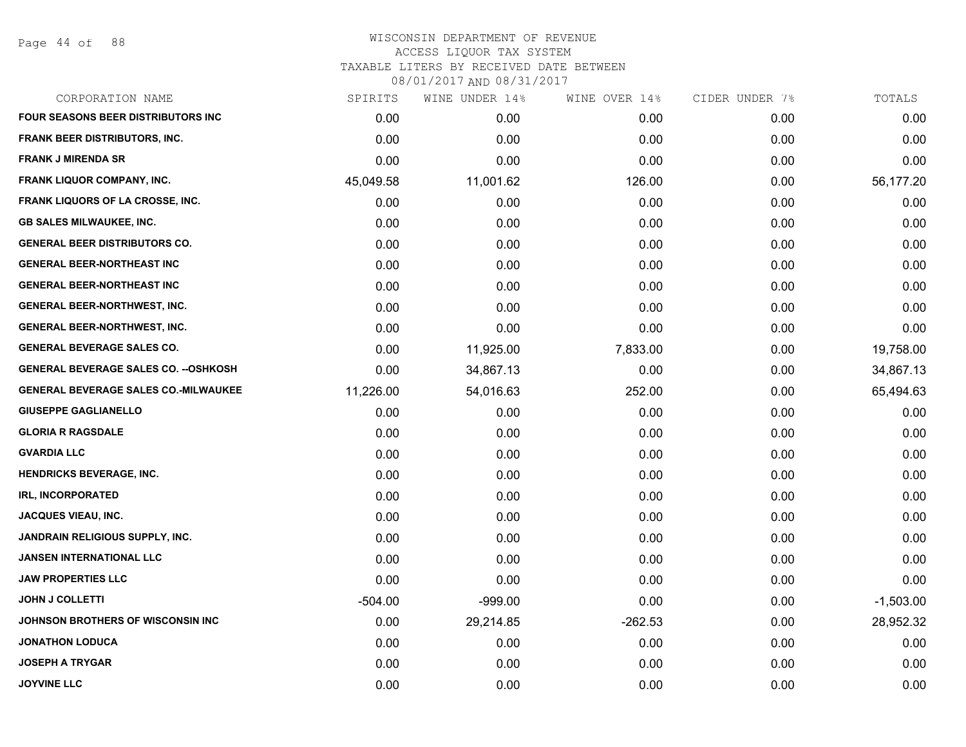Page 44 of 88

| CORPORATION NAME                             | SPIRITS   | WINE UNDER 14% | WINE OVER 14% | CIDER UNDER 7% | TOTALS      |
|----------------------------------------------|-----------|----------------|---------------|----------------|-------------|
| <b>FOUR SEASONS BEER DISTRIBUTORS INC.</b>   | 0.00      | 0.00           | 0.00          | 0.00           | 0.00        |
| <b>FRANK BEER DISTRIBUTORS, INC.</b>         | 0.00      | 0.00           | 0.00          | 0.00           | 0.00        |
| <b>FRANK J MIRENDA SR</b>                    | 0.00      | 0.00           | 0.00          | 0.00           | 0.00        |
| FRANK LIQUOR COMPANY, INC.                   | 45,049.58 | 11,001.62      | 126.00        | 0.00           | 56,177.20   |
| FRANK LIQUORS OF LA CROSSE, INC.             | 0.00      | 0.00           | 0.00          | 0.00           | 0.00        |
| <b>GB SALES MILWAUKEE, INC.</b>              | 0.00      | 0.00           | 0.00          | 0.00           | 0.00        |
| <b>GENERAL BEER DISTRIBUTORS CO.</b>         | 0.00      | 0.00           | 0.00          | 0.00           | 0.00        |
| <b>GENERAL BEER-NORTHEAST INC</b>            | 0.00      | 0.00           | 0.00          | 0.00           | 0.00        |
| <b>GENERAL BEER-NORTHEAST INC</b>            | 0.00      | 0.00           | 0.00          | 0.00           | 0.00        |
| <b>GENERAL BEER-NORTHWEST, INC.</b>          | 0.00      | 0.00           | 0.00          | 0.00           | 0.00        |
| <b>GENERAL BEER-NORTHWEST, INC.</b>          | 0.00      | 0.00           | 0.00          | 0.00           | 0.00        |
| <b>GENERAL BEVERAGE SALES CO.</b>            | 0.00      | 11,925.00      | 7,833.00      | 0.00           | 19,758.00   |
| <b>GENERAL BEVERAGE SALES CO. -- OSHKOSH</b> | 0.00      | 34,867.13      | 0.00          | 0.00           | 34,867.13   |
| <b>GENERAL BEVERAGE SALES CO.-MILWAUKEE</b>  | 11,226.00 | 54,016.63      | 252.00        | 0.00           | 65,494.63   |
| <b>GIUSEPPE GAGLIANELLO</b>                  | 0.00      | 0.00           | 0.00          | 0.00           | 0.00        |
| <b>GLORIA R RAGSDALE</b>                     | 0.00      | 0.00           | 0.00          | 0.00           | 0.00        |
| <b>GVARDIA LLC</b>                           | 0.00      | 0.00           | 0.00          | 0.00           | 0.00        |
| <b>HENDRICKS BEVERAGE, INC.</b>              | 0.00      | 0.00           | 0.00          | 0.00           | 0.00        |
| <b>IRL, INCORPORATED</b>                     | 0.00      | 0.00           | 0.00          | 0.00           | 0.00        |
| <b>JACQUES VIEAU, INC.</b>                   | 0.00      | 0.00           | 0.00          | 0.00           | 0.00        |
| JANDRAIN RELIGIOUS SUPPLY, INC.              | 0.00      | 0.00           | 0.00          | 0.00           | 0.00        |
| <b>JANSEN INTERNATIONAL LLC</b>              | 0.00      | 0.00           | 0.00          | 0.00           | 0.00        |
| <b>JAW PROPERTIES LLC</b>                    | 0.00      | 0.00           | 0.00          | 0.00           | 0.00        |
| <b>JOHN J COLLETTI</b>                       | $-504.00$ | $-999.00$      | 0.00          | 0.00           | $-1,503.00$ |
| <b>JOHNSON BROTHERS OF WISCONSIN INC</b>     | 0.00      | 29,214.85      | $-262.53$     | 0.00           | 28,952.32   |
| <b>JONATHON LODUCA</b>                       | 0.00      | 0.00           | 0.00          | 0.00           | 0.00        |
| <b>JOSEPH A TRYGAR</b>                       | 0.00      | 0.00           | 0.00          | 0.00           | 0.00        |
| <b>JOYVINE LLC</b>                           | 0.00      | 0.00           | 0.00          | 0.00           | 0.00        |
|                                              |           |                |               |                |             |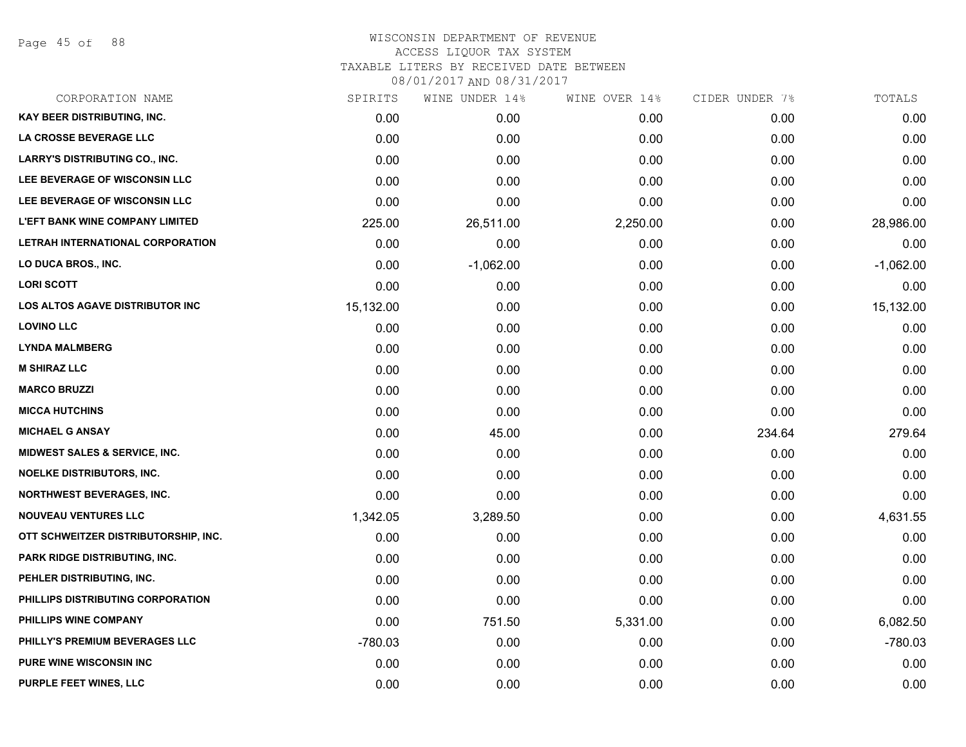Page 45 of 88

### WISCONSIN DEPARTMENT OF REVENUE ACCESS LIQUOR TAX SYSTEM TAXABLE LITERS BY RECEIVED DATE BETWEEN

| CORPORATION NAME                         | SPIRITS   | WINE UNDER 14% | WINE OVER 14% | CIDER UNDER 7% | TOTALS      |
|------------------------------------------|-----------|----------------|---------------|----------------|-------------|
| <b>KAY BEER DISTRIBUTING, INC.</b>       | 0.00      | 0.00           | 0.00          | 0.00           | 0.00        |
| LA CROSSE BEVERAGE LLC                   | 0.00      | 0.00           | 0.00          | 0.00           | 0.00        |
| <b>LARRY'S DISTRIBUTING CO., INC.</b>    | 0.00      | 0.00           | 0.00          | 0.00           | 0.00        |
| LEE BEVERAGE OF WISCONSIN LLC            | 0.00      | 0.00           | 0.00          | 0.00           | 0.00        |
| LEE BEVERAGE OF WISCONSIN LLC            | 0.00      | 0.00           | 0.00          | 0.00           | 0.00        |
| <b>L'EFT BANK WINE COMPANY LIMITED</b>   | 225.00    | 26,511.00      | 2,250.00      | 0.00           | 28,986.00   |
| LETRAH INTERNATIONAL CORPORATION         | 0.00      | 0.00           | 0.00          | 0.00           | 0.00        |
| LO DUCA BROS., INC.                      | 0.00      | $-1,062.00$    | 0.00          | 0.00           | $-1,062.00$ |
| <b>LORI SCOTT</b>                        | 0.00      | 0.00           | 0.00          | 0.00           | 0.00        |
| <b>LOS ALTOS AGAVE DISTRIBUTOR INC</b>   | 15,132.00 | 0.00           | 0.00          | 0.00           | 15,132.00   |
| <b>LOVINO LLC</b>                        | 0.00      | 0.00           | 0.00          | 0.00           | 0.00        |
| <b>LYNDA MALMBERG</b>                    | 0.00      | 0.00           | 0.00          | 0.00           | 0.00        |
| <b>M SHIRAZ LLC</b>                      | 0.00      | 0.00           | 0.00          | 0.00           | 0.00        |
| <b>MARCO BRUZZI</b>                      | 0.00      | 0.00           | 0.00          | 0.00           | 0.00        |
| <b>MICCA HUTCHINS</b>                    | 0.00      | 0.00           | 0.00          | 0.00           | 0.00        |
| <b>MICHAEL G ANSAY</b>                   | 0.00      | 45.00          | 0.00          | 234.64         | 279.64      |
| <b>MIDWEST SALES &amp; SERVICE, INC.</b> | 0.00      | 0.00           | 0.00          | 0.00           | 0.00        |
| <b>NOELKE DISTRIBUTORS, INC.</b>         | 0.00      | 0.00           | 0.00          | 0.00           | 0.00        |
| <b>NORTHWEST BEVERAGES, INC.</b>         | 0.00      | 0.00           | 0.00          | 0.00           | 0.00        |
| <b>NOUVEAU VENTURES LLC</b>              | 1,342.05  | 3,289.50       | 0.00          | 0.00           | 4,631.55    |
| OTT SCHWEITZER DISTRIBUTORSHIP, INC.     | 0.00      | 0.00           | 0.00          | 0.00           | 0.00        |
| PARK RIDGE DISTRIBUTING, INC.            | 0.00      | 0.00           | 0.00          | 0.00           | 0.00        |
| PEHLER DISTRIBUTING, INC.                | 0.00      | 0.00           | 0.00          | 0.00           | 0.00        |
| PHILLIPS DISTRIBUTING CORPORATION        | 0.00      | 0.00           | 0.00          | 0.00           | 0.00        |
| PHILLIPS WINE COMPANY                    | 0.00      | 751.50         | 5,331.00      | 0.00           | 6,082.50    |
| PHILLY'S PREMIUM BEVERAGES LLC           | $-780.03$ | 0.00           | 0.00          | 0.00           | $-780.03$   |
| <b>PURE WINE WISCONSIN INC</b>           | 0.00      | 0.00           | 0.00          | 0.00           | 0.00        |
| PURPLE FEET WINES, LLC                   | 0.00      | 0.00           | 0.00          | 0.00           | 0.00        |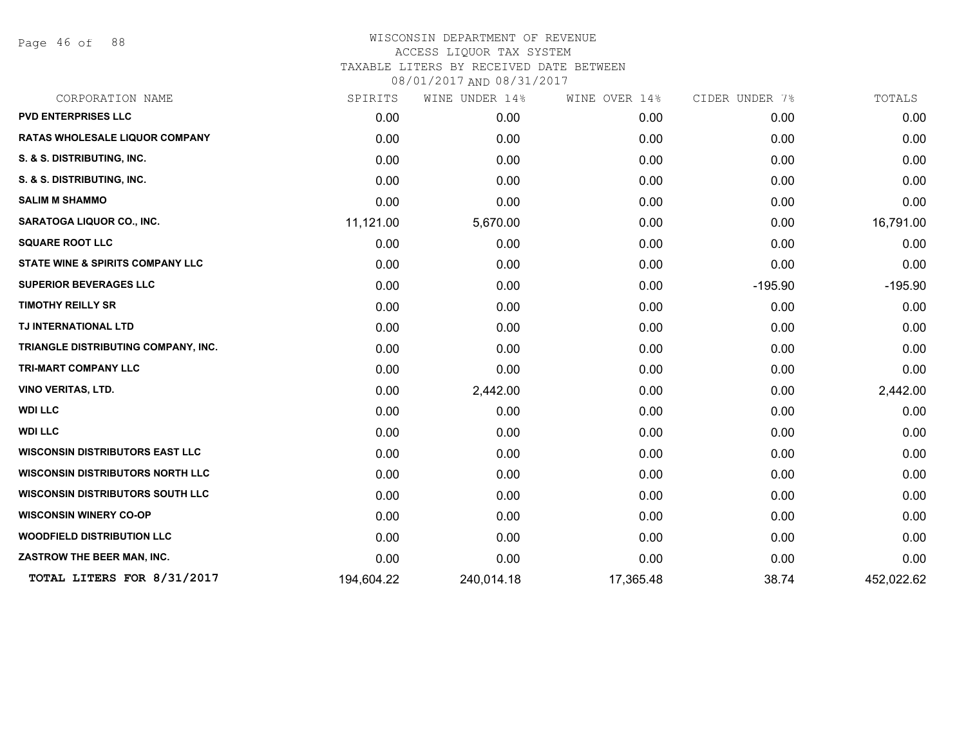Page 46 of 88

# WISCONSIN DEPARTMENT OF REVENUE ACCESS LIQUOR TAX SYSTEM TAXABLE LITERS BY RECEIVED DATE BETWEEN

| CORPORATION NAME                            | SPIRITS    | WINE UNDER 14% | WINE OVER 14% | CIDER UNDER 7% | TOTALS     |
|---------------------------------------------|------------|----------------|---------------|----------------|------------|
| <b>PVD ENTERPRISES LLC</b>                  | 0.00       | 0.00           | 0.00          | 0.00           | 0.00       |
| RATAS WHOLESALE LIQUOR COMPANY              | 0.00       | 0.00           | 0.00          | 0.00           | 0.00       |
| S. & S. DISTRIBUTING, INC.                  | 0.00       | 0.00           | 0.00          | 0.00           | 0.00       |
| S. & S. DISTRIBUTING, INC.                  | 0.00       | 0.00           | 0.00          | 0.00           | 0.00       |
| <b>SALIM M SHAMMO</b>                       | 0.00       | 0.00           | 0.00          | 0.00           | 0.00       |
| <b>SARATOGA LIQUOR CO., INC.</b>            | 11,121.00  | 5,670.00       | 0.00          | 0.00           | 16,791.00  |
| <b>SQUARE ROOT LLC</b>                      | 0.00       | 0.00           | 0.00          | 0.00           | 0.00       |
| <b>STATE WINE &amp; SPIRITS COMPANY LLC</b> | 0.00       | 0.00           | 0.00          | 0.00           | 0.00       |
| <b>SUPERIOR BEVERAGES LLC</b>               | 0.00       | 0.00           | 0.00          | $-195.90$      | $-195.90$  |
| <b>TIMOTHY REILLY SR</b>                    | 0.00       | 0.00           | 0.00          | 0.00           | 0.00       |
| TJ INTERNATIONAL LTD                        | 0.00       | 0.00           | 0.00          | 0.00           | 0.00       |
| TRIANGLE DISTRIBUTING COMPANY, INC.         | 0.00       | 0.00           | 0.00          | 0.00           | 0.00       |
| TRI-MART COMPANY LLC                        | 0.00       | 0.00           | 0.00          | 0.00           | 0.00       |
| <b>VINO VERITAS, LTD.</b>                   | 0.00       | 2,442.00       | 0.00          | 0.00           | 2,442.00   |
| <b>WDI LLC</b>                              | 0.00       | 0.00           | 0.00          | 0.00           | 0.00       |
| <b>WDI LLC</b>                              | 0.00       | 0.00           | 0.00          | 0.00           | 0.00       |
| <b>WISCONSIN DISTRIBUTORS EAST LLC</b>      | 0.00       | 0.00           | 0.00          | 0.00           | 0.00       |
| <b>WISCONSIN DISTRIBUTORS NORTH LLC</b>     | 0.00       | 0.00           | 0.00          | 0.00           | 0.00       |
| <b>WISCONSIN DISTRIBUTORS SOUTH LLC</b>     | 0.00       | 0.00           | 0.00          | 0.00           | 0.00       |
| <b>WISCONSIN WINERY CO-OP</b>               | 0.00       | 0.00           | 0.00          | 0.00           | 0.00       |
| <b>WOODFIELD DISTRIBUTION LLC</b>           | 0.00       | 0.00           | 0.00          | 0.00           | 0.00       |
| ZASTROW THE BEER MAN, INC.                  | 0.00       | 0.00           | 0.00          | 0.00           | 0.00       |
| TOTAL LITERS FOR 8/31/2017                  | 194,604.22 | 240,014.18     | 17,365.48     | 38.74          | 452,022.62 |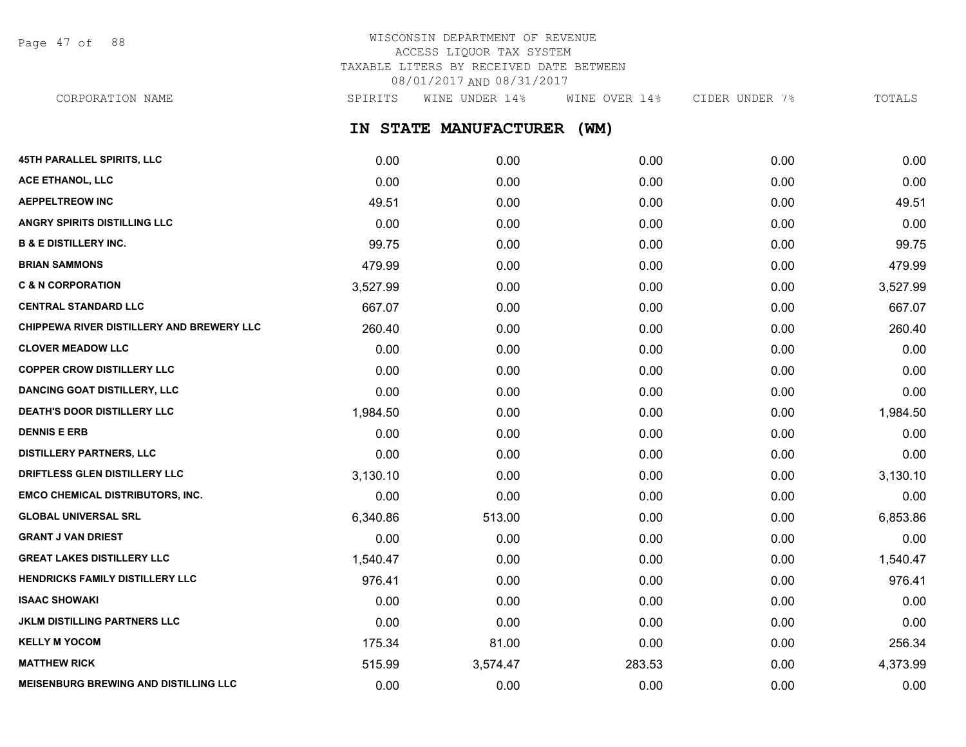Page 47 of 88

# WISCONSIN DEPARTMENT OF REVENUE ACCESS LIQUOR TAX SYSTEM TAXABLE LITERS BY RECEIVED DATE BETWEEN 08/01/2017 AND 08/31/2017

CORPORATION NAME SPIRITS WINE UNDER 14% WINE OVER 14% CIDER UNDER 7% TOTALS

**IN STATE MANUFACTURER (WM)**

| <b>45TH PARALLEL SPIRITS, LLC</b>            | 0.00     | 0.00     | 0.00   | 0.00 | 0.00     |
|----------------------------------------------|----------|----------|--------|------|----------|
| ACE ETHANOL, LLC                             | 0.00     | 0.00     | 0.00   | 0.00 | 0.00     |
| <b>AEPPELTREOW INC</b>                       | 49.51    | 0.00     | 0.00   | 0.00 | 49.51    |
| <b>ANGRY SPIRITS DISTILLING LLC</b>          | 0.00     | 0.00     | 0.00   | 0.00 | 0.00     |
| <b>B &amp; E DISTILLERY INC.</b>             | 99.75    | 0.00     | 0.00   | 0.00 | 99.75    |
| <b>BRIAN SAMMONS</b>                         | 479.99   | 0.00     | 0.00   | 0.00 | 479.99   |
| <b>C &amp; N CORPORATION</b>                 | 3,527.99 | 0.00     | 0.00   | 0.00 | 3,527.99 |
| <b>CENTRAL STANDARD LLC</b>                  | 667.07   | 0.00     | 0.00   | 0.00 | 667.07   |
| CHIPPEWA RIVER DISTILLERY AND BREWERY LLC    | 260.40   | 0.00     | 0.00   | 0.00 | 260.40   |
| <b>CLOVER MEADOW LLC</b>                     | 0.00     | 0.00     | 0.00   | 0.00 | 0.00     |
| <b>COPPER CROW DISTILLERY LLC</b>            | 0.00     | 0.00     | 0.00   | 0.00 | 0.00     |
| <b>DANCING GOAT DISTILLERY, LLC</b>          | 0.00     | 0.00     | 0.00   | 0.00 | 0.00     |
| <b>DEATH'S DOOR DISTILLERY LLC</b>           | 1,984.50 | 0.00     | 0.00   | 0.00 | 1,984.50 |
| <b>DENNIS E ERB</b>                          | 0.00     | 0.00     | 0.00   | 0.00 | 0.00     |
| <b>DISTILLERY PARTNERS, LLC</b>              | 0.00     | 0.00     | 0.00   | 0.00 | 0.00     |
| DRIFTLESS GLEN DISTILLERY LLC                | 3,130.10 | 0.00     | 0.00   | 0.00 | 3,130.10 |
| <b>EMCO CHEMICAL DISTRIBUTORS, INC.</b>      | 0.00     | 0.00     | 0.00   | 0.00 | 0.00     |
| <b>GLOBAL UNIVERSAL SRL</b>                  | 6,340.86 | 513.00   | 0.00   | 0.00 | 6,853.86 |
| <b>GRANT J VAN DRIEST</b>                    | 0.00     | 0.00     | 0.00   | 0.00 | 0.00     |
| <b>GREAT LAKES DISTILLERY LLC</b>            | 1,540.47 | 0.00     | 0.00   | 0.00 | 1,540.47 |
| HENDRICKS FAMILY DISTILLERY LLC              | 976.41   | 0.00     | 0.00   | 0.00 | 976.41   |
| <b>ISAAC SHOWAKI</b>                         | 0.00     | 0.00     | 0.00   | 0.00 | 0.00     |
| <b>JKLM DISTILLING PARTNERS LLC</b>          | 0.00     | 0.00     | 0.00   | 0.00 | 0.00     |
| <b>KELLY M YOCOM</b>                         | 175.34   | 81.00    | 0.00   | 0.00 | 256.34   |
| <b>MATTHEW RICK</b>                          | 515.99   | 3,574.47 | 283.53 | 0.00 | 4,373.99 |
| <b>MEISENBURG BREWING AND DISTILLING LLC</b> | 0.00     | 0.00     | 0.00   | 0.00 | 0.00     |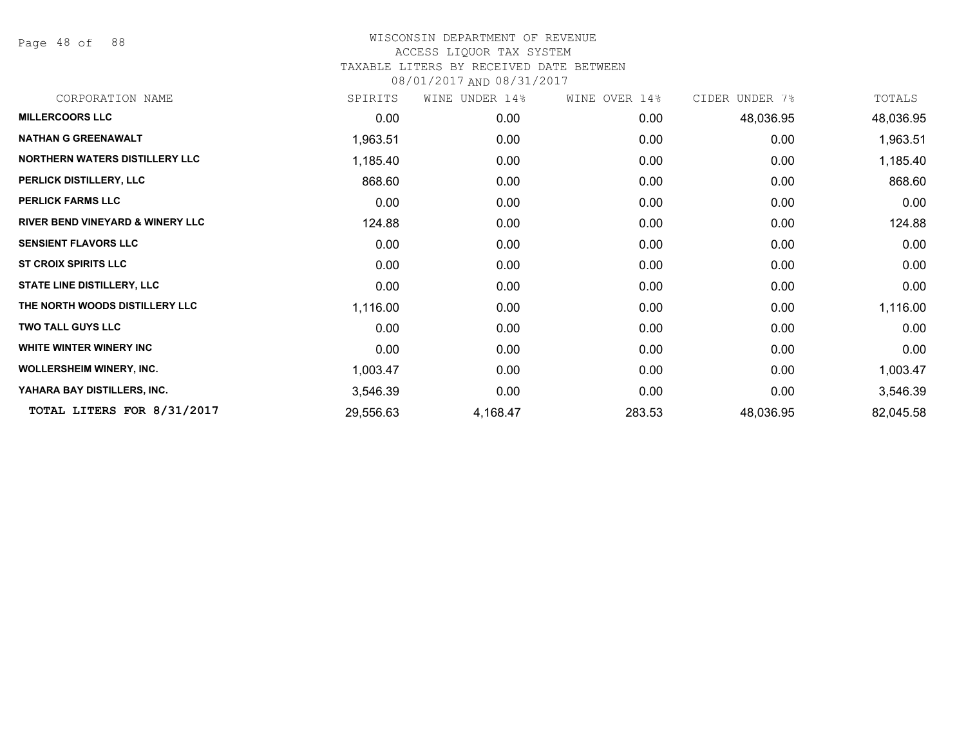Page 48 of 88

| CORPORATION NAME                            | SPIRITS   | WINE UNDER 14% | WINE OVER 14% | CIDER UNDER 7% | TOTALS    |
|---------------------------------------------|-----------|----------------|---------------|----------------|-----------|
| <b>MILLERCOORS LLC</b>                      | 0.00      | 0.00           | 0.00          | 48,036.95      | 48,036.95 |
| <b>NATHAN G GREENAWALT</b>                  | 1,963.51  | 0.00           | 0.00          | 0.00           | 1,963.51  |
| NORTHERN WATERS DISTILLERY LLC              | 1,185.40  | 0.00           | 0.00          | 0.00           | 1,185.40  |
| PERLICK DISTILLERY, LLC                     | 868.60    | 0.00           | 0.00          | 0.00           | 868.60    |
| <b>PERLICK FARMS LLC</b>                    | 0.00      | 0.00           | 0.00          | 0.00           | 0.00      |
| <b>RIVER BEND VINEYARD &amp; WINERY LLC</b> | 124.88    | 0.00           | 0.00          | 0.00           | 124.88    |
| <b>SENSIENT FLAVORS LLC</b>                 | 0.00      | 0.00           | 0.00          | 0.00           | 0.00      |
| <b>ST CROIX SPIRITS LLC</b>                 | 0.00      | 0.00           | 0.00          | 0.00           | 0.00      |
| <b>STATE LINE DISTILLERY, LLC</b>           | 0.00      | 0.00           | 0.00          | 0.00           | 0.00      |
| THE NORTH WOODS DISTILLERY LLC              | 1,116.00  | 0.00           | 0.00          | 0.00           | 1,116.00  |
| <b>TWO TALL GUYS LLC</b>                    | 0.00      | 0.00           | 0.00          | 0.00           | 0.00      |
| WHITE WINTER WINERY INC                     | 0.00      | 0.00           | 0.00          | 0.00           | 0.00      |
| <b>WOLLERSHEIM WINERY, INC.</b>             | 1,003.47  | 0.00           | 0.00          | 0.00           | 1,003.47  |
| YAHARA BAY DISTILLERS, INC.                 | 3,546.39  | 0.00           | 0.00          | 0.00           | 3,546.39  |
| TOTAL LITERS FOR 8/31/2017                  | 29,556.63 | 4,168.47       | 283.53        | 48,036.95      | 82,045.58 |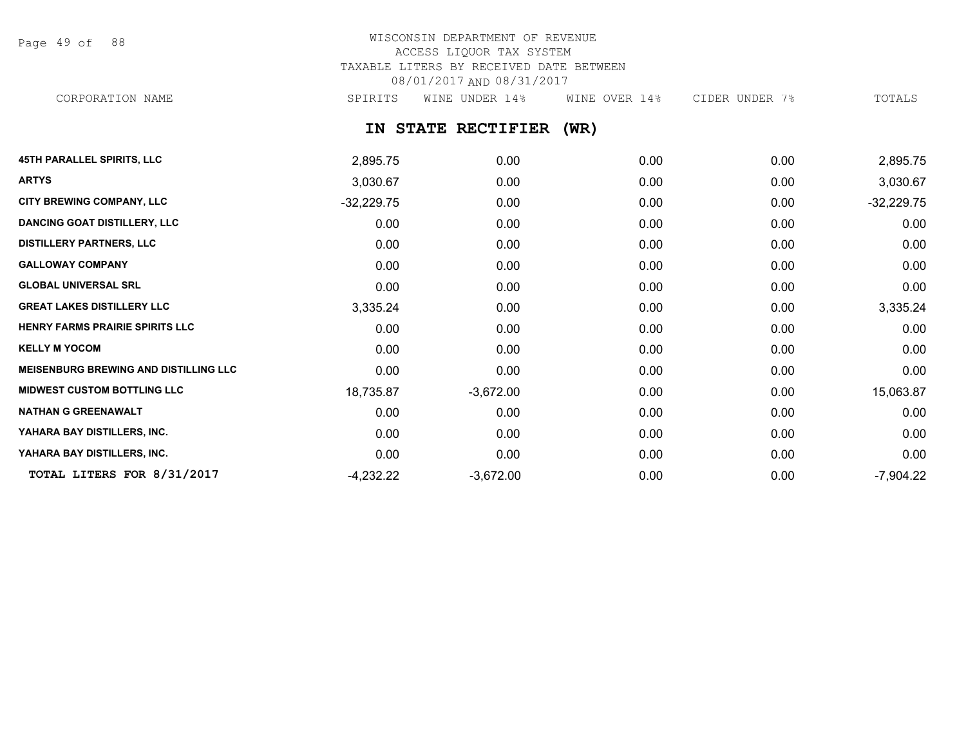Page 49 of 88

# WISCONSIN DEPARTMENT OF REVENUE ACCESS LIQUOR TAX SYSTEM TAXABLE LITERS BY RECEIVED DATE BETWEEN 08/01/2017 AND 08/31/2017 CORPORATION NAME SPIRITS WINE UNDER 14% WINE OVER 14% CIDER UNDER 7% TOTALS

**IN STATE RECTIFIER (WR)**

| <b>45TH PARALLEL SPIRITS, LLC</b>            | 2,895.75     | 0.00        | 0.00 | 0.00 | 2,895.75     |
|----------------------------------------------|--------------|-------------|------|------|--------------|
| <b>ARTYS</b>                                 | 3,030.67     | 0.00        | 0.00 | 0.00 | 3,030.67     |
| CITY BREWING COMPANY, LLC                    | $-32,229.75$ | 0.00        | 0.00 | 0.00 | $-32,229.75$ |
| <b>DANCING GOAT DISTILLERY, LLC</b>          | 0.00         | 0.00        | 0.00 | 0.00 | 0.00         |
| <b>DISTILLERY PARTNERS, LLC</b>              | 0.00         | 0.00        | 0.00 | 0.00 | 0.00         |
| <b>GALLOWAY COMPANY</b>                      | 0.00         | 0.00        | 0.00 | 0.00 | 0.00         |
| <b>GLOBAL UNIVERSAL SRL</b>                  | 0.00         | 0.00        | 0.00 | 0.00 | 0.00         |
| <b>GREAT LAKES DISTILLERY LLC</b>            | 3,335.24     | 0.00        | 0.00 | 0.00 | 3,335.24     |
| HENRY FARMS PRAIRIE SPIRITS LLC              | 0.00         | 0.00        | 0.00 | 0.00 | 0.00         |
| <b>KELLY M YOCOM</b>                         | 0.00         | 0.00        | 0.00 | 0.00 | 0.00         |
| <b>MEISENBURG BREWING AND DISTILLING LLC</b> | 0.00         | 0.00        | 0.00 | 0.00 | 0.00         |
| <b>MIDWEST CUSTOM BOTTLING LLC</b>           | 18,735.87    | $-3,672.00$ | 0.00 | 0.00 | 15,063.87    |
| <b>NATHAN G GREENAWALT</b>                   | 0.00         | 0.00        | 0.00 | 0.00 | 0.00         |
| YAHARA BAY DISTILLERS, INC.                  | 0.00         | 0.00        | 0.00 | 0.00 | 0.00         |
| YAHARA BAY DISTILLERS, INC.                  | 0.00         | 0.00        | 0.00 | 0.00 | 0.00         |
| TOTAL LITERS FOR 8/31/2017                   | $-4,232.22$  | $-3,672.00$ | 0.00 | 0.00 | $-7,904.22$  |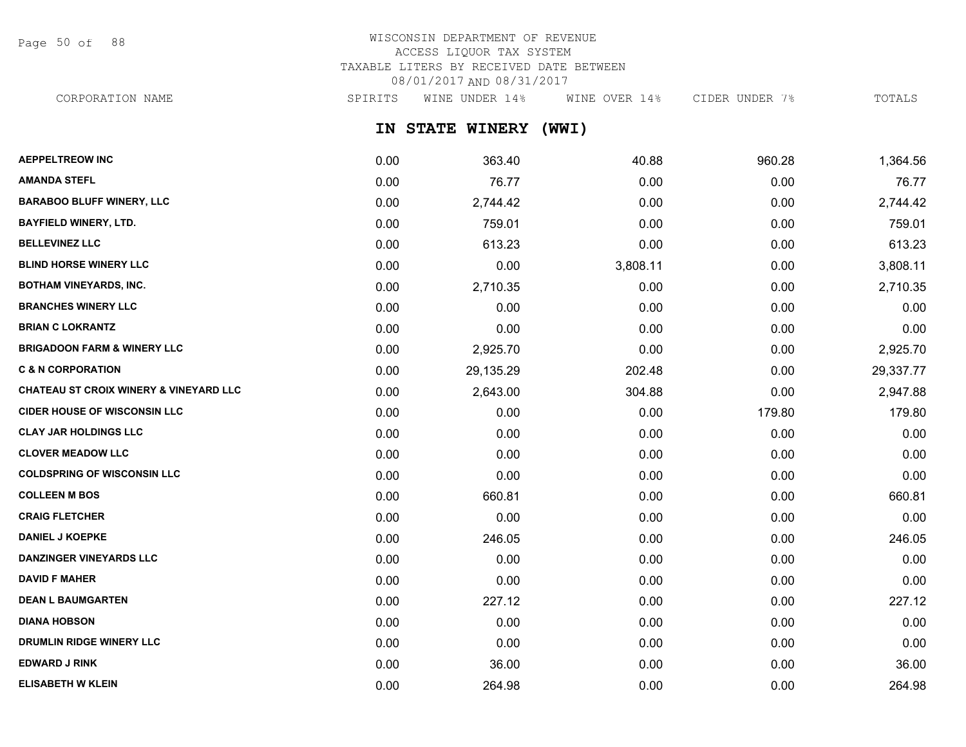Page 50 of 88

# WISCONSIN DEPARTMENT OF REVENUE ACCESS LIQUOR TAX SYSTEM TAXABLE LITERS BY RECEIVED DATE BETWEEN 08/01/2017 AND 08/31/2017

CORPORATION NAME SPIRITS WINE UNDER 14% WINE OVER 14% CIDER UNDER 7% TOTALS

**IN STATE WINERY (WWI)**

| <b>AEPPELTREOW INC</b>                            | 0.00 | 363.40    | 40.88    | 960.28 | 1,364.56  |
|---------------------------------------------------|------|-----------|----------|--------|-----------|
| <b>AMANDA STEFL</b>                               | 0.00 | 76.77     | 0.00     | 0.00   | 76.77     |
| <b>BARABOO BLUFF WINERY, LLC</b>                  | 0.00 | 2,744.42  | 0.00     | 0.00   | 2,744.42  |
| <b>BAYFIELD WINERY, LTD.</b>                      | 0.00 | 759.01    | 0.00     | 0.00   | 759.01    |
| <b>BELLEVINEZ LLC</b>                             | 0.00 | 613.23    | 0.00     | 0.00   | 613.23    |
| <b>BLIND HORSE WINERY LLC</b>                     | 0.00 | 0.00      | 3,808.11 | 0.00   | 3,808.11  |
| <b>BOTHAM VINEYARDS, INC.</b>                     | 0.00 | 2,710.35  | 0.00     | 0.00   | 2,710.35  |
| <b>BRANCHES WINERY LLC</b>                        | 0.00 | 0.00      | 0.00     | 0.00   | 0.00      |
| <b>BRIAN C LOKRANTZ</b>                           | 0.00 | 0.00      | 0.00     | 0.00   | 0.00      |
| <b>BRIGADOON FARM &amp; WINERY LLC</b>            | 0.00 | 2,925.70  | 0.00     | 0.00   | 2,925.70  |
| <b>C &amp; N CORPORATION</b>                      | 0.00 | 29,135.29 | 202.48   | 0.00   | 29,337.77 |
| <b>CHATEAU ST CROIX WINERY &amp; VINEYARD LLC</b> | 0.00 | 2,643.00  | 304.88   | 0.00   | 2,947.88  |
| <b>CIDER HOUSE OF WISCONSIN LLC</b>               | 0.00 | 0.00      | 0.00     | 179.80 | 179.80    |
| <b>CLAY JAR HOLDINGS LLC</b>                      | 0.00 | 0.00      | 0.00     | 0.00   | 0.00      |
| <b>CLOVER MEADOW LLC</b>                          | 0.00 | 0.00      | 0.00     | 0.00   | 0.00      |
| <b>COLDSPRING OF WISCONSIN LLC</b>                | 0.00 | 0.00      | 0.00     | 0.00   | 0.00      |
| <b>COLLEEN M BOS</b>                              | 0.00 | 660.81    | 0.00     | 0.00   | 660.81    |
| <b>CRAIG FLETCHER</b>                             | 0.00 | 0.00      | 0.00     | 0.00   | 0.00      |
| <b>DANIEL J KOEPKE</b>                            | 0.00 | 246.05    | 0.00     | 0.00   | 246.05    |
| DANZINGER VINEYARDS LLC                           | 0.00 | 0.00      | 0.00     | 0.00   | 0.00      |
| <b>DAVID F MAHER</b>                              | 0.00 | 0.00      | 0.00     | 0.00   | 0.00      |
| <b>DEAN L BAUMGARTEN</b>                          | 0.00 | 227.12    | 0.00     | 0.00   | 227.12    |
| <b>DIANA HOBSON</b>                               | 0.00 | 0.00      | 0.00     | 0.00   | 0.00      |
| DRUMLIN RIDGE WINERY LLC                          | 0.00 | 0.00      | 0.00     | 0.00   | 0.00      |
| <b>EDWARD J RINK</b>                              | 0.00 | 36.00     | 0.00     | 0.00   | 36.00     |
| <b>ELISABETH W KLEIN</b>                          | 0.00 | 264.98    | 0.00     | 0.00   | 264.98    |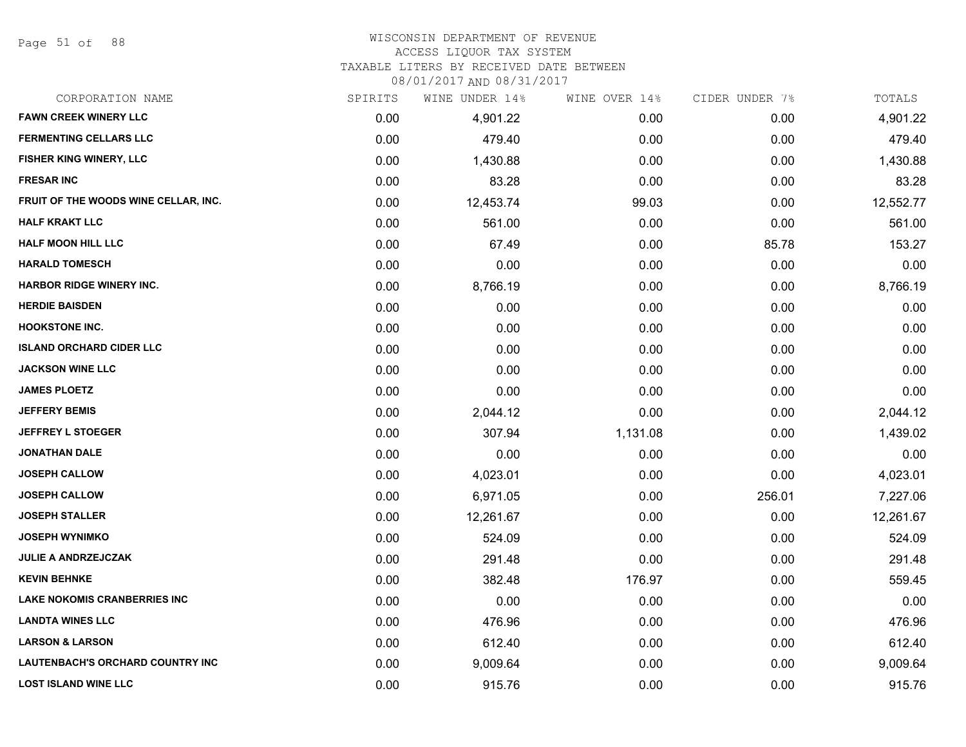Page 51 of 88

#### WISCONSIN DEPARTMENT OF REVENUE

### ACCESS LIQUOR TAX SYSTEM

TAXABLE LITERS BY RECEIVED DATE BETWEEN

| CORPORATION NAME                        | SPIRITS | WINE UNDER 14% | WINE OVER 14% | CIDER UNDER 7% | TOTALS    |
|-----------------------------------------|---------|----------------|---------------|----------------|-----------|
| <b>FAWN CREEK WINERY LLC</b>            | 0.00    | 4,901.22       | 0.00          | 0.00           | 4,901.22  |
| <b>FERMENTING CELLARS LLC</b>           | 0.00    | 479.40         | 0.00          | 0.00           | 479.40    |
| FISHER KING WINERY, LLC                 | 0.00    | 1,430.88       | 0.00          | 0.00           | 1,430.88  |
| <b>FRESAR INC</b>                       | 0.00    | 83.28          | 0.00          | 0.00           | 83.28     |
| FRUIT OF THE WOODS WINE CELLAR, INC.    | 0.00    | 12,453.74      | 99.03         | 0.00           | 12,552.77 |
| <b>HALF KRAKT LLC</b>                   | 0.00    | 561.00         | 0.00          | 0.00           | 561.00    |
| <b>HALF MOON HILL LLC</b>               | 0.00    | 67.49          | 0.00          | 85.78          | 153.27    |
| <b>HARALD TOMESCH</b>                   | 0.00    | 0.00           | 0.00          | 0.00           | 0.00      |
| <b>HARBOR RIDGE WINERY INC.</b>         | 0.00    | 8,766.19       | 0.00          | 0.00           | 8,766.19  |
| <b>HERDIE BAISDEN</b>                   | 0.00    | 0.00           | 0.00          | 0.00           | 0.00      |
| <b>HOOKSTONE INC.</b>                   | 0.00    | 0.00           | 0.00          | 0.00           | 0.00      |
| <b>ISLAND ORCHARD CIDER LLC</b>         | 0.00    | 0.00           | 0.00          | 0.00           | 0.00      |
| <b>JACKSON WINE LLC</b>                 | 0.00    | 0.00           | 0.00          | 0.00           | 0.00      |
| <b>JAMES PLOETZ</b>                     | 0.00    | 0.00           | 0.00          | 0.00           | 0.00      |
| <b>JEFFERY BEMIS</b>                    | 0.00    | 2,044.12       | 0.00          | 0.00           | 2,044.12  |
| <b>JEFFREY L STOEGER</b>                | 0.00    | 307.94         | 1,131.08      | 0.00           | 1,439.02  |
| <b>JONATHAN DALE</b>                    | 0.00    | 0.00           | 0.00          | 0.00           | 0.00      |
| <b>JOSEPH CALLOW</b>                    | 0.00    | 4,023.01       | 0.00          | 0.00           | 4,023.01  |
| <b>JOSEPH CALLOW</b>                    | 0.00    | 6,971.05       | 0.00          | 256.01         | 7,227.06  |
| <b>JOSEPH STALLER</b>                   | 0.00    | 12,261.67      | 0.00          | 0.00           | 12,261.67 |
| <b>JOSEPH WYNIMKO</b>                   | 0.00    | 524.09         | 0.00          | 0.00           | 524.09    |
| <b>JULIE A ANDRZEJCZAK</b>              | 0.00    | 291.48         | 0.00          | 0.00           | 291.48    |
| <b>KEVIN BEHNKE</b>                     | 0.00    | 382.48         | 176.97        | 0.00           | 559.45    |
| <b>LAKE NOKOMIS CRANBERRIES INC</b>     | 0.00    | 0.00           | 0.00          | 0.00           | 0.00      |
| <b>LANDTA WINES LLC</b>                 | 0.00    | 476.96         | 0.00          | 0.00           | 476.96    |
| <b>LARSON &amp; LARSON</b>              | 0.00    | 612.40         | 0.00          | 0.00           | 612.40    |
| <b>LAUTENBACH'S ORCHARD COUNTRY INC</b> | 0.00    | 9,009.64       | 0.00          | 0.00           | 9,009.64  |
| <b>LOST ISLAND WINE LLC</b>             | 0.00    | 915.76         | 0.00          | 0.00           | 915.76    |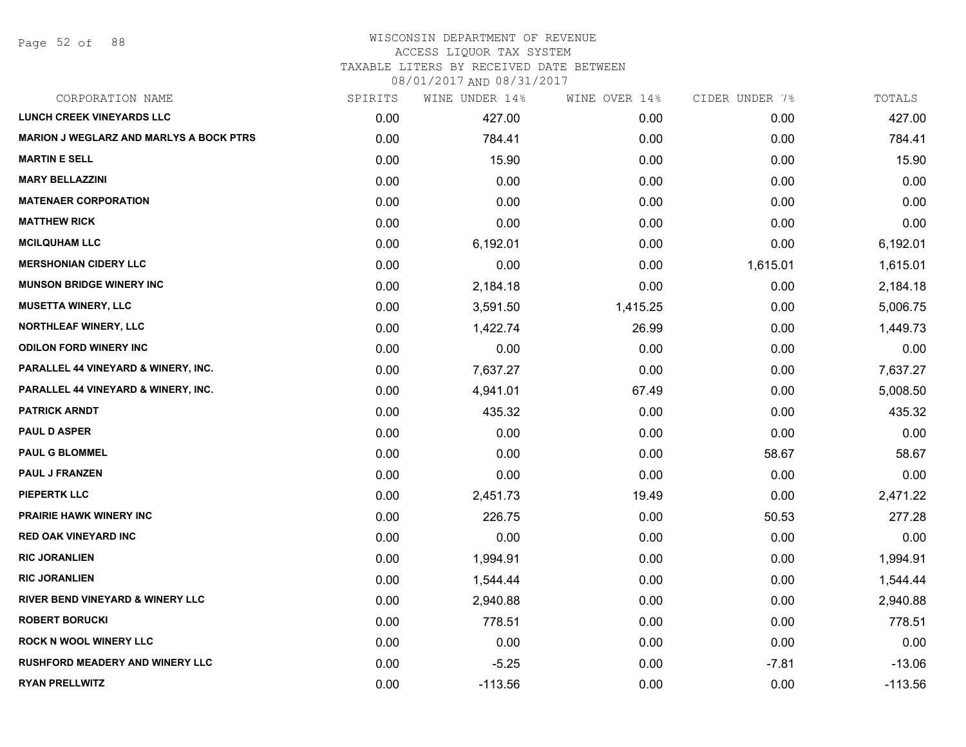### WISCONSIN DEPARTMENT OF REVENUE ACCESS LIQUOR TAX SYSTEM

TAXABLE LITERS BY RECEIVED DATE BETWEEN

| CORPORATION NAME                               | SPIRITS | WINE UNDER 14% | WINE OVER 14% | CIDER UNDER 7% | TOTALS    |
|------------------------------------------------|---------|----------------|---------------|----------------|-----------|
| <b>LUNCH CREEK VINEYARDS LLC</b>               | 0.00    | 427.00         | 0.00          | 0.00           | 427.00    |
| <b>MARION J WEGLARZ AND MARLYS A BOCK PTRS</b> | 0.00    | 784.41         | 0.00          | 0.00           | 784.41    |
| <b>MARTIN E SELL</b>                           | 0.00    | 15.90          | 0.00          | 0.00           | 15.90     |
| <b>MARY BELLAZZINI</b>                         | 0.00    | 0.00           | 0.00          | 0.00           | 0.00      |
| <b>MATENAER CORPORATION</b>                    | 0.00    | 0.00           | 0.00          | 0.00           | 0.00      |
| <b>MATTHEW RICK</b>                            | 0.00    | 0.00           | 0.00          | 0.00           | 0.00      |
| <b>MCILQUHAM LLC</b>                           | 0.00    | 6,192.01       | 0.00          | 0.00           | 6,192.01  |
| <b>MERSHONIAN CIDERY LLC</b>                   | 0.00    | 0.00           | 0.00          | 1,615.01       | 1,615.01  |
| <b>MUNSON BRIDGE WINERY INC</b>                | 0.00    | 2,184.18       | 0.00          | 0.00           | 2,184.18  |
| <b>MUSETTA WINERY, LLC</b>                     | 0.00    | 3,591.50       | 1,415.25      | 0.00           | 5,006.75  |
| <b>NORTHLEAF WINERY, LLC</b>                   | 0.00    | 1,422.74       | 26.99         | 0.00           | 1,449.73  |
| <b>ODILON FORD WINERY INC</b>                  | 0.00    | 0.00           | 0.00          | 0.00           | 0.00      |
| PARALLEL 44 VINEYARD & WINERY, INC.            | 0.00    | 7,637.27       | 0.00          | 0.00           | 7,637.27  |
| PARALLEL 44 VINEYARD & WINERY, INC.            | 0.00    | 4,941.01       | 67.49         | 0.00           | 5,008.50  |
| <b>PATRICK ARNDT</b>                           | 0.00    | 435.32         | 0.00          | 0.00           | 435.32    |
| <b>PAUL D ASPER</b>                            | 0.00    | 0.00           | 0.00          | 0.00           | 0.00      |
| <b>PAUL G BLOMMEL</b>                          | 0.00    | 0.00           | 0.00          | 58.67          | 58.67     |
| <b>PAUL J FRANZEN</b>                          | 0.00    | 0.00           | 0.00          | 0.00           | 0.00      |
| <b>PIEPERTK LLC</b>                            | 0.00    | 2,451.73       | 19.49         | 0.00           | 2,471.22  |
| <b>PRAIRIE HAWK WINERY INC</b>                 | 0.00    | 226.75         | 0.00          | 50.53          | 277.28    |
| <b>RED OAK VINEYARD INC</b>                    | 0.00    | 0.00           | 0.00          | 0.00           | 0.00      |
| <b>RIC JORANLIEN</b>                           | 0.00    | 1,994.91       | 0.00          | 0.00           | 1,994.91  |
| <b>RIC JORANLIEN</b>                           | 0.00    | 1,544.44       | 0.00          | 0.00           | 1,544.44  |
| RIVER BEND VINEYARD & WINERY LLC               | 0.00    | 2,940.88       | 0.00          | 0.00           | 2,940.88  |
| <b>ROBERT BORUCKI</b>                          | 0.00    | 778.51         | 0.00          | 0.00           | 778.51    |
| <b>ROCK N WOOL WINERY LLC</b>                  | 0.00    | 0.00           | 0.00          | 0.00           | 0.00      |
| <b>RUSHFORD MEADERY AND WINERY LLC</b>         | 0.00    | $-5.25$        | 0.00          | $-7.81$        | $-13.06$  |
| <b>RYAN PRELLWITZ</b>                          | 0.00    | $-113.56$      | 0.00          | 0.00           | $-113.56$ |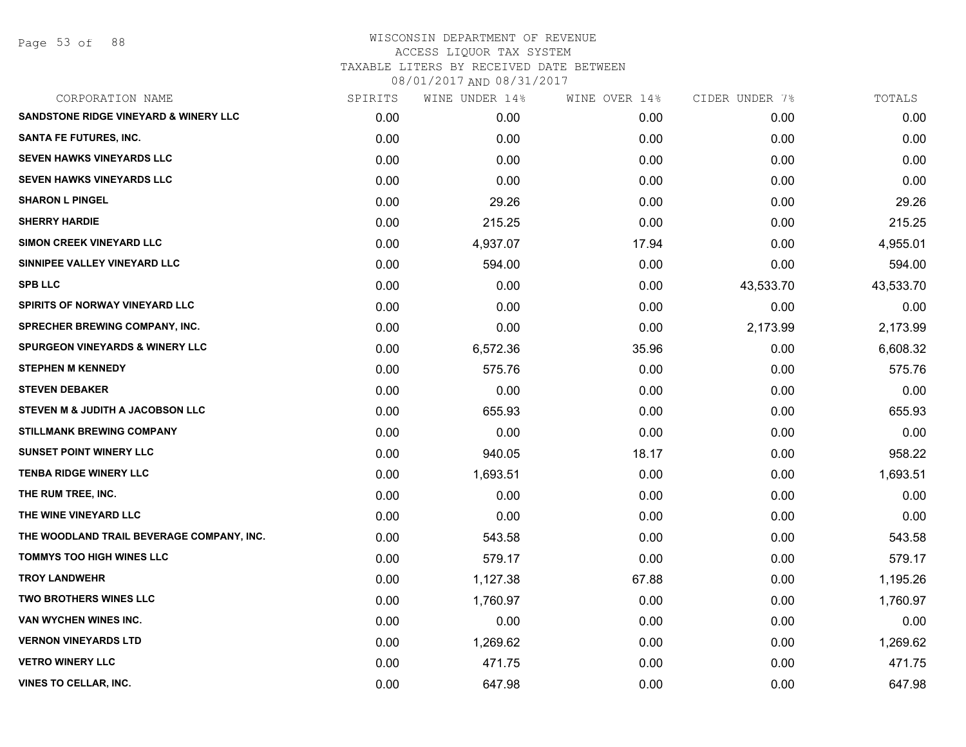Page 53 of 88

# WISCONSIN DEPARTMENT OF REVENUE ACCESS LIQUOR TAX SYSTEM TAXABLE LITERS BY RECEIVED DATE BETWEEN

| CORPORATION NAME                                 | SPIRITS | WINE UNDER 14% | WINE OVER 14% | CIDER UNDER 7% | TOTALS    |
|--------------------------------------------------|---------|----------------|---------------|----------------|-----------|
| <b>SANDSTONE RIDGE VINEYARD &amp; WINERY LLC</b> | 0.00    | 0.00           | 0.00          | 0.00           | 0.00      |
| <b>SANTA FE FUTURES, INC.</b>                    | 0.00    | 0.00           | 0.00          | 0.00           | 0.00      |
| <b>SEVEN HAWKS VINEYARDS LLC</b>                 | 0.00    | 0.00           | 0.00          | 0.00           | 0.00      |
| <b>SEVEN HAWKS VINEYARDS LLC</b>                 | 0.00    | 0.00           | 0.00          | 0.00           | 0.00      |
| <b>SHARON L PINGEL</b>                           | 0.00    | 29.26          | 0.00          | 0.00           | 29.26     |
| <b>SHERRY HARDIE</b>                             | 0.00    | 215.25         | 0.00          | 0.00           | 215.25    |
| <b>SIMON CREEK VINEYARD LLC</b>                  | 0.00    | 4,937.07       | 17.94         | 0.00           | 4,955.01  |
| SINNIPEE VALLEY VINEYARD LLC                     | 0.00    | 594.00         | 0.00          | 0.00           | 594.00    |
| <b>SPB LLC</b>                                   | 0.00    | 0.00           | 0.00          | 43,533.70      | 43,533.70 |
| SPIRITS OF NORWAY VINEYARD LLC                   | 0.00    | 0.00           | 0.00          | 0.00           | 0.00      |
| SPRECHER BREWING COMPANY, INC.                   | 0.00    | 0.00           | 0.00          | 2,173.99       | 2,173.99  |
| <b>SPURGEON VINEYARDS &amp; WINERY LLC</b>       | 0.00    | 6,572.36       | 35.96         | 0.00           | 6,608.32  |
| <b>STEPHEN M KENNEDY</b>                         | 0.00    | 575.76         | 0.00          | 0.00           | 575.76    |
| <b>STEVEN DEBAKER</b>                            | 0.00    | 0.00           | 0.00          | 0.00           | 0.00      |
| STEVEN M & JUDITH A JACOBSON LLC                 | 0.00    | 655.93         | 0.00          | 0.00           | 655.93    |
| <b>STILLMANK BREWING COMPANY</b>                 | 0.00    | 0.00           | 0.00          | 0.00           | 0.00      |
| <b>SUNSET POINT WINERY LLC</b>                   | 0.00    | 940.05         | 18.17         | 0.00           | 958.22    |
| <b>TENBA RIDGE WINERY LLC</b>                    | 0.00    | 1,693.51       | 0.00          | 0.00           | 1,693.51  |
| THE RUM TREE, INC.                               | 0.00    | 0.00           | 0.00          | 0.00           | 0.00      |
| THE WINE VINEYARD LLC                            | 0.00    | 0.00           | 0.00          | 0.00           | 0.00      |
| THE WOODLAND TRAIL BEVERAGE COMPANY, INC.        | 0.00    | 543.58         | 0.00          | 0.00           | 543.58    |
| <b>TOMMYS TOO HIGH WINES LLC</b>                 | 0.00    | 579.17         | 0.00          | 0.00           | 579.17    |
| <b>TROY LANDWEHR</b>                             | 0.00    | 1,127.38       | 67.88         | 0.00           | 1,195.26  |
| <b>TWO BROTHERS WINES LLC</b>                    | 0.00    | 1,760.97       | 0.00          | 0.00           | 1,760.97  |
| VAN WYCHEN WINES INC.                            | 0.00    | 0.00           | 0.00          | 0.00           | 0.00      |
| <b>VERNON VINEYARDS LTD</b>                      | 0.00    | 1,269.62       | 0.00          | 0.00           | 1,269.62  |
| <b>VETRO WINERY LLC</b>                          | 0.00    | 471.75         | 0.00          | 0.00           | 471.75    |
| VINES TO CELLAR, INC.                            | 0.00    | 647.98         | 0.00          | 0.00           | 647.98    |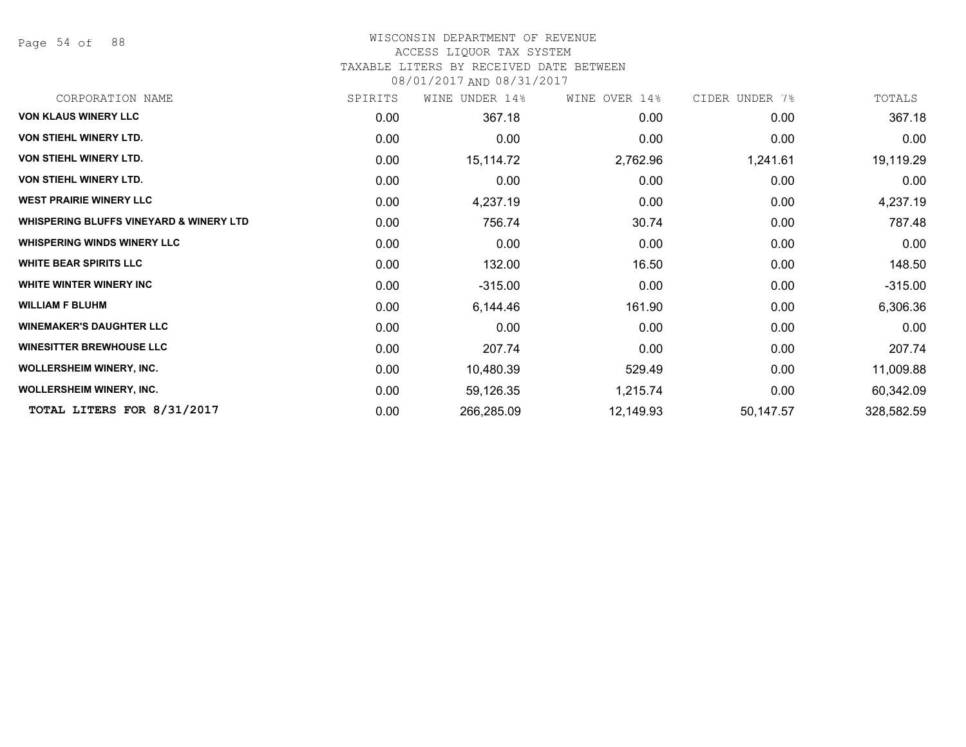Page 54 of 88

# WISCONSIN DEPARTMENT OF REVENUE

### ACCESS LIQUOR TAX SYSTEM

TAXABLE LITERS BY RECEIVED DATE BETWEEN

| CORPORATION NAME                                   | SPIRITS | WINE UNDER 14% | WINE OVER 14% | CIDER UNDER 7% | TOTALS     |
|----------------------------------------------------|---------|----------------|---------------|----------------|------------|
| <b>VON KLAUS WINERY LLC</b>                        | 0.00    | 367.18         | 0.00          | 0.00           | 367.18     |
| VON STIEHL WINERY LTD.                             | 0.00    | 0.00           | 0.00          | 0.00           | 0.00       |
| VON STIEHL WINERY LTD.                             | 0.00    | 15,114.72      | 2,762.96      | 1,241.61       | 19,119.29  |
| <b>VON STIEHL WINERY LTD.</b>                      | 0.00    | 0.00           | 0.00          | 0.00           | 0.00       |
| <b>WEST PRAIRIE WINERY LLC</b>                     | 0.00    | 4,237.19       | 0.00          | 0.00           | 4,237.19   |
| <b>WHISPERING BLUFFS VINEYARD &amp; WINERY LTD</b> | 0.00    | 756.74         | 30.74         | 0.00           | 787.48     |
| <b>WHISPERING WINDS WINERY LLC</b>                 | 0.00    | 0.00           | 0.00          | 0.00           | 0.00       |
| <b>WHITE BEAR SPIRITS LLC</b>                      | 0.00    | 132.00         | 16.50         | 0.00           | 148.50     |
| WHITE WINTER WINERY INC                            | 0.00    | $-315.00$      | 0.00          | 0.00           | $-315.00$  |
| <b>WILLIAM F BLUHM</b>                             | 0.00    | 6,144.46       | 161.90        | 0.00           | 6,306.36   |
| <b>WINEMAKER'S DAUGHTER LLC</b>                    | 0.00    | 0.00           | 0.00          | 0.00           | 0.00       |
| <b>WINESITTER BREWHOUSE LLC</b>                    | 0.00    | 207.74         | 0.00          | 0.00           | 207.74     |
| <b>WOLLERSHEIM WINERY, INC.</b>                    | 0.00    | 10,480.39      | 529.49        | 0.00           | 11,009.88  |
| <b>WOLLERSHEIM WINERY, INC.</b>                    | 0.00    | 59,126.35      | 1,215.74      | 0.00           | 60,342.09  |
| TOTAL LITERS FOR 8/31/2017                         | 0.00    | 266,285.09     | 12,149.93     | 50,147.57      | 328,582.59 |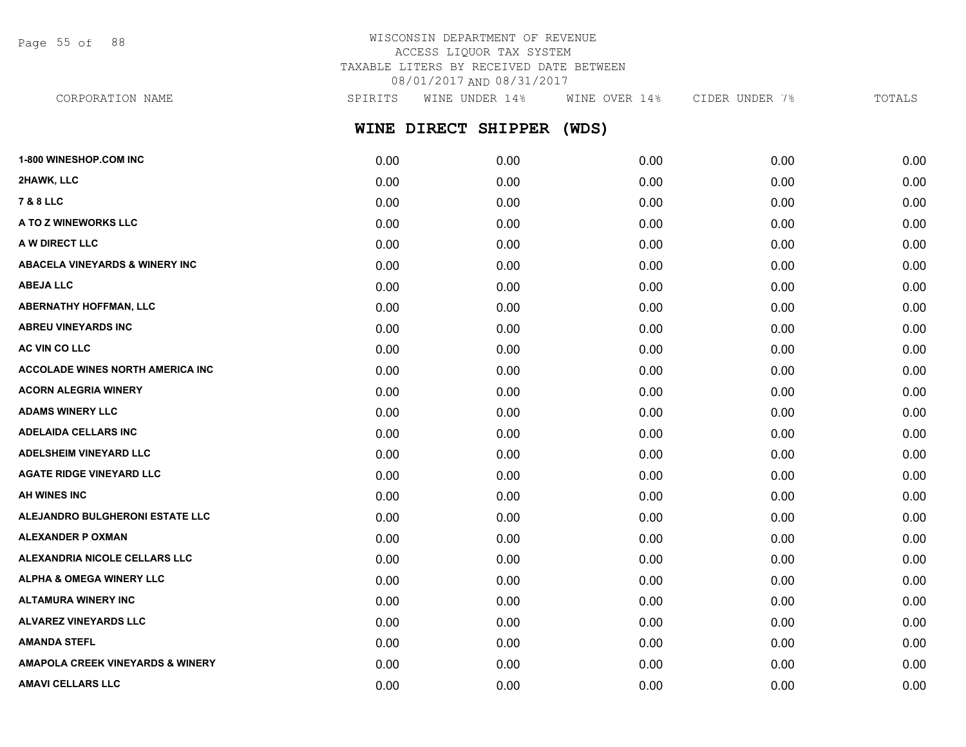Page 55 of 88

# WISCONSIN DEPARTMENT OF REVENUE ACCESS LIQUOR TAX SYSTEM TAXABLE LITERS BY RECEIVED DATE BETWEEN 08/01/2017 AND 08/31/2017

**WINE DIRECT SHIPPER (WDS) 1-800 WINESHOP.COM INC** 0.00 0.00 0.00 0.00 0.00 **2HAWK, LLC** 0.00 0.00 0.00 0.00 0.00 CORPORATION NAME SPIRITS WINE UNDER 14% WINE OVER 14% CIDER UNDER 7% TOTALS

| 7 & 8 LLC                                   | 0.00 | 0.00 | 0.00 | 0.00 | 0.00 |
|---------------------------------------------|------|------|------|------|------|
| A TO Z WINEWORKS LLC                        | 0.00 | 0.00 | 0.00 | 0.00 | 0.00 |
| A W DIRECT LLC                              | 0.00 | 0.00 | 0.00 | 0.00 | 0.00 |
| <b>ABACELA VINEYARDS &amp; WINERY INC</b>   | 0.00 | 0.00 | 0.00 | 0.00 | 0.00 |
| <b>ABEJA LLC</b>                            | 0.00 | 0.00 | 0.00 | 0.00 | 0.00 |
| <b>ABERNATHY HOFFMAN, LLC</b>               | 0.00 | 0.00 | 0.00 | 0.00 | 0.00 |
| <b>ABREU VINEYARDS INC</b>                  | 0.00 | 0.00 | 0.00 | 0.00 | 0.00 |
| AC VIN CO LLC                               | 0.00 | 0.00 | 0.00 | 0.00 | 0.00 |
| <b>ACCOLADE WINES NORTH AMERICA INC</b>     | 0.00 | 0.00 | 0.00 | 0.00 | 0.00 |
| <b>ACORN ALEGRIA WINERY</b>                 | 0.00 | 0.00 | 0.00 | 0.00 | 0.00 |
| <b>ADAMS WINERY LLC</b>                     | 0.00 | 0.00 | 0.00 | 0.00 | 0.00 |
| <b>ADELAIDA CELLARS INC</b>                 | 0.00 | 0.00 | 0.00 | 0.00 | 0.00 |
| <b>ADELSHEIM VINEYARD LLC</b>               | 0.00 | 0.00 | 0.00 | 0.00 | 0.00 |
| <b>AGATE RIDGE VINEYARD LLC</b>             | 0.00 | 0.00 | 0.00 | 0.00 | 0.00 |
| AH WINES INC                                | 0.00 | 0.00 | 0.00 | 0.00 | 0.00 |
| ALEJANDRO BULGHERONI ESTATE LLC             | 0.00 | 0.00 | 0.00 | 0.00 | 0.00 |
| <b>ALEXANDER P OXMAN</b>                    | 0.00 | 0.00 | 0.00 | 0.00 | 0.00 |
| ALEXANDRIA NICOLE CELLARS LLC               | 0.00 | 0.00 | 0.00 | 0.00 | 0.00 |
| <b>ALPHA &amp; OMEGA WINERY LLC</b>         | 0.00 | 0.00 | 0.00 | 0.00 | 0.00 |
| <b>ALTAMURA WINERY INC</b>                  | 0.00 | 0.00 | 0.00 | 0.00 | 0.00 |
| <b>ALVAREZ VINEYARDS LLC</b>                | 0.00 | 0.00 | 0.00 | 0.00 | 0.00 |
| <b>AMANDA STEFL</b>                         | 0.00 | 0.00 | 0.00 | 0.00 | 0.00 |
| <b>AMAPOLA CREEK VINEYARDS &amp; WINERY</b> | 0.00 | 0.00 | 0.00 | 0.00 | 0.00 |
| <b>AMAVI CELLARS LLC</b>                    | 0.00 | 0.00 | 0.00 | 0.00 | 0.00 |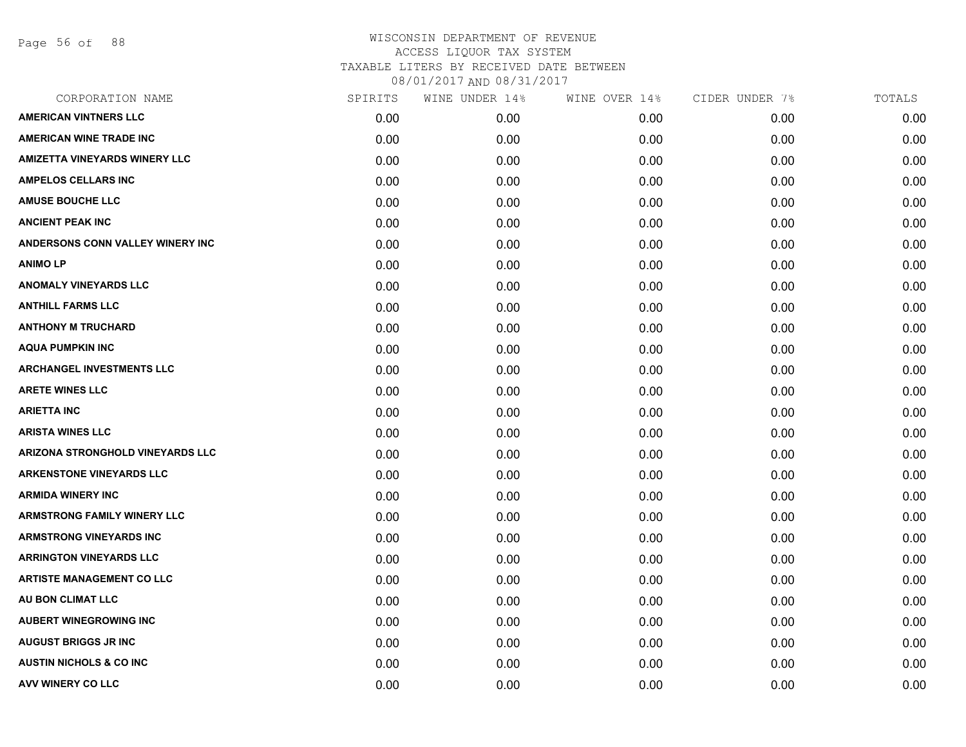Page 56 of 88

| CORPORATION NAME                        | SPIRITS | WINE UNDER 14% | WINE OVER 14% | CIDER UNDER 7% | TOTALS |
|-----------------------------------------|---------|----------------|---------------|----------------|--------|
| <b>AMERICAN VINTNERS LLC</b>            | 0.00    | 0.00           | 0.00          | 0.00           | 0.00   |
| <b>AMERICAN WINE TRADE INC</b>          | 0.00    | 0.00           | 0.00          | 0.00           | 0.00   |
| <b>AMIZETTA VINEYARDS WINERY LLC</b>    | 0.00    | 0.00           | 0.00          | 0.00           | 0.00   |
| <b>AMPELOS CELLARS INC</b>              | 0.00    | 0.00           | 0.00          | 0.00           | 0.00   |
| <b>AMUSE BOUCHE LLC</b>                 | 0.00    | 0.00           | 0.00          | 0.00           | 0.00   |
| <b>ANCIENT PEAK INC</b>                 | 0.00    | 0.00           | 0.00          | 0.00           | 0.00   |
| ANDERSONS CONN VALLEY WINERY INC        | 0.00    | 0.00           | 0.00          | 0.00           | 0.00   |
| <b>ANIMOLP</b>                          | 0.00    | 0.00           | 0.00          | 0.00           | 0.00   |
| <b>ANOMALY VINEYARDS LLC</b>            | 0.00    | 0.00           | 0.00          | 0.00           | 0.00   |
| <b>ANTHILL FARMS LLC</b>                | 0.00    | 0.00           | 0.00          | 0.00           | 0.00   |
| <b>ANTHONY M TRUCHARD</b>               | 0.00    | 0.00           | 0.00          | 0.00           | 0.00   |
| <b>AQUA PUMPKIN INC</b>                 | 0.00    | 0.00           | 0.00          | 0.00           | 0.00   |
| <b>ARCHANGEL INVESTMENTS LLC</b>        | 0.00    | 0.00           | 0.00          | 0.00           | 0.00   |
| <b>ARETE WINES LLC</b>                  | 0.00    | 0.00           | 0.00          | 0.00           | 0.00   |
| <b>ARIETTA INC</b>                      | 0.00    | 0.00           | 0.00          | 0.00           | 0.00   |
| <b>ARISTA WINES LLC</b>                 | 0.00    | 0.00           | 0.00          | 0.00           | 0.00   |
| <b>ARIZONA STRONGHOLD VINEYARDS LLC</b> | 0.00    | 0.00           | 0.00          | 0.00           | 0.00   |
| <b>ARKENSTONE VINEYARDS LLC</b>         | 0.00    | 0.00           | 0.00          | 0.00           | 0.00   |
| <b>ARMIDA WINERY INC</b>                | 0.00    | 0.00           | 0.00          | 0.00           | 0.00   |
| <b>ARMSTRONG FAMILY WINERY LLC</b>      | 0.00    | 0.00           | 0.00          | 0.00           | 0.00   |
| <b>ARMSTRONG VINEYARDS INC</b>          | 0.00    | 0.00           | 0.00          | 0.00           | 0.00   |
| <b>ARRINGTON VINEYARDS LLC</b>          | 0.00    | 0.00           | 0.00          | 0.00           | 0.00   |
| <b>ARTISTE MANAGEMENT CO LLC</b>        | 0.00    | 0.00           | 0.00          | 0.00           | 0.00   |
| AU BON CLIMAT LLC                       | 0.00    | 0.00           | 0.00          | 0.00           | 0.00   |
| <b>AUBERT WINEGROWING INC</b>           | 0.00    | 0.00           | 0.00          | 0.00           | 0.00   |
| <b>AUGUST BRIGGS JR INC</b>             | 0.00    | 0.00           | 0.00          | 0.00           | 0.00   |
| <b>AUSTIN NICHOLS &amp; CO INC</b>      | 0.00    | 0.00           | 0.00          | 0.00           | 0.00   |
| <b>AVV WINERY CO LLC</b>                | 0.00    | 0.00           | 0.00          | 0.00           | 0.00   |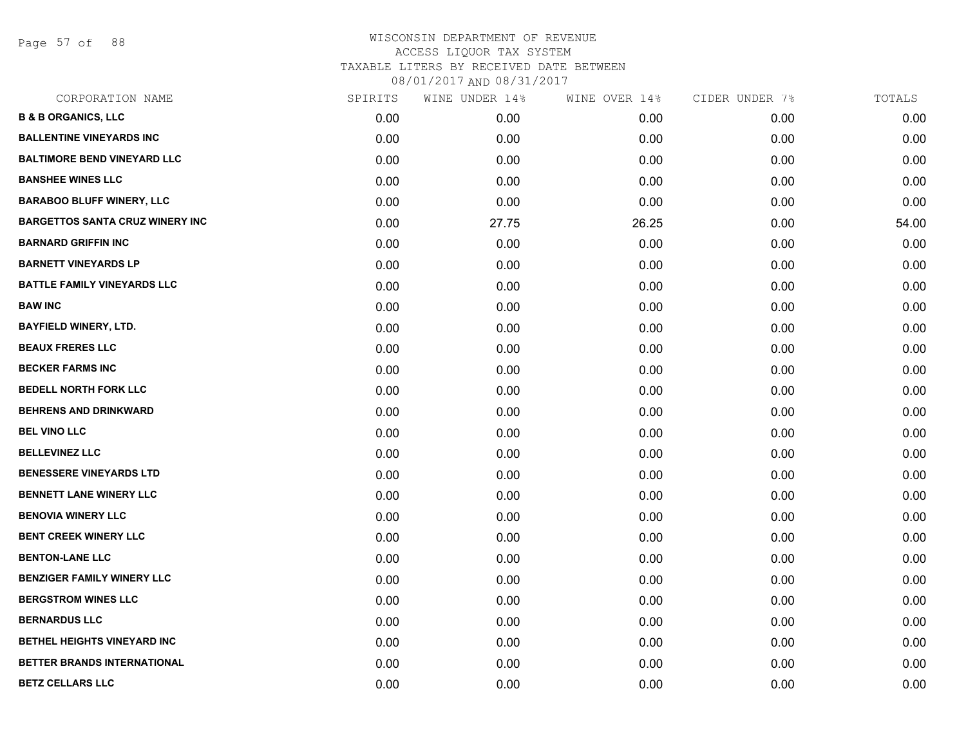Page 57 of 88

| CORPORATION NAME                       | SPIRITS | WINE UNDER 14% | WINE OVER 14% | CIDER UNDER 7% | TOTALS |
|----------------------------------------|---------|----------------|---------------|----------------|--------|
| <b>B &amp; B ORGANICS, LLC</b>         | 0.00    | 0.00           | 0.00          | 0.00           | 0.00   |
| <b>BALLENTINE VINEYARDS INC</b>        | 0.00    | 0.00           | 0.00          | 0.00           | 0.00   |
| <b>BALTIMORE BEND VINEYARD LLC</b>     | 0.00    | 0.00           | 0.00          | 0.00           | 0.00   |
| <b>BANSHEE WINES LLC</b>               | 0.00    | 0.00           | 0.00          | 0.00           | 0.00   |
| <b>BARABOO BLUFF WINERY, LLC</b>       | 0.00    | 0.00           | 0.00          | 0.00           | 0.00   |
| <b>BARGETTOS SANTA CRUZ WINERY INC</b> | 0.00    | 27.75          | 26.25         | 0.00           | 54.00  |
| <b>BARNARD GRIFFIN INC</b>             | 0.00    | 0.00           | 0.00          | 0.00           | 0.00   |
| <b>BARNETT VINEYARDS LP</b>            | 0.00    | 0.00           | 0.00          | 0.00           | 0.00   |
| <b>BATTLE FAMILY VINEYARDS LLC</b>     | 0.00    | 0.00           | 0.00          | 0.00           | 0.00   |
| <b>BAW INC</b>                         | 0.00    | 0.00           | 0.00          | 0.00           | 0.00   |
| <b>BAYFIELD WINERY, LTD.</b>           | 0.00    | 0.00           | 0.00          | 0.00           | 0.00   |
| <b>BEAUX FRERES LLC</b>                | 0.00    | 0.00           | 0.00          | 0.00           | 0.00   |
| <b>BECKER FARMS INC</b>                | 0.00    | 0.00           | 0.00          | 0.00           | 0.00   |
| <b>BEDELL NORTH FORK LLC</b>           | 0.00    | 0.00           | 0.00          | 0.00           | 0.00   |
| <b>BEHRENS AND DRINKWARD</b>           | 0.00    | 0.00           | 0.00          | 0.00           | 0.00   |
| <b>BEL VINO LLC</b>                    | 0.00    | 0.00           | 0.00          | 0.00           | 0.00   |
| <b>BELLEVINEZ LLC</b>                  | 0.00    | 0.00           | 0.00          | 0.00           | 0.00   |
| <b>BENESSERE VINEYARDS LTD</b>         | 0.00    | 0.00           | 0.00          | 0.00           | 0.00   |
| <b>BENNETT LANE WINERY LLC</b>         | 0.00    | 0.00           | 0.00          | 0.00           | 0.00   |
| <b>BENOVIA WINERY LLC</b>              | 0.00    | 0.00           | 0.00          | 0.00           | 0.00   |
| <b>BENT CREEK WINERY LLC</b>           | 0.00    | 0.00           | 0.00          | 0.00           | 0.00   |
| <b>BENTON-LANE LLC</b>                 | 0.00    | 0.00           | 0.00          | 0.00           | 0.00   |
| <b>BENZIGER FAMILY WINERY LLC</b>      | 0.00    | 0.00           | 0.00          | 0.00           | 0.00   |
| <b>BERGSTROM WINES LLC</b>             | 0.00    | 0.00           | 0.00          | 0.00           | 0.00   |
| <b>BERNARDUS LLC</b>                   | 0.00    | 0.00           | 0.00          | 0.00           | 0.00   |
| BETHEL HEIGHTS VINEYARD INC            | 0.00    | 0.00           | 0.00          | 0.00           | 0.00   |
| <b>BETTER BRANDS INTERNATIONAL</b>     | 0.00    | 0.00           | 0.00          | 0.00           | 0.00   |
| <b>BETZ CELLARS LLC</b>                | 0.00    | 0.00           | 0.00          | 0.00           | 0.00   |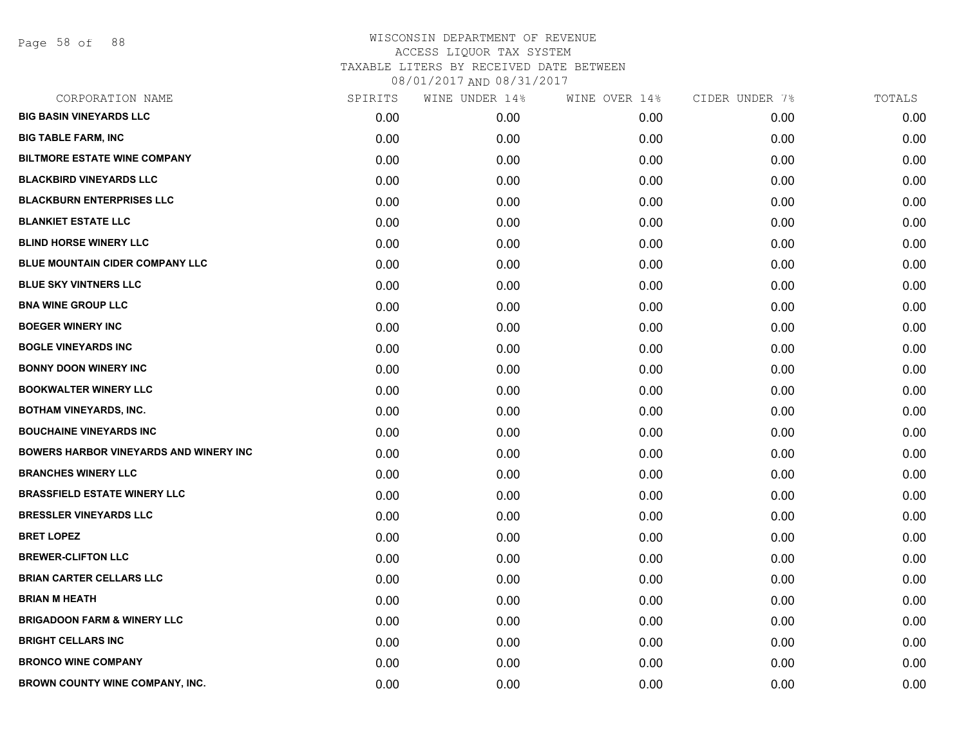Page 58 of 88

| CORPORATION NAME                              | SPIRITS | WINE UNDER 14% | WINE OVER 14% | CIDER UNDER 7% | TOTALS |
|-----------------------------------------------|---------|----------------|---------------|----------------|--------|
| <b>BIG BASIN VINEYARDS LLC</b>                | 0.00    | 0.00           | 0.00          | 0.00           | 0.00   |
| <b>BIG TABLE FARM, INC</b>                    | 0.00    | 0.00           | 0.00          | 0.00           | 0.00   |
| <b>BILTMORE ESTATE WINE COMPANY</b>           | 0.00    | 0.00           | 0.00          | 0.00           | 0.00   |
| <b>BLACKBIRD VINEYARDS LLC</b>                | 0.00    | 0.00           | 0.00          | 0.00           | 0.00   |
| <b>BLACKBURN ENTERPRISES LLC</b>              | 0.00    | 0.00           | 0.00          | 0.00           | 0.00   |
| <b>BLANKIET ESTATE LLC</b>                    | 0.00    | 0.00           | 0.00          | 0.00           | 0.00   |
| <b>BLIND HORSE WINERY LLC</b>                 | 0.00    | 0.00           | 0.00          | 0.00           | 0.00   |
| <b>BLUE MOUNTAIN CIDER COMPANY LLC</b>        | 0.00    | 0.00           | 0.00          | 0.00           | 0.00   |
| <b>BLUE SKY VINTNERS LLC</b>                  | 0.00    | 0.00           | 0.00          | 0.00           | 0.00   |
| <b>BNA WINE GROUP LLC</b>                     | 0.00    | 0.00           | 0.00          | 0.00           | 0.00   |
| <b>BOEGER WINERY INC</b>                      | 0.00    | 0.00           | 0.00          | 0.00           | 0.00   |
| <b>BOGLE VINEYARDS INC</b>                    | 0.00    | 0.00           | 0.00          | 0.00           | 0.00   |
| <b>BONNY DOON WINERY INC</b>                  | 0.00    | 0.00           | 0.00          | 0.00           | 0.00   |
| <b>BOOKWALTER WINERY LLC</b>                  | 0.00    | 0.00           | 0.00          | 0.00           | 0.00   |
| <b>BOTHAM VINEYARDS, INC.</b>                 | 0.00    | 0.00           | 0.00          | 0.00           | 0.00   |
| <b>BOUCHAINE VINEYARDS INC</b>                | 0.00    | 0.00           | 0.00          | 0.00           | 0.00   |
| <b>BOWERS HARBOR VINEYARDS AND WINERY INC</b> | 0.00    | 0.00           | 0.00          | 0.00           | 0.00   |
| <b>BRANCHES WINERY LLC</b>                    | 0.00    | 0.00           | 0.00          | 0.00           | 0.00   |
| <b>BRASSFIELD ESTATE WINERY LLC</b>           | 0.00    | 0.00           | 0.00          | 0.00           | 0.00   |
| <b>BRESSLER VINEYARDS LLC</b>                 | 0.00    | 0.00           | 0.00          | 0.00           | 0.00   |
| <b>BRET LOPEZ</b>                             | 0.00    | 0.00           | 0.00          | 0.00           | 0.00   |
| <b>BREWER-CLIFTON LLC</b>                     | 0.00    | 0.00           | 0.00          | 0.00           | 0.00   |
| <b>BRIAN CARTER CELLARS LLC</b>               | 0.00    | 0.00           | 0.00          | 0.00           | 0.00   |
| <b>BRIAN M HEATH</b>                          | 0.00    | 0.00           | 0.00          | 0.00           | 0.00   |
| <b>BRIGADOON FARM &amp; WINERY LLC</b>        | 0.00    | 0.00           | 0.00          | 0.00           | 0.00   |
| <b>BRIGHT CELLARS INC</b>                     | 0.00    | 0.00           | 0.00          | 0.00           | 0.00   |
| <b>BRONCO WINE COMPANY</b>                    | 0.00    | 0.00           | 0.00          | 0.00           | 0.00   |
| BROWN COUNTY WINE COMPANY, INC.               | 0.00    | 0.00           | 0.00          | 0.00           | 0.00   |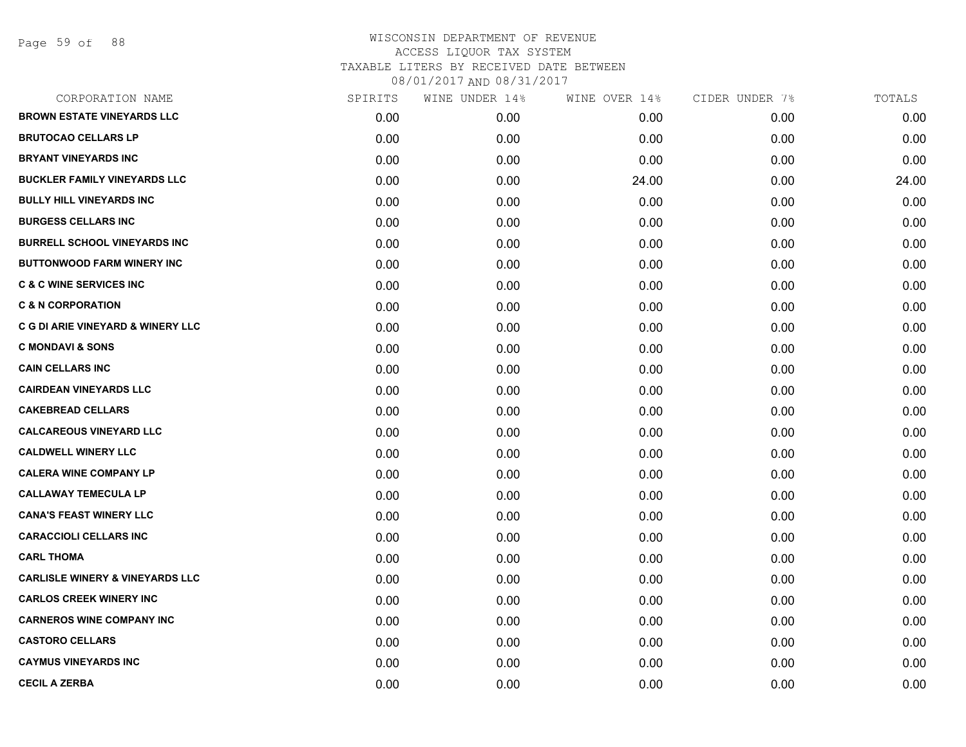| CORPORATION NAME                             | SPIRITS | WINE UNDER 14% | WINE OVER 14% | CIDER UNDER 7% | TOTALS |
|----------------------------------------------|---------|----------------|---------------|----------------|--------|
| <b>BROWN ESTATE VINEYARDS LLC</b>            | 0.00    | 0.00           | 0.00          | 0.00           | 0.00   |
| <b>BRUTOCAO CELLARS LP</b>                   | 0.00    | 0.00           | 0.00          | 0.00           | 0.00   |
| <b>BRYANT VINEYARDS INC</b>                  | 0.00    | 0.00           | 0.00          | 0.00           | 0.00   |
| <b>BUCKLER FAMILY VINEYARDS LLC</b>          | 0.00    | 0.00           | 24.00         | 0.00           | 24.00  |
| <b>BULLY HILL VINEYARDS INC</b>              | 0.00    | 0.00           | 0.00          | 0.00           | 0.00   |
| <b>BURGESS CELLARS INC</b>                   | 0.00    | 0.00           | 0.00          | 0.00           | 0.00   |
| <b>BURRELL SCHOOL VINEYARDS INC</b>          | 0.00    | 0.00           | 0.00          | 0.00           | 0.00   |
| <b>BUTTONWOOD FARM WINERY INC</b>            | 0.00    | 0.00           | 0.00          | 0.00           | 0.00   |
| <b>C &amp; C WINE SERVICES INC</b>           | 0.00    | 0.00           | 0.00          | 0.00           | 0.00   |
| <b>C &amp; N CORPORATION</b>                 | 0.00    | 0.00           | 0.00          | 0.00           | 0.00   |
| <b>C G DI ARIE VINEYARD &amp; WINERY LLC</b> | 0.00    | 0.00           | 0.00          | 0.00           | 0.00   |
| <b>C MONDAVI &amp; SONS</b>                  | 0.00    | 0.00           | 0.00          | 0.00           | 0.00   |
| <b>CAIN CELLARS INC</b>                      | 0.00    | 0.00           | 0.00          | 0.00           | 0.00   |
| <b>CAIRDEAN VINEYARDS LLC</b>                | 0.00    | 0.00           | 0.00          | 0.00           | 0.00   |
| <b>CAKEBREAD CELLARS</b>                     | 0.00    | 0.00           | 0.00          | 0.00           | 0.00   |
| <b>CALCAREOUS VINEYARD LLC</b>               | 0.00    | 0.00           | 0.00          | 0.00           | 0.00   |
| <b>CALDWELL WINERY LLC</b>                   | 0.00    | 0.00           | 0.00          | 0.00           | 0.00   |
| <b>CALERA WINE COMPANY LP</b>                | 0.00    | 0.00           | 0.00          | 0.00           | 0.00   |
| <b>CALLAWAY TEMECULA LP</b>                  | 0.00    | 0.00           | 0.00          | 0.00           | 0.00   |
| <b>CANA'S FEAST WINERY LLC</b>               | 0.00    | 0.00           | 0.00          | 0.00           | 0.00   |
| <b>CARACCIOLI CELLARS INC</b>                | 0.00    | 0.00           | 0.00          | 0.00           | 0.00   |
| <b>CARL THOMA</b>                            | 0.00    | 0.00           | 0.00          | 0.00           | 0.00   |
| <b>CARLISLE WINERY &amp; VINEYARDS LLC</b>   | 0.00    | 0.00           | 0.00          | 0.00           | 0.00   |
| <b>CARLOS CREEK WINERY INC</b>               | 0.00    | 0.00           | 0.00          | 0.00           | 0.00   |
| <b>CARNEROS WINE COMPANY INC</b>             | 0.00    | 0.00           | 0.00          | 0.00           | 0.00   |
| <b>CASTORO CELLARS</b>                       | 0.00    | 0.00           | 0.00          | 0.00           | 0.00   |
| <b>CAYMUS VINEYARDS INC</b>                  | 0.00    | 0.00           | 0.00          | 0.00           | 0.00   |
| <b>CECIL A ZERBA</b>                         | 0.00    | 0.00           | 0.00          | 0.00           | 0.00   |
|                                              |         |                |               |                |        |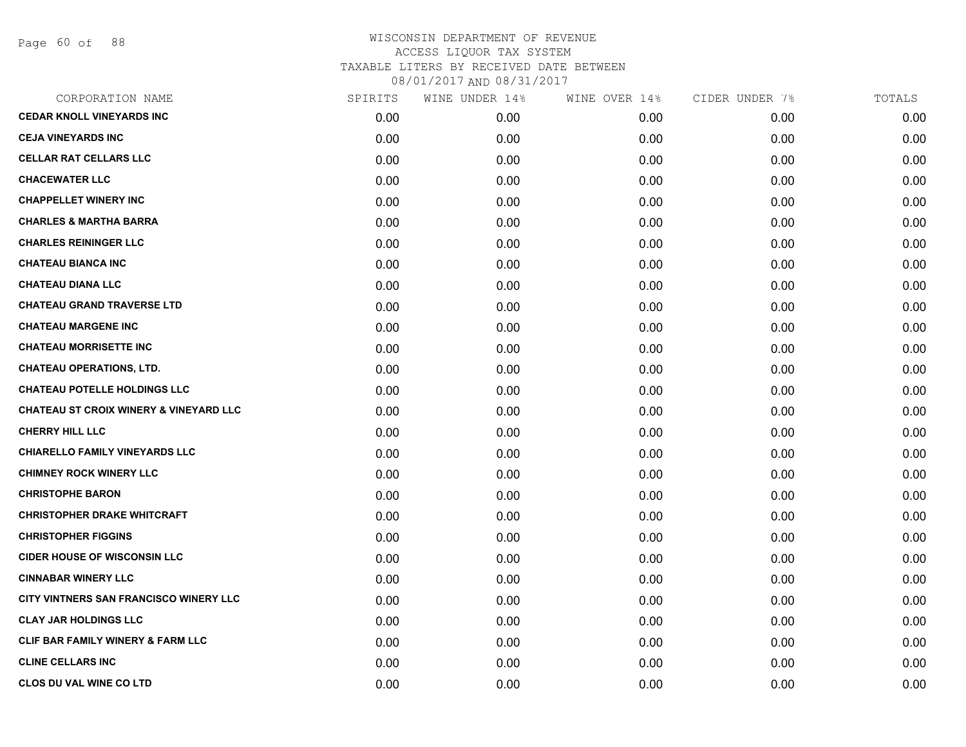Page 60 of 88

| CORPORATION NAME                                  | SPIRITS | WINE UNDER 14% | WINE OVER 14% | CIDER UNDER 7% | TOTALS |
|---------------------------------------------------|---------|----------------|---------------|----------------|--------|
| <b>CEDAR KNOLL VINEYARDS INC</b>                  | 0.00    | 0.00           | 0.00          | 0.00           | 0.00   |
| <b>CEJA VINEYARDS INC</b>                         | 0.00    | 0.00           | 0.00          | 0.00           | 0.00   |
| <b>CELLAR RAT CELLARS LLC</b>                     | 0.00    | 0.00           | 0.00          | 0.00           | 0.00   |
| <b>CHACEWATER LLC</b>                             | 0.00    | 0.00           | 0.00          | 0.00           | 0.00   |
| <b>CHAPPELLET WINERY INC</b>                      | 0.00    | 0.00           | 0.00          | 0.00           | 0.00   |
| <b>CHARLES &amp; MARTHA BARRA</b>                 | 0.00    | 0.00           | 0.00          | 0.00           | 0.00   |
| <b>CHARLES REININGER LLC</b>                      | 0.00    | 0.00           | 0.00          | 0.00           | 0.00   |
| <b>CHATEAU BIANCA INC</b>                         | 0.00    | 0.00           | 0.00          | 0.00           | 0.00   |
| <b>CHATEAU DIANA LLC</b>                          | 0.00    | 0.00           | 0.00          | 0.00           | 0.00   |
| <b>CHATEAU GRAND TRAVERSE LTD</b>                 | 0.00    | 0.00           | 0.00          | 0.00           | 0.00   |
| <b>CHATEAU MARGENE INC</b>                        | 0.00    | 0.00           | 0.00          | 0.00           | 0.00   |
| <b>CHATEAU MORRISETTE INC</b>                     | 0.00    | 0.00           | 0.00          | 0.00           | 0.00   |
| <b>CHATEAU OPERATIONS, LTD.</b>                   | 0.00    | 0.00           | 0.00          | 0.00           | 0.00   |
| <b>CHATEAU POTELLE HOLDINGS LLC</b>               | 0.00    | 0.00           | 0.00          | 0.00           | 0.00   |
| <b>CHATEAU ST CROIX WINERY &amp; VINEYARD LLC</b> | 0.00    | 0.00           | 0.00          | 0.00           | 0.00   |
| <b>CHERRY HILL LLC</b>                            | 0.00    | 0.00           | 0.00          | 0.00           | 0.00   |
| <b>CHIARELLO FAMILY VINEYARDS LLC</b>             | 0.00    | 0.00           | 0.00          | 0.00           | 0.00   |
| <b>CHIMNEY ROCK WINERY LLC</b>                    | 0.00    | 0.00           | 0.00          | 0.00           | 0.00   |
| <b>CHRISTOPHE BARON</b>                           | 0.00    | 0.00           | 0.00          | 0.00           | 0.00   |
| <b>CHRISTOPHER DRAKE WHITCRAFT</b>                | 0.00    | 0.00           | 0.00          | 0.00           | 0.00   |
| <b>CHRISTOPHER FIGGINS</b>                        | 0.00    | 0.00           | 0.00          | 0.00           | 0.00   |
| <b>CIDER HOUSE OF WISCONSIN LLC</b>               | 0.00    | 0.00           | 0.00          | 0.00           | 0.00   |
| <b>CINNABAR WINERY LLC</b>                        | 0.00    | 0.00           | 0.00          | 0.00           | 0.00   |
| CITY VINTNERS SAN FRANCISCO WINERY LLC            | 0.00    | 0.00           | 0.00          | 0.00           | 0.00   |
| <b>CLAY JAR HOLDINGS LLC</b>                      | 0.00    | 0.00           | 0.00          | 0.00           | 0.00   |
| CLIF BAR FAMILY WINERY & FARM LLC                 | 0.00    | 0.00           | 0.00          | 0.00           | 0.00   |
| <b>CLINE CELLARS INC</b>                          | 0.00    | 0.00           | 0.00          | 0.00           | 0.00   |
| CLOS DU VAL WINE CO LTD                           | 0.00    | 0.00           | 0.00          | 0.00           | 0.00   |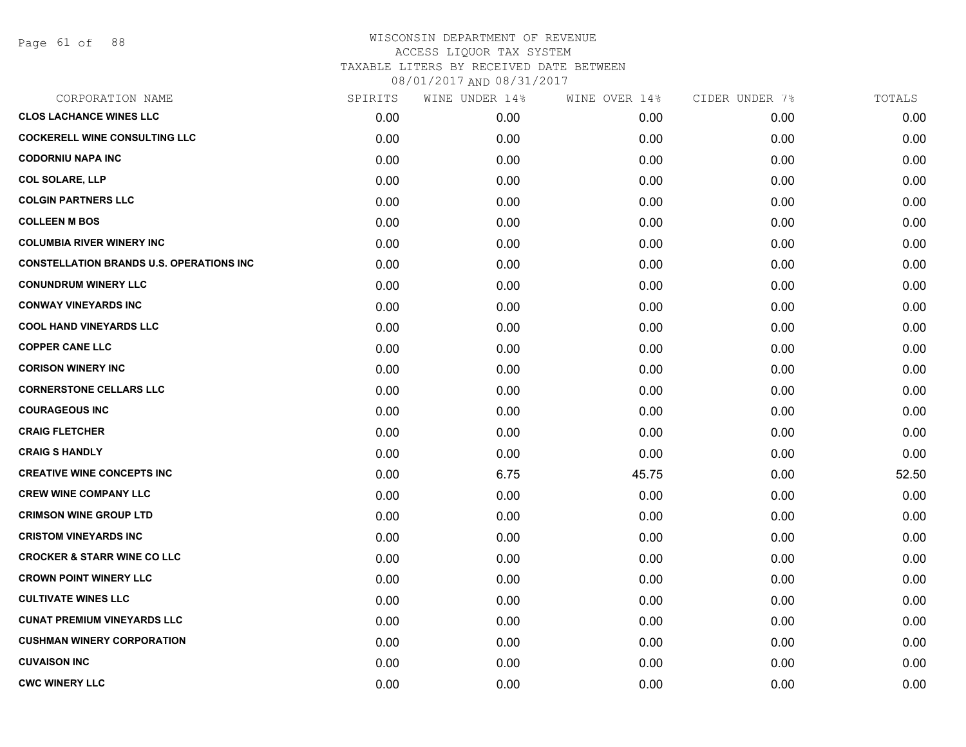Page 61 of 88

# WISCONSIN DEPARTMENT OF REVENUE ACCESS LIQUOR TAX SYSTEM TAXABLE LITERS BY RECEIVED DATE BETWEEN

| CORPORATION NAME                                | SPIRITS | WINE UNDER 14% | WINE OVER 14% | CIDER UNDER 7% | TOTALS |
|-------------------------------------------------|---------|----------------|---------------|----------------|--------|
| <b>CLOS LACHANCE WINES LLC</b>                  | 0.00    | 0.00           | 0.00          | 0.00           | 0.00   |
| <b>COCKERELL WINE CONSULTING LLC</b>            | 0.00    | 0.00           | 0.00          | 0.00           | 0.00   |
| <b>CODORNIU NAPA INC</b>                        | 0.00    | 0.00           | 0.00          | 0.00           | 0.00   |
| <b>COL SOLARE, LLP</b>                          | 0.00    | 0.00           | 0.00          | 0.00           | 0.00   |
| <b>COLGIN PARTNERS LLC</b>                      | 0.00    | 0.00           | 0.00          | 0.00           | 0.00   |
| <b>COLLEEN M BOS</b>                            | 0.00    | 0.00           | 0.00          | 0.00           | 0.00   |
| <b>COLUMBIA RIVER WINERY INC</b>                | 0.00    | 0.00           | 0.00          | 0.00           | 0.00   |
| <b>CONSTELLATION BRANDS U.S. OPERATIONS INC</b> | 0.00    | 0.00           | 0.00          | 0.00           | 0.00   |
| <b>CONUNDRUM WINERY LLC</b>                     | 0.00    | 0.00           | 0.00          | 0.00           | 0.00   |
| <b>CONWAY VINEYARDS INC</b>                     | 0.00    | 0.00           | 0.00          | 0.00           | 0.00   |
| <b>COOL HAND VINEYARDS LLC</b>                  | 0.00    | 0.00           | 0.00          | 0.00           | 0.00   |
| <b>COPPER CANE LLC</b>                          | 0.00    | 0.00           | 0.00          | 0.00           | 0.00   |
| <b>CORISON WINERY INC</b>                       | 0.00    | 0.00           | 0.00          | 0.00           | 0.00   |
| <b>CORNERSTONE CELLARS LLC</b>                  | 0.00    | 0.00           | 0.00          | 0.00           | 0.00   |
| <b>COURAGEOUS INC</b>                           | 0.00    | 0.00           | 0.00          | 0.00           | 0.00   |
| <b>CRAIG FLETCHER</b>                           | 0.00    | 0.00           | 0.00          | 0.00           | 0.00   |
| <b>CRAIG S HANDLY</b>                           | 0.00    | 0.00           | 0.00          | 0.00           | 0.00   |
| <b>CREATIVE WINE CONCEPTS INC</b>               | 0.00    | 6.75           | 45.75         | 0.00           | 52.50  |
| <b>CREW WINE COMPANY LLC</b>                    | 0.00    | 0.00           | 0.00          | 0.00           | 0.00   |
| <b>CRIMSON WINE GROUP LTD</b>                   | 0.00    | 0.00           | 0.00          | 0.00           | 0.00   |
| <b>CRISTOM VINEYARDS INC</b>                    | 0.00    | 0.00           | 0.00          | 0.00           | 0.00   |
| <b>CROCKER &amp; STARR WINE CO LLC</b>          | 0.00    | 0.00           | 0.00          | 0.00           | 0.00   |
| <b>CROWN POINT WINERY LLC</b>                   | 0.00    | 0.00           | 0.00          | 0.00           | 0.00   |
| <b>CULTIVATE WINES LLC</b>                      | 0.00    | 0.00           | 0.00          | 0.00           | 0.00   |
| <b>CUNAT PREMIUM VINEYARDS LLC</b>              | 0.00    | 0.00           | 0.00          | 0.00           | 0.00   |
| <b>CUSHMAN WINERY CORPORATION</b>               | 0.00    | 0.00           | 0.00          | 0.00           | 0.00   |
| <b>CUVAISON INC</b>                             | 0.00    | 0.00           | 0.00          | 0.00           | 0.00   |
| <b>CWC WINERY LLC</b>                           | 0.00    | 0.00           | 0.00          | 0.00           | 0.00   |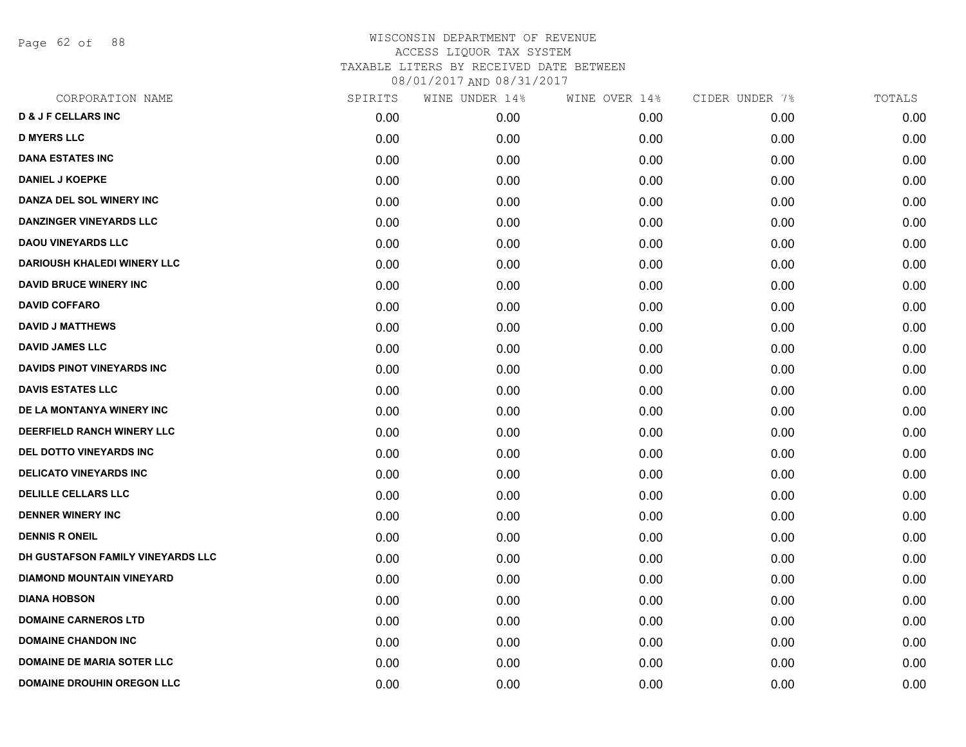Page 62 of 88

| CORPORATION NAME                   | SPIRITS | WINE UNDER 14% | WINE OVER 14% | CIDER UNDER 7% | TOTALS |
|------------------------------------|---------|----------------|---------------|----------------|--------|
| <b>D &amp; J F CELLARS INC</b>     | 0.00    | 0.00           | 0.00          | 0.00           | 0.00   |
| <b>D MYERS LLC</b>                 | 0.00    | 0.00           | 0.00          | 0.00           | 0.00   |
| <b>DANA ESTATES INC</b>            | 0.00    | 0.00           | 0.00          | 0.00           | 0.00   |
| <b>DANIEL J KOEPKE</b>             | 0.00    | 0.00           | 0.00          | 0.00           | 0.00   |
| DANZA DEL SOL WINERY INC           | 0.00    | 0.00           | 0.00          | 0.00           | 0.00   |
| <b>DANZINGER VINEYARDS LLC</b>     | 0.00    | 0.00           | 0.00          | 0.00           | 0.00   |
| <b>DAOU VINEYARDS LLC</b>          | 0.00    | 0.00           | 0.00          | 0.00           | 0.00   |
| <b>DARIOUSH KHALEDI WINERY LLC</b> | 0.00    | 0.00           | 0.00          | 0.00           | 0.00   |
| <b>DAVID BRUCE WINERY INC</b>      | 0.00    | 0.00           | 0.00          | 0.00           | 0.00   |
| <b>DAVID COFFARO</b>               | 0.00    | 0.00           | 0.00          | 0.00           | 0.00   |
| <b>DAVID J MATTHEWS</b>            | 0.00    | 0.00           | 0.00          | 0.00           | 0.00   |
| <b>DAVID JAMES LLC</b>             | 0.00    | 0.00           | 0.00          | 0.00           | 0.00   |
| <b>DAVIDS PINOT VINEYARDS INC</b>  | 0.00    | 0.00           | 0.00          | 0.00           | 0.00   |
| <b>DAVIS ESTATES LLC</b>           | 0.00    | 0.00           | 0.00          | 0.00           | 0.00   |
| DE LA MONTANYA WINERY INC          | 0.00    | 0.00           | 0.00          | 0.00           | 0.00   |
| DEERFIELD RANCH WINERY LLC         | 0.00    | 0.00           | 0.00          | 0.00           | 0.00   |
| <b>DEL DOTTO VINEYARDS INC</b>     | 0.00    | 0.00           | 0.00          | 0.00           | 0.00   |
| <b>DELICATO VINEYARDS INC</b>      | 0.00    | 0.00           | 0.00          | 0.00           | 0.00   |
| DELILLE CELLARS LLC                | 0.00    | 0.00           | 0.00          | 0.00           | 0.00   |
| <b>DENNER WINERY INC</b>           | 0.00    | 0.00           | 0.00          | 0.00           | 0.00   |
| <b>DENNIS R ONEIL</b>              | 0.00    | 0.00           | 0.00          | 0.00           | 0.00   |
| DH GUSTAFSON FAMILY VINEYARDS LLC  | 0.00    | 0.00           | 0.00          | 0.00           | 0.00   |
| <b>DIAMOND MOUNTAIN VINEYARD</b>   | 0.00    | 0.00           | 0.00          | 0.00           | 0.00   |
| <b>DIANA HOBSON</b>                | 0.00    | 0.00           | 0.00          | 0.00           | 0.00   |
| <b>DOMAINE CARNEROS LTD</b>        | 0.00    | 0.00           | 0.00          | 0.00           | 0.00   |
| <b>DOMAINE CHANDON INC</b>         | 0.00    | 0.00           | 0.00          | 0.00           | 0.00   |
| <b>DOMAINE DE MARIA SOTER LLC</b>  | 0.00    | 0.00           | 0.00          | 0.00           | 0.00   |
| <b>DOMAINE DROUHIN OREGON LLC</b>  | 0.00    | 0.00           | 0.00          | 0.00           | 0.00   |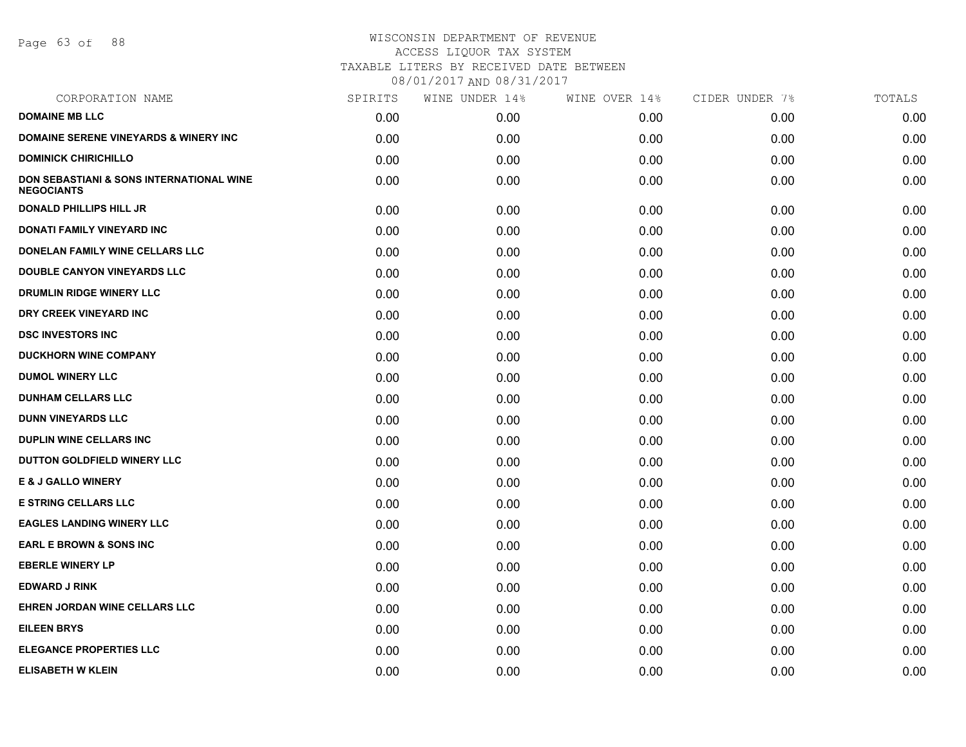Page 63 of 88

| SPIRITS | WINE UNDER 14% | WINE OVER 14% | CIDER UNDER 7% | TOTALS |
|---------|----------------|---------------|----------------|--------|
| 0.00    | 0.00           | 0.00          | 0.00           | 0.00   |
| 0.00    | 0.00           | 0.00          | 0.00           | 0.00   |
| 0.00    | 0.00           | 0.00          | 0.00           | 0.00   |
| 0.00    | 0.00           | 0.00          | 0.00           | 0.00   |
| 0.00    | 0.00           | 0.00          | 0.00           | 0.00   |
| 0.00    | 0.00           | 0.00          | 0.00           | 0.00   |
| 0.00    | 0.00           | 0.00          | 0.00           | 0.00   |
| 0.00    | 0.00           | 0.00          | 0.00           | 0.00   |
| 0.00    | 0.00           | 0.00          | 0.00           | 0.00   |
| 0.00    | 0.00           | 0.00          | 0.00           | 0.00   |
| 0.00    | 0.00           | 0.00          | 0.00           | 0.00   |
| 0.00    | 0.00           | 0.00          | 0.00           | 0.00   |
| 0.00    | 0.00           | 0.00          | 0.00           | 0.00   |
| 0.00    | 0.00           | 0.00          | 0.00           | 0.00   |
| 0.00    | 0.00           | 0.00          | 0.00           | 0.00   |
| 0.00    | 0.00           | 0.00          | 0.00           | 0.00   |
| 0.00    | 0.00           | 0.00          | 0.00           | 0.00   |
| 0.00    | 0.00           | 0.00          | 0.00           | 0.00   |
| 0.00    | 0.00           | 0.00          | 0.00           | 0.00   |
| 0.00    | 0.00           | 0.00          | 0.00           | 0.00   |
| 0.00    | 0.00           | 0.00          | 0.00           | 0.00   |
| 0.00    | 0.00           | 0.00          | 0.00           | 0.00   |
| 0.00    | 0.00           | 0.00          | 0.00           | 0.00   |
| 0.00    | 0.00           | 0.00          | 0.00           | 0.00   |
| 0.00    | 0.00           | 0.00          | 0.00           | 0.00   |
| 0.00    | 0.00           | 0.00          | 0.00           | 0.00   |
| 0.00    | 0.00           | 0.00          | 0.00           | 0.00   |
|         |                |               |                |        |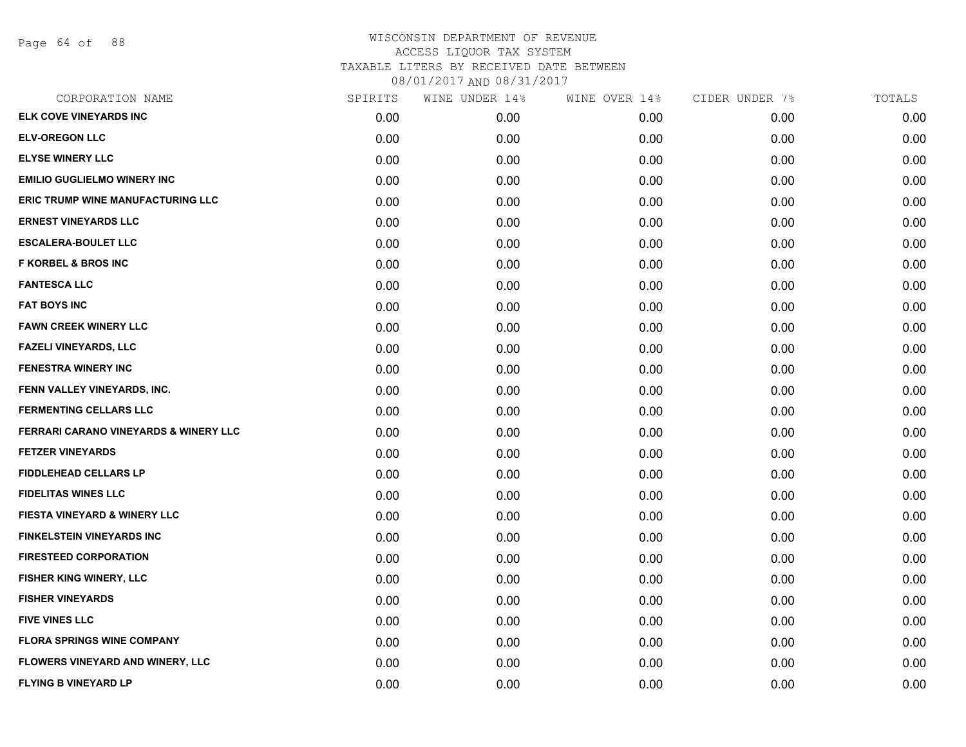Page 64 of 88

| CORPORATION NAME                        | SPIRITS | WINE UNDER 14% | WINE OVER 14% | CIDER UNDER 7% | TOTALS |
|-----------------------------------------|---------|----------------|---------------|----------------|--------|
| <b>ELK COVE VINEYARDS INC</b>           | 0.00    | 0.00           | 0.00          | 0.00           | 0.00   |
| <b>ELV-OREGON LLC</b>                   | 0.00    | 0.00           | 0.00          | 0.00           | 0.00   |
| <b>ELYSE WINERY LLC</b>                 | 0.00    | 0.00           | 0.00          | 0.00           | 0.00   |
| <b>EMILIO GUGLIELMO WINERY INC</b>      | 0.00    | 0.00           | 0.00          | 0.00           | 0.00   |
| ERIC TRUMP WINE MANUFACTURING LLC       | 0.00    | 0.00           | 0.00          | 0.00           | 0.00   |
| <b>ERNEST VINEYARDS LLC</b>             | 0.00    | 0.00           | 0.00          | 0.00           | 0.00   |
| <b>ESCALERA-BOULET LLC</b>              | 0.00    | 0.00           | 0.00          | 0.00           | 0.00   |
| <b>F KORBEL &amp; BROS INC</b>          | 0.00    | 0.00           | 0.00          | 0.00           | 0.00   |
| <b>FANTESCA LLC</b>                     | 0.00    | 0.00           | 0.00          | 0.00           | 0.00   |
| <b>FAT BOYS INC</b>                     | 0.00    | 0.00           | 0.00          | 0.00           | 0.00   |
| <b>FAWN CREEK WINERY LLC</b>            | 0.00    | 0.00           | 0.00          | 0.00           | 0.00   |
| <b>FAZELI VINEYARDS, LLC</b>            | 0.00    | 0.00           | 0.00          | 0.00           | 0.00   |
| <b>FENESTRA WINERY INC</b>              | 0.00    | 0.00           | 0.00          | 0.00           | 0.00   |
| FENN VALLEY VINEYARDS, INC.             | 0.00    | 0.00           | 0.00          | 0.00           | 0.00   |
| <b>FERMENTING CELLARS LLC</b>           | 0.00    | 0.00           | 0.00          | 0.00           | 0.00   |
| FERRARI CARANO VINEYARDS & WINERY LLC   | 0.00    | 0.00           | 0.00          | 0.00           | 0.00   |
| <b>FETZER VINEYARDS</b>                 | 0.00    | 0.00           | 0.00          | 0.00           | 0.00   |
| <b>FIDDLEHEAD CELLARS LP</b>            | 0.00    | 0.00           | 0.00          | 0.00           | 0.00   |
| <b>FIDELITAS WINES LLC</b>              | 0.00    | 0.00           | 0.00          | 0.00           | 0.00   |
| <b>FIESTA VINEYARD &amp; WINERY LLC</b> | 0.00    | 0.00           | 0.00          | 0.00           | 0.00   |
| <b>FINKELSTEIN VINEYARDS INC</b>        | 0.00    | 0.00           | 0.00          | 0.00           | 0.00   |
| <b>FIRESTEED CORPORATION</b>            | 0.00    | 0.00           | 0.00          | 0.00           | 0.00   |
| <b>FISHER KING WINERY, LLC</b>          | 0.00    | 0.00           | 0.00          | 0.00           | 0.00   |
| <b>FISHER VINEYARDS</b>                 | 0.00    | 0.00           | 0.00          | 0.00           | 0.00   |
| <b>FIVE VINES LLC</b>                   | 0.00    | 0.00           | 0.00          | 0.00           | 0.00   |
| <b>FLORA SPRINGS WINE COMPANY</b>       | 0.00    | 0.00           | 0.00          | 0.00           | 0.00   |
| <b>FLOWERS VINEYARD AND WINERY, LLC</b> | 0.00    | 0.00           | 0.00          | 0.00           | 0.00   |
| <b>FLYING B VINEYARD LP</b>             | 0.00    | 0.00           | 0.00          | 0.00           | 0.00   |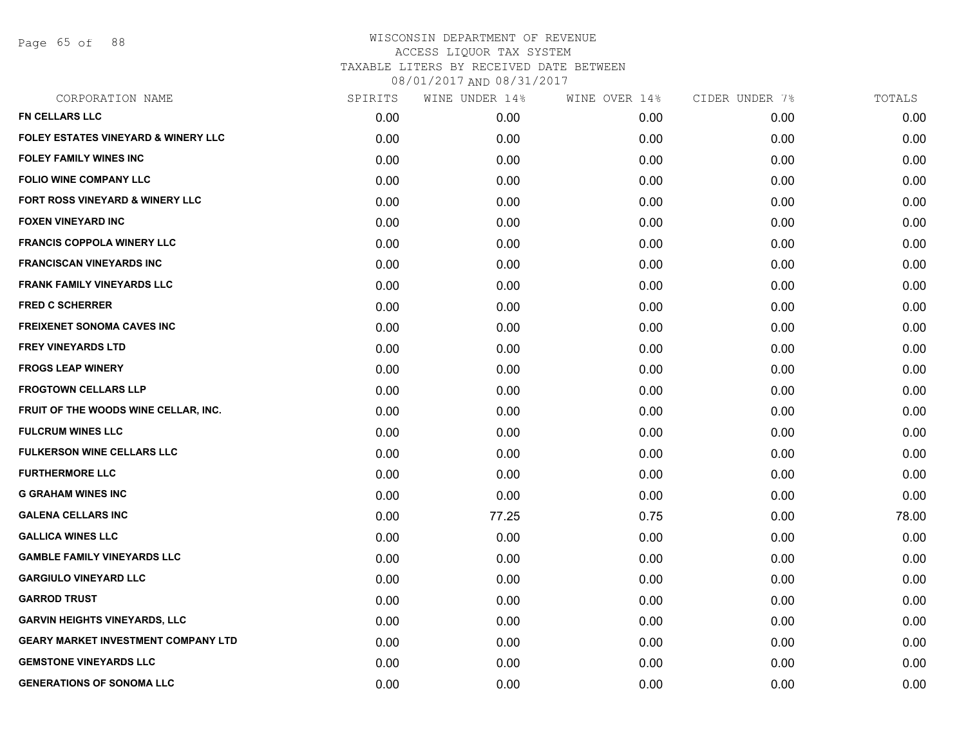Page 65 of 88

| CORPORATION NAME                               | SPIRITS | WINE UNDER 14% | WINE OVER 14% | CIDER UNDER 7% | TOTALS |
|------------------------------------------------|---------|----------------|---------------|----------------|--------|
| <b>FN CELLARS LLC</b>                          | 0.00    | 0.00           | 0.00          | 0.00           | 0.00   |
| <b>FOLEY ESTATES VINEYARD &amp; WINERY LLC</b> | 0.00    | 0.00           | 0.00          | 0.00           | 0.00   |
| <b>FOLEY FAMILY WINES INC</b>                  | 0.00    | 0.00           | 0.00          | 0.00           | 0.00   |
| <b>FOLIO WINE COMPANY LLC</b>                  | 0.00    | 0.00           | 0.00          | 0.00           | 0.00   |
| <b>FORT ROSS VINEYARD &amp; WINERY LLC</b>     | 0.00    | 0.00           | 0.00          | 0.00           | 0.00   |
| <b>FOXEN VINEYARD INC</b>                      | 0.00    | 0.00           | 0.00          | 0.00           | 0.00   |
| <b>FRANCIS COPPOLA WINERY LLC</b>              | 0.00    | 0.00           | 0.00          | 0.00           | 0.00   |
| <b>FRANCISCAN VINEYARDS INC</b>                | 0.00    | 0.00           | 0.00          | 0.00           | 0.00   |
| <b>FRANK FAMILY VINEYARDS LLC</b>              | 0.00    | 0.00           | 0.00          | 0.00           | 0.00   |
| <b>FRED C SCHERRER</b>                         | 0.00    | 0.00           | 0.00          | 0.00           | 0.00   |
| <b>FREIXENET SONOMA CAVES INC</b>              | 0.00    | 0.00           | 0.00          | 0.00           | 0.00   |
| <b>FREY VINEYARDS LTD</b>                      | 0.00    | 0.00           | 0.00          | 0.00           | 0.00   |
| <b>FROGS LEAP WINERY</b>                       | 0.00    | 0.00           | 0.00          | 0.00           | 0.00   |
| <b>FROGTOWN CELLARS LLP</b>                    | 0.00    | 0.00           | 0.00          | 0.00           | 0.00   |
| FRUIT OF THE WOODS WINE CELLAR, INC.           | 0.00    | 0.00           | 0.00          | 0.00           | 0.00   |
| <b>FULCRUM WINES LLC</b>                       | 0.00    | 0.00           | 0.00          | 0.00           | 0.00   |
| <b>FULKERSON WINE CELLARS LLC</b>              | 0.00    | 0.00           | 0.00          | 0.00           | 0.00   |
| <b>FURTHERMORE LLC</b>                         | 0.00    | 0.00           | 0.00          | 0.00           | 0.00   |
| <b>G GRAHAM WINES INC</b>                      | 0.00    | 0.00           | 0.00          | 0.00           | 0.00   |
| <b>GALENA CELLARS INC</b>                      | 0.00    | 77.25          | 0.75          | 0.00           | 78.00  |
| <b>GALLICA WINES LLC</b>                       | 0.00    | 0.00           | 0.00          | 0.00           | 0.00   |
| <b>GAMBLE FAMILY VINEYARDS LLC</b>             | 0.00    | 0.00           | 0.00          | 0.00           | 0.00   |
| <b>GARGIULO VINEYARD LLC</b>                   | 0.00    | 0.00           | 0.00          | 0.00           | 0.00   |
| <b>GARROD TRUST</b>                            | 0.00    | 0.00           | 0.00          | 0.00           | 0.00   |
| <b>GARVIN HEIGHTS VINEYARDS, LLC</b>           | 0.00    | 0.00           | 0.00          | 0.00           | 0.00   |
| <b>GEARY MARKET INVESTMENT COMPANY LTD</b>     | 0.00    | 0.00           | 0.00          | 0.00           | 0.00   |
| <b>GEMSTONE VINEYARDS LLC</b>                  | 0.00    | 0.00           | 0.00          | 0.00           | 0.00   |
| <b>GENERATIONS OF SONOMA LLC</b>               | 0.00    | 0.00           | 0.00          | 0.00           | 0.00   |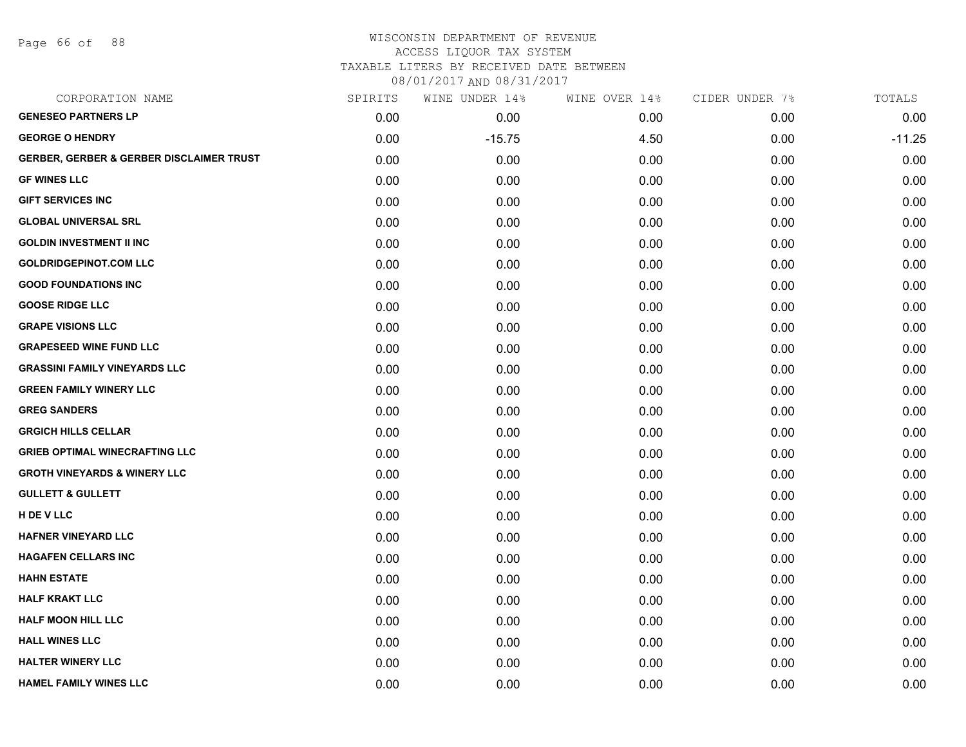Page 66 of 88

### WISCONSIN DEPARTMENT OF REVENUE ACCESS LIQUOR TAX SYSTEM

TAXABLE LITERS BY RECEIVED DATE BETWEEN

| CORPORATION NAME                                    | SPIRITS | WINE UNDER 14% | WINE OVER 14% | CIDER UNDER 7% | TOTALS   |
|-----------------------------------------------------|---------|----------------|---------------|----------------|----------|
| <b>GENESEO PARTNERS LP</b>                          | 0.00    | 0.00           | 0.00          | 0.00           | 0.00     |
| <b>GEORGE O HENDRY</b>                              | 0.00    | $-15.75$       | 4.50          | 0.00           | $-11.25$ |
| <b>GERBER, GERBER &amp; GERBER DISCLAIMER TRUST</b> | 0.00    | 0.00           | 0.00          | 0.00           | 0.00     |
| <b>GF WINES LLC</b>                                 | 0.00    | 0.00           | 0.00          | 0.00           | 0.00     |
| <b>GIFT SERVICES INC</b>                            | 0.00    | 0.00           | 0.00          | 0.00           | 0.00     |
| <b>GLOBAL UNIVERSAL SRL</b>                         | 0.00    | 0.00           | 0.00          | 0.00           | 0.00     |
| <b>GOLDIN INVESTMENT II INC</b>                     | 0.00    | 0.00           | 0.00          | 0.00           | 0.00     |
| <b>GOLDRIDGEPINOT.COM LLC</b>                       | 0.00    | 0.00           | 0.00          | 0.00           | 0.00     |
| <b>GOOD FOUNDATIONS INC</b>                         | 0.00    | 0.00           | 0.00          | 0.00           | 0.00     |
| <b>GOOSE RIDGE LLC</b>                              | 0.00    | 0.00           | 0.00          | 0.00           | 0.00     |
| <b>GRAPE VISIONS LLC</b>                            | 0.00    | 0.00           | 0.00          | 0.00           | 0.00     |
| <b>GRAPESEED WINE FUND LLC</b>                      | 0.00    | 0.00           | 0.00          | 0.00           | 0.00     |
| <b>GRASSINI FAMILY VINEYARDS LLC</b>                | 0.00    | 0.00           | 0.00          | 0.00           | 0.00     |
| <b>GREEN FAMILY WINERY LLC</b>                      | 0.00    | 0.00           | 0.00          | 0.00           | 0.00     |
| <b>GREG SANDERS</b>                                 | 0.00    | 0.00           | 0.00          | 0.00           | 0.00     |
| <b>GRGICH HILLS CELLAR</b>                          | 0.00    | 0.00           | 0.00          | 0.00           | 0.00     |
| <b>GRIEB OPTIMAL WINECRAFTING LLC</b>               | 0.00    | 0.00           | 0.00          | 0.00           | 0.00     |
| <b>GROTH VINEYARDS &amp; WINERY LLC</b>             | 0.00    | 0.00           | 0.00          | 0.00           | 0.00     |
| <b>GULLETT &amp; GULLETT</b>                        | 0.00    | 0.00           | 0.00          | 0.00           | 0.00     |
| H DE V LLC                                          | 0.00    | 0.00           | 0.00          | 0.00           | 0.00     |
| <b>HAFNER VINEYARD LLC</b>                          | 0.00    | 0.00           | 0.00          | 0.00           | 0.00     |
| <b>HAGAFEN CELLARS INC</b>                          | 0.00    | 0.00           | 0.00          | 0.00           | 0.00     |
| <b>HAHN ESTATE</b>                                  | 0.00    | 0.00           | 0.00          | 0.00           | 0.00     |
| <b>HALF KRAKT LLC</b>                               | 0.00    | 0.00           | 0.00          | 0.00           | 0.00     |
| <b>HALF MOON HILL LLC</b>                           | 0.00    | 0.00           | 0.00          | 0.00           | 0.00     |
| <b>HALL WINES LLC</b>                               | 0.00    | 0.00           | 0.00          | 0.00           | 0.00     |
| <b>HALTER WINERY LLC</b>                            | 0.00    | 0.00           | 0.00          | 0.00           | 0.00     |
| <b>HAMEL FAMILY WINES LLC</b>                       | 0.00    | 0.00           | 0.00          | 0.00           | 0.00     |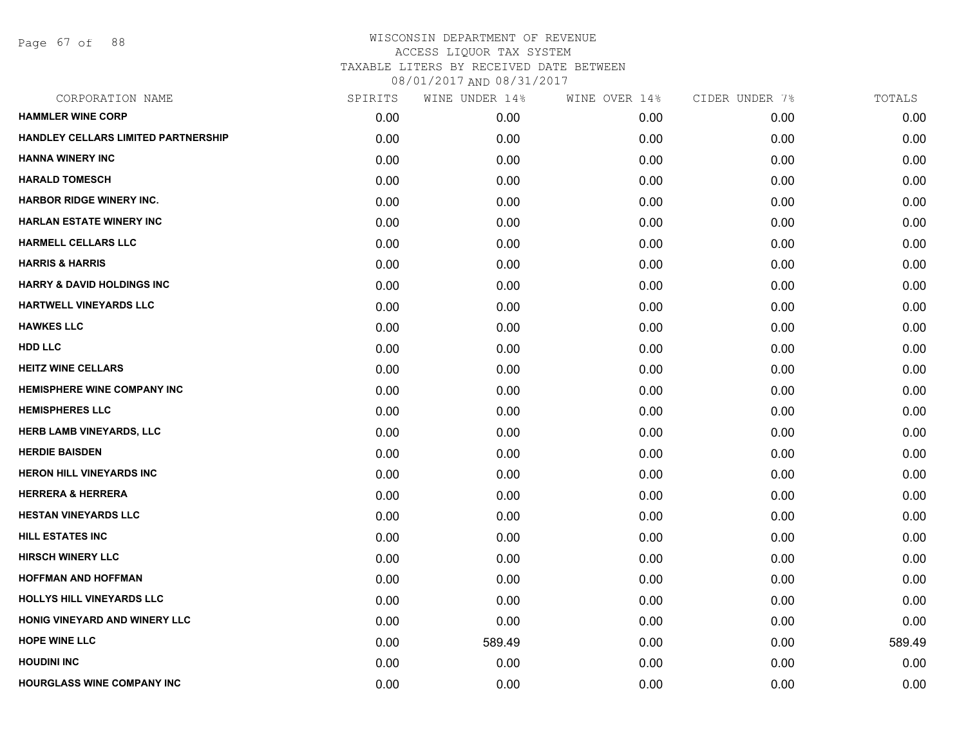Page 67 of 88

| CORPORATION NAME                      | SPIRITS | WINE UNDER 14% | WINE OVER 14% | CIDER UNDER 7% | TOTALS |
|---------------------------------------|---------|----------------|---------------|----------------|--------|
| <b>HAMMLER WINE CORP</b>              | 0.00    | 0.00           | 0.00          | 0.00           | 0.00   |
| HANDLEY CELLARS LIMITED PARTNERSHIP   | 0.00    | 0.00           | 0.00          | 0.00           | 0.00   |
| <b>HANNA WINERY INC</b>               | 0.00    | 0.00           | 0.00          | 0.00           | 0.00   |
| <b>HARALD TOMESCH</b>                 | 0.00    | 0.00           | 0.00          | 0.00           | 0.00   |
| <b>HARBOR RIDGE WINERY INC.</b>       | 0.00    | 0.00           | 0.00          | 0.00           | 0.00   |
| <b>HARLAN ESTATE WINERY INC</b>       | 0.00    | 0.00           | 0.00          | 0.00           | 0.00   |
| <b>HARMELL CELLARS LLC</b>            | 0.00    | 0.00           | 0.00          | 0.00           | 0.00   |
| <b>HARRIS &amp; HARRIS</b>            | 0.00    | 0.00           | 0.00          | 0.00           | 0.00   |
| <b>HARRY &amp; DAVID HOLDINGS INC</b> | 0.00    | 0.00           | 0.00          | 0.00           | 0.00   |
| <b>HARTWELL VINEYARDS LLC</b>         | 0.00    | 0.00           | 0.00          | 0.00           | 0.00   |
| <b>HAWKES LLC</b>                     | 0.00    | 0.00           | 0.00          | 0.00           | 0.00   |
| <b>HDD LLC</b>                        | 0.00    | 0.00           | 0.00          | 0.00           | 0.00   |
| <b>HEITZ WINE CELLARS</b>             | 0.00    | 0.00           | 0.00          | 0.00           | 0.00   |
| <b>HEMISPHERE WINE COMPANY INC</b>    | 0.00    | 0.00           | 0.00          | 0.00           | 0.00   |
| <b>HEMISPHERES LLC</b>                | 0.00    | 0.00           | 0.00          | 0.00           | 0.00   |
| <b>HERB LAMB VINEYARDS, LLC</b>       | 0.00    | 0.00           | 0.00          | 0.00           | 0.00   |
| <b>HERDIE BAISDEN</b>                 | 0.00    | 0.00           | 0.00          | 0.00           | 0.00   |
| <b>HERON HILL VINEYARDS INC</b>       | 0.00    | 0.00           | 0.00          | 0.00           | 0.00   |
| <b>HERRERA &amp; HERRERA</b>          | 0.00    | 0.00           | 0.00          | 0.00           | 0.00   |
| <b>HESTAN VINEYARDS LLC</b>           | 0.00    | 0.00           | 0.00          | 0.00           | 0.00   |
| <b>HILL ESTATES INC</b>               | 0.00    | 0.00           | 0.00          | 0.00           | 0.00   |
| <b>HIRSCH WINERY LLC</b>              | 0.00    | 0.00           | 0.00          | 0.00           | 0.00   |
| <b>HOFFMAN AND HOFFMAN</b>            | 0.00    | 0.00           | 0.00          | 0.00           | 0.00   |
| <b>HOLLYS HILL VINEYARDS LLC</b>      | 0.00    | 0.00           | 0.00          | 0.00           | 0.00   |
| <b>HONIG VINEYARD AND WINERY LLC</b>  | 0.00    | 0.00           | 0.00          | 0.00           | 0.00   |
| <b>HOPE WINE LLC</b>                  | 0.00    | 589.49         | 0.00          | 0.00           | 589.49 |
| <b>HOUDINI INC</b>                    | 0.00    | 0.00           | 0.00          | 0.00           | 0.00   |
| <b>HOURGLASS WINE COMPANY INC</b>     | 0.00    | 0.00           | 0.00          | 0.00           | 0.00   |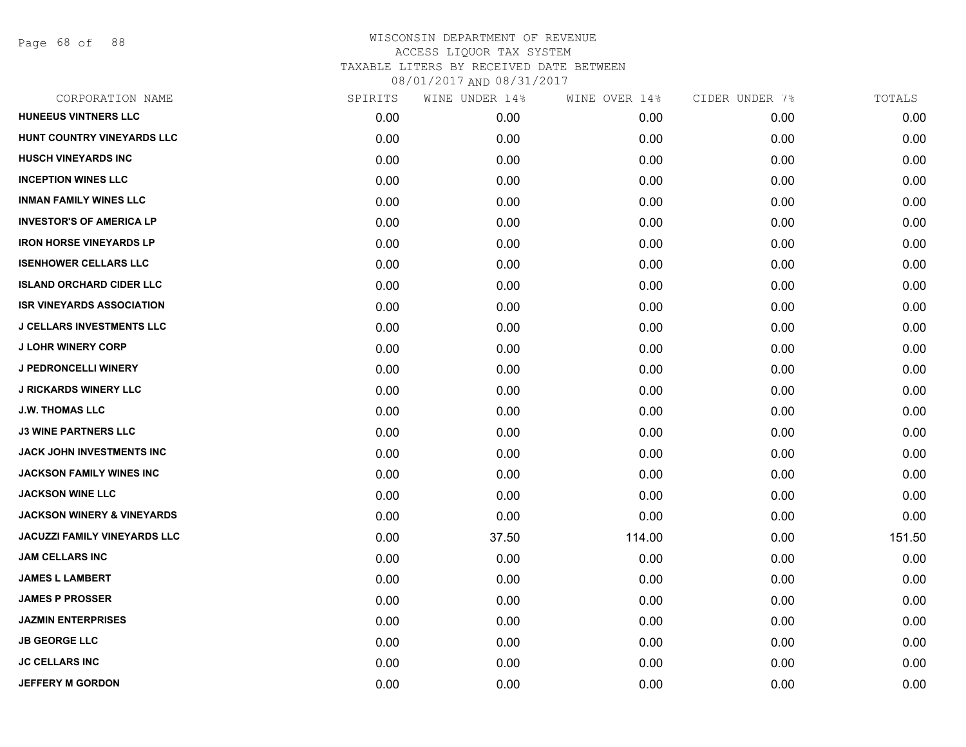Page 68 of 88

| CORPORATION NAME                      | SPIRITS | WINE UNDER 14% | WINE OVER 14% | CIDER UNDER 7% | TOTALS |
|---------------------------------------|---------|----------------|---------------|----------------|--------|
| <b>HUNEEUS VINTNERS LLC</b>           | 0.00    | 0.00           | 0.00          | 0.00           | 0.00   |
| HUNT COUNTRY VINEYARDS LLC            | 0.00    | 0.00           | 0.00          | 0.00           | 0.00   |
| <b>HUSCH VINEYARDS INC</b>            | 0.00    | 0.00           | 0.00          | 0.00           | 0.00   |
| <b>INCEPTION WINES LLC</b>            | 0.00    | 0.00           | 0.00          | 0.00           | 0.00   |
| <b>INMAN FAMILY WINES LLC</b>         | 0.00    | 0.00           | 0.00          | 0.00           | 0.00   |
| <b>INVESTOR'S OF AMERICA LP</b>       | 0.00    | 0.00           | 0.00          | 0.00           | 0.00   |
| <b>IRON HORSE VINEYARDS LP</b>        | 0.00    | 0.00           | 0.00          | 0.00           | 0.00   |
| <b>ISENHOWER CELLARS LLC</b>          | 0.00    | 0.00           | 0.00          | 0.00           | 0.00   |
| <b>ISLAND ORCHARD CIDER LLC</b>       | 0.00    | 0.00           | 0.00          | 0.00           | 0.00   |
| <b>ISR VINEYARDS ASSOCIATION</b>      | 0.00    | 0.00           | 0.00          | 0.00           | 0.00   |
| <b>J CELLARS INVESTMENTS LLC</b>      | 0.00    | 0.00           | 0.00          | 0.00           | 0.00   |
| <b>J LOHR WINERY CORP</b>             | 0.00    | 0.00           | 0.00          | 0.00           | 0.00   |
| <b>J PEDRONCELLI WINERY</b>           | 0.00    | 0.00           | 0.00          | 0.00           | 0.00   |
| <b>J RICKARDS WINERY LLC</b>          | 0.00    | 0.00           | 0.00          | 0.00           | 0.00   |
| <b>J.W. THOMAS LLC</b>                | 0.00    | 0.00           | 0.00          | 0.00           | 0.00   |
| <b>J3 WINE PARTNERS LLC</b>           | 0.00    | 0.00           | 0.00          | 0.00           | 0.00   |
| JACK JOHN INVESTMENTS INC             | 0.00    | 0.00           | 0.00          | 0.00           | 0.00   |
| <b>JACKSON FAMILY WINES INC</b>       | 0.00    | 0.00           | 0.00          | 0.00           | 0.00   |
| <b>JACKSON WINE LLC</b>               | 0.00    | 0.00           | 0.00          | 0.00           | 0.00   |
| <b>JACKSON WINERY &amp; VINEYARDS</b> | 0.00    | 0.00           | 0.00          | 0.00           | 0.00   |
| JACUZZI FAMILY VINEYARDS LLC          | 0.00    | 37.50          | 114.00        | 0.00           | 151.50 |
| <b>JAM CELLARS INC</b>                | 0.00    | 0.00           | 0.00          | 0.00           | 0.00   |
| <b>JAMES L LAMBERT</b>                | 0.00    | 0.00           | 0.00          | 0.00           | 0.00   |
| <b>JAMES P PROSSER</b>                | 0.00    | 0.00           | 0.00          | 0.00           | 0.00   |
| <b>JAZMIN ENTERPRISES</b>             | 0.00    | 0.00           | 0.00          | 0.00           | 0.00   |
| <b>JB GEORGE LLC</b>                  | 0.00    | 0.00           | 0.00          | 0.00           | 0.00   |
| <b>JC CELLARS INC</b>                 | 0.00    | 0.00           | 0.00          | 0.00           | 0.00   |
| <b>JEFFERY M GORDON</b>               | 0.00    | 0.00           | 0.00          | 0.00           | 0.00   |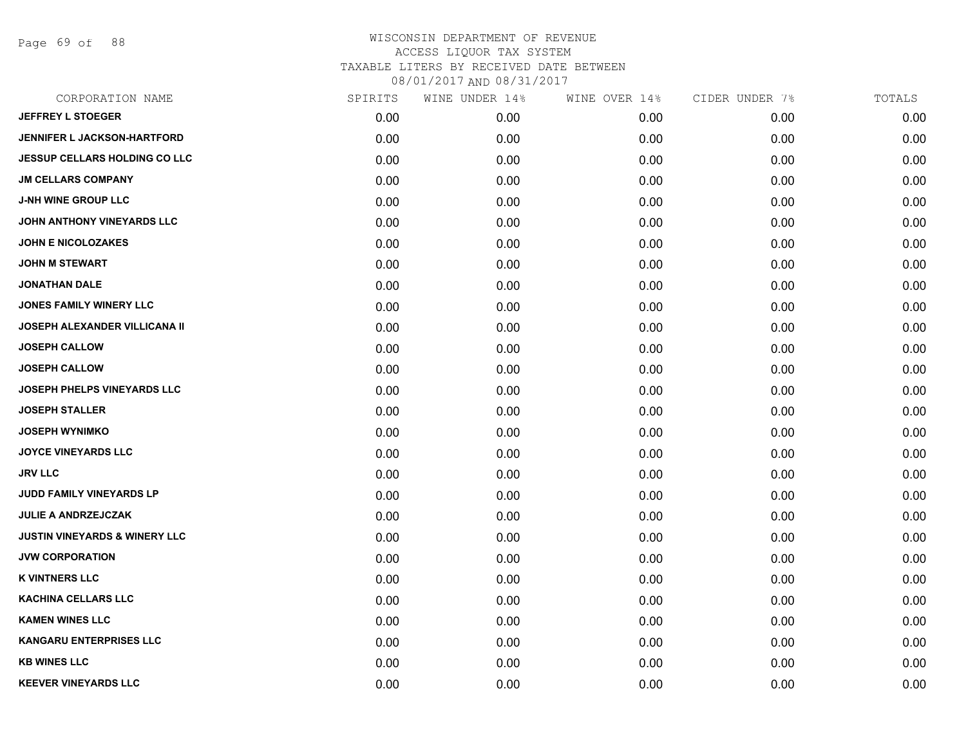Page 69 of 88

| CORPORATION NAME                         | SPIRITS | WINE UNDER 14% | WINE OVER 14% | CIDER UNDER 7% | TOTALS |
|------------------------------------------|---------|----------------|---------------|----------------|--------|
| <b>JEFFREY L STOEGER</b>                 | 0.00    | 0.00           | 0.00          | 0.00           | 0.00   |
| <b>JENNIFER L JACKSON-HARTFORD</b>       | 0.00    | 0.00           | 0.00          | 0.00           | 0.00   |
| <b>JESSUP CELLARS HOLDING CO LLC</b>     | 0.00    | 0.00           | 0.00          | 0.00           | 0.00   |
| <b>JM CELLARS COMPANY</b>                | 0.00    | 0.00           | 0.00          | 0.00           | 0.00   |
| <b>J-NH WINE GROUP LLC</b>               | 0.00    | 0.00           | 0.00          | 0.00           | 0.00   |
| JOHN ANTHONY VINEYARDS LLC               | 0.00    | 0.00           | 0.00          | 0.00           | 0.00   |
| <b>JOHN E NICOLOZAKES</b>                | 0.00    | 0.00           | 0.00          | 0.00           | 0.00   |
| <b>JOHN M STEWART</b>                    | 0.00    | 0.00           | 0.00          | 0.00           | 0.00   |
| <b>JONATHAN DALE</b>                     | 0.00    | 0.00           | 0.00          | 0.00           | 0.00   |
| JONES FAMILY WINERY LLC                  | 0.00    | 0.00           | 0.00          | 0.00           | 0.00   |
| <b>JOSEPH ALEXANDER VILLICANA II</b>     | 0.00    | 0.00           | 0.00          | 0.00           | 0.00   |
| <b>JOSEPH CALLOW</b>                     | 0.00    | 0.00           | 0.00          | 0.00           | 0.00   |
| <b>JOSEPH CALLOW</b>                     | 0.00    | 0.00           | 0.00          | 0.00           | 0.00   |
| <b>JOSEPH PHELPS VINEYARDS LLC</b>       | 0.00    | 0.00           | 0.00          | 0.00           | 0.00   |
| <b>JOSEPH STALLER</b>                    | 0.00    | 0.00           | 0.00          | 0.00           | 0.00   |
| <b>JOSEPH WYNIMKO</b>                    | 0.00    | 0.00           | 0.00          | 0.00           | 0.00   |
| <b>JOYCE VINEYARDS LLC</b>               | 0.00    | 0.00           | 0.00          | 0.00           | 0.00   |
| JRV LLC                                  | 0.00    | 0.00           | 0.00          | 0.00           | 0.00   |
| JUDD FAMILY VINEYARDS LP                 | 0.00    | 0.00           | 0.00          | 0.00           | 0.00   |
| <b>JULIE A ANDRZEJCZAK</b>               | 0.00    | 0.00           | 0.00          | 0.00           | 0.00   |
| <b>JUSTIN VINEYARDS &amp; WINERY LLC</b> | 0.00    | 0.00           | 0.00          | 0.00           | 0.00   |
| <b>JVW CORPORATION</b>                   | 0.00    | 0.00           | 0.00          | 0.00           | 0.00   |
| <b>K VINTNERS LLC</b>                    | 0.00    | 0.00           | 0.00          | 0.00           | 0.00   |
| <b>KACHINA CELLARS LLC</b>               | 0.00    | 0.00           | 0.00          | 0.00           | 0.00   |
| <b>KAMEN WINES LLC</b>                   | 0.00    | 0.00           | 0.00          | 0.00           | 0.00   |
| <b>KANGARU ENTERPRISES LLC</b>           | 0.00    | 0.00           | 0.00          | 0.00           | 0.00   |
| <b>KB WINES LLC</b>                      | 0.00    | 0.00           | 0.00          | 0.00           | 0.00   |
| <b>KEEVER VINEYARDS LLC</b>              | 0.00    | 0.00           | 0.00          | 0.00           | 0.00   |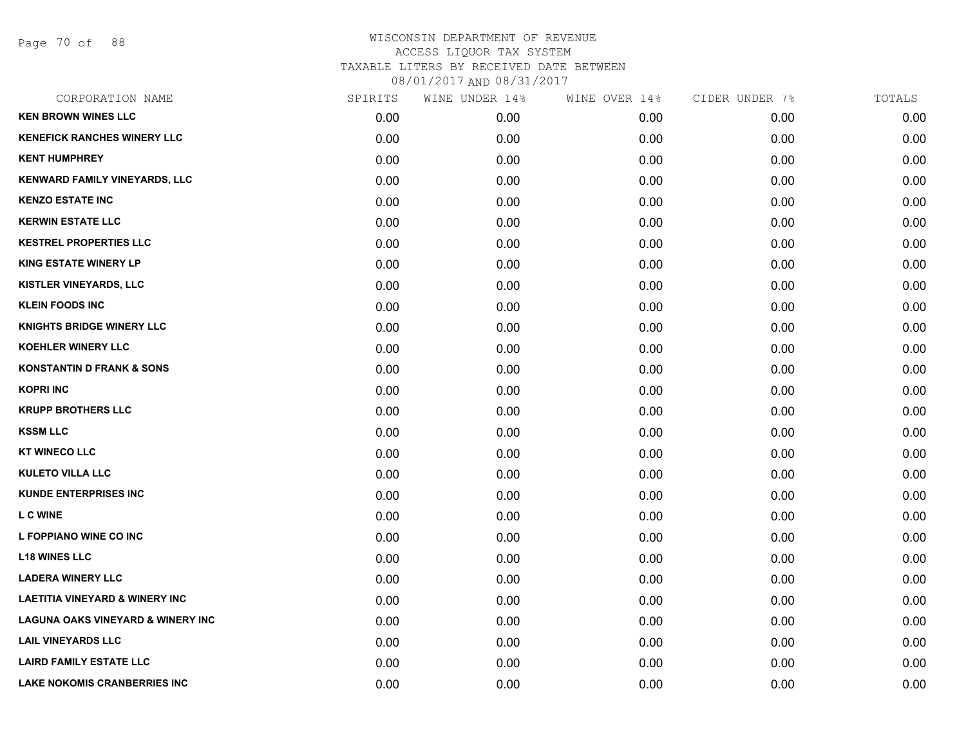Page 70 of 88

| CORPORATION NAME                             | SPIRITS | WINE UNDER 14% | WINE OVER 14% | CIDER UNDER 7% | TOTALS |
|----------------------------------------------|---------|----------------|---------------|----------------|--------|
| <b>KEN BROWN WINES LLC</b>                   | 0.00    | 0.00           | 0.00          | 0.00           | 0.00   |
| <b>KENEFICK RANCHES WINERY LLC</b>           | 0.00    | 0.00           | 0.00          | 0.00           | 0.00   |
| <b>KENT HUMPHREY</b>                         | 0.00    | 0.00           | 0.00          | 0.00           | 0.00   |
| KENWARD FAMILY VINEYARDS, LLC                | 0.00    | 0.00           | 0.00          | 0.00           | 0.00   |
| <b>KENZO ESTATE INC</b>                      | 0.00    | 0.00           | 0.00          | 0.00           | 0.00   |
| <b>KERWIN ESTATE LLC</b>                     | 0.00    | 0.00           | 0.00          | 0.00           | 0.00   |
| <b>KESTREL PROPERTIES LLC</b>                | 0.00    | 0.00           | 0.00          | 0.00           | 0.00   |
| <b>KING ESTATE WINERY LP</b>                 | 0.00    | 0.00           | 0.00          | 0.00           | 0.00   |
| <b>KISTLER VINEYARDS, LLC</b>                | 0.00    | 0.00           | 0.00          | 0.00           | 0.00   |
| <b>KLEIN FOODS INC</b>                       | 0.00    | 0.00           | 0.00          | 0.00           | 0.00   |
| <b>KNIGHTS BRIDGE WINERY LLC</b>             | 0.00    | 0.00           | 0.00          | 0.00           | 0.00   |
| <b>KOEHLER WINERY LLC</b>                    | 0.00    | 0.00           | 0.00          | 0.00           | 0.00   |
| <b>KONSTANTIN D FRANK &amp; SONS</b>         | 0.00    | 0.00           | 0.00          | 0.00           | 0.00   |
| <b>KOPRI INC</b>                             | 0.00    | 0.00           | 0.00          | 0.00           | 0.00   |
| <b>KRUPP BROTHERS LLC</b>                    | 0.00    | 0.00           | 0.00          | 0.00           | 0.00   |
| <b>KSSM LLC</b>                              | 0.00    | 0.00           | 0.00          | 0.00           | 0.00   |
| <b>KT WINECO LLC</b>                         | 0.00    | 0.00           | 0.00          | 0.00           | 0.00   |
| <b>KULETO VILLA LLC</b>                      | 0.00    | 0.00           | 0.00          | 0.00           | 0.00   |
| <b>KUNDE ENTERPRISES INC</b>                 | 0.00    | 0.00           | 0.00          | 0.00           | 0.00   |
| <b>L C WINE</b>                              | 0.00    | 0.00           | 0.00          | 0.00           | 0.00   |
| L FOPPIANO WINE CO INC                       | 0.00    | 0.00           | 0.00          | 0.00           | 0.00   |
| <b>L18 WINES LLC</b>                         | 0.00    | 0.00           | 0.00          | 0.00           | 0.00   |
| <b>LADERA WINERY LLC</b>                     | 0.00    | 0.00           | 0.00          | 0.00           | 0.00   |
| <b>LAETITIA VINEYARD &amp; WINERY INC</b>    | 0.00    | 0.00           | 0.00          | 0.00           | 0.00   |
| <b>LAGUNA OAKS VINEYARD &amp; WINERY INC</b> | 0.00    | 0.00           | 0.00          | 0.00           | 0.00   |
| <b>LAIL VINEYARDS LLC</b>                    | 0.00    | 0.00           | 0.00          | 0.00           | 0.00   |
| <b>LAIRD FAMILY ESTATE LLC</b>               | 0.00    | 0.00           | 0.00          | 0.00           | 0.00   |
| <b>LAKE NOKOMIS CRANBERRIES INC</b>          | 0.00    | 0.00           | 0.00          | 0.00           | 0.00   |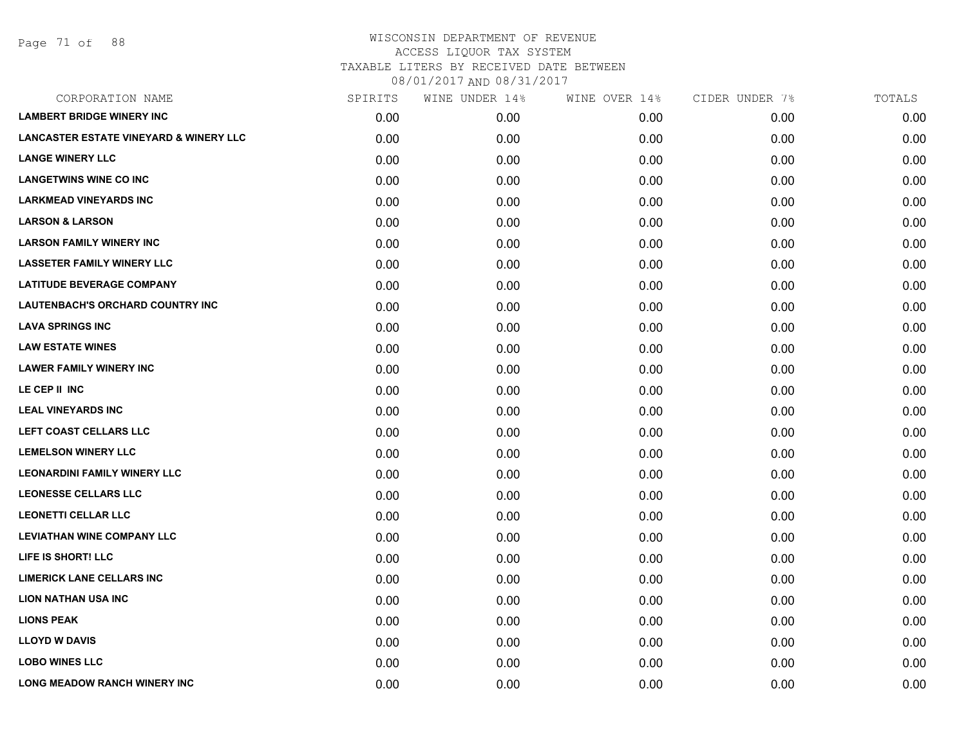| CORPORATION NAME                                  | SPIRITS | WINE UNDER 14% | WINE OVER 14% | CIDER UNDER 7% | TOTALS |
|---------------------------------------------------|---------|----------------|---------------|----------------|--------|
| <b>LAMBERT BRIDGE WINERY INC</b>                  | 0.00    | 0.00           | 0.00          | 0.00           | 0.00   |
| <b>LANCASTER ESTATE VINEYARD &amp; WINERY LLC</b> | 0.00    | 0.00           | 0.00          | 0.00           | 0.00   |
| <b>LANGE WINERY LLC</b>                           | 0.00    | 0.00           | 0.00          | 0.00           | 0.00   |
| <b>LANGETWINS WINE CO INC</b>                     | 0.00    | 0.00           | 0.00          | 0.00           | 0.00   |
| <b>LARKMEAD VINEYARDS INC</b>                     | 0.00    | 0.00           | 0.00          | 0.00           | 0.00   |
| <b>LARSON &amp; LARSON</b>                        | 0.00    | 0.00           | 0.00          | 0.00           | 0.00   |
| <b>LARSON FAMILY WINERY INC</b>                   | 0.00    | 0.00           | 0.00          | 0.00           | 0.00   |
| <b>LASSETER FAMILY WINERY LLC</b>                 | 0.00    | 0.00           | 0.00          | 0.00           | 0.00   |
| <b>LATITUDE BEVERAGE COMPANY</b>                  | 0.00    | 0.00           | 0.00          | 0.00           | 0.00   |
| <b>LAUTENBACH'S ORCHARD COUNTRY INC</b>           | 0.00    | 0.00           | 0.00          | 0.00           | 0.00   |
| <b>LAVA SPRINGS INC</b>                           | 0.00    | 0.00           | 0.00          | 0.00           | 0.00   |
| <b>LAW ESTATE WINES</b>                           | 0.00    | 0.00           | 0.00          | 0.00           | 0.00   |
| <b>LAWER FAMILY WINERY INC</b>                    | 0.00    | 0.00           | 0.00          | 0.00           | 0.00   |
| LE CEP II INC                                     | 0.00    | 0.00           | 0.00          | 0.00           | 0.00   |
| <b>LEAL VINEYARDS INC</b>                         | 0.00    | 0.00           | 0.00          | 0.00           | 0.00   |
| LEFT COAST CELLARS LLC                            | 0.00    | 0.00           | 0.00          | 0.00           | 0.00   |
| <b>LEMELSON WINERY LLC</b>                        | 0.00    | 0.00           | 0.00          | 0.00           | 0.00   |
| <b>LEONARDINI FAMILY WINERY LLC</b>               | 0.00    | 0.00           | 0.00          | 0.00           | 0.00   |
| <b>LEONESSE CELLARS LLC</b>                       | 0.00    | 0.00           | 0.00          | 0.00           | 0.00   |
| <b>LEONETTI CELLAR LLC</b>                        | 0.00    | 0.00           | 0.00          | 0.00           | 0.00   |
| <b>LEVIATHAN WINE COMPANY LLC</b>                 | 0.00    | 0.00           | 0.00          | 0.00           | 0.00   |
| LIFE IS SHORT! LLC                                | 0.00    | 0.00           | 0.00          | 0.00           | 0.00   |
| <b>LIMERICK LANE CELLARS INC</b>                  | 0.00    | 0.00           | 0.00          | 0.00           | 0.00   |
| <b>LION NATHAN USA INC</b>                        | 0.00    | 0.00           | 0.00          | 0.00           | 0.00   |
| <b>LIONS PEAK</b>                                 | 0.00    | 0.00           | 0.00          | 0.00           | 0.00   |
| <b>LLOYD W DAVIS</b>                              | 0.00    | 0.00           | 0.00          | 0.00           | 0.00   |
| <b>LOBO WINES LLC</b>                             | 0.00    | 0.00           | 0.00          | 0.00           | 0.00   |
| <b>LONG MEADOW RANCH WINERY INC</b>               | 0.00    | 0.00           | 0.00          | 0.00           | 0.00   |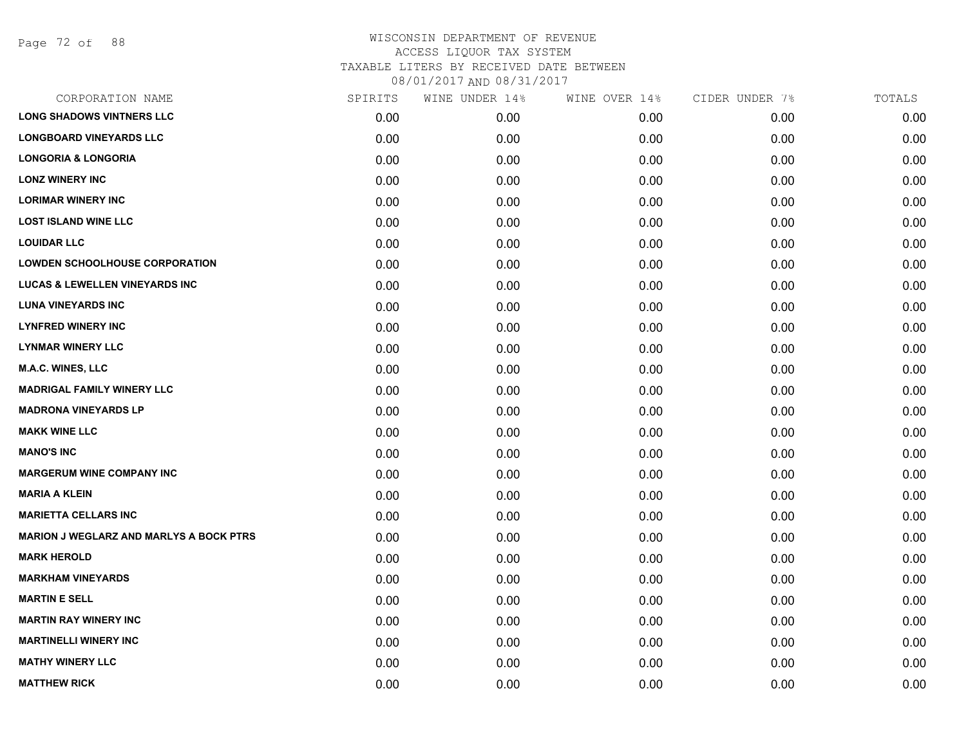Page 72 of 88

| CORPORATION NAME                               | SPIRITS | WINE UNDER 14% | WINE OVER 14% | CIDER UNDER 7% | TOTALS |
|------------------------------------------------|---------|----------------|---------------|----------------|--------|
| <b>LONG SHADOWS VINTNERS LLC</b>               | 0.00    | 0.00           | 0.00          | 0.00           | 0.00   |
| <b>LONGBOARD VINEYARDS LLC</b>                 | 0.00    | 0.00           | 0.00          | 0.00           | 0.00   |
| <b>LONGORIA &amp; LONGORIA</b>                 | 0.00    | 0.00           | 0.00          | 0.00           | 0.00   |
| <b>LONZ WINERY INC</b>                         | 0.00    | 0.00           | 0.00          | 0.00           | 0.00   |
| <b>LORIMAR WINERY INC</b>                      | 0.00    | 0.00           | 0.00          | 0.00           | 0.00   |
| <b>LOST ISLAND WINE LLC</b>                    | 0.00    | 0.00           | 0.00          | 0.00           | 0.00   |
| <b>LOUIDAR LLC</b>                             | 0.00    | 0.00           | 0.00          | 0.00           | 0.00   |
| <b>LOWDEN SCHOOLHOUSE CORPORATION</b>          | 0.00    | 0.00           | 0.00          | 0.00           | 0.00   |
| <b>LUCAS &amp; LEWELLEN VINEYARDS INC</b>      | 0.00    | 0.00           | 0.00          | 0.00           | 0.00   |
| <b>LUNA VINEYARDS INC</b>                      | 0.00    | 0.00           | 0.00          | 0.00           | 0.00   |
| <b>LYNFRED WINERY INC</b>                      | 0.00    | 0.00           | 0.00          | 0.00           | 0.00   |
| <b>LYNMAR WINERY LLC</b>                       | 0.00    | 0.00           | 0.00          | 0.00           | 0.00   |
| M.A.C. WINES, LLC                              | 0.00    | 0.00           | 0.00          | 0.00           | 0.00   |
| <b>MADRIGAL FAMILY WINERY LLC</b>              | 0.00    | 0.00           | 0.00          | 0.00           | 0.00   |
| <b>MADRONA VINEYARDS LP</b>                    | 0.00    | 0.00           | 0.00          | 0.00           | 0.00   |
| <b>MAKK WINE LLC</b>                           | 0.00    | 0.00           | 0.00          | 0.00           | 0.00   |
| <b>MANO'S INC</b>                              | 0.00    | 0.00           | 0.00          | 0.00           | 0.00   |
| <b>MARGERUM WINE COMPANY INC</b>               | 0.00    | 0.00           | 0.00          | 0.00           | 0.00   |
| <b>MARIA A KLEIN</b>                           | 0.00    | 0.00           | 0.00          | 0.00           | 0.00   |
| <b>MARIETTA CELLARS INC</b>                    | 0.00    | 0.00           | 0.00          | 0.00           | 0.00   |
| <b>MARION J WEGLARZ AND MARLYS A BOCK PTRS</b> | 0.00    | 0.00           | 0.00          | 0.00           | 0.00   |
| <b>MARK HEROLD</b>                             | 0.00    | 0.00           | 0.00          | 0.00           | 0.00   |
| <b>MARKHAM VINEYARDS</b>                       | 0.00    | 0.00           | 0.00          | 0.00           | 0.00   |
| <b>MARTIN E SELL</b>                           | 0.00    | 0.00           | 0.00          | 0.00           | 0.00   |
| <b>MARTIN RAY WINERY INC</b>                   | 0.00    | 0.00           | 0.00          | 0.00           | 0.00   |
| <b>MARTINELLI WINERY INC</b>                   | 0.00    | 0.00           | 0.00          | 0.00           | 0.00   |
| <b>MATHY WINERY LLC</b>                        | 0.00    | 0.00           | 0.00          | 0.00           | 0.00   |
| <b>MATTHEW RICK</b>                            | 0.00    | 0.00           | 0.00          | 0.00           | 0.00   |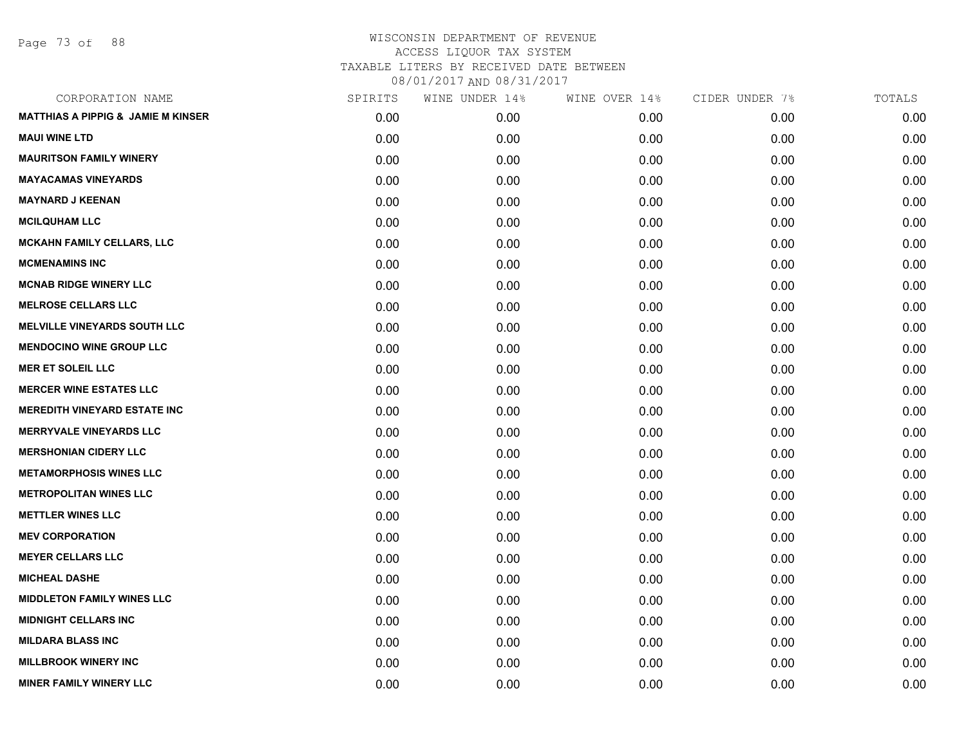Page 73 of 88

| CORPORATION NAME                              | SPIRITS | WINE UNDER 14% | WINE OVER 14% | CIDER UNDER 7% | TOTALS |
|-----------------------------------------------|---------|----------------|---------------|----------------|--------|
| <b>MATTHIAS A PIPPIG &amp; JAMIE M KINSER</b> | 0.00    | 0.00           | 0.00          | 0.00           | 0.00   |
| <b>MAUI WINE LTD</b>                          | 0.00    | 0.00           | 0.00          | 0.00           | 0.00   |
| <b>MAURITSON FAMILY WINERY</b>                | 0.00    | 0.00           | 0.00          | 0.00           | 0.00   |
| <b>MAYACAMAS VINEYARDS</b>                    | 0.00    | 0.00           | 0.00          | 0.00           | 0.00   |
| <b>MAYNARD J KEENAN</b>                       | 0.00    | 0.00           | 0.00          | 0.00           | 0.00   |
| <b>MCILQUHAM LLC</b>                          | 0.00    | 0.00           | 0.00          | 0.00           | 0.00   |
| <b>MCKAHN FAMILY CELLARS, LLC</b>             | 0.00    | 0.00           | 0.00          | 0.00           | 0.00   |
| <b>MCMENAMINS INC</b>                         | 0.00    | 0.00           | 0.00          | 0.00           | 0.00   |
| <b>MCNAB RIDGE WINERY LLC</b>                 | 0.00    | 0.00           | 0.00          | 0.00           | 0.00   |
| <b>MELROSE CELLARS LLC</b>                    | 0.00    | 0.00           | 0.00          | 0.00           | 0.00   |
| <b>MELVILLE VINEYARDS SOUTH LLC</b>           | 0.00    | 0.00           | 0.00          | 0.00           | 0.00   |
| <b>MENDOCINO WINE GROUP LLC</b>               | 0.00    | 0.00           | 0.00          | 0.00           | 0.00   |
| <b>MER ET SOLEIL LLC</b>                      | 0.00    | 0.00           | 0.00          | 0.00           | 0.00   |
| <b>MERCER WINE ESTATES LLC</b>                | 0.00    | 0.00           | 0.00          | 0.00           | 0.00   |
| <b>MEREDITH VINEYARD ESTATE INC</b>           | 0.00    | 0.00           | 0.00          | 0.00           | 0.00   |
| <b>MERRYVALE VINEYARDS LLC</b>                | 0.00    | 0.00           | 0.00          | 0.00           | 0.00   |
| <b>MERSHONIAN CIDERY LLC</b>                  | 0.00    | 0.00           | 0.00          | 0.00           | 0.00   |
| <b>METAMORPHOSIS WINES LLC</b>                | 0.00    | 0.00           | 0.00          | 0.00           | 0.00   |
| <b>METROPOLITAN WINES LLC</b>                 | 0.00    | 0.00           | 0.00          | 0.00           | 0.00   |
| <b>METTLER WINES LLC</b>                      | 0.00    | 0.00           | 0.00          | 0.00           | 0.00   |
| <b>MEV CORPORATION</b>                        | 0.00    | 0.00           | 0.00          | 0.00           | 0.00   |
| <b>MEYER CELLARS LLC</b>                      | 0.00    | 0.00           | 0.00          | 0.00           | 0.00   |
| <b>MICHEAL DASHE</b>                          | 0.00    | 0.00           | 0.00          | 0.00           | 0.00   |
| <b>MIDDLETON FAMILY WINES LLC</b>             | 0.00    | 0.00           | 0.00          | 0.00           | 0.00   |
| <b>MIDNIGHT CELLARS INC</b>                   | 0.00    | 0.00           | 0.00          | 0.00           | 0.00   |
| <b>MILDARA BLASS INC</b>                      | 0.00    | 0.00           | 0.00          | 0.00           | 0.00   |
| <b>MILLBROOK WINERY INC</b>                   | 0.00    | 0.00           | 0.00          | 0.00           | 0.00   |
| <b>MINER FAMILY WINERY LLC</b>                | 0.00    | 0.00           | 0.00          | 0.00           | 0.00   |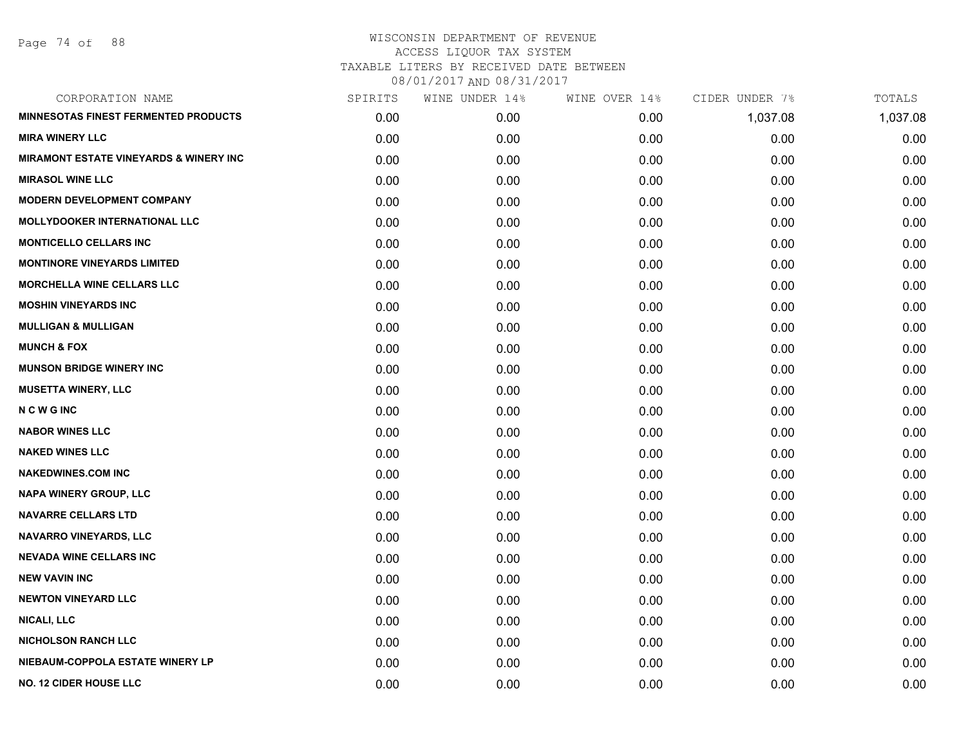Page 74 of 88

| CORPORATION NAME                                  | SPIRITS | WINE UNDER 14% | WINE OVER 14% | CIDER UNDER 7% | TOTALS   |
|---------------------------------------------------|---------|----------------|---------------|----------------|----------|
| <b>MINNESOTAS FINEST FERMENTED PRODUCTS</b>       | 0.00    | 0.00           | 0.00          | 1,037.08       | 1,037.08 |
| <b>MIRA WINERY LLC</b>                            | 0.00    | 0.00           | 0.00          | 0.00           | 0.00     |
| <b>MIRAMONT ESTATE VINEYARDS &amp; WINERY INC</b> | 0.00    | 0.00           | 0.00          | 0.00           | 0.00     |
| <b>MIRASOL WINE LLC</b>                           | 0.00    | 0.00           | 0.00          | 0.00           | 0.00     |
| <b>MODERN DEVELOPMENT COMPANY</b>                 | 0.00    | 0.00           | 0.00          | 0.00           | 0.00     |
| <b>MOLLYDOOKER INTERNATIONAL LLC</b>              | 0.00    | 0.00           | 0.00          | 0.00           | 0.00     |
| <b>MONTICELLO CELLARS INC</b>                     | 0.00    | 0.00           | 0.00          | 0.00           | 0.00     |
| <b>MONTINORE VINEYARDS LIMITED</b>                | 0.00    | 0.00           | 0.00          | 0.00           | 0.00     |
| <b>MORCHELLA WINE CELLARS LLC</b>                 | 0.00    | 0.00           | 0.00          | 0.00           | 0.00     |
| <b>MOSHIN VINEYARDS INC</b>                       | 0.00    | 0.00           | 0.00          | 0.00           | 0.00     |
| <b>MULLIGAN &amp; MULLIGAN</b>                    | 0.00    | 0.00           | 0.00          | 0.00           | 0.00     |
| <b>MUNCH &amp; FOX</b>                            | 0.00    | 0.00           | 0.00          | 0.00           | 0.00     |
| <b>MUNSON BRIDGE WINERY INC</b>                   | 0.00    | 0.00           | 0.00          | 0.00           | 0.00     |
| <b>MUSETTA WINERY, LLC</b>                        | 0.00    | 0.00           | 0.00          | 0.00           | 0.00     |
| <b>NCWGINC</b>                                    | 0.00    | 0.00           | 0.00          | 0.00           | 0.00     |
| <b>NABOR WINES LLC</b>                            | 0.00    | 0.00           | 0.00          | 0.00           | 0.00     |
| <b>NAKED WINES LLC</b>                            | 0.00    | 0.00           | 0.00          | 0.00           | 0.00     |
| <b>NAKEDWINES.COM INC</b>                         | 0.00    | 0.00           | 0.00          | 0.00           | 0.00     |
| NAPA WINERY GROUP, LLC                            | 0.00    | 0.00           | 0.00          | 0.00           | 0.00     |
| <b>NAVARRE CELLARS LTD</b>                        | 0.00    | 0.00           | 0.00          | 0.00           | 0.00     |
| NAVARRO VINEYARDS, LLC                            | 0.00    | 0.00           | 0.00          | 0.00           | 0.00     |
| <b>NEVADA WINE CELLARS INC</b>                    | 0.00    | 0.00           | 0.00          | 0.00           | 0.00     |
| <b>NEW VAVIN INC</b>                              | 0.00    | 0.00           | 0.00          | 0.00           | 0.00     |
| <b>NEWTON VINEYARD LLC</b>                        | 0.00    | 0.00           | 0.00          | 0.00           | 0.00     |
| <b>NICALI, LLC</b>                                | 0.00    | 0.00           | 0.00          | 0.00           | 0.00     |
| <b>NICHOLSON RANCH LLC</b>                        | 0.00    | 0.00           | 0.00          | 0.00           | 0.00     |
| NIEBAUM-COPPOLA ESTATE WINERY LP                  | 0.00    | 0.00           | 0.00          | 0.00           | 0.00     |
| <b>NO. 12 CIDER HOUSE LLC</b>                     | 0.00    | 0.00           | 0.00          | 0.00           | 0.00     |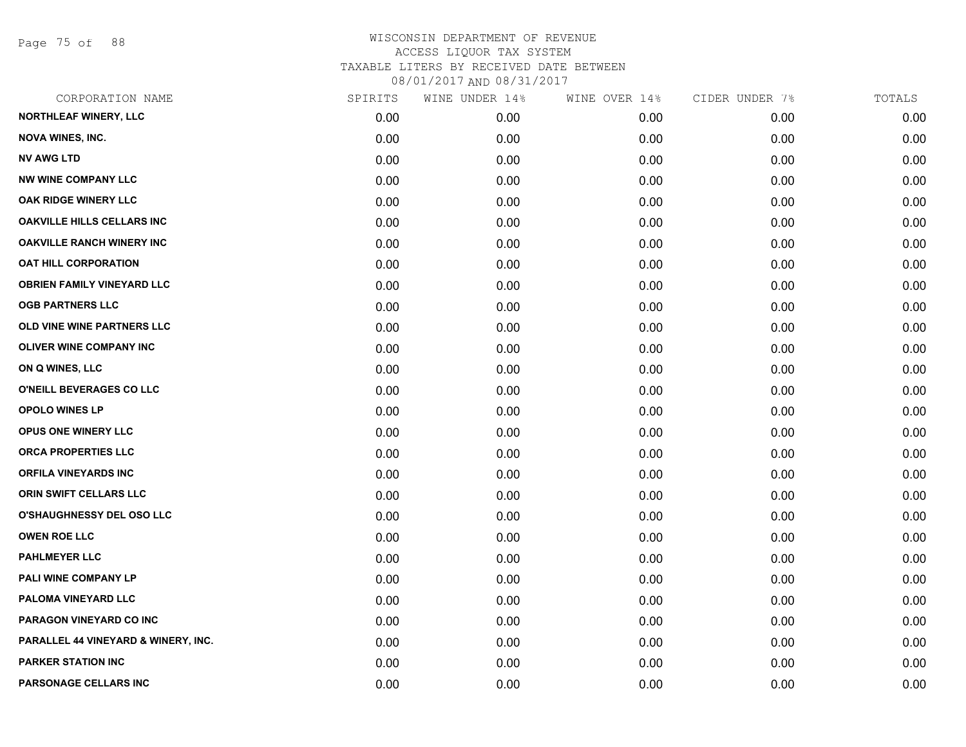Page 75 of 88

| CORPORATION NAME                    | SPIRITS | WINE UNDER 14% | WINE OVER 14% | CIDER UNDER 7% | TOTALS |
|-------------------------------------|---------|----------------|---------------|----------------|--------|
| <b>NORTHLEAF WINERY, LLC</b>        | 0.00    | 0.00           | 0.00          | 0.00           | 0.00   |
| <b>NOVA WINES, INC.</b>             | 0.00    | 0.00           | 0.00          | 0.00           | 0.00   |
| <b>NV AWG LTD</b>                   | 0.00    | 0.00           | 0.00          | 0.00           | 0.00   |
| <b>NW WINE COMPANY LLC</b>          | 0.00    | 0.00           | 0.00          | 0.00           | 0.00   |
| OAK RIDGE WINERY LLC                | 0.00    | 0.00           | 0.00          | 0.00           | 0.00   |
| <b>OAKVILLE HILLS CELLARS INC</b>   | 0.00    | 0.00           | 0.00          | 0.00           | 0.00   |
| <b>OAKVILLE RANCH WINERY INC</b>    | 0.00    | 0.00           | 0.00          | 0.00           | 0.00   |
| <b>OAT HILL CORPORATION</b>         | 0.00    | 0.00           | 0.00          | 0.00           | 0.00   |
| <b>OBRIEN FAMILY VINEYARD LLC</b>   | 0.00    | 0.00           | 0.00          | 0.00           | 0.00   |
| <b>OGB PARTNERS LLC</b>             | 0.00    | 0.00           | 0.00          | 0.00           | 0.00   |
| OLD VINE WINE PARTNERS LLC          | 0.00    | 0.00           | 0.00          | 0.00           | 0.00   |
| <b>OLIVER WINE COMPANY INC</b>      | 0.00    | 0.00           | 0.00          | 0.00           | 0.00   |
| ON Q WINES, LLC                     | 0.00    | 0.00           | 0.00          | 0.00           | 0.00   |
| O'NEILL BEVERAGES CO LLC            | 0.00    | 0.00           | 0.00          | 0.00           | 0.00   |
| <b>OPOLO WINES LP</b>               | 0.00    | 0.00           | 0.00          | 0.00           | 0.00   |
| OPUS ONE WINERY LLC                 | 0.00    | 0.00           | 0.00          | 0.00           | 0.00   |
| ORCA PROPERTIES LLC                 | 0.00    | 0.00           | 0.00          | 0.00           | 0.00   |
| <b>ORFILA VINEYARDS INC</b>         | 0.00    | 0.00           | 0.00          | 0.00           | 0.00   |
| ORIN SWIFT CELLARS LLC              | 0.00    | 0.00           | 0.00          | 0.00           | 0.00   |
| <b>O'SHAUGHNESSY DEL OSO LLC</b>    | 0.00    | 0.00           | 0.00          | 0.00           | 0.00   |
| <b>OWEN ROE LLC</b>                 | 0.00    | 0.00           | 0.00          | 0.00           | 0.00   |
| <b>PAHLMEYER LLC</b>                | 0.00    | 0.00           | 0.00          | 0.00           | 0.00   |
| PALI WINE COMPANY LP                | 0.00    | 0.00           | 0.00          | 0.00           | 0.00   |
| PALOMA VINEYARD LLC                 | 0.00    | 0.00           | 0.00          | 0.00           | 0.00   |
| PARAGON VINEYARD CO INC             | 0.00    | 0.00           | 0.00          | 0.00           | 0.00   |
| PARALLEL 44 VINEYARD & WINERY, INC. | 0.00    | 0.00           | 0.00          | 0.00           | 0.00   |
| <b>PARKER STATION INC</b>           | 0.00    | 0.00           | 0.00          | 0.00           | 0.00   |
| PARSONAGE CELLARS INC               | 0.00    | 0.00           | 0.00          | 0.00           | 0.00   |
|                                     |         |                |               |                |        |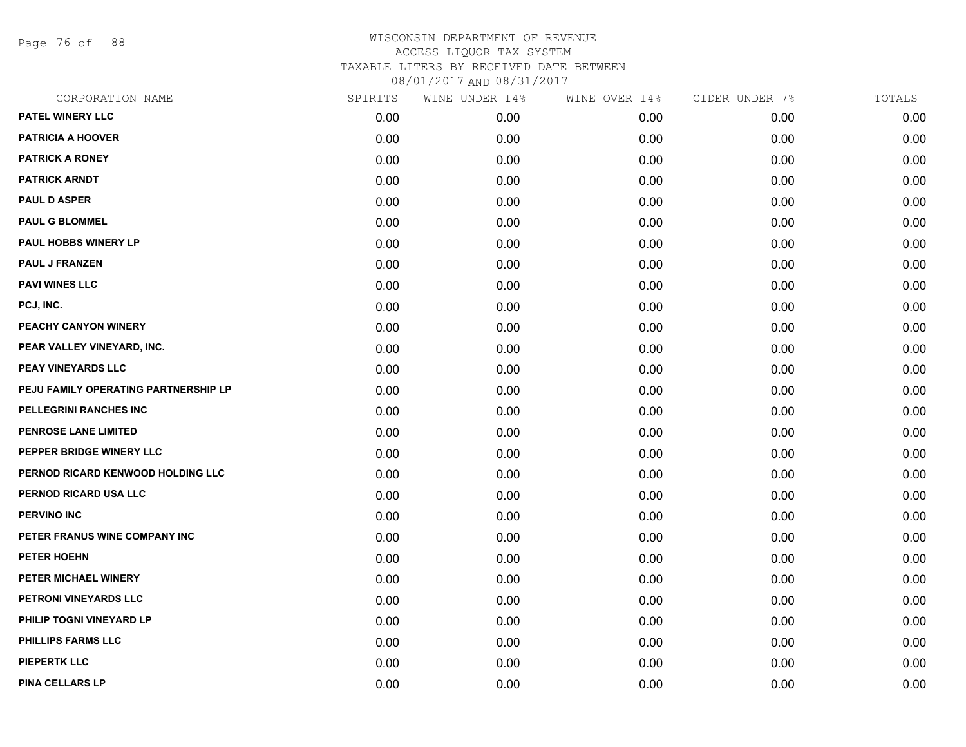Page 76 of 88

## WISCONSIN DEPARTMENT OF REVENUE ACCESS LIQUOR TAX SYSTEM TAXABLE LITERS BY RECEIVED DATE BETWEEN

08/01/2017 AND 08/31/2017

| CORPORATION NAME                     | SPIRITS | WINE UNDER 14% | WINE OVER 14% | CIDER UNDER 7% | TOTALS |
|--------------------------------------|---------|----------------|---------------|----------------|--------|
| PATEL WINERY LLC                     | 0.00    | 0.00           | 0.00          | 0.00           | 0.00   |
| <b>PATRICIA A HOOVER</b>             | 0.00    | 0.00           | 0.00          | 0.00           | 0.00   |
| <b>PATRICK A RONEY</b>               | 0.00    | 0.00           | 0.00          | 0.00           | 0.00   |
| <b>PATRICK ARNDT</b>                 | 0.00    | 0.00           | 0.00          | 0.00           | 0.00   |
| <b>PAUL D ASPER</b>                  | 0.00    | 0.00           | 0.00          | 0.00           | 0.00   |
| <b>PAUL G BLOMMEL</b>                | 0.00    | 0.00           | 0.00          | 0.00           | 0.00   |
| PAUL HOBBS WINERY LP                 | 0.00    | 0.00           | 0.00          | 0.00           | 0.00   |
| <b>PAUL J FRANZEN</b>                | 0.00    | 0.00           | 0.00          | 0.00           | 0.00   |
| <b>PAVI WINES LLC</b>                | 0.00    | 0.00           | 0.00          | 0.00           | 0.00   |
| PCJ, INC.                            | 0.00    | 0.00           | 0.00          | 0.00           | 0.00   |
| PEACHY CANYON WINERY                 | 0.00    | 0.00           | 0.00          | 0.00           | 0.00   |
| PEAR VALLEY VINEYARD, INC.           | 0.00    | 0.00           | 0.00          | 0.00           | 0.00   |
| PEAY VINEYARDS LLC                   | 0.00    | 0.00           | 0.00          | 0.00           | 0.00   |
| PEJU FAMILY OPERATING PARTNERSHIP LP | 0.00    | 0.00           | 0.00          | 0.00           | 0.00   |
| PELLEGRINI RANCHES INC               | 0.00    | 0.00           | 0.00          | 0.00           | 0.00   |
| PENROSE LANE LIMITED                 | 0.00    | 0.00           | 0.00          | 0.00           | 0.00   |
| PEPPER BRIDGE WINERY LLC             | 0.00    | 0.00           | 0.00          | 0.00           | 0.00   |
| PERNOD RICARD KENWOOD HOLDING LLC    | 0.00    | 0.00           | 0.00          | 0.00           | 0.00   |
| PERNOD RICARD USA LLC                | 0.00    | 0.00           | 0.00          | 0.00           | 0.00   |
| <b>PERVINO INC</b>                   | 0.00    | 0.00           | 0.00          | 0.00           | 0.00   |
| PETER FRANUS WINE COMPANY INC        | 0.00    | 0.00           | 0.00          | 0.00           | 0.00   |
| PETER HOEHN                          | 0.00    | 0.00           | 0.00          | 0.00           | 0.00   |
| PETER MICHAEL WINERY                 | 0.00    | 0.00           | 0.00          | 0.00           | 0.00   |
| PETRONI VINEYARDS LLC                | 0.00    | 0.00           | 0.00          | 0.00           | 0.00   |
| PHILIP TOGNI VINEYARD LP             | 0.00    | 0.00           | 0.00          | 0.00           | 0.00   |
| PHILLIPS FARMS LLC                   | 0.00    | 0.00           | 0.00          | 0.00           | 0.00   |
| <b>PIEPERTK LLC</b>                  | 0.00    | 0.00           | 0.00          | 0.00           | 0.00   |
| <b>PINA CELLARS LP</b>               | 0.00    | 0.00           | 0.00          | 0.00           | 0.00   |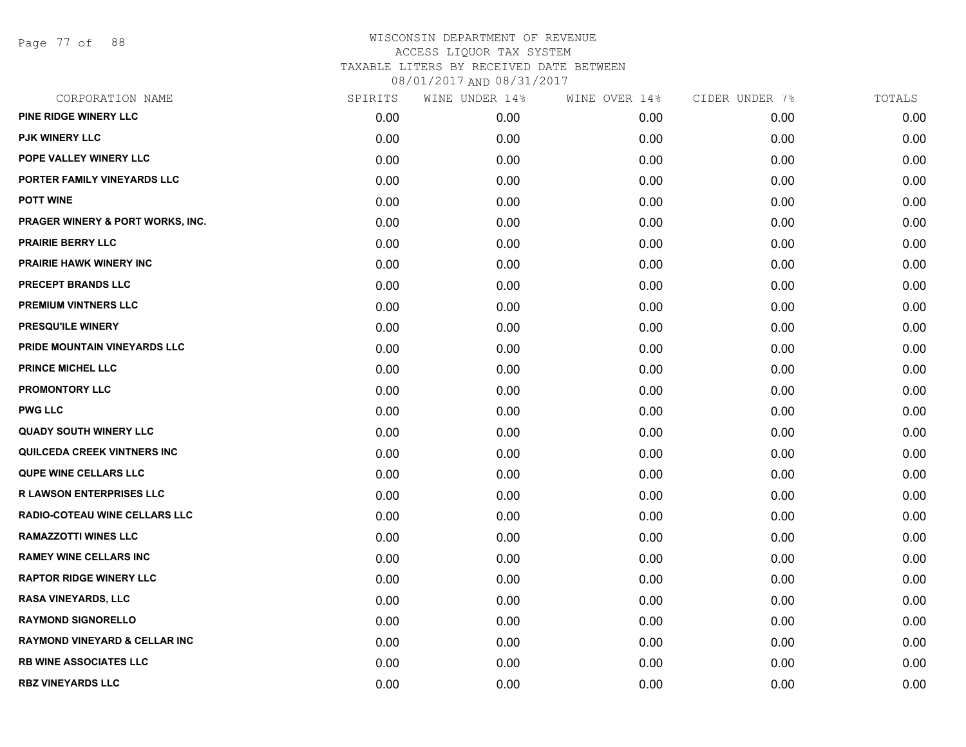Page 77 of 88

| CORPORATION NAME                         | SPIRITS | WINE UNDER 14% | WINE OVER 14% | CIDER UNDER 7% | TOTALS |
|------------------------------------------|---------|----------------|---------------|----------------|--------|
| PINE RIDGE WINERY LLC                    | 0.00    | 0.00           | 0.00          | 0.00           | 0.00   |
| <b>PJK WINERY LLC</b>                    | 0.00    | 0.00           | 0.00          | 0.00           | 0.00   |
| POPE VALLEY WINERY LLC                   | 0.00    | 0.00           | 0.00          | 0.00           | 0.00   |
| PORTER FAMILY VINEYARDS LLC              | 0.00    | 0.00           | 0.00          | 0.00           | 0.00   |
| <b>POTT WINE</b>                         | 0.00    | 0.00           | 0.00          | 0.00           | 0.00   |
| PRAGER WINERY & PORT WORKS, INC.         | 0.00    | 0.00           | 0.00          | 0.00           | 0.00   |
| <b>PRAIRIE BERRY LLC</b>                 | 0.00    | 0.00           | 0.00          | 0.00           | 0.00   |
| <b>PRAIRIE HAWK WINERY INC</b>           | 0.00    | 0.00           | 0.00          | 0.00           | 0.00   |
| PRECEPT BRANDS LLC                       | 0.00    | 0.00           | 0.00          | 0.00           | 0.00   |
| PREMIUM VINTNERS LLC                     | 0.00    | 0.00           | 0.00          | 0.00           | 0.00   |
| PRESQU'ILE WINERY                        | 0.00    | 0.00           | 0.00          | 0.00           | 0.00   |
| PRIDE MOUNTAIN VINEYARDS LLC             | 0.00    | 0.00           | 0.00          | 0.00           | 0.00   |
| <b>PRINCE MICHEL LLC</b>                 | 0.00    | 0.00           | 0.00          | 0.00           | 0.00   |
| <b>PROMONTORY LLC</b>                    | 0.00    | 0.00           | 0.00          | 0.00           | 0.00   |
| <b>PWG LLC</b>                           | 0.00    | 0.00           | 0.00          | 0.00           | 0.00   |
| <b>QUADY SOUTH WINERY LLC</b>            | 0.00    | 0.00           | 0.00          | 0.00           | 0.00   |
| QUILCEDA CREEK VINTNERS INC              | 0.00    | 0.00           | 0.00          | 0.00           | 0.00   |
| <b>QUPE WINE CELLARS LLC</b>             | 0.00    | 0.00           | 0.00          | 0.00           | 0.00   |
| <b>R LAWSON ENTERPRISES LLC</b>          | 0.00    | 0.00           | 0.00          | 0.00           | 0.00   |
| RADIO-COTEAU WINE CELLARS LLC            | 0.00    | 0.00           | 0.00          | 0.00           | 0.00   |
| <b>RAMAZZOTTI WINES LLC</b>              | 0.00    | 0.00           | 0.00          | 0.00           | 0.00   |
| <b>RAMEY WINE CELLARS INC</b>            | 0.00    | 0.00           | 0.00          | 0.00           | 0.00   |
| <b>RAPTOR RIDGE WINERY LLC</b>           | 0.00    | 0.00           | 0.00          | 0.00           | 0.00   |
| <b>RASA VINEYARDS, LLC</b>               | 0.00    | 0.00           | 0.00          | 0.00           | 0.00   |
| <b>RAYMOND SIGNORELLO</b>                | 0.00    | 0.00           | 0.00          | 0.00           | 0.00   |
| <b>RAYMOND VINEYARD &amp; CELLAR INC</b> | 0.00    | 0.00           | 0.00          | 0.00           | 0.00   |
| <b>RB WINE ASSOCIATES LLC</b>            | 0.00    | 0.00           | 0.00          | 0.00           | 0.00   |
| <b>RBZ VINEYARDS LLC</b>                 | 0.00    | 0.00           | 0.00          | 0.00           | 0.00   |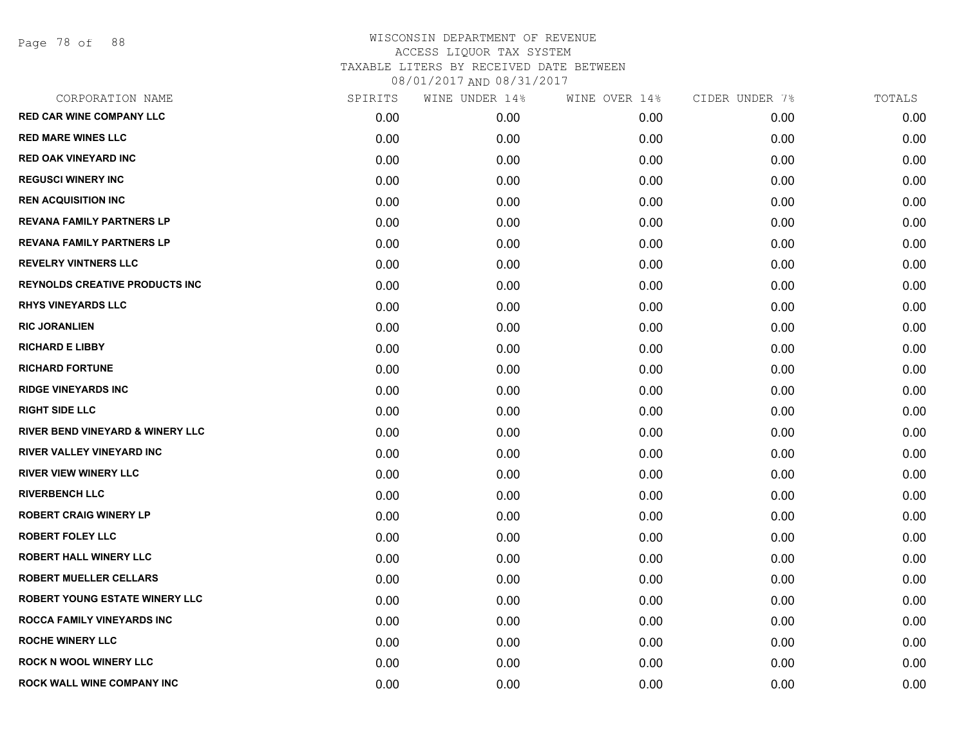Page 78 of 88

| CORPORATION NAME                            | SPIRITS | WINE UNDER 14% | WINE OVER 14% | CIDER UNDER 7% | TOTALS |
|---------------------------------------------|---------|----------------|---------------|----------------|--------|
| <b>RED CAR WINE COMPANY LLC</b>             | 0.00    | 0.00           | 0.00          | 0.00           | 0.00   |
| <b>RED MARE WINES LLC</b>                   | 0.00    | 0.00           | 0.00          | 0.00           | 0.00   |
| <b>RED OAK VINEYARD INC</b>                 | 0.00    | 0.00           | 0.00          | 0.00           | 0.00   |
| <b>REGUSCI WINERY INC</b>                   | 0.00    | 0.00           | 0.00          | 0.00           | 0.00   |
| <b>REN ACQUISITION INC</b>                  | 0.00    | 0.00           | 0.00          | 0.00           | 0.00   |
| <b>REVANA FAMILY PARTNERS LP</b>            | 0.00    | 0.00           | 0.00          | 0.00           | 0.00   |
| <b>REVANA FAMILY PARTNERS LP</b>            | 0.00    | 0.00           | 0.00          | 0.00           | 0.00   |
| <b>REVELRY VINTNERS LLC</b>                 | 0.00    | 0.00           | 0.00          | 0.00           | 0.00   |
| <b>REYNOLDS CREATIVE PRODUCTS INC</b>       | 0.00    | 0.00           | 0.00          | 0.00           | 0.00   |
| <b>RHYS VINEYARDS LLC</b>                   | 0.00    | 0.00           | 0.00          | 0.00           | 0.00   |
| <b>RIC JORANLIEN</b>                        | 0.00    | 0.00           | 0.00          | 0.00           | 0.00   |
| <b>RICHARD E LIBBY</b>                      | 0.00    | 0.00           | 0.00          | 0.00           | 0.00   |
| <b>RICHARD FORTUNE</b>                      | 0.00    | 0.00           | 0.00          | 0.00           | 0.00   |
| <b>RIDGE VINEYARDS INC</b>                  | 0.00    | 0.00           | 0.00          | 0.00           | 0.00   |
| <b>RIGHT SIDE LLC</b>                       | 0.00    | 0.00           | 0.00          | 0.00           | 0.00   |
| <b>RIVER BEND VINEYARD &amp; WINERY LLC</b> | 0.00    | 0.00           | 0.00          | 0.00           | 0.00   |
| <b>RIVER VALLEY VINEYARD INC</b>            | 0.00    | 0.00           | 0.00          | 0.00           | 0.00   |
| <b>RIVER VIEW WINERY LLC</b>                | 0.00    | 0.00           | 0.00          | 0.00           | 0.00   |
| <b>RIVERBENCH LLC</b>                       | 0.00    | 0.00           | 0.00          | 0.00           | 0.00   |
| <b>ROBERT CRAIG WINERY LP</b>               | 0.00    | 0.00           | 0.00          | 0.00           | 0.00   |
| <b>ROBERT FOLEY LLC</b>                     | 0.00    | 0.00           | 0.00          | 0.00           | 0.00   |
| <b>ROBERT HALL WINERY LLC</b>               | 0.00    | 0.00           | 0.00          | 0.00           | 0.00   |
| <b>ROBERT MUELLER CELLARS</b>               | 0.00    | 0.00           | 0.00          | 0.00           | 0.00   |
| <b>ROBERT YOUNG ESTATE WINERY LLC</b>       | 0.00    | 0.00           | 0.00          | 0.00           | 0.00   |
| <b>ROCCA FAMILY VINEYARDS INC</b>           | 0.00    | 0.00           | 0.00          | 0.00           | 0.00   |
| <b>ROCHE WINERY LLC</b>                     | 0.00    | 0.00           | 0.00          | 0.00           | 0.00   |
| <b>ROCK N WOOL WINERY LLC</b>               | 0.00    | 0.00           | 0.00          | 0.00           | 0.00   |
| <b>ROCK WALL WINE COMPANY INC</b>           | 0.00    | 0.00           | 0.00          | 0.00           | 0.00   |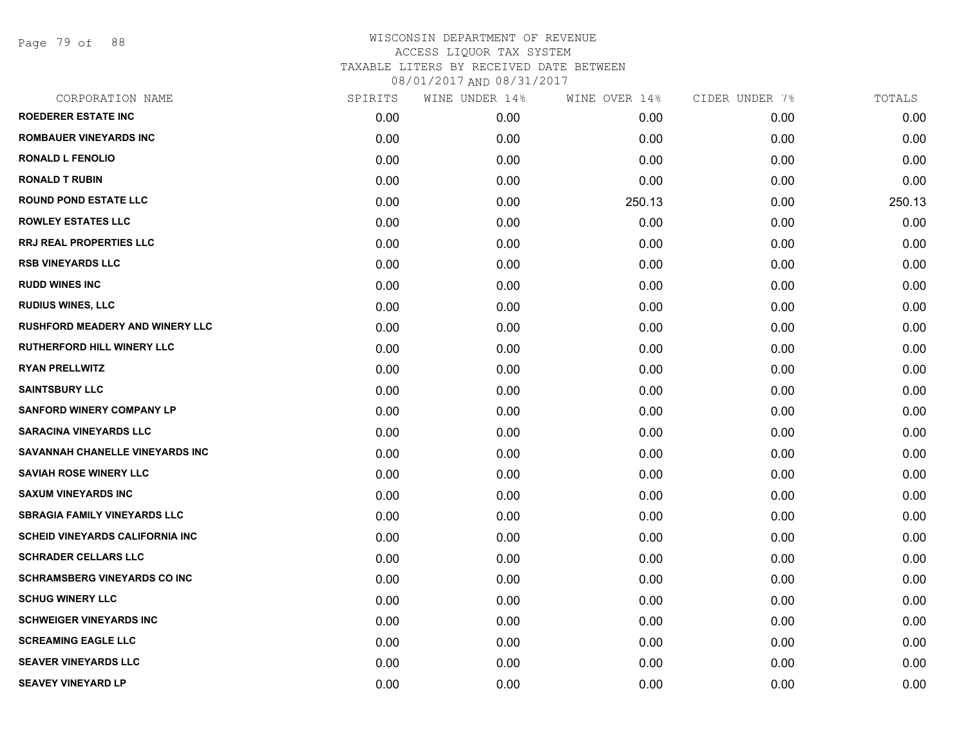Page 79 of 88

| CORPORATION NAME                       | SPIRITS | WINE UNDER 14% | WINE OVER 14% | CIDER UNDER 7% | TOTALS |
|----------------------------------------|---------|----------------|---------------|----------------|--------|
| <b>ROEDERER ESTATE INC</b>             | 0.00    | 0.00           | 0.00          | 0.00           | 0.00   |
| ROMBAUER VINEYARDS INC                 | 0.00    | 0.00           | 0.00          | 0.00           | 0.00   |
| <b>RONALD L FENOLIO</b>                | 0.00    | 0.00           | 0.00          | 0.00           | 0.00   |
| <b>RONALD T RUBIN</b>                  | 0.00    | 0.00           | 0.00          | 0.00           | 0.00   |
| <b>ROUND POND ESTATE LLC</b>           | 0.00    | 0.00           | 250.13        | 0.00           | 250.13 |
| <b>ROWLEY ESTATES LLC</b>              | 0.00    | 0.00           | 0.00          | 0.00           | 0.00   |
| RRJ REAL PROPERTIES LLC                | 0.00    | 0.00           | 0.00          | 0.00           | 0.00   |
| <b>RSB VINEYARDS LLC</b>               | 0.00    | 0.00           | 0.00          | 0.00           | 0.00   |
| <b>RUDD WINES INC</b>                  | 0.00    | 0.00           | 0.00          | 0.00           | 0.00   |
| <b>RUDIUS WINES, LLC</b>               | 0.00    | 0.00           | 0.00          | 0.00           | 0.00   |
| RUSHFORD MEADERY AND WINERY LLC        | 0.00    | 0.00           | 0.00          | 0.00           | 0.00   |
| RUTHERFORD HILL WINERY LLC             | 0.00    | 0.00           | 0.00          | 0.00           | 0.00   |
| <b>RYAN PRELLWITZ</b>                  | 0.00    | 0.00           | 0.00          | 0.00           | 0.00   |
| <b>SAINTSBURY LLC</b>                  | 0.00    | 0.00           | 0.00          | 0.00           | 0.00   |
| <b>SANFORD WINERY COMPANY LP</b>       | 0.00    | 0.00           | 0.00          | 0.00           | 0.00   |
| <b>SARACINA VINEYARDS LLC</b>          | 0.00    | 0.00           | 0.00          | 0.00           | 0.00   |
| SAVANNAH CHANELLE VINEYARDS INC        | 0.00    | 0.00           | 0.00          | 0.00           | 0.00   |
| <b>SAVIAH ROSE WINERY LLC</b>          | 0.00    | 0.00           | 0.00          | 0.00           | 0.00   |
| <b>SAXUM VINEYARDS INC</b>             | 0.00    | 0.00           | 0.00          | 0.00           | 0.00   |
| <b>SBRAGIA FAMILY VINEYARDS LLC</b>    | 0.00    | 0.00           | 0.00          | 0.00           | 0.00   |
| <b>SCHEID VINEYARDS CALIFORNIA INC</b> | 0.00    | 0.00           | 0.00          | 0.00           | 0.00   |
| <b>SCHRADER CELLARS LLC</b>            | 0.00    | 0.00           | 0.00          | 0.00           | 0.00   |
| <b>SCHRAMSBERG VINEYARDS CO INC</b>    | 0.00    | 0.00           | 0.00          | 0.00           | 0.00   |
| <b>SCHUG WINERY LLC</b>                | 0.00    | 0.00           | 0.00          | 0.00           | 0.00   |
| <b>SCHWEIGER VINEYARDS INC</b>         | 0.00    | 0.00           | 0.00          | 0.00           | 0.00   |
| <b>SCREAMING EAGLE LLC</b>             | 0.00    | 0.00           | 0.00          | 0.00           | 0.00   |
| <b>SEAVER VINEYARDS LLC</b>            | 0.00    | 0.00           | 0.00          | 0.00           | 0.00   |
| <b>SEAVEY VINEYARD LP</b>              | 0.00    | 0.00           | 0.00          | 0.00           | 0.00   |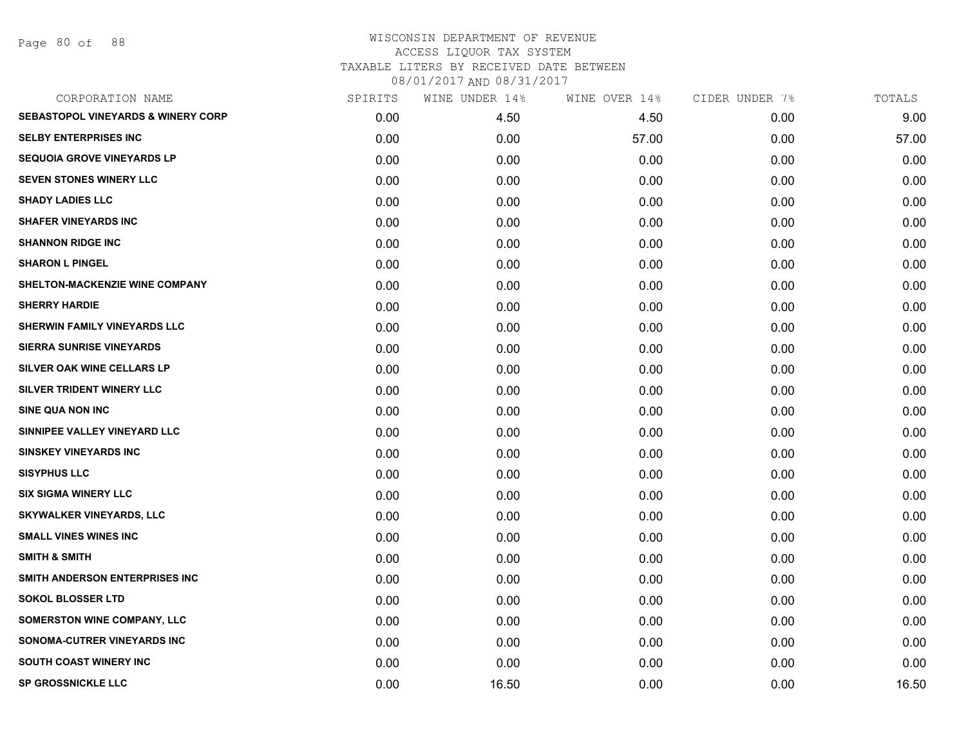Page 80 of 88

| CORPORATION NAME                              | SPIRITS | WINE UNDER 14% | WINE OVER 14% | CIDER UNDER 7% | TOTALS |
|-----------------------------------------------|---------|----------------|---------------|----------------|--------|
| <b>SEBASTOPOL VINEYARDS &amp; WINERY CORP</b> | 0.00    | 4.50           | 4.50          | 0.00           | 9.00   |
| <b>SELBY ENTERPRISES INC</b>                  | 0.00    | 0.00           | 57.00         | 0.00           | 57.00  |
| <b>SEQUOIA GROVE VINEYARDS LP</b>             | 0.00    | 0.00           | 0.00          | 0.00           | 0.00   |
| <b>SEVEN STONES WINERY LLC</b>                | 0.00    | 0.00           | 0.00          | 0.00           | 0.00   |
| <b>SHADY LADIES LLC</b>                       | 0.00    | 0.00           | 0.00          | 0.00           | 0.00   |
| <b>SHAFER VINEYARDS INC</b>                   | 0.00    | 0.00           | 0.00          | 0.00           | 0.00   |
| <b>SHANNON RIDGE INC</b>                      | 0.00    | 0.00           | 0.00          | 0.00           | 0.00   |
| <b>SHARON L PINGEL</b>                        | 0.00    | 0.00           | 0.00          | 0.00           | 0.00   |
| SHELTON-MACKENZIE WINE COMPANY                | 0.00    | 0.00           | 0.00          | 0.00           | 0.00   |
| <b>SHERRY HARDIE</b>                          | 0.00    | 0.00           | 0.00          | 0.00           | 0.00   |
| <b>SHERWIN FAMILY VINEYARDS LLC</b>           | 0.00    | 0.00           | 0.00          | 0.00           | 0.00   |
| <b>SIERRA SUNRISE VINEYARDS</b>               | 0.00    | 0.00           | 0.00          | 0.00           | 0.00   |
| SILVER OAK WINE CELLARS LP                    | 0.00    | 0.00           | 0.00          | 0.00           | 0.00   |
| SILVER TRIDENT WINERY LLC                     | 0.00    | 0.00           | 0.00          | 0.00           | 0.00   |
| <b>SINE QUA NON INC</b>                       | 0.00    | 0.00           | 0.00          | 0.00           | 0.00   |
| SINNIPEE VALLEY VINEYARD LLC                  | 0.00    | 0.00           | 0.00          | 0.00           | 0.00   |
| <b>SINSKEY VINEYARDS INC</b>                  | 0.00    | 0.00           | 0.00          | 0.00           | 0.00   |
| <b>SISYPHUS LLC</b>                           | 0.00    | 0.00           | 0.00          | 0.00           | 0.00   |
| <b>SIX SIGMA WINERY LLC</b>                   | 0.00    | 0.00           | 0.00          | 0.00           | 0.00   |
| <b>SKYWALKER VINEYARDS, LLC</b>               | 0.00    | 0.00           | 0.00          | 0.00           | 0.00   |
| <b>SMALL VINES WINES INC</b>                  | 0.00    | 0.00           | 0.00          | 0.00           | 0.00   |
| <b>SMITH &amp; SMITH</b>                      | 0.00    | 0.00           | 0.00          | 0.00           | 0.00   |
| SMITH ANDERSON ENTERPRISES INC                | 0.00    | 0.00           | 0.00          | 0.00           | 0.00   |
| <b>SOKOL BLOSSER LTD</b>                      | 0.00    | 0.00           | 0.00          | 0.00           | 0.00   |
| <b>SOMERSTON WINE COMPANY, LLC</b>            | 0.00    | 0.00           | 0.00          | 0.00           | 0.00   |
| SONOMA-CUTRER VINEYARDS INC                   | 0.00    | 0.00           | 0.00          | 0.00           | 0.00   |
| SOUTH COAST WINERY INC                        | 0.00    | 0.00           | 0.00          | 0.00           | 0.00   |
| <b>SP GROSSNICKLE LLC</b>                     | 0.00    | 16.50          | 0.00          | 0.00           | 16.50  |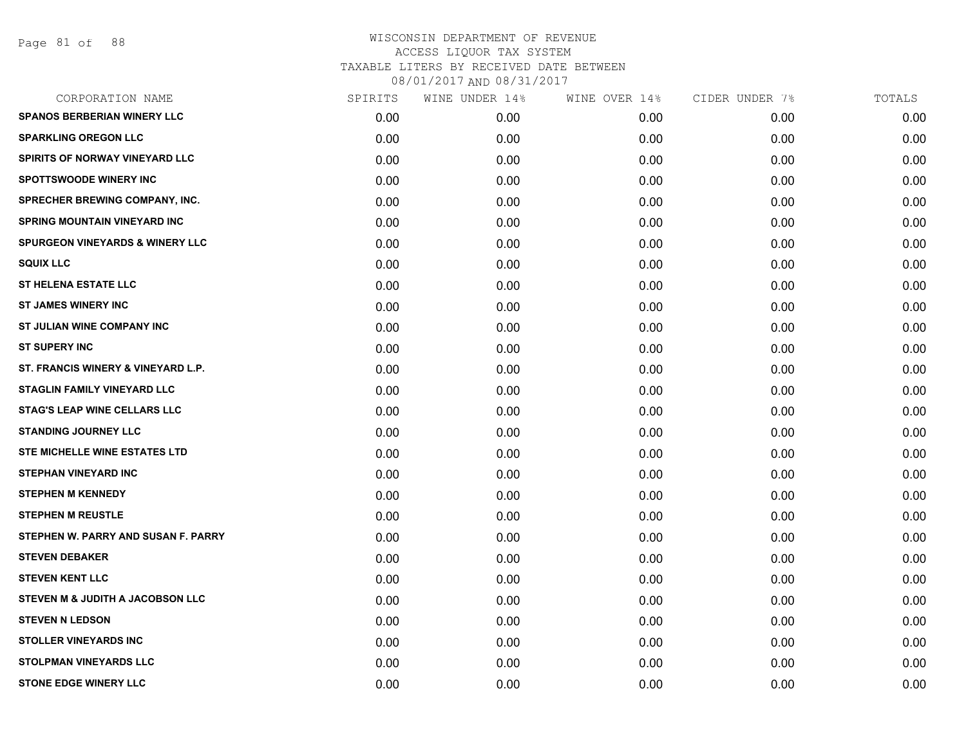| CORPORATION NAME                           | SPIRITS | WINE UNDER 14% | WINE OVER 14% | CIDER UNDER 7% | TOTALS |
|--------------------------------------------|---------|----------------|---------------|----------------|--------|
| <b>SPANOS BERBERIAN WINERY LLC</b>         | 0.00    | 0.00           | 0.00          | 0.00           | 0.00   |
| <b>SPARKLING OREGON LLC</b>                | 0.00    | 0.00           | 0.00          | 0.00           | 0.00   |
| SPIRITS OF NORWAY VINEYARD LLC             | 0.00    | 0.00           | 0.00          | 0.00           | 0.00   |
| <b>SPOTTSWOODE WINERY INC</b>              | 0.00    | 0.00           | 0.00          | 0.00           | 0.00   |
| SPRECHER BREWING COMPANY, INC.             | 0.00    | 0.00           | 0.00          | 0.00           | 0.00   |
| <b>SPRING MOUNTAIN VINEYARD INC</b>        | 0.00    | 0.00           | 0.00          | 0.00           | 0.00   |
| <b>SPURGEON VINEYARDS &amp; WINERY LLC</b> | 0.00    | 0.00           | 0.00          | 0.00           | 0.00   |
| <b>SQUIX LLC</b>                           | 0.00    | 0.00           | 0.00          | 0.00           | 0.00   |
| <b>ST HELENA ESTATE LLC</b>                | 0.00    | 0.00           | 0.00          | 0.00           | 0.00   |
| <b>ST JAMES WINERY INC</b>                 | 0.00    | 0.00           | 0.00          | 0.00           | 0.00   |
| ST JULIAN WINE COMPANY INC                 | 0.00    | 0.00           | 0.00          | 0.00           | 0.00   |
| <b>ST SUPERY INC</b>                       | 0.00    | 0.00           | 0.00          | 0.00           | 0.00   |
| ST. FRANCIS WINERY & VINEYARD L.P.         | 0.00    | 0.00           | 0.00          | 0.00           | 0.00   |
| <b>STAGLIN FAMILY VINEYARD LLC</b>         | 0.00    | 0.00           | 0.00          | 0.00           | 0.00   |
| <b>STAG'S LEAP WINE CELLARS LLC</b>        | 0.00    | 0.00           | 0.00          | 0.00           | 0.00   |
| <b>STANDING JOURNEY LLC</b>                | 0.00    | 0.00           | 0.00          | 0.00           | 0.00   |
| STE MICHELLE WINE ESTATES LTD              | 0.00    | 0.00           | 0.00          | 0.00           | 0.00   |
| <b>STEPHAN VINEYARD INC</b>                | 0.00    | 0.00           | 0.00          | 0.00           | 0.00   |
| <b>STEPHEN M KENNEDY</b>                   | 0.00    | 0.00           | 0.00          | 0.00           | 0.00   |
| <b>STEPHEN M REUSTLE</b>                   | 0.00    | 0.00           | 0.00          | 0.00           | 0.00   |
| STEPHEN W. PARRY AND SUSAN F. PARRY        | 0.00    | 0.00           | 0.00          | 0.00           | 0.00   |
| <b>STEVEN DEBAKER</b>                      | 0.00    | 0.00           | 0.00          | 0.00           | 0.00   |
| <b>STEVEN KENT LLC</b>                     | 0.00    | 0.00           | 0.00          | 0.00           | 0.00   |
| STEVEN M & JUDITH A JACOBSON LLC           | 0.00    | 0.00           | 0.00          | 0.00           | 0.00   |
| <b>STEVEN N LEDSON</b>                     | 0.00    | 0.00           | 0.00          | 0.00           | 0.00   |
| <b>STOLLER VINEYARDS INC</b>               | 0.00    | 0.00           | 0.00          | 0.00           | 0.00   |
| <b>STOLPMAN VINEYARDS LLC</b>              | 0.00    | 0.00           | 0.00          | 0.00           | 0.00   |
| <b>STONE EDGE WINERY LLC</b>               | 0.00    | 0.00           | 0.00          | 0.00           | 0.00   |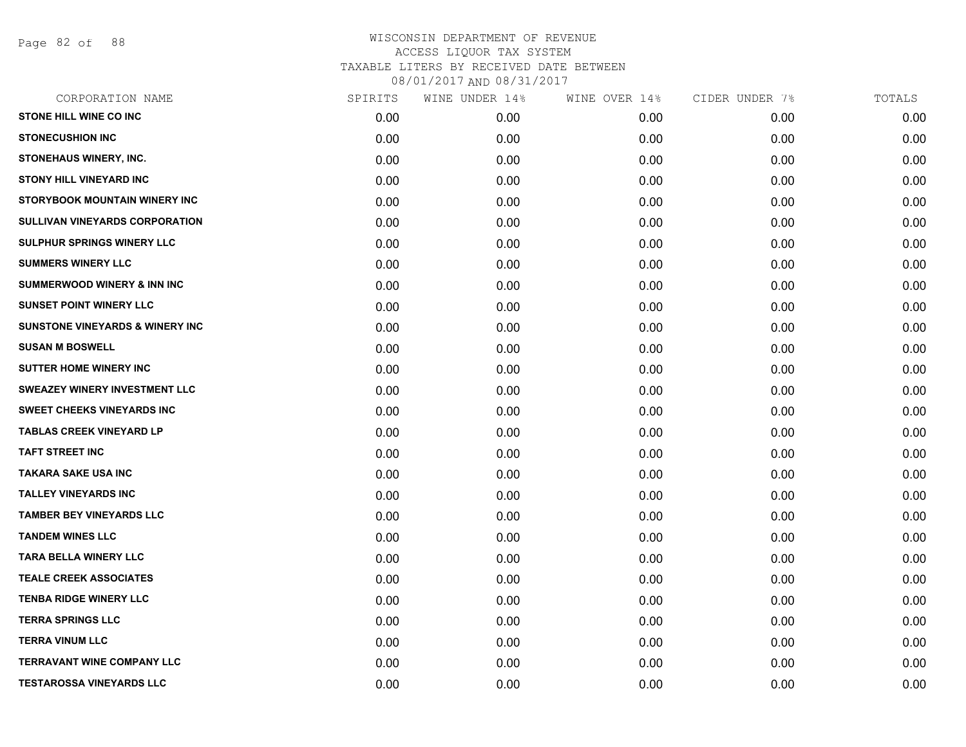Page 82 of 88

| CORPORATION NAME                           | SPIRITS | WINE UNDER 14% | WINE OVER 14% | CIDER UNDER 7% | TOTALS |
|--------------------------------------------|---------|----------------|---------------|----------------|--------|
| <b>STONE HILL WINE CO INC</b>              | 0.00    | 0.00           | 0.00          | 0.00           | 0.00   |
| <b>STONECUSHION INC</b>                    | 0.00    | 0.00           | 0.00          | 0.00           | 0.00   |
| <b>STONEHAUS WINERY, INC.</b>              | 0.00    | 0.00           | 0.00          | 0.00           | 0.00   |
| <b>STONY HILL VINEYARD INC</b>             | 0.00    | 0.00           | 0.00          | 0.00           | 0.00   |
| STORYBOOK MOUNTAIN WINERY INC              | 0.00    | 0.00           | 0.00          | 0.00           | 0.00   |
| <b>SULLIVAN VINEYARDS CORPORATION</b>      | 0.00    | 0.00           | 0.00          | 0.00           | 0.00   |
| <b>SULPHUR SPRINGS WINERY LLC</b>          | 0.00    | 0.00           | 0.00          | 0.00           | 0.00   |
| <b>SUMMERS WINERY LLC</b>                  | 0.00    | 0.00           | 0.00          | 0.00           | 0.00   |
| <b>SUMMERWOOD WINERY &amp; INN INC</b>     | 0.00    | 0.00           | 0.00          | 0.00           | 0.00   |
| <b>SUNSET POINT WINERY LLC</b>             | 0.00    | 0.00           | 0.00          | 0.00           | 0.00   |
| <b>SUNSTONE VINEYARDS &amp; WINERY INC</b> | 0.00    | 0.00           | 0.00          | 0.00           | 0.00   |
| <b>SUSAN M BOSWELL</b>                     | 0.00    | 0.00           | 0.00          | 0.00           | 0.00   |
| <b>SUTTER HOME WINERY INC</b>              | 0.00    | 0.00           | 0.00          | 0.00           | 0.00   |
| <b>SWEAZEY WINERY INVESTMENT LLC</b>       | 0.00    | 0.00           | 0.00          | 0.00           | 0.00   |
| <b>SWEET CHEEKS VINEYARDS INC</b>          | 0.00    | 0.00           | 0.00          | 0.00           | 0.00   |
| <b>TABLAS CREEK VINEYARD LP</b>            | 0.00    | 0.00           | 0.00          | 0.00           | 0.00   |
| <b>TAFT STREET INC</b>                     | 0.00    | 0.00           | 0.00          | 0.00           | 0.00   |
| TAKARA SAKE USA INC                        | 0.00    | 0.00           | 0.00          | 0.00           | 0.00   |
| <b>TALLEY VINEYARDS INC</b>                | 0.00    | 0.00           | 0.00          | 0.00           | 0.00   |
| <b>TAMBER BEY VINEYARDS LLC</b>            | 0.00    | 0.00           | 0.00          | 0.00           | 0.00   |
| <b>TANDEM WINES LLC</b>                    | 0.00    | 0.00           | 0.00          | 0.00           | 0.00   |
| <b>TARA BELLA WINERY LLC</b>               | 0.00    | 0.00           | 0.00          | 0.00           | 0.00   |
| <b>TEALE CREEK ASSOCIATES</b>              | 0.00    | 0.00           | 0.00          | 0.00           | 0.00   |
| <b>TENBA RIDGE WINERY LLC</b>              | 0.00    | 0.00           | 0.00          | 0.00           | 0.00   |
| <b>TERRA SPRINGS LLC</b>                   | 0.00    | 0.00           | 0.00          | 0.00           | 0.00   |
| <b>TERRA VINUM LLC</b>                     | 0.00    | 0.00           | 0.00          | 0.00           | 0.00   |
| TERRAVANT WINE COMPANY LLC                 | 0.00    | 0.00           | 0.00          | 0.00           | 0.00   |
| <b>TESTAROSSA VINEYARDS LLC</b>            | 0.00    | 0.00           | 0.00          | 0.00           | 0.00   |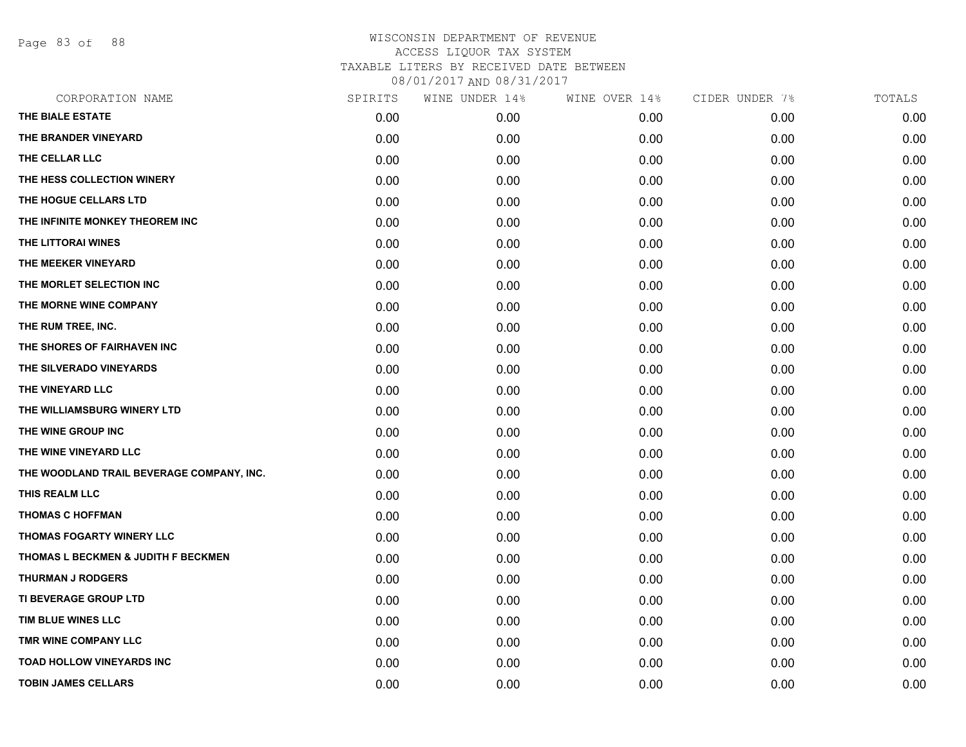Page 83 of 88

| CORPORATION NAME                          | SPIRITS | WINE UNDER 14% | WINE OVER 14% | CIDER UNDER 7% | TOTALS |
|-------------------------------------------|---------|----------------|---------------|----------------|--------|
| THE BIALE ESTATE                          | 0.00    | 0.00           | 0.00          | 0.00           | 0.00   |
| THE BRANDER VINEYARD                      | 0.00    | 0.00           | 0.00          | 0.00           | 0.00   |
| THE CELLAR LLC                            | 0.00    | 0.00           | 0.00          | 0.00           | 0.00   |
| THE HESS COLLECTION WINERY                | 0.00    | 0.00           | 0.00          | 0.00           | 0.00   |
| THE HOGUE CELLARS LTD                     | 0.00    | 0.00           | 0.00          | 0.00           | 0.00   |
| THE INFINITE MONKEY THEOREM INC           | 0.00    | 0.00           | 0.00          | 0.00           | 0.00   |
| THE LITTORAI WINES                        | 0.00    | 0.00           | 0.00          | 0.00           | 0.00   |
| THE MEEKER VINEYARD                       | 0.00    | 0.00           | 0.00          | 0.00           | 0.00   |
| THE MORLET SELECTION INC                  | 0.00    | 0.00           | 0.00          | 0.00           | 0.00   |
| THE MORNE WINE COMPANY                    | 0.00    | 0.00           | 0.00          | 0.00           | 0.00   |
| THE RUM TREE, INC.                        | 0.00    | 0.00           | 0.00          | 0.00           | 0.00   |
| THE SHORES OF FAIRHAVEN INC               | 0.00    | 0.00           | 0.00          | 0.00           | 0.00   |
| THE SILVERADO VINEYARDS                   | 0.00    | 0.00           | 0.00          | 0.00           | 0.00   |
| THE VINEYARD LLC                          | 0.00    | 0.00           | 0.00          | 0.00           | 0.00   |
| THE WILLIAMSBURG WINERY LTD               | 0.00    | 0.00           | 0.00          | 0.00           | 0.00   |
| THE WINE GROUP INC                        | 0.00    | 0.00           | 0.00          | 0.00           | 0.00   |
| THE WINE VINEYARD LLC                     | 0.00    | 0.00           | 0.00          | 0.00           | 0.00   |
| THE WOODLAND TRAIL BEVERAGE COMPANY, INC. | 0.00    | 0.00           | 0.00          | 0.00           | 0.00   |
| THIS REALM LLC                            | 0.00    | 0.00           | 0.00          | 0.00           | 0.00   |
| <b>THOMAS C HOFFMAN</b>                   | 0.00    | 0.00           | 0.00          | 0.00           | 0.00   |
| THOMAS FOGARTY WINERY LLC                 | 0.00    | 0.00           | 0.00          | 0.00           | 0.00   |
| THOMAS L BECKMEN & JUDITH F BECKMEN       | 0.00    | 0.00           | 0.00          | 0.00           | 0.00   |
| <b>THURMAN J RODGERS</b>                  | 0.00    | 0.00           | 0.00          | 0.00           | 0.00   |
| <b>TI BEVERAGE GROUP LTD</b>              | 0.00    | 0.00           | 0.00          | 0.00           | 0.00   |
| TIM BLUE WINES LLC                        | 0.00    | 0.00           | 0.00          | 0.00           | 0.00   |
| TMR WINE COMPANY LLC                      | 0.00    | 0.00           | 0.00          | 0.00           | 0.00   |
| <b>TOAD HOLLOW VINEYARDS INC</b>          | 0.00    | 0.00           | 0.00          | 0.00           | 0.00   |
| <b>TOBIN JAMES CELLARS</b>                | 0.00    | 0.00           | 0.00          | 0.00           | 0.00   |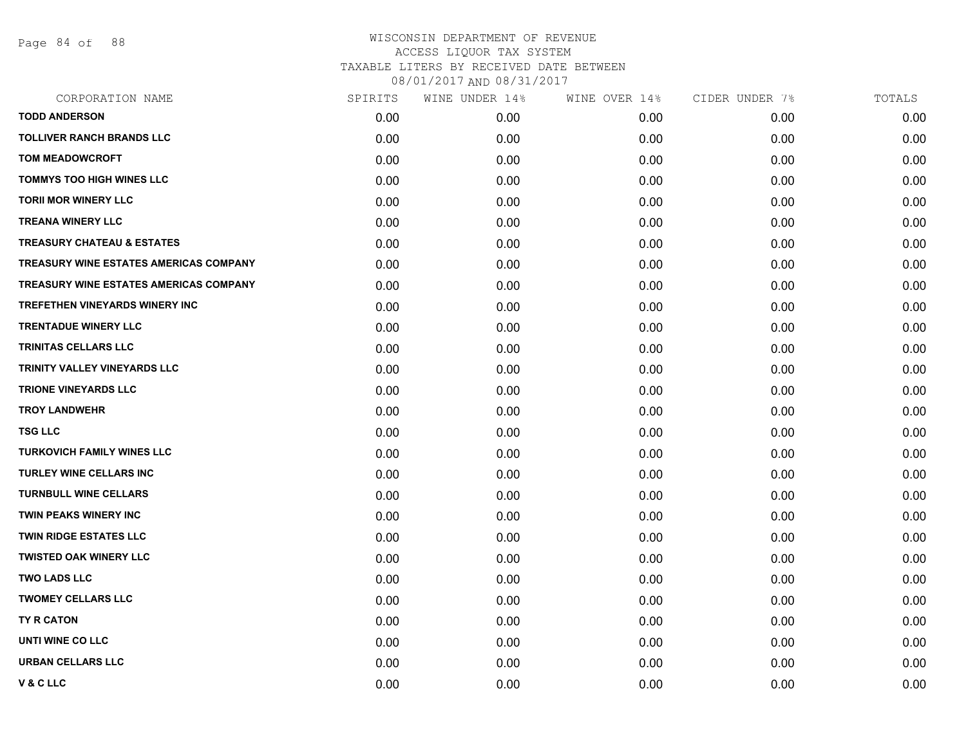Page 84 of 88

| SPIRITS | WINE UNDER 14% | WINE OVER 14% | CIDER UNDER 7% | TOTALS |
|---------|----------------|---------------|----------------|--------|
| 0.00    | 0.00           | 0.00          | 0.00           | 0.00   |
| 0.00    | 0.00           | 0.00          | 0.00           | 0.00   |
| 0.00    | 0.00           | 0.00          | 0.00           | 0.00   |
| 0.00    | 0.00           | 0.00          | 0.00           | 0.00   |
| 0.00    | 0.00           | 0.00          | 0.00           | 0.00   |
| 0.00    | 0.00           | 0.00          | 0.00           | 0.00   |
| 0.00    | 0.00           | 0.00          | 0.00           | 0.00   |
| 0.00    | 0.00           | 0.00          | 0.00           | 0.00   |
| 0.00    | 0.00           | 0.00          | 0.00           | 0.00   |
| 0.00    | 0.00           | 0.00          | 0.00           | 0.00   |
| 0.00    | 0.00           | 0.00          | 0.00           | 0.00   |
| 0.00    | 0.00           | 0.00          | 0.00           | 0.00   |
| 0.00    | 0.00           | 0.00          | 0.00           | 0.00   |
| 0.00    | 0.00           | 0.00          | 0.00           | 0.00   |
| 0.00    | 0.00           | 0.00          | 0.00           | 0.00   |
| 0.00    | 0.00           | 0.00          | 0.00           | 0.00   |
| 0.00    | 0.00           | 0.00          | 0.00           | 0.00   |
| 0.00    | 0.00           | 0.00          | 0.00           | 0.00   |
| 0.00    | 0.00           | 0.00          | 0.00           | 0.00   |
| 0.00    | 0.00           | 0.00          | 0.00           | 0.00   |
| 0.00    | 0.00           | 0.00          | 0.00           | 0.00   |
| 0.00    | 0.00           | 0.00          | 0.00           | 0.00   |
| 0.00    | 0.00           | 0.00          | 0.00           | 0.00   |
| 0.00    | 0.00           | 0.00          | 0.00           | 0.00   |
| 0.00    | 0.00           | 0.00          | 0.00           | 0.00   |
| 0.00    | 0.00           | 0.00          | 0.00           | 0.00   |
| 0.00    | 0.00           | 0.00          | 0.00           | 0.00   |
| 0.00    | 0.00           | 0.00          | 0.00           | 0.00   |
|         |                |               |                |        |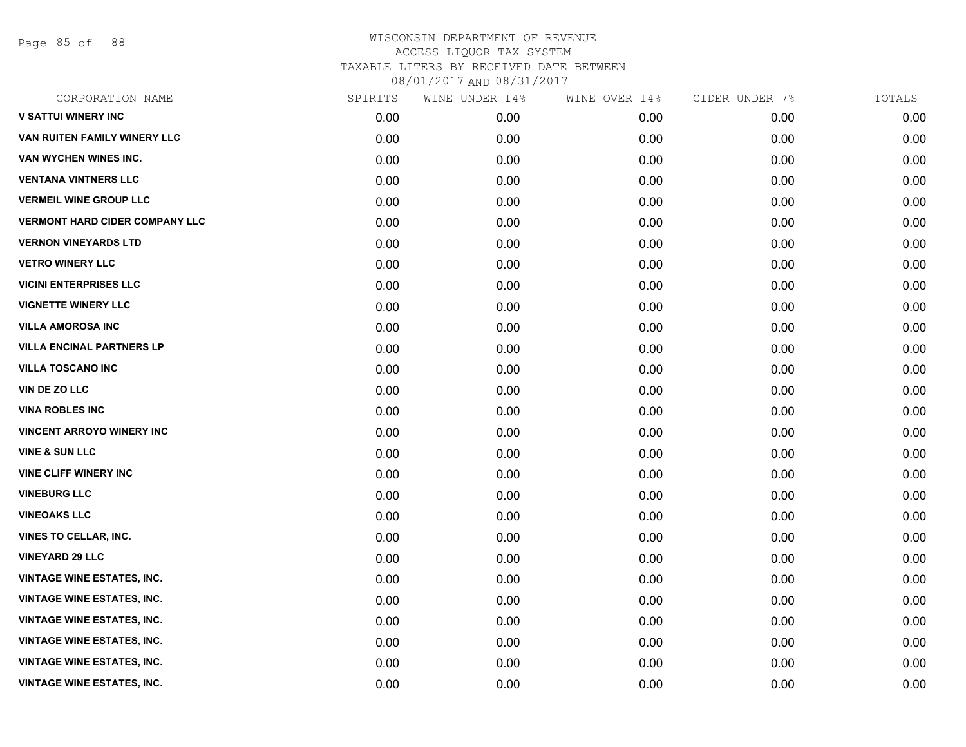Page 85 of 88

| CORPORATION NAME                      | SPIRITS | WINE UNDER 14% | WINE OVER 14% | CIDER UNDER 7% | TOTALS |
|---------------------------------------|---------|----------------|---------------|----------------|--------|
| <b>V SATTUI WINERY INC</b>            | 0.00    | 0.00           | 0.00          | 0.00           | 0.00   |
| VAN RUITEN FAMILY WINERY LLC          | 0.00    | 0.00           | 0.00          | 0.00           | 0.00   |
| VAN WYCHEN WINES INC.                 | 0.00    | 0.00           | 0.00          | 0.00           | 0.00   |
| <b>VENTANA VINTNERS LLC</b>           | 0.00    | 0.00           | 0.00          | 0.00           | 0.00   |
| <b>VERMEIL WINE GROUP LLC</b>         | 0.00    | 0.00           | 0.00          | 0.00           | 0.00   |
| <b>VERMONT HARD CIDER COMPANY LLC</b> | 0.00    | 0.00           | 0.00          | 0.00           | 0.00   |
| <b>VERNON VINEYARDS LTD</b>           | 0.00    | 0.00           | 0.00          | 0.00           | 0.00   |
| <b>VETRO WINERY LLC</b>               | 0.00    | 0.00           | 0.00          | 0.00           | 0.00   |
| <b>VICINI ENTERPRISES LLC</b>         | 0.00    | 0.00           | 0.00          | 0.00           | 0.00   |
| <b>VIGNETTE WINERY LLC</b>            | 0.00    | 0.00           | 0.00          | 0.00           | 0.00   |
| <b>VILLA AMOROSA INC</b>              | 0.00    | 0.00           | 0.00          | 0.00           | 0.00   |
| <b>VILLA ENCINAL PARTNERS LP</b>      | 0.00    | 0.00           | 0.00          | 0.00           | 0.00   |
| <b>VILLA TOSCANO INC</b>              | 0.00    | 0.00           | 0.00          | 0.00           | 0.00   |
| <b>VIN DE ZO LLC</b>                  | 0.00    | 0.00           | 0.00          | 0.00           | 0.00   |
| <b>VINA ROBLES INC</b>                | 0.00    | 0.00           | 0.00          | 0.00           | 0.00   |
| <b>VINCENT ARROYO WINERY INC</b>      | 0.00    | 0.00           | 0.00          | 0.00           | 0.00   |
| <b>VINE &amp; SUN LLC</b>             | 0.00    | 0.00           | 0.00          | 0.00           | 0.00   |
| <b>VINE CLIFF WINERY INC</b>          | 0.00    | 0.00           | 0.00          | 0.00           | 0.00   |
| <b>VINEBURG LLC</b>                   | 0.00    | 0.00           | 0.00          | 0.00           | 0.00   |
| <b>VINEOAKS LLC</b>                   | 0.00    | 0.00           | 0.00          | 0.00           | 0.00   |
| <b>VINES TO CELLAR, INC.</b>          | 0.00    | 0.00           | 0.00          | 0.00           | 0.00   |
| <b>VINEYARD 29 LLC</b>                | 0.00    | 0.00           | 0.00          | 0.00           | 0.00   |
| <b>VINTAGE WINE ESTATES, INC.</b>     | 0.00    | 0.00           | 0.00          | 0.00           | 0.00   |
| <b>VINTAGE WINE ESTATES, INC.</b>     | 0.00    | 0.00           | 0.00          | 0.00           | 0.00   |
| <b>VINTAGE WINE ESTATES, INC.</b>     | 0.00    | 0.00           | 0.00          | 0.00           | 0.00   |
| <b>VINTAGE WINE ESTATES, INC.</b>     | 0.00    | 0.00           | 0.00          | 0.00           | 0.00   |
| <b>VINTAGE WINE ESTATES, INC.</b>     | 0.00    | 0.00           | 0.00          | 0.00           | 0.00   |
| <b>VINTAGE WINE ESTATES, INC.</b>     | 0.00    | 0.00           | 0.00          | 0.00           | 0.00   |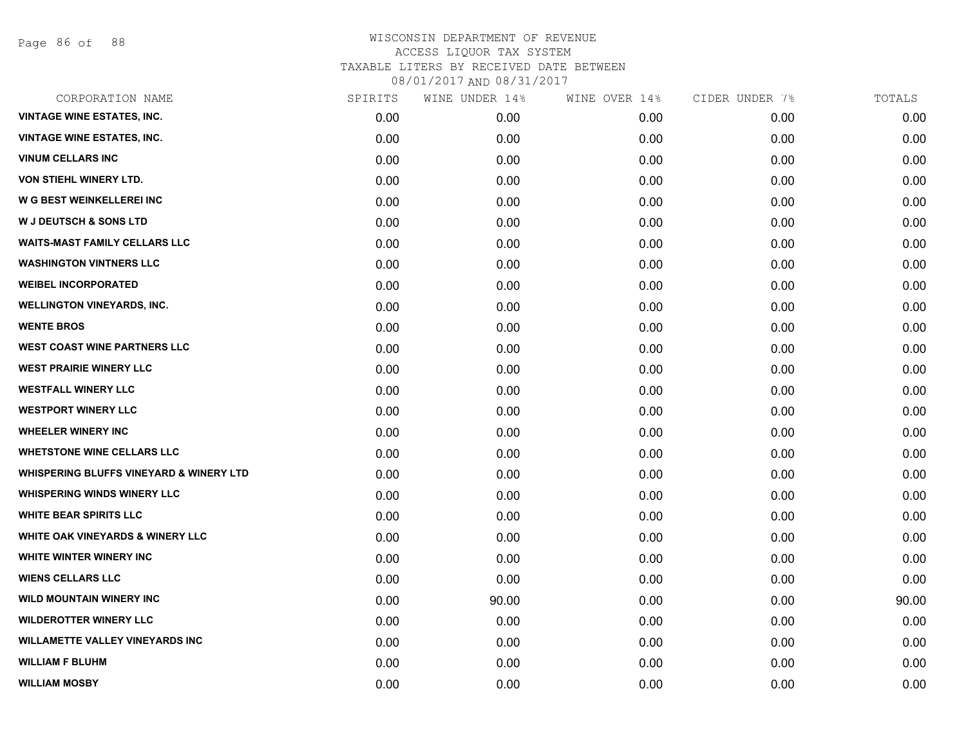Page 86 of 88

| SPIRITS | WINE UNDER 14% | WINE OVER 14% | CIDER UNDER 7% | TOTALS |
|---------|----------------|---------------|----------------|--------|
| 0.00    | 0.00           | 0.00          | 0.00           | 0.00   |
| 0.00    | 0.00           | 0.00          | 0.00           | 0.00   |
| 0.00    | 0.00           | 0.00          | 0.00           | 0.00   |
| 0.00    | 0.00           | 0.00          | 0.00           | 0.00   |
| 0.00    | 0.00           | 0.00          | 0.00           | 0.00   |
| 0.00    | 0.00           | 0.00          | 0.00           | 0.00   |
| 0.00    | 0.00           | 0.00          | 0.00           | 0.00   |
| 0.00    | 0.00           | 0.00          | 0.00           | 0.00   |
| 0.00    | 0.00           | 0.00          | 0.00           | 0.00   |
| 0.00    | 0.00           | 0.00          | 0.00           | 0.00   |
| 0.00    | 0.00           | 0.00          | 0.00           | 0.00   |
| 0.00    | 0.00           | 0.00          | 0.00           | 0.00   |
| 0.00    | 0.00           | 0.00          | 0.00           | 0.00   |
| 0.00    | 0.00           | 0.00          | 0.00           | 0.00   |
| 0.00    | 0.00           | 0.00          | 0.00           | 0.00   |
| 0.00    | 0.00           | 0.00          | 0.00           | 0.00   |
| 0.00    | 0.00           | 0.00          | 0.00           | 0.00   |
| 0.00    | 0.00           | 0.00          | 0.00           | 0.00   |
| 0.00    | 0.00           | 0.00          | 0.00           | 0.00   |
| 0.00    | 0.00           | 0.00          | 0.00           | 0.00   |
| 0.00    | 0.00           | 0.00          | 0.00           | 0.00   |
| 0.00    | 0.00           | 0.00          | 0.00           | 0.00   |
| 0.00    | 0.00           | 0.00          | 0.00           | 0.00   |
| 0.00    | 90.00          | 0.00          | 0.00           | 90.00  |
| 0.00    | 0.00           | 0.00          | 0.00           | 0.00   |
| 0.00    | 0.00           | 0.00          | 0.00           | 0.00   |
| 0.00    | 0.00           | 0.00          | 0.00           | 0.00   |
| 0.00    | 0.00           | 0.00          | 0.00           | 0.00   |
|         |                |               |                |        |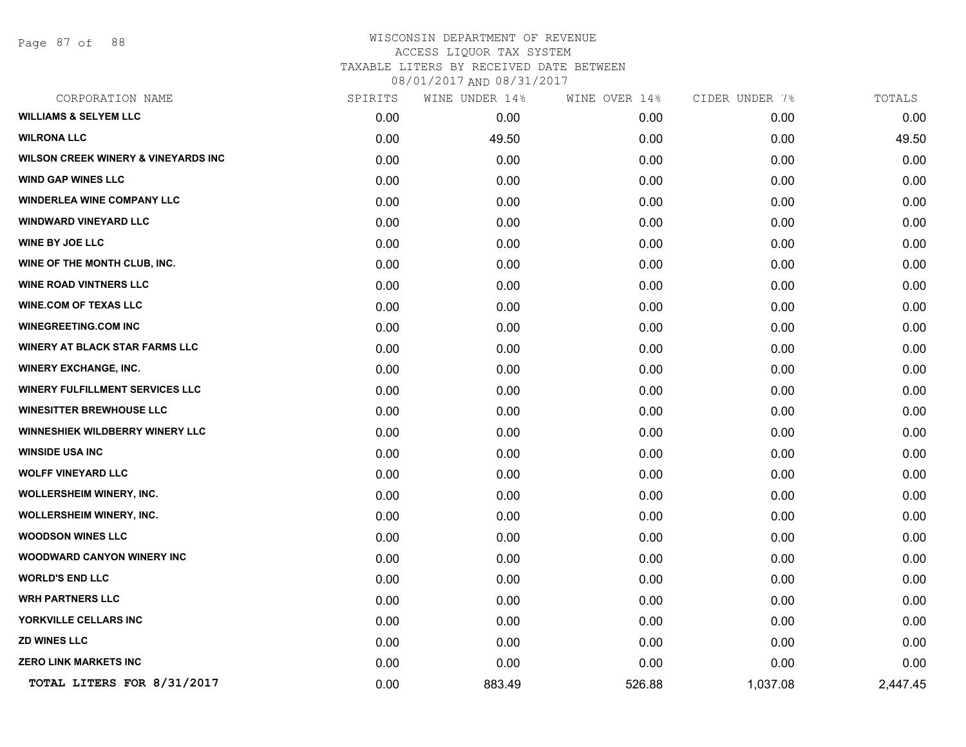Page 87 of 88

## WISCONSIN DEPARTMENT OF REVENUE ACCESS LIQUOR TAX SYSTEM TAXABLE LITERS BY RECEIVED DATE BETWEEN

08/01/2017 AND 08/31/2017

| CORPORATION NAME                               | SPIRITS | WINE UNDER 14% | WINE OVER 14% | CIDER UNDER 7% | TOTALS   |
|------------------------------------------------|---------|----------------|---------------|----------------|----------|
| <b>WILLIAMS &amp; SELYEM LLC</b>               | 0.00    | 0.00           | 0.00          | 0.00           | 0.00     |
| <b>WILRONA LLC</b>                             | 0.00    | 49.50          | 0.00          | 0.00           | 49.50    |
| <b>WILSON CREEK WINERY &amp; VINEYARDS INC</b> | 0.00    | 0.00           | 0.00          | 0.00           | 0.00     |
| <b>WIND GAP WINES LLC</b>                      | 0.00    | 0.00           | 0.00          | 0.00           | 0.00     |
| <b>WINDERLEA WINE COMPANY LLC</b>              | 0.00    | 0.00           | 0.00          | 0.00           | 0.00     |
| <b>WINDWARD VINEYARD LLC</b>                   | 0.00    | 0.00           | 0.00          | 0.00           | 0.00     |
| <b>WINE BY JOE LLC</b>                         | 0.00    | 0.00           | 0.00          | 0.00           | 0.00     |
| WINE OF THE MONTH CLUB, INC.                   | 0.00    | 0.00           | 0.00          | 0.00           | 0.00     |
| <b>WINE ROAD VINTNERS LLC</b>                  | 0.00    | 0.00           | 0.00          | 0.00           | 0.00     |
| <b>WINE.COM OF TEXAS LLC</b>                   | 0.00    | 0.00           | 0.00          | 0.00           | 0.00     |
| <b>WINEGREETING.COM INC</b>                    | 0.00    | 0.00           | 0.00          | 0.00           | 0.00     |
| <b>WINERY AT BLACK STAR FARMS LLC</b>          | 0.00    | 0.00           | 0.00          | 0.00           | 0.00     |
| <b>WINERY EXCHANGE, INC.</b>                   | 0.00    | 0.00           | 0.00          | 0.00           | 0.00     |
| <b>WINERY FULFILLMENT SERVICES LLC</b>         | 0.00    | 0.00           | 0.00          | 0.00           | 0.00     |
| <b>WINESITTER BREWHOUSE LLC</b>                | 0.00    | 0.00           | 0.00          | 0.00           | 0.00     |
| <b>WINNESHIEK WILDBERRY WINERY LLC</b>         | 0.00    | 0.00           | 0.00          | 0.00           | 0.00     |
| <b>WINSIDE USA INC</b>                         | 0.00    | 0.00           | 0.00          | 0.00           | 0.00     |
| <b>WOLFF VINEYARD LLC</b>                      | 0.00    | 0.00           | 0.00          | 0.00           | 0.00     |
| <b>WOLLERSHEIM WINERY, INC.</b>                | 0.00    | 0.00           | 0.00          | 0.00           | 0.00     |
| <b>WOLLERSHEIM WINERY, INC.</b>                | 0.00    | 0.00           | 0.00          | 0.00           | 0.00     |
| <b>WOODSON WINES LLC</b>                       | 0.00    | 0.00           | 0.00          | 0.00           | 0.00     |
| <b>WOODWARD CANYON WINERY INC</b>              | 0.00    | 0.00           | 0.00          | 0.00           | 0.00     |
| <b>WORLD'S END LLC</b>                         | 0.00    | 0.00           | 0.00          | 0.00           | 0.00     |
| <b>WRH PARTNERS LLC</b>                        | 0.00    | 0.00           | 0.00          | 0.00           | 0.00     |
| YORKVILLE CELLARS INC                          | 0.00    | 0.00           | 0.00          | 0.00           | 0.00     |
| <b>ZD WINES LLC</b>                            | 0.00    | 0.00           | 0.00          | 0.00           | 0.00     |
| <b>ZERO LINK MARKETS INC</b>                   | 0.00    | 0.00           | 0.00          | 0.00           | 0.00     |
| TOTAL LITERS FOR 8/31/2017                     | 0.00    | 883.49         | 526.88        | 1,037.08       | 2,447.45 |